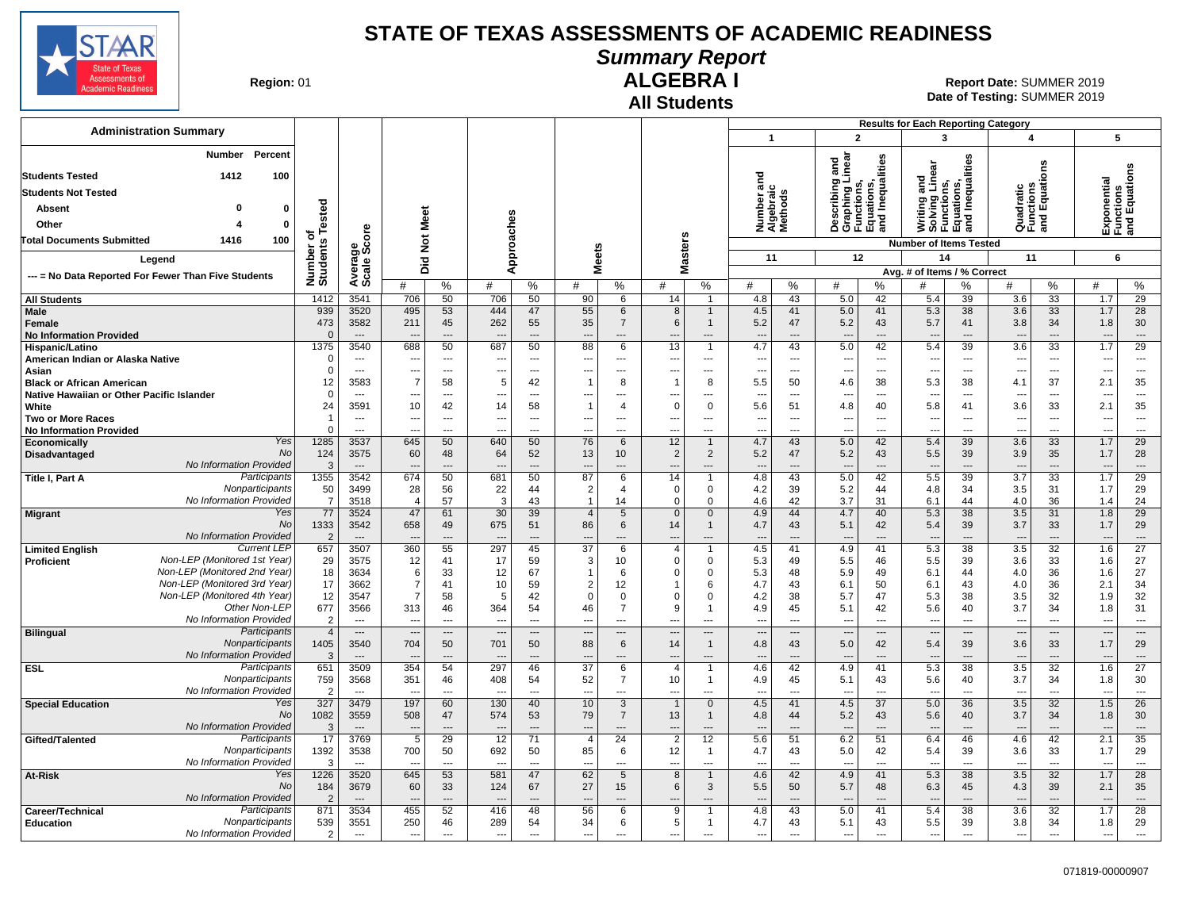

### **Summary Report**

**Region: 01** 

# **All Students**

**ALGEBRA I** 01 **Report Date:** SUMMER 2019 **Date of Testing:**  SUMMER 2019

|                                                                              |                                  |                                          |                                            |                                      |                                                      |                            |                                            |                                   |                                  |                                |                                            |                                  |                                                                        |                                                      | <b>Results for Each Reporting Category</b>                                    |                                      |                                            |                                      |                                            |                                      |
|------------------------------------------------------------------------------|----------------------------------|------------------------------------------|--------------------------------------------|--------------------------------------|------------------------------------------------------|----------------------------|--------------------------------------------|-----------------------------------|----------------------------------|--------------------------------|--------------------------------------------|----------------------------------|------------------------------------------------------------------------|------------------------------------------------------|-------------------------------------------------------------------------------|--------------------------------------|--------------------------------------------|--------------------------------------|--------------------------------------------|--------------------------------------|
| <b>Administration Summary</b>                                                |                                  |                                          |                                            |                                      |                                                      |                            |                                            |                                   |                                  |                                | $\overline{1}$                             |                                  | $\overline{2}$                                                         |                                                      | 3                                                                             |                                      | 4                                          |                                      |                                            | 5                                    |
| <b>Number</b><br>Percent<br>1412<br>100<br><b>Students Tested</b>            |                                  |                                          |                                            |                                      |                                                      |                            |                                            |                                   |                                  |                                | ъ                                          |                                  | inear<br>and                                                           | Inequalities                                         | Writing and<br>Solving Linear<br>Functions,<br>Equations,<br>and Inequalities | Inequalities                         |                                            | ems                                  |                                            | Functions<br>and Equations           |
| <b>Students Not Tested</b>                                                   |                                  |                                          |                                            |                                      |                                                      |                            |                                            |                                   |                                  |                                | Number ano<br>Algebraic<br>Methods         |                                  | Describing<br>Graphing Lii<br>Functions,<br>Equations,<br>and Inequali |                                                      |                                                                               |                                      |                                            | Quadratic<br>Functions<br>and Equati | Exponential<br>Functions                   |                                      |
| $\Omega$<br>Absent<br>$\mathbf 0$                                            |                                  |                                          |                                            |                                      |                                                      |                            |                                            |                                   |                                  |                                |                                            |                                  |                                                                        |                                                      |                                                                               |                                      |                                            |                                      |                                            |                                      |
| $\mathbf{0}$<br>Other<br>Δ                                                   | Tested                           |                                          | Meet                                       |                                      |                                                      |                            |                                            |                                   |                                  |                                |                                            |                                  |                                                                        |                                                      |                                                                               |                                      |                                            |                                      |                                            |                                      |
| 100<br><b>Total Documents Submitted</b><br>1416                              | ъ                                |                                          |                                            |                                      |                                                      |                            |                                            |                                   |                                  |                                |                                            |                                  |                                                                        |                                                      |                                                                               |                                      |                                            |                                      |                                            |                                      |
|                                                                              |                                  | ge<br>Score                              | $\frac{5}{2}$                              |                                      |                                                      |                            |                                            |                                   |                                  |                                |                                            |                                  |                                                                        |                                                      | <b>Number of Items Tested</b>                                                 |                                      |                                            |                                      |                                            |                                      |
| Legend                                                                       |                                  |                                          | Did                                        |                                      |                                                      | Approaches                 | <b>Meets</b>                               |                                   | Masters                          |                                | 11                                         |                                  | 12                                                                     |                                                      | 14                                                                            |                                      | 11                                         |                                      | 6                                          |                                      |
| --- = No Data Reported For Fewer Than Five Students                          | Number o<br>Students             | Average:                                 | #                                          | %                                    | #                                                    | %                          | #                                          | %                                 | #                                | %                              | #                                          | %                                | #                                                                      | %                                                    | Avg. # of Items / % Correct<br>#                                              | %                                    | #                                          | %                                    | #                                          | %                                    |
| <b>All Students</b>                                                          | 1412                             | 3541                                     | 706                                        | 50                                   | 706                                                  | 50                         | 90                                         | 6                                 | 14                               | $\overline{1}$                 | 4.8                                        | 43                               | 5.0                                                                    | 42                                                   | 5.4                                                                           | 39                                   | 3.6                                        | 33                                   | 1.7                                        | 29                                   |
| <b>Male</b><br>Female<br><b>No Information Provided</b>                      | 939<br>473<br>$\Omega$           | 3520<br>3582<br>$\overline{\phantom{a}}$ | 495<br>211                                 | 53<br>45<br>$\overline{\phantom{a}}$ | 444<br>262                                           | 47<br>55<br>$---$          | 55<br>35<br>$\overline{a}$                 | 6<br>7<br>$\overline{a}$          | 8<br>6                           | $\mathbf{1}$<br>1<br>---       | 4.5<br>5.2<br>---                          | 41<br>47<br>---                  | 5.0<br>5.2<br>$\overline{\phantom{a}}$                                 | 41<br>43<br>$\overline{\phantom{a}}$                 | 5.3<br>5.7<br>$\overline{\phantom{a}}$                                        | 38<br>41<br>$\overline{\phantom{a}}$ | 3.6<br>3.8<br>$\overline{a}$               | 33<br>34<br>---                      | 1.7<br>1.8<br>$\overline{\phantom{a}}$     | 28<br>30<br>$\overline{\phantom{a}}$ |
| Hispanic/Latino<br>American Indian or Alaska Native                          | 1375<br>$\mathbf 0$              | 3540<br>$---$                            | 688<br>$\overline{\phantom{a}}$            | 50<br>$-$                            | 687<br>$\overline{a}$                                | 50<br>$---$                | 88<br>$\overline{a}$                       | 6<br>$---$                        | 13<br>---                        | $\mathbf{1}$<br>---            | 4.7<br>---                                 | 43<br>$---$                      | 5.0<br>$\sim$                                                          | 42<br>$\overline{\phantom{a}}$                       | 5.4<br>$\sim$                                                                 | 39<br>$---$                          | 3.6<br>$\sim$                              | 33<br>$---$                          | 1.7<br>---                                 | 29<br>$\sim$                         |
| Asian                                                                        | $\mathbf 0$                      | $\overline{\phantom{a}}$                 | ---                                        | $---$                                | ---                                                  | $\overline{\phantom{a}}$   | ---                                        | ---                               | ---                              | ---                            | ---                                        | $\overline{a}$                   | $\overline{a}$                                                         | $\overline{\phantom{a}}$                             | $\overline{\phantom{a}}$                                                      | ---                                  | $\sim$                                     | $\overline{a}$                       | ---                                        | $\overline{\phantom{a}}$             |
| <b>Black or African American</b>                                             | 12                               | 3583                                     | $\overline{7}$                             | 58                                   | 5                                                    | 42                         | -1                                         | 8                                 | -1                               | 8                              | 5.5                                        | 50                               | 4.6                                                                    | 38                                                   | 5.3                                                                           | 38                                   | 4.1                                        | 37                                   | 2.1                                        | 35                                   |
| Native Hawaiian or Other Pacific Islander<br>White                           | $\mathbf 0$<br>24                | $---$<br>3591                            | ---<br>10                                  | $\sim$<br>42                         | 14                                                   | $---$<br>58                | ---<br>$\mathbf{1}$                        | ---<br>$\overline{4}$             | $\overline{a}$<br>$\Omega$       | ---<br>0                       | $\overline{a}$<br>5.6                      | $---$<br>51                      | ---<br>4.8                                                             | $\sim$<br>40                                         | $\overline{\phantom{a}}$<br>5.8                                               | $---$<br>41                          | 3.6                                        | $\overline{a}$<br>33                 | --<br>2.1                                  | $-$<br>35                            |
| <b>Two or More Races</b>                                                     | $\overline{1}$                   | $\overline{\phantom{a}}$                 | ---                                        | ---                                  |                                                      | $\overline{\phantom{a}}$   | ---                                        | ---                               | $\overline{\phantom{a}}$         | ---                            |                                            | $\overline{a}$                   | $\overline{\phantom{a}}$                                               | ---                                                  | $\overline{\phantom{a}}$                                                      | ---                                  | ---                                        | $\overline{a}$                       | ---                                        | $\overline{\phantom{a}}$             |
| <b>No Information Provided</b>                                               | $\Omega$                         | $\overline{a}$                           |                                            | $\overline{a}$                       |                                                      | $\overline{a}$             | ---                                        | $\overline{\phantom{a}}$          |                                  | ---                            | ---                                        | ---                              | $\overline{\phantom{a}}$                                               | $\sim$                                               |                                                                               | $\overline{a}$                       | ---                                        | $\overline{a}$                       | ---                                        | ---                                  |
| Yes<br><b>Economically</b><br>No<br>Disadvantaged                            | 1285<br>124                      | 3537<br>3575                             | 645<br>60                                  | 50<br>48                             | 640<br>64                                            | 50<br>52                   | 76<br>13                                   | 6<br>10 <sup>°</sup>              | 12<br>2                          | $\mathbf{1}$<br>$\overline{2}$ | 4.7<br>5.2                                 | 43<br>47                         | 5.0<br>5.2                                                             | 42<br>43                                             | 5.4<br>5.5                                                                    | 39<br>39                             | 3.6<br>3.9                                 | 33<br>35                             | 1.7<br>1.7                                 | 29<br>28                             |
| No Information Provided                                                      | 3                                | $---$                                    | ---                                        | $---$                                |                                                      | $\overline{a}$             | $\overline{\phantom{a}}$                   | $\overline{a}$                    | ---                              | $---$                          | $\overline{a}$                             | ---                              | $\overline{\phantom{a}}$                                               | $---$                                                | $\overline{\phantom{a}}$                                                      | $\overline{a}$                       | $\overline{\phantom{a}}$                   | $\overline{a}$                       | ---                                        | $\hspace{0.05cm} \ldots$             |
| Participants<br>Title I, Part A                                              | 1355                             | 3542                                     | 674                                        | 50                                   | 681                                                  | 50                         | 87                                         | 6                                 | 14                               | -1                             | 4.8                                        | 43                               | 5.0                                                                    | 42                                                   | 5.5                                                                           | 39                                   | $\overline{3.7}$                           | 33                                   | 1.7                                        | 29                                   |
| Nonparticipants                                                              | 50                               | 3499                                     | 28                                         | 56                                   | 22                                                   | 44                         | $\overline{2}$                             | $\overline{4}$                    | $\Omega$                         | 0                              | 4.2                                        | 39                               | 5.2                                                                    | 44                                                   | 4.8                                                                           | 34                                   | 3.5                                        | 31                                   | 1.7                                        | 29                                   |
| No Information Provided<br>Yes<br><b>Migrant</b>                             | $\overline{7}$<br>77             | 3518<br>3524                             | $\overline{4}$<br>47                       | 57<br>61                             | 3<br>30                                              | 43<br>39                   | $\mathbf{1}$<br>$\overline{4}$             | 14<br>5                           | $\Omega$<br>$\mathbf{0}$         | $\mathbf{0}$<br>$\mathbf{0}$   | 4.6<br>4.9                                 | 42<br>44                         | 3.7<br>4.7                                                             | 31<br>40                                             | 6.1<br>5.3                                                                    | 44<br>38                             | 4.0<br>3.5                                 | 36<br>31                             | 1.4<br>1.8                                 | 24<br>29                             |
| No                                                                           | 1333                             | 3542                                     | 658                                        | 49                                   | 675                                                  | 51                         | 86                                         | 6                                 | 14                               | $\mathbf{1}$                   | 4.7                                        | 43                               | 5.1                                                                    | 42                                                   | 5.4                                                                           | 39                                   | 3.7                                        | 33                                   | 1.7                                        | 29                                   |
| No Information Provided                                                      | $\overline{2}$                   | $\overline{a}$                           | $\overline{\phantom{a}}$                   | $\overline{a}$                       |                                                      | $\overline{a}$             | $\overline{a}$                             | $\overline{a}$                    | $\overline{a}$                   | ---                            | $\overline{a}$                             | $\overline{a}$                   | $\overline{\phantom{a}}$                                               | $---$                                                | $\overline{a}$                                                                | $\overline{a}$                       | $\overline{\phantom{a}}$                   | $\overline{a}$                       | $\overline{a}$                             | $---$                                |
| <b>Current LEP</b><br><b>Limited English</b><br>Non-LEP (Monitored 1st Year) | 657                              | 3507                                     | 360                                        | 55                                   | 297                                                  | 45                         | $\overline{37}$                            | 6                                 | $\overline{4}$<br>$\Omega$       |                                | 4.5                                        | 41                               | 4.9                                                                    | 41                                                   | 5.3                                                                           | 38                                   | 3.5                                        | 32                                   | 1.6                                        | $\overline{27}$                      |
| <b>Proficient</b><br>Non-LEP (Monitored 2nd Year)                            | 29<br>18                         | 3575<br>3634                             | 12<br>6                                    | 41<br>33                             | 17<br>12                                             | 59<br>67                   | 3<br>$\mathbf{1}$                          | 10<br>6                           | $\Omega$                         | 0<br>0                         | 5.3<br>5.3                                 | 49<br>48                         | 5.5<br>5.9                                                             | 46<br>49                                             | 5.5<br>6.1                                                                    | 39<br>44                             | 3.6<br>4.0                                 | 33<br>36                             | 1.6<br>1.6                                 | 27<br>27                             |
| Non-LEP (Monitored 3rd Year)                                                 | 17                               | 3662                                     | $\overline{7}$                             | 41                                   | 10                                                   | 59                         | $\overline{2}$                             | 12                                |                                  | 6                              | 4.7                                        | 43                               | 6.1                                                                    | 50                                                   | 6.1                                                                           | 43                                   | 4.0                                        | 36                                   | 2.1                                        | 34                                   |
| Non-LEP (Monitored 4th Year)                                                 | 12                               | 3547                                     | $\overline{7}$                             | 58                                   | 5                                                    | 42                         | $\Omega$                                   | $\mathbf 0$                       | $\Omega$                         | $\mathbf 0$                    | 4.2                                        | 38                               | 5.7                                                                    | 47                                                   | 5.3                                                                           | 38                                   | 3.5                                        | 32                                   | 1.9                                        | 32                                   |
| Other Non-LEP<br>No Information Provided                                     | 677                              | 3566                                     | 313                                        | 46                                   | 364                                                  | 54                         | 46                                         | $\overline{7}$                    | <sub>9</sub>                     | -1                             | 4.9                                        | 45                               | 5.1                                                                    | 42                                                   | 5.6                                                                           | 40                                   | 3.7                                        | 34<br>$\sim$                         | 1.8                                        | 31                                   |
| Participants<br><b>Bilingual</b>                                             | $\overline{2}$<br>$\overline{4}$ | $\overline{a}$<br>$\cdots$               | $\overline{a}$<br>$\overline{\phantom{a}}$ | $\sim$<br>$\cdots$                   | $\overline{\phantom{a}}$<br>$\overline{\phantom{a}}$ | $\overline{a}$<br>$\cdots$ | $\overline{a}$<br>$\overline{\phantom{a}}$ | ---<br>---                        | $\overline{a}$<br>$\overline{a}$ | $\overline{a}$<br>---          | $\overline{a}$<br>$\overline{\phantom{a}}$ | $\overline{a}$<br>$\overline{a}$ | $\overline{\phantom{a}}$<br>$\overline{\phantom{a}}$                   | $\overline{\phantom{a}}$<br>$\overline{\phantom{a}}$ | $\overline{a}$<br>$\overline{\phantom{a}}$                                    | $---$<br>---                         | $\overline{a}$<br>$\overline{\phantom{a}}$ | ---                                  | $\overline{a}$<br>$\overline{\phantom{a}}$ | $\overline{\phantom{a}}$<br>$\cdots$ |
| Nonparticipants<br>No Information Provided                                   | 1405<br>3                        | 3540<br>$\overline{\phantom{a}}$         | 704<br>$\overline{\phantom{a}}$            | 50                                   | 701                                                  | 50<br>$---$                | 88<br>$\overline{a}$                       | 6<br>$\overline{a}$               | 14<br>---                        | $\mathbf{1}$<br>---            | 4.8<br>$\overline{\phantom{a}}$            | 43<br>---                        | 5.0<br>$\overline{\phantom{a}}$                                        | 42<br>$\overline{\phantom{a}}$                       | 5.4<br>$\overline{\phantom{a}}$                                               | 39                                   | 3.6<br>$\overline{\phantom{a}}$            | 33<br>$\overline{a}$                 | 1.7<br>---                                 | 29<br>$\cdots$                       |
| Participants<br><b>ESL</b>                                                   | 651                              | 3509                                     | 354                                        | 54                                   | 297                                                  | 46                         | 37                                         | 6                                 | $\overline{4}$                   | $\mathbf{1}$                   | 4.6                                        | 42                               | 4.9                                                                    | 41                                                   | 5.3                                                                           | 38                                   | 3.5                                        | 32                                   | 1.6                                        | $\overline{27}$                      |
| Nonparticipants<br>No Information Provided                                   | 759<br>$\overline{2}$            | 3568<br>$\overline{\phantom{a}}$         | 351                                        | 46<br>$\overline{a}$                 | 408                                                  | 54<br>$\overline{a}$       | 52<br>---                                  | $\overline{7}$<br>---             | 10<br>$\overline{a}$             | $\mathbf{1}$<br>---            | 4.9<br>---                                 | 45<br>---                        | 5.1<br>$\sim$                                                          | 43<br>$\overline{\phantom{a}}$                       | 5.6<br>$\overline{\phantom{a}}$                                               | 40<br>---                            | 3.7<br>---                                 | 34<br>$\overline{a}$                 | 1.8<br>$\overline{\phantom{a}}$            | 30<br>$\overline{\phantom{a}}$       |
| <b>Special Education</b><br>Yes                                              | 327                              | 3479                                     | 197                                        | 60                                   | 130                                                  | 40                         | 10                                         | 3                                 | $\mathbf{1}$                     | $\mathbf 0$                    | 4.5                                        | 41                               | 4.5                                                                    | 37                                                   | 5.0                                                                           | 36                                   | 3.5                                        | 32                                   | 1.5                                        | 26                                   |
| <b>No</b><br>No Information Provided                                         | 1082                             | 3559                                     | 508                                        | 47                                   | 574                                                  | 53                         | 79                                         | $\overline{7}$                    | 13                               | $\mathbf{1}$                   | 4.8                                        | 44                               | 5.2                                                                    | 43                                                   | 5.6                                                                           | 40                                   | 3.7                                        | 34                                   | 1.8                                        | 30                                   |
| Participants<br>Gifted/Talented                                              | 3<br>17                          | $\sim$<br>3769                           | $\overline{5}$                             | $\overline{a}$<br>29                 | $\overline{12}$                                      | $\overline{a}$<br>71       | $\overline{a}$<br>$\overline{4}$           | $\overline{a}$<br>$\overline{24}$ | $\overline{a}$<br>$\overline{2}$ | $\overline{a}$<br>12           | $\overline{a}$<br>5.6                      | ---<br>51                        | $\overline{\phantom{a}}$<br>6.2                                        | $\overline{\phantom{a}}$<br>51                       | $\overline{\phantom{a}}$<br>6.4                                               | $\overline{a}$<br>46                 | 4.6                                        | ---<br>42                            | $\overline{a}$<br>2.1                      | $\overline{\phantom{a}}$<br>35       |
| Nonparticipants<br>No Information Provided                                   | 1392<br>3                        | 3538<br>$\overline{a}$                   | 700                                        | 50<br>$\overline{a}$                 | 692                                                  | 50<br>$\sim$               | 85                                         | 6<br>$\sim$                       | 12                               | 1<br>$\sim$                    | 4.7                                        | 43<br>$\sim$                     | 5.0<br>$\overline{a}$                                                  | 42<br>$\sim$                                         | 5.4                                                                           | 39<br>$\sim$                         | 3.6                                        | 33<br>$\sim$                         | 1.7<br>---                                 | 29<br>$\sim$                         |
| Yes<br>At-Risk                                                               | 1226                             | 3520                                     | 645                                        | 53                                   | 581                                                  | 47                         | 62                                         | 5                                 | 8                                | $\mathbf{1}$                   | 4.6                                        | 42                               | 4.9                                                                    | 41                                                   | 5.3                                                                           | 38                                   | 3.5                                        | 32                                   | 1.7                                        | $\overline{28}$                      |
| <b>No</b><br><b>No Information Provided</b>                                  | 184<br>$\overline{2}$            | 3679<br>$---$                            | 60<br>---                                  | 33<br>$---$                          | 124                                                  | 67<br>$---$                | 27<br>$\overline{\phantom{a}}$             | 15<br>$\overline{a}$              | 6<br>$\overline{a}$              | 3<br>---                       | 5.5                                        | 50<br>---                        | 5.7<br>$---$                                                           | 48<br>$\overline{\phantom{a}}$                       | 6.3<br>$\overline{\phantom{a}}$                                               | 45<br>$\overline{a}$                 | 4.3<br>$\overline{a}$                      | 39<br>$\overline{a}$                 | 2.1<br>$\overline{a}$                      | 35<br>$---$                          |
| Participants<br>Career/Technical                                             | 871                              | 3534                                     | 455                                        | 52                                   | 416                                                  | 48                         | 56                                         | 6                                 | 9                                | $\overline{1}$                 | $\overline{\phantom{a}}$<br>4.8            | 43                               | 5.0                                                                    | 41                                                   | 5.4                                                                           | 38                                   | 3.6                                        | 32                                   | 1.7                                        | 28                                   |
| Nonparticipants<br><b>Education</b>                                          | 539                              | 3551                                     | 250                                        | 46                                   | 289                                                  | 54                         | 34                                         | 6                                 | 5                                | $\mathbf{1}$                   | 4.7                                        | 43                               | 5.1                                                                    | 43                                                   | 5.5                                                                           | 39                                   | 3.8                                        | 34                                   | 1.8                                        | 29                                   |
| No Information Provided                                                      | $\overline{2}$                   | $\overline{\phantom{a}}$                 | ---                                        | $\overline{a}$                       | $\overline{\phantom{a}}$                             | ---                        | ---                                        | $\overline{a}$                    |                                  | ---                            | $\overline{\phantom{a}}$                   | $\overline{a}$                   | $\sim$                                                                 | ---                                                  | $\overline{\phantom{a}}$                                                      | $\overline{\phantom{a}}$             | ---                                        | ---                                  | $\overline{\phantom{a}}$                   | $\sim$                               |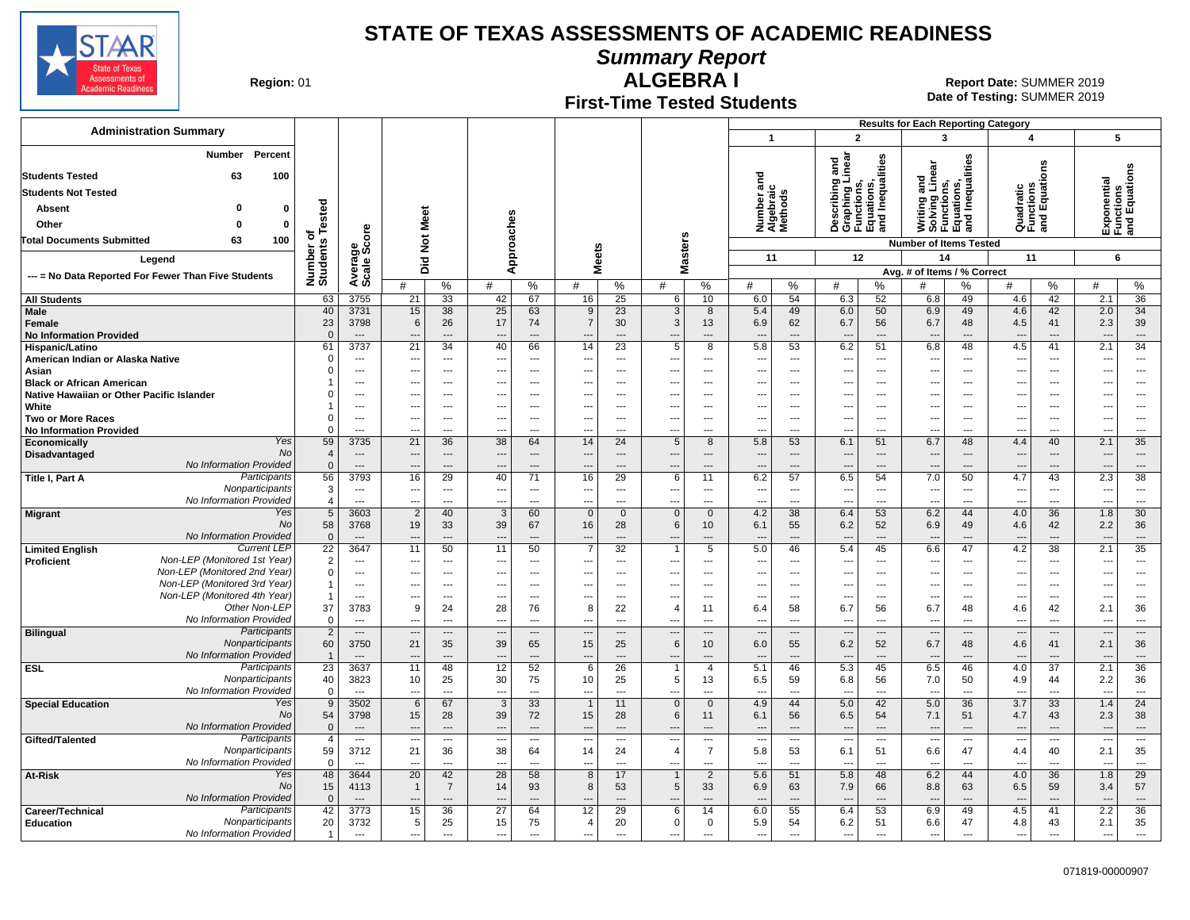

**Summary Report**

**Region: 01** 

#### **First-Time Tested Students ALGEBRA I** 01 **Report Date:** SUMMER 2019

**Date of Testing:**  SUMMER 2019

|                                                                              |                               |                                      |                                            |                                 |                                    |                         |                                            |                                   |                                                      |                                            |                                    |                            |                                                                                   |                                | <b>Results for Each Reporting Category</b>                                    |                                                      |                                                      |                       |                                            |                                                      |
|------------------------------------------------------------------------------|-------------------------------|--------------------------------------|--------------------------------------------|---------------------------------|------------------------------------|-------------------------|--------------------------------------------|-----------------------------------|------------------------------------------------------|--------------------------------------------|------------------------------------|----------------------------|-----------------------------------------------------------------------------------|--------------------------------|-------------------------------------------------------------------------------|------------------------------------------------------|------------------------------------------------------|-----------------------|--------------------------------------------|------------------------------------------------------|
| <b>Administration Summary</b>                                                |                               |                                      |                                            |                                 |                                    |                         |                                            |                                   |                                                      |                                            | $\overline{1}$                     |                            | $\overline{2}$                                                                    |                                | 3                                                                             |                                                      | 4                                                    |                       | 5                                          |                                                      |
| Percent<br>Number<br><b>Students Tested</b><br>63<br>100                     |                               |                                      |                                            |                                 |                                    |                         |                                            |                                   |                                                      |                                            |                                    |                            | Describing and<br>Graphing Linear<br>Functions,<br>Equations,<br>and Inequalities |                                | Writing and<br>Solving Linear<br>Functions,<br>Equations,<br>and Inequalities |                                                      |                                                      | ons                   |                                            | Expone.<br>Functions<br>and Equations                |
| <b>Students Not Tested</b>                                                   |                               |                                      |                                            |                                 |                                    |                         |                                            |                                   |                                                      |                                            |                                    |                            |                                                                                   |                                |                                                                               |                                                      |                                                      |                       |                                            |                                                      |
| $\Omega$                                                                     |                               |                                      |                                            |                                 |                                    |                         |                                            |                                   |                                                      |                                            |                                    |                            |                                                                                   |                                |                                                                               |                                                      |                                                      |                       |                                            |                                                      |
| 0<br>Absent                                                                  | Tested                        |                                      | Meet                                       |                                 |                                    |                         |                                            |                                   |                                                      |                                            | Number and<br>Algebraic<br>Methods |                            |                                                                                   |                                |                                                                               |                                                      | Quadratic<br>Functions<br>and Equati                 |                       |                                            |                                                      |
| $\bf{0}$<br>Other<br>$\Omega$                                                |                               |                                      |                                            |                                 |                                    |                         |                                            |                                   |                                                      |                                            |                                    |                            |                                                                                   |                                |                                                                               |                                                      |                                                      |                       |                                            |                                                      |
| 100<br><b>Total Documents Submitted</b><br>63                                | ৳                             | ge<br>Score                          | $\frac{5}{2}$                              |                                 |                                    |                         |                                            |                                   |                                                      |                                            |                                    |                            |                                                                                   |                                | <b>Number of Items Tested</b>                                                 |                                                      |                                                      |                       |                                            |                                                      |
| Legend                                                                       | Number o<br>Students          |                                      |                                            |                                 | Approaches                         |                         | <b>Meets</b>                               |                                   | lasters                                              |                                            | 11                                 |                            | 12                                                                                |                                | 14                                                                            |                                                      | 11                                                   |                       | 6                                          |                                                      |
| --- = No Data Reported For Fewer Than Five Students                          |                               | Average                              | Did                                        |                                 |                                    |                         |                                            |                                   | Σ                                                    |                                            |                                    |                            |                                                                                   |                                | Avg. # of Items / % Correct                                                   |                                                      |                                                      |                       |                                            |                                                      |
|                                                                              |                               |                                      | #                                          | %                               | #                                  | %                       | #                                          | %                                 | #                                                    | %                                          | #                                  | %                          | #                                                                                 | %                              | #                                                                             | %                                                    | #                                                    | %                     | #                                          | %                                                    |
| <b>All Students</b>                                                          | 63                            | 3755                                 | 21                                         | 33                              | 42                                 | 67                      | 16                                         | 25                                | 6                                                    | 10                                         | 6.0                                | 54                         | 6.3                                                                               | 52                             | 6.8                                                                           | 49                                                   | 4.6                                                  | 42                    | 2.1                                        | 36                                                   |
| Male                                                                         | 40                            | 3731                                 | 15                                         | 38                              | 25                                 | 63                      | 9                                          | 23                                | 3                                                    | 8                                          | 5.4                                | 49                         | 6.0                                                                               | 50                             | 6.9                                                                           | 49                                                   | 4.6                                                  | 42                    | 2.0                                        | 34                                                   |
| Female                                                                       | 23                            | 3798                                 | 6                                          | 26                              | 17                                 | 74                      | $\overline{7}$                             | 30                                | 3                                                    | 13                                         | 6.9                                | 62                         | 6.7                                                                               | 56                             | 6.7                                                                           | 48                                                   | 4.5                                                  | 41                    | 2.3                                        | 39                                                   |
| <b>No Information Provided</b><br>Hispanic/Latino                            | $\Omega$<br>61                | $\overline{a}$<br>3737               | $\overline{21}$                            | $\overline{\phantom{a}}$<br>34  | 40                                 | $---$<br>66             | $\overline{\phantom{a}}$<br>14             | 23                                | 5                                                    | $\overline{\phantom{a}}$<br>8              | 5.8                                | $\overline{a}$<br>53       | $\overline{\phantom{a}}$<br>6.2                                                   | ---<br>51                      | $\overline{a}$<br>6.8                                                         | $\overline{a}$<br>48                                 | $\overline{\phantom{a}}$<br>4.5                      | $---$<br>41           | 2.1                                        | $\qquad \qquad \cdots$<br>34                         |
| American Indian or Alaska Native                                             | $\Omega$                      | $\overline{\phantom{a}}$             | ---                                        | ---                             | $\overline{\phantom{a}}$           | $\overline{a}$          | ---                                        | ---                               | $\overline{\phantom{a}}$                             | ---                                        | ---                                | $\cdots$                   | $\overline{\phantom{a}}$                                                          | ---                            | $\overline{\phantom{a}}$                                                      | ---                                                  | ---                                                  | ---                   | ---                                        | $\overline{\phantom{a}}$                             |
| Asian                                                                        |                               | $\overline{\phantom{a}}$             | ---                                        | ---                             |                                    | $\overline{a}$          | $\overline{\phantom{a}}$                   | $\overline{a}$                    | $\overline{\phantom{a}}$                             | ---                                        | ---                                | $\overline{a}$             | $\overline{\phantom{a}}$                                                          | ---                            | $\overline{\phantom{a}}$                                                      | ---                                                  | $\overline{\phantom{a}}$                             | ---                   | ---                                        | $\overline{\phantom{a}}$                             |
| <b>Black or African American</b>                                             |                               | $---$                                | ---                                        | $---$                           | $\overline{\phantom{a}}$           | $---$                   | $\overline{\phantom{a}}$                   | $\overline{a}$                    | $\overline{\phantom{a}}$                             | $---$                                      | ---                                | $---$                      | $\overline{\phantom{a}}$                                                          | $\overline{a}$                 | $\overline{\phantom{a}}$                                                      | ---                                                  | $\overline{\phantom{a}}$                             | $---$                 | $---$                                      | $\overline{\phantom{a}}$                             |
| Native Hawaiian or Other Pacific Islander                                    | O                             | $\overline{\phantom{a}}$             | ---                                        | ---                             | $\overline{\phantom{a}}$           | $\overline{a}$          | $\overline{\phantom{a}}$                   | $\overline{a}$                    | $\overline{\phantom{a}}$                             | ---                                        | ---                                | $\overline{a}$             | $\overline{\phantom{a}}$                                                          | ---                            | $\hspace{0.05cm} \cdots$                                                      | ---                                                  | $\overline{\phantom{a}}$                             | ---                   | $\cdots$                                   | $\hspace{0.05cm} \ldots$                             |
| White                                                                        | 0                             | $---$<br>$---$                       | $\overline{a}$<br>$\overline{\phantom{a}}$ | $\overline{a}$<br>---           | $\sim$<br>$\overline{\phantom{a}}$ | $---$<br>$\overline{a}$ | $- - -$<br>$\overline{\phantom{a}}$        | $\overline{a}$<br>---             | $\sim$<br>$\overline{\phantom{a}}$                   | $\overline{a}$<br>---                      | $---$<br>$\overline{\phantom{a}}$  | $---$<br>$\overline{a}$    | $\sim$<br>$\ddotsc$                                                               | $---$<br>---                   | $\sim$<br>$\overline{\phantom{a}}$                                            | $\overline{a}$<br>---                                | $- - -$<br>$\overline{\phantom{a}}$                  | $---$<br>$\cdots$     | $\overline{a}$<br>$\overline{\phantom{a}}$ | $\sim$<br>$\overline{\phantom{a}}$                   |
| <b>Two or More Races</b><br><b>No Information Provided</b>                   | $\Omega$                      | ---                                  | ---                                        | $\overline{a}$                  | --                                 | $---$                   | ---                                        | $- -$                             | $\overline{\phantom{a}}$                             | ---                                        | $---$                              | $---$                      | $\sim$                                                                            | $---$                          | $---$                                                                         | $\overline{a}$                                       | $- - -$                                              | $---$                 |                                            | $\overline{a}$                                       |
| Yes<br>Economically                                                          | 59                            | 3735                                 | 21                                         | 36                              | 38                                 | 64                      | 14                                         | 24                                | 5                                                    | 8                                          | 5.8                                | 53                         | 6.1                                                                               | 51                             | 6.7                                                                           | 48                                                   | 4.4                                                  | 40                    | 2.1                                        | 35                                                   |
| No<br>Disadvantaged                                                          | 4                             | $\hspace{0.05cm} \cdots$             | $\overline{\phantom{a}}$                   | $\overline{\phantom{a}}$        | $\overline{\phantom{a}}$           | ---                     | $\overline{\phantom{a}}$                   | ---                               | $\overline{\phantom{a}}$                             | ---                                        | $\overline{\phantom{a}}$           | $\overline{\phantom{a}}$   | $\overline{\phantom{a}}$                                                          | ---                            | $\overline{\phantom{a}}$                                                      | ---                                                  | $\overline{\phantom{a}}$                             | ---                   | ---                                        | $\hspace{0.05cm} \ldots$                             |
| No Information Provided                                                      | $\mathbf{0}$                  | $\overline{\phantom{a}}$             |                                            | $\overline{\phantom{a}}$        |                                    | $\overline{a}$          |                                            | $\overline{a}$                    |                                                      | $\overline{a}$                             |                                    | $\overline{a}$             |                                                                                   | $\overline{a}$                 | $\overline{a}$                                                                | $\overline{a}$                                       | $\overline{\phantom{a}}$                             | ---                   |                                            | $\overline{\phantom{a}}$                             |
| Participants<br>Title I, Part A<br>Nonparticipants                           | 56                            | 3793                                 | 16                                         | $\overline{29}$                 | 40                                 | $\overline{71}$         | 16                                         | 29                                | 6                                                    | 11                                         | 6.2                                | 57                         | 6.5                                                                               | 54                             | 7.0                                                                           | 50                                                   | 4.7                                                  | 43                    | 2.3                                        | 38                                                   |
| No Information Provided                                                      | 3<br>$\overline{4}$           | $\sim$<br>$\overline{a}$             | $\overline{\phantom{a}}$<br>$\overline{a}$ | ---<br>$\overline{a}$           | $\overline{\phantom{a}}$<br>$\sim$ | $\cdots$<br>---         | $\overline{\phantom{a}}$<br>$\overline{a}$ | ---<br>$\overline{a}$             | $\overline{\phantom{a}}$<br>$\overline{\phantom{a}}$ | $\overline{\phantom{a}}$<br>$\overline{a}$ | $\overline{\phantom{a}}$<br>$\sim$ | $\cdots$<br>$\overline{a}$ | $\overline{\phantom{a}}$<br>$\sim$                                                | ---<br>$\overline{a}$          | $\cdots$<br>$\overline{a}$                                                    | $\overline{\phantom{a}}$<br>$\sim$                   | $\overline{\phantom{a}}$<br>$\sim$                   | ---<br>$\overline{a}$ | $\ldots$<br>$\sim$                         | $\hspace{0.05cm} \ldots$<br>$\overline{a}$           |
| Yes<br><b>Migrant</b>                                                        | $5\phantom{.0}$               | 3603                                 | $\overline{2}$                             | 40                              | 3                                  | 60                      | $\overline{0}$                             | $\mathbf 0$                       | $\mathbf 0$                                          | $\mathbf 0$                                | 4.2                                | 38                         | 6.4                                                                               | 53                             | 6.2                                                                           | 44                                                   | 4.0                                                  | 36                    | 1.8                                        | 30                                                   |
| <b>No</b>                                                                    | 58                            | 3768                                 | 19                                         | 33                              | 39                                 | 67                      | 16                                         | 28                                | 6                                                    | 10                                         | 6.1                                | 55                         | 6.2                                                                               | 52                             | 6.9                                                                           | 49                                                   | 4.6                                                  | 42                    | 2.2                                        | 36                                                   |
| No Information Provided                                                      | $\mathbf{0}$                  | $\overline{\phantom{a}}$             | $\overline{a}$                             | $\overline{\phantom{a}}$        | $\overline{\phantom{a}}$           | $---$                   | $\overline{\phantom{a}}$                   | $\overline{\phantom{a}}$          | $\overline{\phantom{a}}$                             | $---$                                      | $\overline{\phantom{a}}$           | $\overline{\phantom{a}}$   | $\overline{\phantom{a}}$                                                          | $\overline{\phantom{a}}$       | $---$                                                                         | $\overline{a}$                                       | ---                                                  | $---$                 | $\overline{\phantom{a}}$                   | $\overline{\phantom{a}}$                             |
| <b>Current LEP</b><br><b>Limited English</b><br>Non-LEP (Monitored 1st Year) | $\overline{22}$               | 3647                                 | 11                                         | 50                              | 11                                 | 50                      | 7                                          | $\overline{32}$<br>$\overline{a}$ |                                                      | 5                                          | 5.0                                | 46                         | 5.4                                                                               | 45<br>$\overline{a}$           | 6.6                                                                           | 47                                                   | 4.2                                                  | 38                    | 2.1                                        | 35                                                   |
| Proficient<br>Non-LEP (Monitored 2nd Year)                                   | $\overline{2}$<br>$\mathbf 0$ | $\cdots$<br>$\overline{\phantom{a}}$ | ---<br>---                                 | ---<br>$\overline{\phantom{a}}$ | $\sim$                             | $\ldots$<br>---         | $\overline{\phantom{a}}$                   |                                   | $\overline{\phantom{a}}$                             | ---<br>---                                 | $\overline{\phantom{a}}$<br>---    | $\ldots$<br>$\overline{a}$ | $\overline{\phantom{a}}$<br>$\overline{\phantom{a}}$                              | ---                            | $\overline{\phantom{a}}$<br>---                                               | $\overline{\phantom{a}}$<br>$\overline{\phantom{a}}$ | $\overline{\phantom{a}}$<br>$\overline{\phantom{a}}$ | ---<br>---            | $\cdots$<br>---                            | $\hspace{0.05cm} \ldots$<br>$\overline{\phantom{a}}$ |
| Non-LEP (Monitored 3rd Year)                                                 |                               | $\sim$                               | ---                                        | ---                             |                                    | $\overline{a}$          | ---                                        | ---                               | $\overline{\phantom{a}}$                             | ---                                        | ---                                | $\overline{a}$             | $\overline{\phantom{a}}$                                                          | $\overline{a}$                 | $\overline{\phantom{a}}$                                                      | ---                                                  | $\overline{\phantom{a}}$                             | ---                   | ---                                        | $\overline{\phantom{a}}$                             |
| Non-LEP (Monitored 4th Year)                                                 | $\mathbf{1}$                  | $\overline{a}$                       | ---                                        | $\overline{a}$                  |                                    | $\overline{a}$          | ---                                        |                                   | $\overline{\phantom{a}}$                             | ---                                        | $\overline{a}$                     | $\overline{a}$             | $\overline{\phantom{a}}$                                                          | ---                            | $\overline{\phantom{a}}$                                                      |                                                      | $\overline{\phantom{a}}$                             | ---                   | ---                                        | $\overline{\phantom{a}}$                             |
| Other Non-LEP                                                                | 37                            | 3783                                 | 9                                          | 24                              | 28                                 | 76                      | 8                                          | 22                                | $\overline{4}$                                       | 11                                         | 6.4                                | 58                         | 6.7                                                                               | 56                             | 6.7                                                                           | 48                                                   | 4.6                                                  | 42                    | 2.1                                        | 36                                                   |
| No Information Provided<br>Participants                                      | $\overline{0}$                | $---$<br>$\overline{\phantom{a}}$    | $\overline{a}$                             | $\overline{a}$                  | $\overline{\phantom{a}}$           | $\overline{a}$          | $\overline{a}$                             | $\overline{a}$                    | $\overline{a}$                                       | $\overline{a}$                             | $\overline{a}$                     | $\overline{a}$             | $\overline{\phantom{a}}$                                                          | $\overline{a}$                 | $\overline{a}$                                                                | $\overline{a}$                                       | $\overline{a}$                                       | $\overline{a}$        | $\overline{\phantom{a}}$                   | $---$                                                |
| <b>Bilingual</b><br>Nonparticipants                                          | $\overline{2}$<br>60          | 3750                                 | $\overline{\phantom{a}}$<br>21             | $\overline{a}$<br>35            | $\overline{\phantom{a}}$<br>39     | $\overline{a}$<br>65    | $\overline{\phantom{a}}$<br>15             | $\overline{\phantom{a}}$<br>25    | $\overline{\phantom{a}}$<br>6                        | $\overline{\phantom{a}}$<br>10             | $\overline{a}$<br>6.0              | $\overline{a}$<br>55       | 6.2                                                                               | $\overline{\phantom{a}}$<br>52 | $\overline{\phantom{a}}$<br>6.7                                               | $\overline{a}$<br>48                                 | $\overline{a}$<br>4.6                                | $\overline{a}$<br>41  | $\overline{\phantom{a}}$<br>2.1            | $\cdots$<br>36                                       |
| No Information Provided                                                      | $\overline{1}$                | $\overline{a}$                       | ---                                        | $---$                           | $\overline{\phantom{a}}$           | ---                     | $\overline{\phantom{a}}$                   | $\overline{\phantom{a}}$          | $\overline{a}$                                       | $---$                                      | $\overline{a}$                     | $\overline{a}$             | $\overline{\phantom{a}}$                                                          | $\overline{\phantom{a}}$       | $\overline{a}$                                                                | ---                                                  |                                                      | $---$                 |                                            | $\overline{\phantom{a}}$                             |
| Participants<br><b>ESL</b>                                                   | $\overline{23}$               | 3637                                 | 11                                         | 48                              | 12                                 | 52                      | 6                                          | 26                                |                                                      | $\overline{4}$                             | 5.1                                | 46                         | 5.3                                                                               | 45                             | 6.5                                                                           | 46                                                   | 4.0                                                  | $\overline{37}$       | 2.1                                        | $\overline{36}$                                      |
| Nonparticipants                                                              | 40                            | 3823                                 | 10                                         | 25                              | 30                                 | 75                      | 10                                         | 25                                | 5                                                    | 13                                         | 6.5                                | 59                         | 6.8                                                                               | 56                             | 7.0                                                                           | 50                                                   | 4.9                                                  | 44                    | 2.2                                        | 36                                                   |
| No Information Provided<br>Yes                                               | $\mathbf 0$                   | $\overline{\phantom{a}}$             | ---                                        | $\overline{\phantom{a}}$        | $\overline{\phantom{a}}$           | ---                     | $\overline{\phantom{a}}$                   | ---                               | $\overline{\phantom{a}}$                             | $\overline{a}$                             | $\overline{\phantom{a}}$           | $\overline{a}$             | $\overline{\phantom{a}}$                                                          | $\overline{a}$                 | $\overline{\phantom{a}}$                                                      | ---                                                  | $\overline{\phantom{a}}$                             | ---                   | $\overline{a}$                             | $\hspace{0.05cm} \ldots$                             |
| <b>Special Education</b><br>No                                               | 9<br>54                       | 3502<br>3798                         | 6<br>15                                    | 67<br>28                        | 3<br>39                            | 33<br>72                | $\overline{1}$<br>15                       | 11<br>28                          | $\Omega$<br>6                                        | $\mathbf{0}$<br>11                         | 4.9<br>6.1                         | 44<br>56                   | 5.0<br>6.5                                                                        | 42<br>54                       | 5.0<br>7.1                                                                    | 36<br>51                                             | 3.7<br>4.7                                           | 33<br>43              | 1.4<br>2.3                                 | 24<br>38                                             |
| No Information Provided                                                      | $\overline{0}$                | $\overline{\phantom{a}}$             | ---                                        | $\overline{\phantom{a}}$        | $\overline{\phantom{a}}$           | $\overline{a}$          | ---                                        | $\overline{\phantom{a}}$          | $\overline{\phantom{a}}$                             | $\cdots$                                   | $\overline{a}$                     | $\overline{a}$             | $\overline{\phantom{a}}$                                                          | $---$                          | $\overline{a}$                                                                | $\overline{\phantom{a}}$                             | $\overline{\phantom{a}}$                             | $---$                 | $\overline{a}$                             | $\cdots$                                             |
| Participants<br>Gifted/Talented                                              | $\overline{4}$                | $\overline{\phantom{a}}$             | ---                                        | $\overline{\phantom{a}}$        |                                    | $\overline{a}$          | ---                                        | ---                               | $\overline{\phantom{a}}$                             | ---                                        |                                    | $\overline{a}$             |                                                                                   | ---                            | $\overline{\phantom{a}}$                                                      | ---                                                  | $\overline{\phantom{a}}$                             | $\overline{a}$        | ---                                        | $\overline{\phantom{a}}$                             |
| Nonparticipants                                                              | 59                            | 3712                                 | 21                                         | 36                              | 38                                 | 64                      | 14                                         | 24                                | $\overline{4}$                                       | $\overline{7}$                             | 5.8                                | 53                         | 6.1                                                                               | 51                             | 6.6                                                                           | 47                                                   | 4.4                                                  | 40                    | 2.1                                        | 35                                                   |
| No Information Provided                                                      | $\mathbf 0$                   | $\overline{a}$                       | ---                                        | $\overline{a}$                  | $\overline{\phantom{a}}$           | $\overline{a}$          | $\overline{a}$                             | $\overline{a}$                    | $\overline{\phantom{a}}$                             | ---                                        |                                    | $\overline{a}$             | $\overline{\phantom{a}}$                                                          | ---                            | $\overline{a}$                                                                | ---                                                  | $\overline{\phantom{a}}$                             | $\overline{a}$        | ---                                        | $\overline{a}$                                       |
| Yes<br>At-Risk<br>No                                                         | 48                            | 3644                                 | $\overline{20}$                            | 42                              | $\overline{28}$                    | 58                      | 8                                          | 17                                | $\overline{1}$                                       | $\overline{2}$                             | 5.6                                | 51                         | 5.8                                                                               | 48                             | 6.2                                                                           | 44                                                   | 4.0                                                  | 36                    | 1.8                                        | 29                                                   |
| No Information Provided                                                      | 15<br>$\Omega$                | 4113<br>$---$                        | $\overline{1}$<br>---                      | $\overline{7}$<br>$---$         | 14<br>$\overline{\phantom{a}}$     | 93<br>$---$             | 8<br>$---$                                 | 53<br>$\overline{\phantom{a}}$    | 5                                                    | 33<br>$---$                                | 6.9<br>$---$                       | 63<br>$---$                | 7.9<br>$\overline{\phantom{a}}$                                                   | 66<br>---                      | 8.8<br>$---$                                                                  | 63<br>---                                            | 6.5<br>$\overline{\phantom{a}}$                      | 59<br>$---$           | 3.4<br>$---$                               | 57<br>$\overline{\phantom{a}}$                       |
| Participants<br>Career/Technical                                             | 42                            | 3773                                 | 15                                         | 36                              | 27                                 | 64                      | 12                                         | 29                                | 6                                                    | 14                                         | 6.0                                | 55                         | 6.4                                                                               | 53                             | 6.9                                                                           | 49                                                   | 4.5                                                  | 41                    | 2.2                                        | 36                                                   |
| Nonparticipants<br><b>Education</b>                                          | 20                            | 3732                                 | 5                                          | 25                              | 15                                 | 75                      | $\overline{4}$                             | 20                                | $\Omega$                                             | $\mathbf 0$                                | 5.9                                | 54                         | 6.2                                                                               | 51                             | 6.6                                                                           | 47                                                   | 4.8                                                  | 43                    | 2.1                                        | 35                                                   |
| No Information Provided                                                      | $\overline{1}$                | $---$                                | ---                                        | $\overline{a}$                  | $\overline{\phantom{a}}$           | $\overline{a}$          | $\overline{a}$                             | $\overline{a}$                    | $\overline{\phantom{a}}$                             | ---                                        | $\overline{\phantom{a}}$           | $\overline{a}$             | $\overline{a}$                                                                    | $\overline{\phantom{a}}$       | $\overline{a}$                                                                | $\overline{a}$                                       | $\overline{\phantom{a}}$                             | ---                   | $\overline{a}$                             | $\overline{a}$                                       |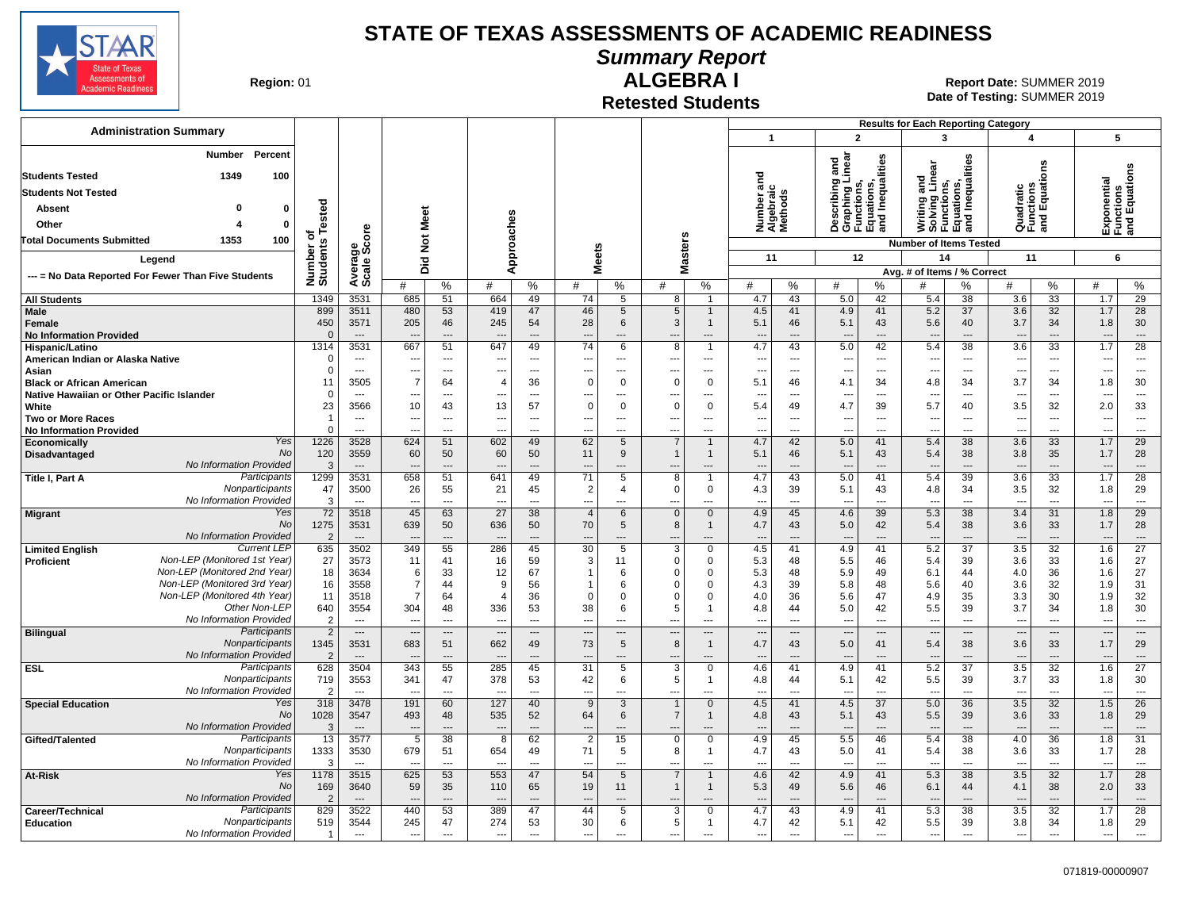

### **Summary Report**

**Region: 01** 

## **Retested Students**

**ALGEBRA I** 01 **Report Date:** SUMMER 2019 **Date of Testing:**  SUMMER 2019

|                                                                              |                                  |                                  |                                            |                            |                                            |                                |                                            |                                            |                                      |                               |                                    |                         |                                 |                                                                      | <b>Results for Each Reporting Category</b>                                    |                                                      |                                      |                                            |                                            |                                           |
|------------------------------------------------------------------------------|----------------------------------|----------------------------------|--------------------------------------------|----------------------------|--------------------------------------------|--------------------------------|--------------------------------------------|--------------------------------------------|--------------------------------------|-------------------------------|------------------------------------|-------------------------|---------------------------------|----------------------------------------------------------------------|-------------------------------------------------------------------------------|------------------------------------------------------|--------------------------------------|--------------------------------------------|--------------------------------------------|-------------------------------------------|
| <b>Administration Summary</b>                                                |                                  |                                  |                                            |                            |                                            |                                |                                            |                                            |                                      |                               | $\overline{1}$                     |                         | $\overline{2}$                  |                                                                      | 3                                                                             |                                                      | 4                                    |                                            | 5                                          |                                           |
| Percent<br>Number<br>1349<br>100<br><b>Students Tested</b>                   |                                  |                                  |                                            |                            |                                            |                                |                                            |                                            |                                      |                               |                                    |                         | inear<br>and                    | qualities                                                            | Writing and<br>Solving Linear<br>Functions,<br>Equations,<br>and Inequalities | lities                                               |                                      | õ                                          |                                            | Exponential<br>Functions<br>and Equations |
| <b>Students Not Tested</b>                                                   |                                  |                                  |                                            |                            |                                            |                                |                                            |                                            |                                      |                               | Number and<br>Algebraic<br>Methods |                         |                                 | Describing<br>Graphing Li<br>Functions,<br>Equations,<br>and Inequal |                                                                               |                                                      | Quadratic<br>Functions<br>and Equati |                                            |                                            |                                           |
| $\Omega$                                                                     |                                  |                                  |                                            |                            |                                            |                                |                                            |                                            |                                      |                               |                                    |                         |                                 |                                                                      |                                                                               |                                                      |                                      |                                            |                                            |                                           |
| $\mathbf{0}$<br>Absent                                                       |                                  |                                  | Meet                                       |                            |                                            |                                |                                            |                                            |                                      |                               |                                    |                         |                                 |                                                                      |                                                                               |                                                      |                                      |                                            |                                            |                                           |
| Other<br>$\mathbf{0}$                                                        | Tested<br>ъ                      |                                  |                                            |                            |                                            |                                |                                            |                                            |                                      |                               |                                    |                         |                                 |                                                                      |                                                                               |                                                      |                                      |                                            |                                            |                                           |
| 100<br><b>Total Documents Submitted</b><br>1353                              |                                  | ge<br>Score                      | $\frac{5}{2}$                              |                            |                                            | Approaches                     |                                            |                                            | <b>Masters</b>                       |                               |                                    |                         |                                 |                                                                      | <b>Number of Items Tested</b>                                                 |                                                      |                                      |                                            |                                            |                                           |
| Legend                                                                       |                                  |                                  | Ъïd                                        |                            |                                            |                                | <b>Meets</b>                               |                                            |                                      |                               | 11                                 |                         |                                 | 12                                                                   | 14                                                                            |                                                      | 11                                   |                                            | 6                                          |                                           |
| --- = No Data Reported For Fewer Than Five Students                          | Number of<br>Students            | Averag<br>Scale                  |                                            |                            |                                            |                                |                                            |                                            |                                      |                               |                                    |                         |                                 |                                                                      | Avg. # of Items / % Correct                                                   |                                                      |                                      |                                            |                                            |                                           |
|                                                                              |                                  |                                  | #                                          | %                          | #                                          | %                              | #                                          | %                                          | #                                    | %                             | #                                  | %                       | #                               | %                                                                    | #                                                                             | %                                                    | #                                    | %                                          | #                                          | %                                         |
| <b>All Students</b>                                                          | 1349<br>899                      | 3531<br>3511                     | 685<br>480                                 | 51<br>53                   | 664                                        | 49<br>47                       | 74<br>46                                   | 5                                          | 8<br>5                               | $\mathbf 1$<br>$\mathbf{1}$   | 4.7<br>4.5                         | 43<br>41                | 5.0                             | 42<br>41                                                             | 5.4<br>5.2                                                                    | 38<br>37                                             | 3.6<br>3.6                           | 33                                         | 1.7<br>1.7                                 | 29<br>28                                  |
| Male<br>Female                                                               | 450                              | 3571                             | 205                                        | 46                         | 419<br>245                                 | 54                             | 28                                         | 5<br>6                                     | 3                                    | $\mathbf{1}$                  | 5.1                                | 46                      | 4.9<br>5.1                      | 43                                                                   | 5.6                                                                           | 40                                                   | 3.7                                  | 32<br>34                                   | 1.8                                        | 30                                        |
| <b>No Information Provided</b>                                               | $\mathbf{0}$                     | $\overline{\phantom{a}}$         | $\overline{\phantom{a}}$                   | $\overline{\phantom{a}}$   |                                            | $\overline{a}$                 | ---                                        | $---$                                      | $\overline{\phantom{a}}$             | ---                           | $\overline{\phantom{a}}$           | ---                     | ---                             | $---$                                                                | $\overline{a}$                                                                | $\overline{\phantom{a}}$                             | $\overline{\phantom{a}}$             | ---                                        | $\overline{\phantom{a}}$                   | $---$                                     |
| Hispanic/Latino                                                              | 1314                             | 3531                             | 667                                        | 51                         | 647                                        | 49                             | 74                                         | 6                                          | 8                                    | $\overline{1}$                | 4.7                                | 43                      | 5.0                             | 42                                                                   | 5.4                                                                           | 38                                                   | 3.6                                  | 33                                         | 1.7                                        | 28                                        |
| American Indian or Alaska Native                                             | $\mathbf 0$                      | $\overline{\phantom{a}}$         | ---                                        | $---$                      |                                            | $\overline{\phantom{a}}$       | ---                                        | $---$                                      | ---                                  | ---                           | $\overline{a}$                     | $\overline{a}$          | ---                             | $\overline{\phantom{a}}$                                             | $\ddotsc$                                                                     | $\overline{\phantom{a}}$                             | $\overline{\phantom{a}}$             | $\overline{\phantom{a}}$                   | $\overline{\phantom{a}}$                   | $---$                                     |
| Asian<br><b>Black or African American</b>                                    | $\mathbf 0$<br>11                | $\overline{a}$<br>3505           | ---<br>$\overline{7}$                      | ---<br>64                  | $\overline{4}$                             | $\overline{\phantom{a}}$<br>36 | $\overline{\phantom{a}}$<br>$\Omega$       | ---<br>$\Omega$                            | $\overline{\phantom{a}}$<br>$\Omega$ | ---<br>$\mathbf 0$            | $\overline{\phantom{a}}$<br>5.1    | ---<br>46               | <br>4.1                         | $\overline{\phantom{a}}$<br>34                                       | ---<br>4.8                                                                    | $\cdots$<br>34                                       | ---<br>3.7                           | ---<br>34                                  | $\overline{\phantom{a}}$<br>1.8            | $\overline{\phantom{a}}$<br>30            |
| Native Hawaiian or Other Pacific Islander                                    | $\mathbf 0$                      |                                  | Ξ.                                         |                            |                                            | ---                            | ---                                        |                                            |                                      | ---                           |                                    | …                       | ---                             |                                                                      |                                                                               | $\overline{a}$                                       |                                      | ---                                        |                                            | $\overline{\phantom{a}}$                  |
| White                                                                        | 23                               | 3566                             | 10                                         | 43                         | 13                                         | 57                             | $\Omega$                                   | $\mathbf 0$                                | $\mathbf 0$                          | $\mathbf 0$                   | 5.4                                | 49                      | 4.7                             | 39                                                                   | 5.7                                                                           | 40                                                   | 3.5                                  | 32                                         | 2.0                                        | 33                                        |
| <b>Two or More Races</b>                                                     | $\overline{1}$                   | $---$                            | Ξ.                                         | $\sim$                     |                                            | $-$                            | $\overline{a}$                             | $\overline{a}$                             | ---                                  | ---                           | $\overline{a}$                     | $\sim$                  | ---                             | $\overline{\phantom{a}}$                                             | $\overline{a}$                                                                | $\overline{\phantom{a}}$                             | $\sim$                               | $\overline{a}$                             | $\overline{\phantom{a}}$                   | $\sim$                                    |
| <b>No Information Provided</b><br>Yes<br>Economically                        | $\Omega$<br>1226                 | $\overline{a}$<br>3528           | ---<br>624                                 | $\overline{a}$<br>51       | 602                                        | $---$<br>49                    | $\overline{a}$<br>62                       | $\overline{a}$<br>5                        | $\overline{a}$<br>$\overline{7}$     | ---<br>$\mathbf 1$            | $\overline{a}$<br>4.7              | $\overline{a}$<br>42    | $\overline{a}$<br>5.0           | $\overline{\phantom{a}}$<br>41                                       | $\overline{a}$<br>5.4                                                         | $---$<br>38                                          | $\overline{a}$<br>3.6                | $\overline{a}$<br>33                       | $\overline{a}$<br>1.7                      | $\overline{\phantom{a}}$<br>29            |
| <b>No</b><br>Disadvantaged                                                   | 120                              | 3559                             | 60                                         | 50                         | 60                                         | 50                             | 11                                         | 9                                          | $\mathbf 1$                          | $\mathbf{1}$                  | 5.1                                | 46                      | 5.1                             | 43                                                                   | 5.4                                                                           | 38                                                   | 3.8                                  | 35                                         | 1.7                                        | 28                                        |
| No Information Provided                                                      | 3                                | $\overline{\phantom{a}}$         | ---                                        | $\overline{\phantom{a}}$   |                                            | $---$                          | $\overline{\phantom{a}}$                   | $\overline{\phantom{a}}$                   | $\overline{\phantom{a}}$             | ---                           | $\overline{\phantom{a}}$           | ---                     | ---                             | $\overline{\phantom{a}}$                                             | $\overline{\phantom{a}}$                                                      | $---$                                                | $\overline{\phantom{a}}$             | $---$                                      | $\overline{\phantom{a}}$                   | $---$                                     |
| Participants<br>Title I, Part A                                              | 1299                             | 3531                             | 658                                        | 51                         | 641                                        | 49                             | 71                                         | 5                                          | 8                                    | -1                            | 4.7                                | 43                      | 5.0                             | 41                                                                   | 5.4                                                                           | 39                                                   | 3.6                                  | 33                                         | 1.7                                        | 28                                        |
| Nonparticipants<br>No Information Provided                                   | 47<br>3                          | 3500<br>$\overline{\phantom{a}}$ | 26<br>−−                                   | 55<br>---                  | 21<br>$\overline{a}$                       | 45<br>$\overline{a}$           | $\overline{2}$<br>$\overline{a}$           | 4<br>---                                   | $\Omega$<br>---                      | $\mathbf 0$<br>---            | 4.3<br>---                         | 39<br>$\overline{a}$    | 5.1                             | 43<br>$\overline{\phantom{a}}$                                       | 4.8<br>$\overline{a}$                                                         | 34<br>$\overline{a}$                                 | 3.5<br>---                           | 32                                         | 1.8<br>$\overline{a}$                      | 29                                        |
| Yes<br><b>Migrant</b>                                                        | 72                               | 3518                             | 45                                         | 63                         | 27                                         | 38                             | $\overline{4}$                             | 6                                          | $\mathbf{0}$                         | $\mathbf 0$                   | 4.9                                | 45                      | ---<br>4.6                      | 39                                                                   | 5.3                                                                           | 38                                                   | 3.4                                  | ---<br>31                                  | 1.8                                        | $\cdots$<br>29                            |
| <b>No</b>                                                                    | 1275                             | 3531                             | 639                                        | 50                         | 636                                        | 50                             | 70                                         | 5                                          | 8                                    | $\mathbf{1}$                  | 4.7                                | 43                      | 5.0                             | 42                                                                   | 5.4                                                                           | 38                                                   | 3.6                                  | 33                                         | 1.7                                        | 28                                        |
| No Information Provided                                                      | $\overline{2}$                   | $\overline{a}$                   |                                            | $\overline{a}$             |                                            | $\overline{a}$                 | ---                                        |                                            |                                      | $\overline{a}$                |                                    | $\overline{a}$          | ---                             | $\overline{\phantom{a}}$                                             |                                                                               | $\overline{a}$                                       |                                      | $\overline{a}$                             | $\overline{\phantom{a}}$                   | $\overline{\phantom{a}}$                  |
| <b>Current LEP</b><br><b>Limited English</b><br>Non-LEP (Monitored 1st Year) | 635<br>27                        | 3502<br>3573                     | 349<br>11                                  | 55<br>41                   | 286<br>16                                  | 45<br>59                       | $\overline{30}$<br>3                       | 5<br>11                                    | 3<br>$\Omega$                        | 0<br>0                        | 4.5<br>5.3                         | 41<br>48                | 4.9<br>5.5                      | 41<br>46                                                             | 5.2                                                                           | $\overline{37}$<br>39                                | 3.5<br>3.6                           | $\overline{32}$<br>33                      | 1.6<br>1.6                                 | 27<br>27                                  |
| Proficient<br>Non-LEP (Monitored 2nd Year)                                   | 18                               | 3634                             | 6                                          | 33                         | 12                                         | 67                             | -1                                         | 6                                          | $\Omega$                             | 0                             | 5.3                                | 48                      | 5.9                             | 49                                                                   | 5.4<br>6.1                                                                    | 44                                                   | 4.0                                  | 36                                         | 1.6                                        | 27                                        |
| Non-LEP (Monitored 3rd Year)                                                 | 16                               | 3558                             | $\overline{7}$                             | 44                         | 9                                          | 56                             | $\overline{1}$                             | 6                                          | $\Omega$                             | 0                             | 4.3                                | 39                      | 5.8                             | 48                                                                   | 5.6                                                                           | 40                                                   | 3.6                                  | 32                                         | 1.9                                        | 31                                        |
| Non-LEP (Monitored 4th Year)                                                 | 11                               | 3518                             | $\overline{7}$                             | 64                         | $\overline{4}$                             | 36                             | $\Omega$                                   | $\mathbf 0$                                | $\Omega$                             | $\mathbf 0$                   | 4.0                                | 36                      | 5.6                             | 47                                                                   | 4.9                                                                           | 35                                                   | 3.3                                  | 30                                         | 1.9                                        | 32                                        |
| Other Non-LEP<br>No Information Provided                                     | 640                              | 3554                             | 304                                        | 48                         | 336                                        | 53                             | 38                                         | 6                                          | 5                                    | $\mathbf{1}$                  | 4.8                                | 44                      | 5.0                             | 42                                                                   | 5.5                                                                           | 39                                                   | 3.7                                  | 34                                         | 1.8                                        | 30                                        |
| Participants<br><b>Bilingual</b>                                             | $\overline{2}$<br>$\overline{2}$ | $\overline{a}$<br>$\cdots$       | $\overline{a}$<br>$\overline{\phantom{a}}$ | $\overline{a}$<br>$\cdots$ | $\overline{a}$<br>$\overline{\phantom{a}}$ | $-$<br>$\overline{a}$          | $\overline{a}$<br>$\overline{\phantom{a}}$ | $\overline{a}$<br>$\overline{\phantom{a}}$ | $\overline{a}$<br>$\overline{a}$     | $\overline{a}$<br>---         | $\overline{a}$<br>$\overline{a}$   | $\overline{a}$<br>$---$ | ---<br>$\overline{\phantom{a}}$ | $\overline{a}$<br>$\overline{\phantom{a}}$                           | $\overline{a}$<br>$\overline{\phantom{a}}$                                    | $\overline{\phantom{a}}$<br>$\overline{\phantom{a}}$ | $\sim$<br>$\overline{\phantom{a}}$   | $\overline{a}$<br>$\overline{\phantom{a}}$ | $\overline{a}$<br>$\overline{\phantom{a}}$ | $\sim$<br>$\cdots$                        |
| Nonparticipants                                                              | 1345                             | 3531                             | 683                                        | 51                         | 662                                        | 49                             | 73                                         | 5                                          | 8                                    | $\mathbf{1}$                  | 4.7                                | 43                      | 5.0                             | 41                                                                   | 5.4                                                                           | 38                                                   | 3.6                                  | 33                                         | 1.7                                        | 29                                        |
| No Information Provided                                                      | 2                                | $\overline{\phantom{a}}$         | ---                                        |                            |                                            | $\overline{a}$                 | ---                                        |                                            | $\overline{\phantom{a}}$             |                               |                                    | $\overline{a}$          | ---                             |                                                                      |                                                                               |                                                      | ---                                  | ---                                        | $\overline{\phantom{a}}$                   | $\overline{\phantom{a}}$                  |
| Participants<br><b>ESL</b>                                                   | 628                              | 3504                             | 343                                        | 55                         | 285                                        | 45                             | 31                                         | 5                                          | 3                                    | $\mathbf 0$                   | 4.6                                | 41                      | 4.9                             | 41                                                                   | 5.2                                                                           | $\overline{37}$                                      | 3.5                                  | 32                                         | 1.6                                        | $\overline{27}$                           |
| Nonparticipants<br>No Information Provided                                   | 719<br>$\mathcal{P}$             | 3553<br>$---$                    | 341                                        | 47<br>$\overline{a}$       | 378                                        | 53<br>$\overline{a}$           | 42<br>$\overline{a}$                       | 6<br>$-$ --                                | 5<br>$\overline{a}$                  | $\mathbf 1$<br>$\overline{a}$ | 4.8<br>$\overline{a}$              | 44<br>$\overline{a}$    | 5.1<br>---                      | 42<br>$\overline{\phantom{a}}$                                       | 5.5<br>$\overline{a}$                                                         | 39<br>$\overline{a}$                                 | 3.7<br>$\overline{a}$                | 33<br>$---$                                | 1.8<br>$\sim$                              | 30<br>$-$                                 |
| <b>Special Education</b><br>Yes                                              | 318                              | 3478                             | 191                                        | 60                         | 127                                        | 40                             | 9                                          | 3                                          |                                      | $\mathbf 0$                   | 4.5                                | 41                      | 4.5                             | 37                                                                   | 5.0                                                                           | 36                                                   | 3.5                                  | 32                                         | 1.5                                        | 26                                        |
| No                                                                           | 1028                             | 3547                             | 493                                        | 48                         | 535                                        | 52                             | 64                                         | 6                                          | $\overline{7}$                       | $\mathbf{1}$                  | 4.8                                | 43                      | 5.1                             | 43                                                                   | 5.5                                                                           | 39                                                   | 3.6                                  | 33                                         | 1.8                                        | 29                                        |
| No Information Provided                                                      | 3                                | $---$                            | ---                                        | $\overline{a}$             |                                            | $\overline{a}$                 | $\overline{a}$                             |                                            | $\overline{a}$                       | $---$                         | $\overline{a}$                     | $\overline{a}$          | $\overline{a}$                  | $---$                                                                | $\overline{a}$                                                                | $---$                                                | $\overline{a}$                       | $---$                                      | $\overline{a}$                             | $\overline{\phantom{a}}$                  |
| Participants<br>Gifted/Talented<br>Nonparticipants                           | 13<br>1333                       | 3577                             | $\overline{5}$<br>679                      | 38<br>51                   | 8<br>654                                   | 62<br>49                       | $\overline{2}$<br>71                       | 15<br>5                                    | $\mathbf 0$<br>8                     | $\mathbf 0$<br>1              | 4.9<br>4.7                         | 45<br>43                | 5.5                             | 46<br>41                                                             | 5.4                                                                           | 38<br>38                                             | 4.0                                  | 36<br>33                                   | 1.8                                        | $\overline{31}$<br>28                     |
| No Information Provided                                                      | 3                                | 3530<br>$-$                      |                                            | $-$                        |                                            | $\sim$                         |                                            | $\overline{a}$                             | ---                                  | $\overline{a}$                | $\overline{a}$                     | $\sim$                  | 5.0                             | $\sim$                                                               | 5.4<br>$\overline{a}$                                                         | $\sim$                                               | 3.6                                  | $\sim$                                     | 1.7<br>$\sim$                              | $\sim$                                    |
| Yes<br>At-Risk                                                               | 1178                             | 3515                             | 625                                        | 53                         | 553                                        | 47                             | 54                                         | 5                                          | $\overline{7}$                       | $\mathbf{1}$                  | 4.6                                | 42                      | 4.9                             | 41                                                                   | 5.3                                                                           | 38                                                   | 3.5                                  | 32                                         | 1.7                                        | 28                                        |
| No                                                                           | 169                              | 3640                             | 59                                         | 35                         | 110                                        | 65                             | 19                                         | 11                                         | -1                                   | $\mathbf{1}$                  | 5.3                                | 49                      | 5.6                             | 46                                                                   | 6.1                                                                           | 44                                                   | 4.1                                  | 38                                         | 2.0                                        | 33                                        |
| No Information Provided                                                      | 2                                | $---$                            | ---                                        | $---$                      |                                            | $---$                          | $---$                                      | $---$                                      | $\overline{a}$                       | $---$                         | $\overline{a}$                     | $---$                   | ---                             | $\overline{\phantom{a}}$                                             | $\overline{a}$                                                                | $---$                                                | $\overline{\phantom{a}}$             | $\overline{a}$                             | $\overline{\phantom{a}}$                   | $---$                                     |
| Participants<br>Career/Technical<br>Nonparticipants<br><b>Education</b>      | 829<br>519                       | 3522<br>3544                     | 440<br>245                                 | 53<br>47                   | 389<br>274                                 | 47<br>53                       | 44<br>30                                   | 5<br>6                                     | 3<br>5                               | 0<br>$\mathbf{1}$             | 4.7<br>4.7                         | 43<br>42                | 4.9<br>5.1                      | 41<br>42                                                             | 5.3<br>5.5                                                                    | 38<br>39                                             | 3.5<br>3.8                           | 32<br>34                                   | 1.7<br>1.8                                 | 28<br>29                                  |
| No Information Provided                                                      | $\mathbf{1}$                     | $\overline{\phantom{a}}$         | ---                                        | $\overline{a}$             | $\overline{\phantom{a}}$                   | ---                            | $\overline{a}$                             | $\overline{a}$                             |                                      | ---                           | ---                                | ---                     | ---                             | $\overline{\phantom{a}}$                                             | $\overline{\phantom{a}}$                                                      | ---                                                  | $\overline{\phantom{a}}$             | ---                                        | $\overline{a}$                             | $\sim$                                    |
|                                                                              |                                  |                                  |                                            |                            |                                            |                                |                                            |                                            |                                      |                               |                                    |                         |                                 |                                                                      |                                                                               |                                                      |                                      |                                            |                                            |                                           |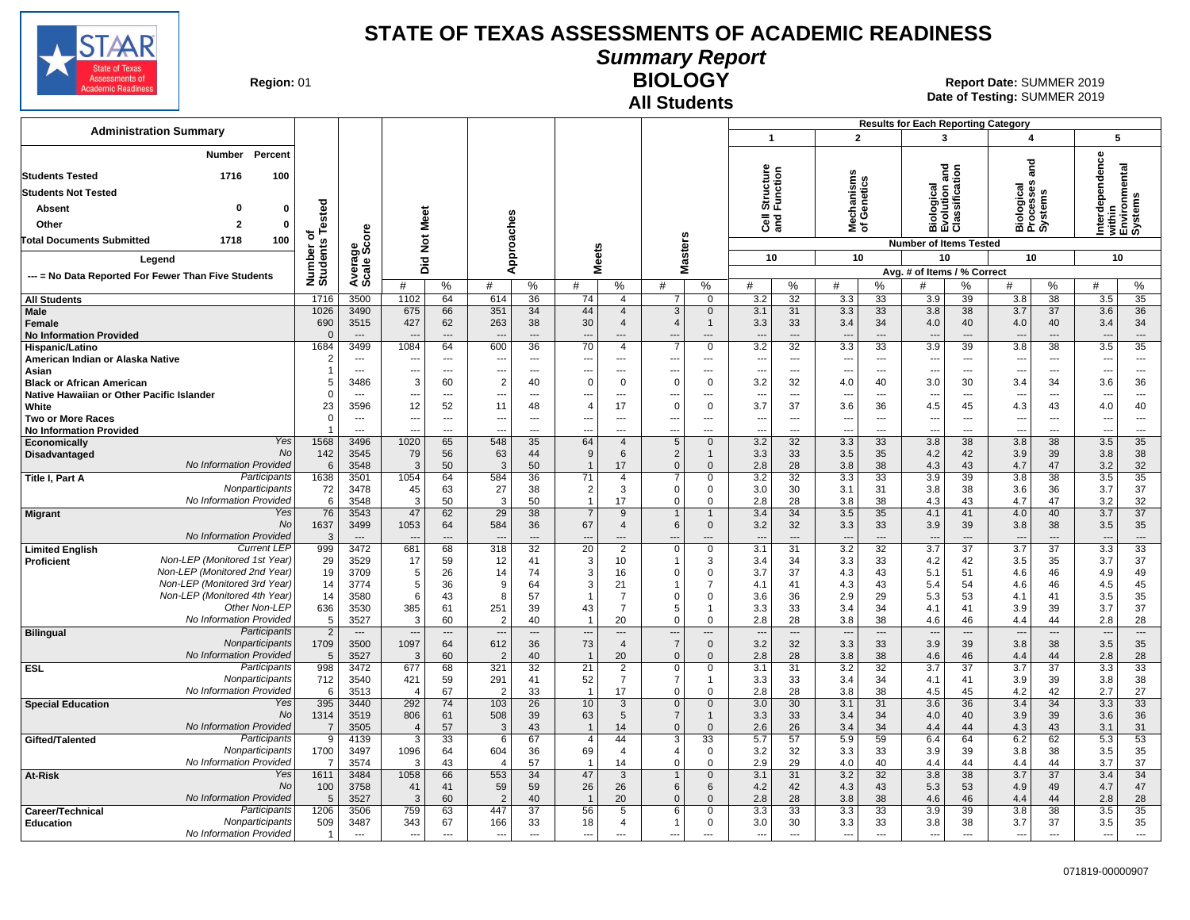

**Summary Report**

**Region: 01** 

# **All Students**

**BIOLOGY** 01 **Report Date:** SUMMER 2019 **Date of Testing:**  SUMMER 2019

|                                                                                            |                             |                                          |                              |                                      |                              |                            |                                |                                  |                               |                      |                              |                                |                                        |                                      | <b>Results for Each Reporting Category</b>    |                            |                                    |                      |                              |                                      |
|--------------------------------------------------------------------------------------------|-----------------------------|------------------------------------------|------------------------------|--------------------------------------|------------------------------|----------------------------|--------------------------------|----------------------------------|-------------------------------|----------------------|------------------------------|--------------------------------|----------------------------------------|--------------------------------------|-----------------------------------------------|----------------------------|------------------------------------|----------------------|------------------------------|--------------------------------------|
| <b>Administration Summary</b>                                                              |                             |                                          |                              |                                      |                              |                            |                                |                                  |                               |                      | $\overline{1}$               |                                | $\overline{2}$                         |                                      | 3                                             |                            | 4                                  |                      | 5                            |                                      |
| <b>Number</b><br>Percent<br>1716<br>100<br><b>Students Tested</b>                          |                             |                                          |                              |                                      |                              |                            |                                |                                  |                               |                      | Structure<br>Function        |                                | w                                      |                                      | Biological<br>Evolution and<br>Classification |                            | ត្ត                                |                      | rdependence                  | within<br>Environmental<br>Systems   |
| <b>Students Not Tested</b>                                                                 |                             |                                          |                              |                                      |                              |                            |                                |                                  |                               |                      |                              |                                |                                        |                                      |                                               |                            |                                    |                      |                              |                                      |
| $\mathbf 0$<br>Absent<br>$\mathbf 0$                                                       | Tested                      |                                          |                              |                                      |                              |                            |                                |                                  |                               |                      |                              |                                | lechanisms<br>f Genetics               |                                      |                                               |                            | Biological<br>Processes<br>Systems |                      |                              |                                      |
| $\mathbf{2}$<br>$\Omega$<br>Other                                                          |                             |                                          | Meet                         |                                      |                              |                            |                                |                                  |                               |                      | $\overline{3}$               |                                |                                        |                                      |                                               |                            |                                    |                      | <u>let</u>                   |                                      |
| 100<br><b>Total Documents Submitted</b><br>1718                                            | ъ                           |                                          |                              |                                      |                              |                            |                                |                                  |                               |                      |                              |                                | ই ১                                    |                                      |                                               |                            |                                    |                      |                              |                                      |
|                                                                                            |                             | ge<br>Score                              | $\breve{\mathbf{z}}$         |                                      |                              |                            |                                |                                  |                               |                      |                              |                                |                                        |                                      | <b>Number of Items Tested</b>                 |                            |                                    |                      |                              |                                      |
| Legend                                                                                     |                             |                                          | Did                          |                                      |                              | Approaches                 |                                | <b>Meets</b>                     | <b>Masters</b>                |                      | 10                           |                                | 10                                     |                                      | 10                                            |                            | 10                                 |                      |                              | 10                                   |
| --- = No Data Reported For Fewer Than Five Students                                        | Number of<br>Students       | Averare<br>Scale                         | #                            | %                                    | #                            | %                          | #                              | %                                | #                             | $\%$                 | #                            | %                              | #                                      | %                                    | Avg. # of Items / % Correct<br>#              | %                          | #                                  | %                    | #                            | %                                    |
| <b>All Students</b>                                                                        | 1716                        | 3500                                     | 1102                         | 64                                   | 614                          | 36                         | 74                             | $\overline{4}$<br>$\overline{4}$ | $\overline{7}$                | $\Omega$<br>$\Omega$ | 3.2                          | 32                             | 3.3                                    | 33                                   | 3.9                                           | 39                         | 3.8                                | 38                   | 3.5                          | 35                                   |
| Male<br>Female<br><b>No Information Provided</b>                                           | 1026<br>690<br>$\Omega$     | 3490<br>3515<br>$\overline{\phantom{a}}$ | 675<br>427                   | 66<br>62<br>$\hspace{0.05cm} \ldots$ | 351<br>263                   | 34<br>38<br>---            | 44<br>30<br>---                | $\overline{4}$<br>---            | 3<br>$\boldsymbol{\Delta}$    | 1<br>---             | 3.1<br>3.3<br>$\overline{a}$ | 31<br>33<br>$---$              | 3.3<br>3.4<br>$\overline{\phantom{a}}$ | 33<br>34<br>$\overline{\phantom{a}}$ | 3.8<br>4.0<br>$\overline{\phantom{a}}$        | 38<br>40<br>---            | 3.7<br>4.0<br>$\overline{a}$       | 37<br>40<br>$---$    | 3.6<br>3.4<br>---            | 36<br>34<br>$\overline{\phantom{a}}$ |
| Hispanic/Latino<br>American Indian or Alaska Native                                        | 1684<br>2                   | 3499<br>$\overline{\phantom{a}}$         | 1084<br>---                  | 64<br>$\sim$                         | 600<br>$\overline{a}$        | 36<br>$---$                | 70<br>---                      | $\overline{4}$<br>---            | ---                           | $\Omega$<br>---      | 3.2<br>$\overline{a}$        | 32<br>$\overline{\phantom{a}}$ | 3.3<br>$\overline{\phantom{a}}$        | 33<br>$---$                          | 3.9<br>$\overline{\phantom{a}}$               | 39<br>$---$                | 3.8<br>---                         | 38<br>$\cdots$       | 3.5<br>---                   | $\overline{35}$<br>$\sim$            |
| Asian<br><b>Black or African American</b>                                                  | 1<br>5                      | $\overline{a}$<br>3486                   | ---<br>3                     | $---$<br>60                          | $---$<br>$\overline{2}$      | $\overline{a}$<br>40       | ---<br>$\Omega$                | ---<br>$\Omega$                  | ---<br>$\Omega$               | ---<br>$\Omega$      | ---<br>3.2                   | $\overline{\phantom{a}}$<br>32 | $\overline{a}$<br>4.0                  | ---<br>40                            | $\overline{\phantom{a}}$<br>3.0               | $\cdots$<br>30             | ---<br>3.4                         | $\overline{a}$<br>34 | ---<br>3.6                   | $\overline{\phantom{a}}$<br>36       |
| Native Hawaiian or Other Pacific Islander                                                  | $\mathbf 0$                 | $\overline{\phantom{a}}$                 | ---                          | ---                                  |                              | $---$                      | ---                            | ---                              | --                            | ---                  | ---                          | $\overline{\phantom{a}}$       | $\overline{\phantom{a}}$               | ---                                  | $\overline{\phantom{a}}$                      | ---                        | ---                                | ---                  | ---                          | $---$                                |
| White                                                                                      | 23                          | 3596                                     | 12                           | 52                                   | 11                           | 48                         | $\overline{4}$                 | 17                               | $\Omega$                      | $\Omega$             | 3.7                          | 37                             | 3.6                                    | 36                                   | 4.5                                           | 45                         | 4.3                                | 43                   | 4.0                          | 40                                   |
| <b>Two or More Races</b>                                                                   | $\mathsf 0$                 | $\overline{\phantom{a}}$                 | ---                          | ---                                  |                              | ---                        | ---                            | ---                              | $\overline{a}$                | ---                  |                              | $\overline{\phantom{a}}$       | $\overline{\phantom{a}}$               | $\overline{\phantom{a}}$             | $\overline{\phantom{a}}$                      | ---                        | ---                                | ---                  | ---                          | $---$                                |
| <b>No Information Provided</b><br>Yes                                                      | $\mathbf 1$<br>1568         | $\overline{a}$<br>3496                   | 1020                         | $-$<br>65                            | 548                          | ---<br>35                  | ---<br>64                      | ---<br>$\overline{4}$            | $\overline{\phantom{a}}$<br>5 | ---<br>$\Omega$      | ---<br>3.2                   | $\overline{a}$<br>32           | $\overline{a}$<br>3.3                  | $\overline{\phantom{a}}$<br>33       | $\overline{\phantom{a}}$<br>3.8               | $\sim$<br>38               | ---<br>3.8                         | $\overline{a}$<br>38 | Ξ.<br>3.5                    | $\overline{\phantom{a}}$<br>35       |
| Economically<br><b>No</b><br>Disadvantaged                                                 | 142                         | 3545                                     | 79                           | 56                                   | 63                           | 44                         | 9                              | 6                                | $\overline{2}$                | 1                    | 3.3                          | 33                             | 3.5                                    | 35                                   | 4.2                                           | 42                         | 3.9                                | 39                   | 3.8                          | 38                                   |
| No Information Provided                                                                    | 6                           | 3548                                     | 3                            | 50                                   | 3                            | 50                         | $\overline{1}$                 | 17                               | $\Omega$                      | $\Omega$             | 2.8                          | 28                             | 3.8                                    | 38                                   | 4.3                                           | 43                         | 4.7                                | 47                   | 3.2                          | 32                                   |
| Participants<br>Title I, Part A                                                            | 1638                        | 3501                                     | 1054                         | 64                                   | 584                          | 36                         | 71                             | $\overline{4}$                   | 7                             | 0                    | 3.2                          | 32                             | 3.3                                    | 33                                   | 3.9                                           | 39                         | 3.8                                | 38                   | 3.5                          | 35                                   |
| Nonparticipants<br>No Information Provideo                                                 | 72<br>6                     | 3478<br>3548                             | 45<br>3                      | 63<br>50                             | 27<br>3                      | 38<br>50                   | $\overline{2}$<br>$\mathbf{1}$ | 3<br>17                          | $\Omega$<br>$\Omega$          | $\Omega$<br>0        | 3.0<br>2.8                   | 30<br>28                       | 3.1<br>3.8                             | 31<br>38                             | 3.8<br>4.3                                    | 38<br>43                   | 3.6<br>4.7                         | 36<br>47             | 3.7<br>3.2                   | 37<br>32                             |
| Yes<br><b>Migrant</b>                                                                      | 76                          | 3543                                     | 47                           | 62                                   | 29                           | 38                         | $\overline{7}$                 | 9                                | $\mathbf{1}$                  | 1                    | 3.4                          | 34                             | 3.5                                    | 35                                   | 4.1                                           | 41                         | 4.0                                | 40                   | 3.7                          | 37                                   |
| <b>No</b>                                                                                  | 1637                        | 3499                                     | 1053                         | 64                                   | 584                          | 36                         | 67                             | $\overline{4}$                   | 6                             | $\mathbf{0}$         | 3.2                          | 32                             | 3.3                                    | 33                                   | 3.9                                           | 39                         | 3.8                                | 38                   | 3.5                          | 35                                   |
| No Information Provided                                                                    | $\mathbf{3}$                | $---$                                    |                              | $---$                                |                              | $\overline{a}$             | $\overline{a}$                 | $\overline{a}$                   |                               |                      | $\overline{a}$               | $\overline{a}$                 | $\overline{\phantom{a}}$               | $\overline{\phantom{a}}$             |                                               | $\overline{a}$             | $\overline{\phantom{a}}$           | $\overline{a}$       | ---                          | $\overline{\phantom{a}}$             |
| <b>Current LEP</b><br><b>Limited English</b><br>Non-LEP (Monitored 1st Year)<br>Proficient | 999<br>29                   | 3472<br>3529                             | 681<br>17                    | 68<br>59                             | 318<br>12                    | 32<br>41                   | 20<br>3                        | $\overline{2}$<br>10             | 0                             | 0<br>3               | 3.1<br>3.4                   | 31<br>34                       | 3.2<br>3.3                             | 32<br>33                             | 3.7<br>4.2                                    | 37<br>42                   | 3.7<br>3.5                         | 37<br>35             | 3.3<br>3.7                   | 33<br>37                             |
| Non-LEP (Monitored 2nd Year)                                                               | 19                          | 3709                                     | 5                            | 26                                   | 14                           | 74                         | 3                              | 16                               | $\Omega$                      | $\Omega$             | 3.7                          | 37                             | 4.3                                    | 43                                   | 5.1                                           | 51                         | 4.6                                | 46                   | 4.9                          | 49                                   |
| Non-LEP (Monitored 3rd Year)                                                               | 14                          | 3774                                     | 5                            | 36                                   | 9                            | 64                         | 3                              | 21                               |                               | 7                    | 4.1                          | 41                             | 4.3                                    | 43                                   | 5.4                                           | 54                         | 4.6                                | 46                   | 4.5                          | 45                                   |
| Non-LEP (Monitored 4th Year)                                                               | 14                          | 3580                                     | 6                            | 43                                   | 8                            | 57                         | $\overline{1}$                 | $\overline{7}$                   | $\Omega$                      | 0                    | 3.6                          | 36                             | 2.9                                    | 29                                   | 5.3                                           | 53                         | 4.1                                | 41                   | 3.5                          | 35                                   |
| Other Non-LEF<br>No Information Provided                                                   | 636<br>5                    | 3530<br>3527                             | 385<br>3                     | 61<br>60                             | 251<br>$\overline{2}$        | 39<br>40                   | 43<br>$\overline{1}$           | $\overline{7}$<br>20             | 5<br>$\Omega$                 | 1<br>$\Omega$        | 3.3<br>2.8                   | 33<br>28                       | 3.4<br>3.8                             | 34<br>38                             | 4.1<br>4.6                                    | 41<br>46                   | 3.9<br>4.4                         | 39<br>44             | 3.7<br>2.8                   | 37<br>28                             |
| Participants<br><b>Bilingual</b>                                                           | $\overline{2}$              | $---$                                    | ---                          | $\overline{\phantom{a}}$             | $\overline{a}$               | $\overline{\phantom{a}}$   | $\overline{\phantom{a}}$       | ---                              | ---                           | ---                  | $\qquad \qquad \cdots$       | $\overline{\phantom{a}}$       | $\overline{\phantom{a}}$               | $\overline{\phantom{a}}$             | $\overline{\phantom{a}}$                      | $\overline{a}$             | $\overline{a}$                     | ---                  | ---                          | $---$                                |
| Nonparticipants<br>No Information Provideo                                                 | 1709<br>5                   | 3500<br>3527                             | 1097<br>3                    | 64<br>60                             | 612<br>$\overline{2}$        | 36<br>40                   | 73<br>$\overline{1}$           | $\overline{4}$<br>20             | $\overline{7}$<br>$\Omega$    | 0<br>$\Omega$        | 3.2<br>2.8                   | 32<br>28                       | 3.3<br>3.8                             | 33<br>38                             | 3.9<br>4.6                                    | 39<br>46                   | 3.8<br>4.4                         | 38<br>44             | 3.5<br>2.8                   | 35<br>28                             |
| Participants<br><b>ESL</b>                                                                 | 998                         | 3472                                     | 677                          | 68                                   | 321                          | $\overline{32}$            | $\overline{21}$                | 2                                | $\mathbf 0$                   | 0                    | 3.1                          | 31                             | $\overline{3.2}$                       | 32                                   | $\overline{3.7}$                              | 37                         | $\overline{3.7}$                   | $\overline{37}$      | 3.3                          | $\overline{33}$                      |
| Nonparticipants<br>No Information Provided                                                 | 712<br>6                    | 3540<br>3513                             | 421<br>$\overline{4}$        | 59<br>67                             | 291<br>2                     | 41<br>33                   | 52<br>$\overline{1}$           | $\overline{7}$<br>17             | 7<br>$\mathbf 0$              | 1<br>$\Omega$        | 3.3<br>2.8                   | 33<br>28                       | 3.4<br>3.8                             | 34<br>38                             | 4.1<br>4.5                                    | 41<br>45                   | 3.9<br>4.2                         | 39<br>42             | 3.8<br>2.7                   | 38<br>27                             |
| Yes<br><b>Special Education</b>                                                            | 395                         | 3440                                     | 292                          | 74                                   | 103                          | 26                         | 10                             | 3                                | $\mathbf{0}$                  | $\Omega$             | 3.0                          | 30                             | 3.1                                    | 31                                   | 3.6                                           | 36                         | 3.4                                | 34                   | 3.3                          | 33                                   |
| No                                                                                         | 1314                        | 3519                                     | 806                          | 61                                   | 508                          | 39                         | 63                             | 5                                | $\overline{7}$                | 1                    | 3.3                          | 33                             | 3.4                                    | 34                                   | 4.0                                           | 40                         | 3.9                                | 39                   | 3.6                          | 36                                   |
| <b>No Information Provided</b>                                                             | $\overline{7}$              | 3505                                     | $\overline{4}$               | 57                                   | 3                            | 43                         | $\mathbf{1}$                   | 14                               | $\mathbf 0$                   | $\Omega$             | 2.6                          | 26                             | 3.4                                    | 34                                   | 4.4                                           | 44                         | 4.3                                | 43                   | 3.1                          | 31                                   |
| Participants<br>Gifted/Talented<br>Nonparticipants                                         | 9<br>1700                   | 4139<br>3497                             | 3<br>1096                    | 33<br>64                             | 6<br>604                     | 67<br>36                   | $\overline{4}$<br>69           | 44<br>$\overline{4}$             | 3<br>4                        | 33<br>$\Omega$       | 5.7<br>3.2                   | 57<br>32                       | 5.9<br>3.3                             | 59<br>33                             | 6.4<br>3.9                                    | 64<br>39                   | 6.2<br>3.8                         | 62<br>38             | 5.3<br>3.5                   | 53<br>35                             |
| No Information Provideo                                                                    | $\overline{7}$              | 3574                                     | 3                            | 43                                   | $\overline{4}$               | 57                         | -1                             | 14                               | $\mathbf 0$                   | $\Omega$             | 2.9                          | 29                             | 4.0                                    | 40                                   | 4.4                                           | 44                         | 4.4                                | 44                   | 3.7                          | 37                                   |
| Yes<br>At-Risk                                                                             | 1611                        | 3484                                     | 1058                         | 66                                   | 553                          | 34                         | 47                             | $\overline{3}$                   | $\mathbf{1}$                  | $\mathbf{0}$         | 3.1                          | 31                             | 3.2                                    | 32                                   | 3.8                                           | 38                         | 3.7                                | $\overline{37}$      | 3.4                          | 34                                   |
| No                                                                                         | 100                         | 3758                                     | 41                           | 41                                   | 59                           | 59                         | 26                             | 26                               | 6                             | 6                    | 4.2                          | 42                             | 4.3                                    | 43                                   | 5.3                                           | 53                         | 4.9                                | 49                   | 4.7                          | 47                                   |
| No Information Provided<br>Participants                                                    | 5                           | 3527                                     | 3                            | 60                                   | $\mathcal{P}$                | 40                         | $\overline{1}$                 | 20                               | $\Omega$                      | $\mathbf{0}$         | 2.8                          | 28                             | 3.8                                    | 38                                   | 4.6                                           | 46                         | 4.4                                | 44                   | 2.8                          | 28                                   |
| Career/Technical<br>Nonparticipants<br><b>Education</b><br>No Information Provided         | 1206<br>509<br>$\mathbf{1}$ | 3506<br>3487<br>$\sim$                   | 759<br>343<br>$\overline{a}$ | 63<br>67<br>$\sim$                   | 447<br>166<br>$\overline{a}$ | 37<br>33<br>$\overline{a}$ | 56<br>18<br>$\overline{a}$     | 5<br>$\overline{4}$<br>---       | 6<br>$\mathbf 1$<br>---       | 0<br>0<br>---        | 3.3<br>3.0<br>$\overline{a}$ | 33<br>30<br>---                | 3.3<br>3.3<br>$\overline{a}$           | 33<br>33<br>$\overline{a}$           | 3.9<br>3.8<br>$\sim$                          | 39<br>38<br>$\overline{a}$ | 3.8<br>3.7<br>$\sim$               | 38<br>37<br>---      | 3.5<br>3.5<br>$\overline{a}$ | 35<br>35<br>$\overline{\phantom{a}}$ |
|                                                                                            |                             |                                          |                              |                                      |                              |                            |                                |                                  |                               |                      |                              |                                |                                        |                                      |                                               |                            |                                    |                      |                              |                                      |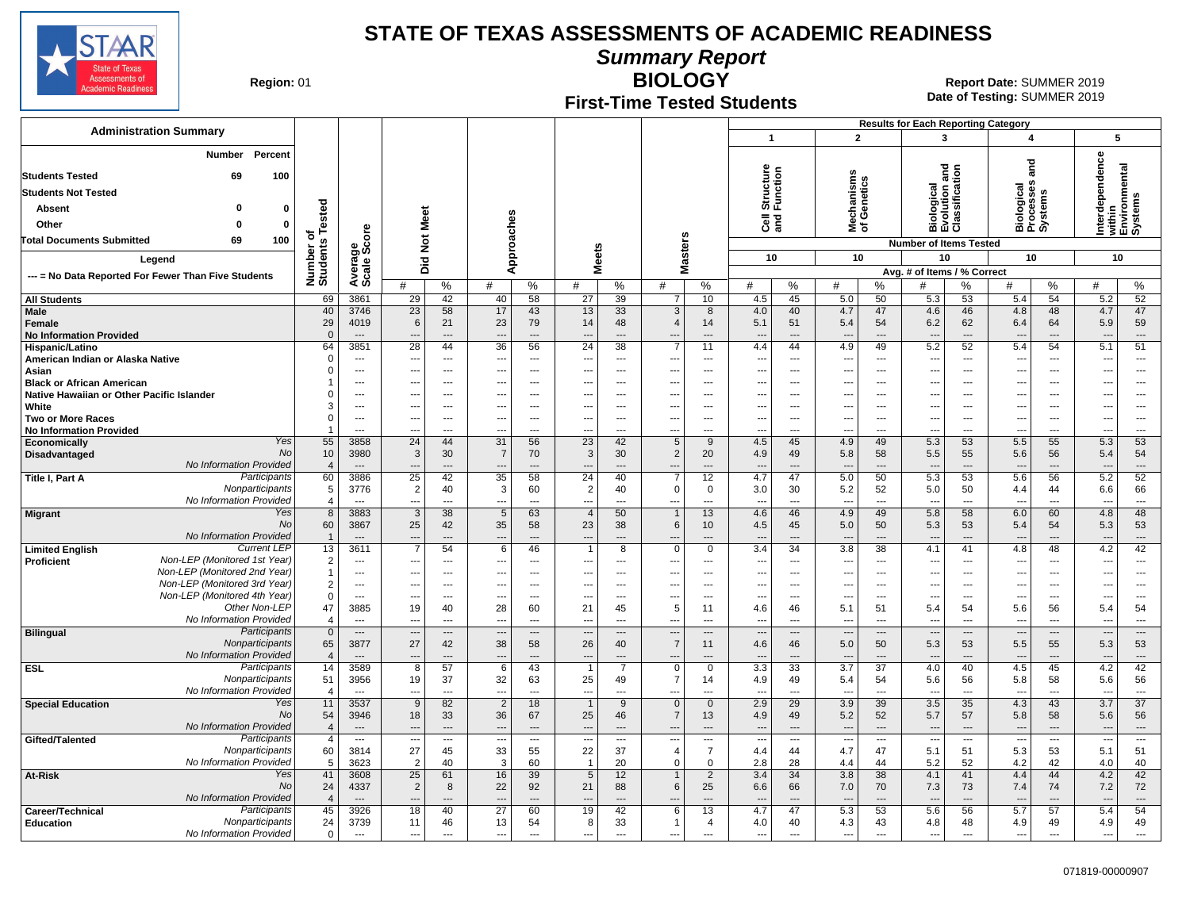

**Summary Report**

**Region: 01** 

### **First-Time Tested Students**

**BIOLOGY** 01 **Report Date:** SUMMER 2019 **Date of Testing:**  SUMMER 2019

|                                                                         |                      |                          |                                            |                                |                                |                                   |                                            |                                            |                                                      |                       |                                 |                                             |                                    |                                                      |                                  |                                               | <b>Results for Each Reporting Category</b> |                            |                                   |                                            |
|-------------------------------------------------------------------------|----------------------|--------------------------|--------------------------------------------|--------------------------------|--------------------------------|-----------------------------------|--------------------------------------------|--------------------------------------------|------------------------------------------------------|-----------------------|---------------------------------|---------------------------------------------|------------------------------------|------------------------------------------------------|----------------------------------|-----------------------------------------------|--------------------------------------------|----------------------------|-----------------------------------|--------------------------------------------|
| <b>Administration Summary</b>                                           |                      |                          |                                            |                                |                                |                                   |                                            |                                            |                                                      |                       | $\mathbf{1}$                    |                                             | $\overline{2}$                     |                                                      |                                  | 3                                             | 4                                          |                            | 5                                 |                                            |
| Number<br>Percent<br>69<br>100<br><b>Students Tested</b>                |                      |                          |                                            |                                |                                |                                   |                                            |                                            |                                                      |                       | Structure<br>Function           |                                             | Mechanisms<br>of Genetics          |                                                      |                                  | Biological<br>Evolution and<br>Classification | ក្ត                                        |                            | erdependence                      | within<br>Environmental<br>Systems         |
| <b>Students Not Tested</b>                                              |                      |                          |                                            |                                |                                |                                   |                                            |                                            |                                                      |                       |                                 |                                             |                                    |                                                      |                                  |                                               |                                            |                            |                                   |                                            |
| 0<br>Absent                                                             |                      |                          |                                            |                                |                                |                                   |                                            |                                            |                                                      |                       |                                 |                                             |                                    |                                                      |                                  |                                               | Biological<br>Processes<br>Systems         |                            |                                   |                                            |
| $\bf{0}$<br>Other                                                       | Tested               |                          | Meet                                       |                                |                                |                                   |                                            |                                            |                                                      |                       | ੌੌe ਛੋ                          |                                             |                                    |                                                      |                                  |                                               |                                            |                            |                                   |                                            |
| 100<br><b>Total Documents Submitted</b><br>69                           | ৳                    |                          |                                            |                                |                                |                                   |                                            |                                            |                                                      |                       |                                 |                                             |                                    |                                                      |                                  |                                               |                                            |                            | Ξ                                 |                                            |
|                                                                         |                      | ge<br>Score              | $\overline{\mathbf{z}}$                    |                                |                                | Approaches                        | <b>Meets</b>                               |                                            | Masters                                              |                       |                                 |                                             |                                    |                                                      | <b>Number of Items Tested</b>    |                                               |                                            |                            |                                   |                                            |
| Legend                                                                  |                      |                          | Did                                        |                                |                                |                                   |                                            |                                            |                                                      |                       | 10                              |                                             | 10                                 |                                                      |                                  | 10                                            | 10                                         |                            | 10                                |                                            |
| --- = No Data Reported For Fewer Than Five Students                     | Number o<br>Students | Average                  | #                                          | %                              | #                              | %                                 | #                                          | %                                          | #                                                    | %                     | #                               | %                                           | #                                  | ℅                                                    | Avg. # of Items / % Correct<br># | %                                             | #                                          | %                          | #                                 | %                                          |
| <b>All Students</b>                                                     | 69                   | 3861                     | 29                                         | 42                             | 40                             | 58                                | 27                                         | 39                                         | 7                                                    | 10                    | 4.5                             | 45                                          | 5.0                                | 50                                                   | 5.3                              | 53                                            | 5.4                                        | 54                         | 5.2                               | 52                                         |
| Male                                                                    | 40                   | 3746                     | 23                                         | 58                             | 17                             | 43                                | 13                                         | 33                                         | 3                                                    | 8                     | 4.0                             | 40                                          | 4.7                                | 47                                                   | 4.6                              | 46                                            | 4.8                                        | 48                         | 4.7                               | 47                                         |
| Female                                                                  | 29<br>$\mathbf{0}$   | 4019<br>$\overline{a}$   | 6<br>---                                   | 21<br>$\overline{a}$           | 23<br>$\sim$                   | 79<br>$\overline{a}$              | 14<br>$\overline{a}$                       | 48<br>$\overline{a}$                       | $\overline{4}$                                       | 14<br>$\overline{a}$  | 5.1<br>$\sim$                   | 51<br>$\sim$                                | 5.4<br>$\overline{\phantom{a}}$    | 54<br>$\overline{\phantom{a}}$                       | 6.2<br>$\sim$                    | 62<br>$\overline{a}$                          | 6.4<br>$\overline{\phantom{a}}$            | 64<br>$\overline{a}$       | 5.9<br>$\overline{a}$             | 59<br>$\overline{\phantom{a}}$             |
| <b>No Information Provided</b><br><b>Hispanic/Latino</b>                | 64                   | 3851                     | $\overline{28}$                            | 44                             | $\overline{36}$                | 56                                | $\overline{24}$                            | $\overline{38}$                            |                                                      | 11                    | 4.4                             | 44                                          | 4.9                                | 49                                                   | 5.2                              | 52                                            | 5.4                                        | 54                         | 5.1                               | 51                                         |
| American Indian or Alaska Native                                        | $\mathbf 0$          | $\cdots$                 | ---                                        | $\sim$                         | $\overline{a}$                 | $---$                             | ---                                        | $---$                                      |                                                      | $\overline{a}$        | ---                             | $---$                                       | $\overline{\phantom{a}}$           | $\sim$                                               | $\overline{\phantom{a}}$         | $\overline{a}$                                | $\overline{\phantom{a}}$                   | $---$                      | $\overline{a}$                    | ---                                        |
| Asian                                                                   | $\Omega$             | $---$                    | ---                                        | $---$                          | $---$                          | $\overline{\phantom{a}}$          | ---                                        | $\overline{\phantom{a}}$                   | $\sim$                                               | ---                   | $\overline{\phantom{a}}$        | $---$                                       | $\overline{\phantom{a}}$           | $\overline{\phantom{a}}$                             | $\overline{\phantom{a}}$         | $\overline{a}$                                | $\ddotsc$                                  | $---$                      | $---$                             | $\sim$                                     |
| <b>Black or African American</b>                                        |                      | $---$                    | ---                                        | $\overline{\phantom{a}}$       | ---                            | $\overline{\phantom{a}}$          | ---                                        | $\ddotsc$                                  | $\overline{\phantom{a}}$                             | ---                   | $\overline{a}$                  | $\overline{\phantom{a}}$                    | $\overline{\phantom{a}}$           | $\overline{\phantom{a}}$                             | $\overline{a}$                   | ---                                           | $\ddotsc$                                  | ---                        | ---                               | $\overline{\phantom{a}}$                   |
| Native Hawaiian or Other Pacific Islander<br>White                      | $\Omega$<br>3        | $---$<br>$\cdots$        | ---<br>---                                 | $\sim$<br>$---$                | $---$                          | $---$<br>$\overline{\phantom{a}}$ | $\overline{a}$<br>$\overline{\phantom{a}}$ | $\sim$                                     | $\overline{\phantom{a}}$<br>$\overline{\phantom{a}}$ | $---$<br>---          | $---$<br>---                    | $\sim$<br>$\overline{\phantom{a}}$          | $\overline{a}$                     | $\overline{\phantom{a}}$<br>$\overline{\phantom{a}}$ | ---<br>$\overline{\phantom{a}}$  | $\overline{a}$                                | $\sim$<br>---                              | $---$                      | $---$<br>$\overline{\phantom{a}}$ | $\overline{a}$<br>$\overline{\phantom{a}}$ |
| <b>Two or More Races</b>                                                | 0                    | $\overline{\phantom{a}}$ |                                            | $\overline{\phantom{a}}$       |                                | $\overline{\phantom{a}}$          | $\overline{\phantom{a}}$                   | $\overline{\phantom{a}}$<br>$\ddotsc$      | $\overline{\phantom{a}}$                             | ---                   | ---                             | $\overline{\phantom{a}}$                    | $\overline{\phantom{a}}$<br>$\sim$ | $\overline{\phantom{a}}$                             | $\hspace{0.05cm} \ldots$         | ---<br>---                                    | $\overline{\phantom{a}}$                   | $---$<br>---               | ---                               | $\overline{\phantom{a}}$                   |
| <b>No Information Provided</b>                                          | 1                    | $\overline{a}$           | …                                          | $\overline{a}$                 |                                | $\sim$                            | ---                                        | ---                                        |                                                      | $\overline{a}$        |                                 | $\sim$                                      | $\overline{\phantom{a}}$           | $\overline{a}$                                       | $\overline{\phantom{a}}$         | ---                                           | $\overline{\phantom{a}}$                   | $\overline{a}$             | ---                               | ---                                        |
| Yes<br>Economically                                                     | 55                   | 3858                     | 24                                         | 44                             | 31                             | 56                                | $\overline{23}$                            | 42                                         | $5\overline{5}$                                      | 9                     | 4.5                             | 45                                          | 4.9                                | 49                                                   | 5.3                              | 53                                            | 5.5                                        | 55                         | 5.3                               | 53                                         |
| <b>No</b><br>Disadvantaged                                              | 10                   | 3980                     | $\mathbf{3}$                               | 30                             | 7                              | 70                                | $\mathbf{3}$                               | 30                                         | $\overline{2}$                                       | 20                    | 4.9                             | 49                                          | 5.8                                | 58                                                   | 5.5                              | 55                                            | 5.6                                        | 56                         | 5.4                               | 54                                         |
| <b>No Information Provided</b><br>Participants<br>Title I, Part A       | $\overline{4}$<br>60 | $---$<br>3886            | $\overline{\phantom{a}}$<br>25             | $---$<br>42                    | $\overline{\phantom{a}}$<br>35 | $---$<br>58                       | $---$<br>24                                | $\overline{\phantom{a}}$<br>40             | ---<br>$\overline{7}$                                | $---$<br>12           | $\overline{a}$<br>4.7           | $---$<br>47                                 | $\overline{\phantom{a}}$<br>5.0    | $---$<br>50                                          | $\overline{\phantom{a}}$<br>5.3  | $\overline{a}$<br>53                          | $\overline{\phantom{a}}$<br>5.6            | $---$<br>56                | $\overline{a}$<br>5.2             | $\overline{a}$<br>52                       |
| Nonparticipants                                                         | $\overline{5}$       | 3776                     | $\overline{2}$                             | 40                             | 3                              | 60                                | $\overline{2}$                             | 40                                         | $\Omega$                                             | $\Omega$              | 3.0                             | 30                                          | 5.2                                | 52                                                   | $5.0\,$                          | 50                                            | 4.4                                        | 44                         | 6.6                               | 66                                         |
| No Information Provided                                                 | $\overline{4}$       | $\overline{a}$           | ---                                        | $\overline{a}$                 | ---                            | $---$                             | $\overline{a}$                             | $\overline{a}$                             | ---                                                  | ---                   | $\overline{a}$                  | $\overline{a}$                              | $\overline{\phantom{a}}$           | $\overline{\phantom{a}}$                             | $\overline{a}$                   | ---                                           | $\overline{a}$                             | $\overline{a}$             | $\overline{\phantom{a}}$          | $\overline{\phantom{a}}$                   |
| Yes<br><b>Migrant</b>                                                   | 8                    | 3883                     | $\overline{3}$                             | 38                             | $5\phantom{.0}$                | 63                                | $\overline{4}$                             | 50                                         | $\overline{1}$                                       | 13                    | 4.6                             | 46                                          | 4.9                                | 49                                                   | 5.8                              | 58                                            | 6.0                                        | 60                         | 4.8                               | 48                                         |
| No<br>No Information Provided                                           | 60                   | 3867                     | 25                                         | 42                             | 35                             | 58                                | 23                                         | 38                                         | 6                                                    | 10                    | 4.5                             | 45                                          | 5.0                                | 50                                                   | 5.3                              | 53                                            | 5.4                                        | 54                         | 5.3                               | 53                                         |
| <b>Current LEP</b><br><b>Limited English</b>                            | $\overline{1}$<br>13 | $\overline{a}$<br>3611   | $\overline{\phantom{a}}$<br>$\overline{7}$ | 54                             | 6                              | ---<br>46                         | ---<br>$\overline{1}$                      | $\overline{\phantom{a}}$<br>$\overline{8}$ | $\mathbf 0$                                          | $\mathbf 0$           | 3.4                             | $\overline{\phantom{a}}$<br>$\overline{34}$ | $\overline{\phantom{a}}$<br>3.8    | ---<br>$\overline{38}$                               | $\overline{\phantom{a}}$<br>4.1  | ---<br>41                                     | $\overline{\phantom{a}}$<br>4.8            | 48                         | ---<br>4.2                        | ---<br>42                                  |
| Non-LEP (Monitored 1st Year)<br><b>Proficient</b>                       | $\overline{2}$       | $\overline{\phantom{a}}$ | ---                                        | $\overline{\phantom{a}}$       | ---                            | $\overline{\phantom{a}}$          | $\overline{\phantom{a}}$                   | $\overline{\phantom{a}}$                   | $\overline{\phantom{a}}$                             | ---                   | $\overline{\phantom{a}}$        | $\overline{\phantom{a}}$                    | $\sim$                             | $\overline{\phantom{a}}$                             | $\overline{\phantom{a}}$         | ---                                           | $\overline{\phantom{a}}$                   | ---                        | $\overline{\phantom{a}}$          | $\overline{\phantom{a}}$                   |
| Non-LEP (Monitored 2nd Year)                                            | $\mathbf{1}$         | $---$                    | $\overline{a}$                             | $---$                          | $\sim$                         | $---$                             | $\sim$                                     | $\overline{\phantom{a}}$                   | $\sim$                                               | $---$                 | $\overline{a}$                  | $---$                                       | $\sim$                             | $\sim$                                               | $---$                            | $\overline{a}$                                | $\overline{a}$                             | $---$                      | $---$                             | $\sim$                                     |
| Non-LEP (Monitored 3rd Year)                                            | $\overline{2}$       | $\cdots$                 | ---                                        | $\sim$ $\sim$                  |                                | $---$                             | ---                                        | $\ddotsc$                                  | $\overline{\phantom{a}}$                             | ---                   | ---                             | $---$                                       | $\overline{\phantom{a}}$           | $\overline{\phantom{a}}$                             | $\overline{\phantom{a}}$         | ---                                           | $\ddotsc$                                  | ---                        | ---                               | $\hspace{0.05cm} \ldots$                   |
| Non-LEP (Monitored 4th Year)                                            | $\mathbf 0$          | $\sim$ $\sim$            | ---                                        | $\sim$ $\sim$                  | ---                            | $---$                             | $\overline{\phantom{a}}$                   | $---$                                      | $\overline{\phantom{a}}$                             | $---$                 | $\overline{\phantom{a}}$        | $\overline{\phantom{a}}$                    | $\sim$                             | $\overline{\phantom{a}}$                             | $\overline{\phantom{a}}$         | ---                                           | ---                                        | $\cdots$                   | $\overline{\phantom{a}}$          | ---                                        |
| Other Non-LEP<br>No Information Provided                                | 47<br>$\overline{4}$ | 3885<br>$\overline{a}$   | 19<br>---                                  | 40<br>$\overline{\phantom{a}}$ | 28<br>$\overline{a}$           | 60<br>$\overline{a}$              | 21<br>$\overline{a}$                       | 45<br>$\overline{a}$                       | 5<br>$\overline{\phantom{a}}$                        | 11<br>$\overline{a}$  | 4.6<br>$\overline{\phantom{a}}$ | 46<br>$\overline{a}$                        | 5.1<br>$\overline{\phantom{a}}$    | 51<br>$\overline{\phantom{a}}$                       | 5.4<br>$\hspace{0.05cm} \ldots$  | 54<br>---                                     | 5.6<br>$\overline{a}$                      | 56<br>$\overline{a}$       | 5.4<br>---                        | 54<br>$\hspace{0.05cm} \ldots$             |
| Participants<br><b>Bilingual</b>                                        | $\mathbf 0$          | $\overline{\phantom{a}}$ | ---                                        | $\overline{\phantom{a}}$       |                                | $\qquad \qquad \cdots$            |                                            |                                            |                                                      |                       |                                 | $---$                                       |                                    | ---                                                  | $\overline{\phantom{a}}$         |                                               | $\overline{\phantom{a}}$                   | ---                        |                                   | $\cdots$                                   |
| Nonparticipants                                                         | 65                   | 3877                     | 27                                         | 42                             | 38                             | 58                                | 26                                         | 40                                         | $\overline{7}$                                       | 11                    | 4.6                             | 46                                          | 5.0                                | 50                                                   | 5.3                              | 53                                            | 5.5                                        | 55                         | 5.3                               | 53                                         |
| No Information Provided                                                 | $\overline{4}$       | $\overline{\phantom{a}}$ | ---                                        | $---$                          | $\overline{a}$                 | $\overline{a}$                    | $\overline{\phantom{a}}$                   | $\overline{\phantom{a}}$                   | $\overline{\phantom{a}}$                             | ---                   | $\overline{\phantom{a}}$        | $\overline{\phantom{a}}$                    | $\overline{\phantom{a}}$           | $\overline{\phantom{a}}$                             | $\overline{\phantom{a}}$         | ---                                           | $\overline{\phantom{a}}$                   | ---                        | ---                               | $\overline{\phantom{a}}$                   |
| Participants<br><b>ESL</b><br>Nonparticipants                           | 14<br>51             | 3589<br>3956             | $\overline{8}$<br>19                       | 57<br>37                       | 6<br>32                        | 43<br>63                          | $\overline{1}$<br>25                       | $\overline{7}$<br>49                       | $\mathbf 0$<br>$\overline{7}$                        | $\Omega$<br>14        | 3.3<br>4.9                      | 33<br>49                                    | $\overline{3.7}$<br>5.4            | $\overline{37}$<br>54                                | 4.0<br>5.6                       | 40<br>56                                      | 4.5<br>5.8                                 | 45<br>58                   | 4.2<br>5.6                        | 42<br>56                                   |
| No Information Provided                                                 | $\overline{4}$       | $\overline{a}$           | ---                                        | $\overline{a}$                 | ---                            | $---$                             | $\overline{a}$                             | $\overline{a}$                             |                                                      | $\overline{a}$        | $\overline{a}$                  | $\overline{a}$                              | $\overline{\phantom{a}}$           | $\overline{\phantom{a}}$                             | $\overline{a}$                   | ---                                           | $\overline{\phantom{a}}$                   | $\overline{a}$             | ---                               | $\overline{a}$                             |
| Yes<br><b>Special Education</b>                                         | 11                   | 3537                     | 9                                          | 82                             | $\overline{2}$                 | 18                                | $\overline{1}$                             | 9                                          | $\mathbf 0$                                          | $\mathbf{0}$          | 2.9                             | 29                                          | 3.9                                | 39                                                   | 3.5                              | 35                                            | 4.3                                        | 43                         | 3.7                               | 37                                         |
| No                                                                      | 54                   | 3946                     | 18                                         | 33                             | 36                             | 67                                | 25                                         | 46                                         | $\overline{7}$                                       | 13                    | 4.9                             | 49                                          | 5.2                                | 52                                                   | 5.7                              | 57                                            | 5.8                                        | 58                         | 5.6                               | 56                                         |
| No Information Provided                                                 | $\overline{4}$       | $---$                    | $\overline{a}$                             |                                |                                | $\overline{a}$                    | $\overline{\phantom{a}}$                   |                                            |                                                      |                       | $\overline{a}$                  | $\overline{a}$                              | $\overline{\phantom{a}}$           | $\overline{a}$                                       | $\overline{\phantom{a}}$         |                                               | $\overline{\phantom{a}}$                   | ---                        |                                   | ---                                        |
| Participants<br>Gifted/Talented<br>Nonparticipants                      | 4<br>60              | $\cdots$<br>3814         | $\overline{\phantom{a}}$<br>27             | $\hspace{0.05cm} \ldots$<br>45 | ---<br>33                      | $\overline{\phantom{a}}$<br>55    | $\overline{\phantom{a}}$<br>22             | $\overline{\phantom{a}}$<br>37             | $\overline{\phantom{a}}$<br>$\overline{4}$           | ---<br>$\overline{7}$ | $\overline{a}$<br>4.4           | $\overline{a}$<br>44                        | $\overline{\phantom{a}}$<br>4.7    | $\hspace{0.05cm} \ldots$<br>47                       | $\overline{\phantom{a}}$<br>5.1  | ---<br>51                                     | $\cdots$<br>5.3                            | $\scriptstyle\cdots$<br>53 | $\overline{a}$<br>5.1             | $\sim$<br>51                               |
| No Information Provided                                                 | 5                    | 3623                     | 2                                          | 40                             | 3                              | 60                                | $\overline{1}$                             | 20                                         | $\Omega$                                             | $\mathbf 0$           | 2.8                             | 28                                          | 4.4                                | 44                                                   | 5.2                              | 52                                            | 4.2                                        | 42                         | 4.0                               | 40                                         |
| Yes<br>At-Risk                                                          | 41                   | 3608                     | 25                                         | 61                             | 16                             | 39                                | 5                                          | 12                                         | $\overline{1}$                                       | $\overline{2}$        | 3.4                             | 34                                          | 3.8                                | 38                                                   | 4.1                              | 41                                            | 4.4                                        | 44                         | 4.2                               | 42                                         |
| No                                                                      | 24                   | 4337                     | $\overline{2}$                             | 8                              | 22                             | 92                                | 21                                         | 88                                         | 6                                                    | 25                    | 6.6                             | 66                                          | 7.0                                | 70                                                   | 7.3                              | 73                                            | 7.4                                        | 74                         | 7.2                               | 72                                         |
| No Information Provided                                                 | $\overline{4}$       | $\overline{a}$           | ---                                        |                                |                                | $\overline{a}$                    |                                            |                                            |                                                      |                       |                                 | $\overline{a}$                              |                                    |                                                      |                                  | $\overline{a}$                                |                                            | $\overline{a}$             | ---                               | $\overline{a}$                             |
| Participants<br>Career/Technical<br>Nonparticipants<br><b>Education</b> | 45<br>24             | 3926<br>3739             | 18<br>11                                   | 40<br>46                       | 27<br>13                       | 60<br>54                          | 19<br>8                                    | 42<br>33                                   | 6<br>$\overline{1}$                                  | 13<br>4               | 4.7<br>4.0                      | 47<br>40                                    | 5.3<br>4.3                         | 53<br>43                                             | 5.6<br>4.8                       | 56<br>48                                      | 5.7<br>4.9                                 | 57<br>49                   | 5.4<br>4.9                        | $\overline{54}$<br>49                      |
| No Information Provided                                                 | 0                    | $\cdots$                 | $\overline{\phantom{a}}$                   | $\sim$                         | ---                            | $\overline{\phantom{a}}$          | ---                                        | $\cdots$                                   | $\overline{\phantom{a}}$                             | ---                   | $\overline{\phantom{a}}$        | $\hspace{0.05cm} \ldots$                    | $\hspace{0.05cm} \cdots$           | $\hspace{0.05cm} \ldots$                             | $\overline{\phantom{a}}$         | ---                                           | $\cdots$                                   | ---                        | $\overline{\phantom{a}}$          | $\overline{\phantom{a}}$                   |
|                                                                         |                      |                          |                                            |                                |                                |                                   |                                            |                                            |                                                      |                       |                                 |                                             |                                    |                                                      |                                  |                                               |                                            |                            |                                   |                                            |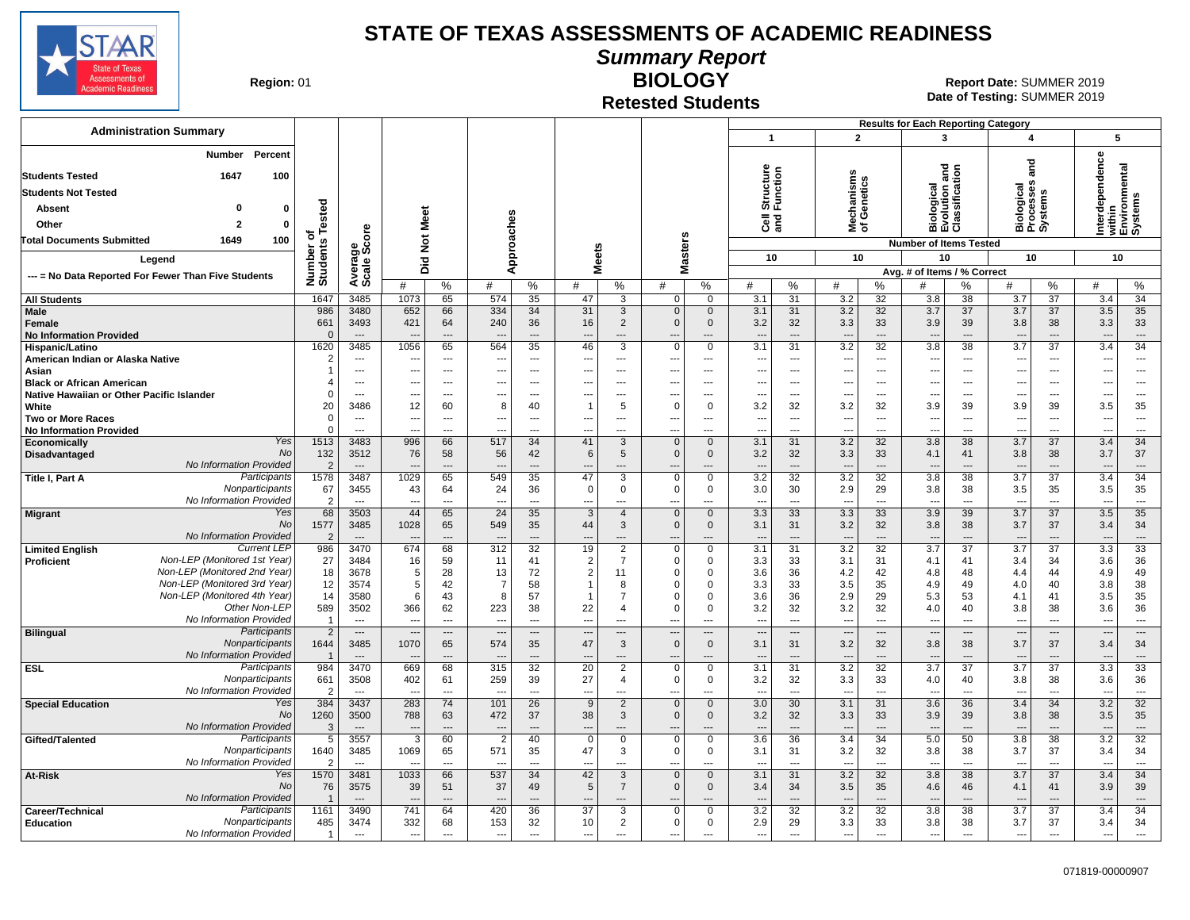

**Summary Report**

**Region: 01** 

### **Retested Students**

**BIOLOGY** 01 **Report Date:** SUMMER 2019 **Date of Testing:**  SUMMER 2019

|                                                                                   |                        |                                |                          |                                |                          |                          |                                      |                                            |                                      |                               |                                 |                      |                                 |                                | <b>Results for Each Reporting Category</b>           |                                |                                            |                      |                                                       |                                |
|-----------------------------------------------------------------------------------|------------------------|--------------------------------|--------------------------|--------------------------------|--------------------------|--------------------------|--------------------------------------|--------------------------------------------|--------------------------------------|-------------------------------|---------------------------------|----------------------|---------------------------------|--------------------------------|------------------------------------------------------|--------------------------------|--------------------------------------------|----------------------|-------------------------------------------------------|--------------------------------|
| <b>Administration Summary</b>                                                     |                        |                                |                          |                                |                          |                          |                                      |                                            |                                      |                               | $\overline{1}$                  |                      | $\overline{2}$                  |                                | 3                                                    |                                | 4                                          |                      | 5                                                     |                                |
| Percent<br>Number<br>1647<br>100<br><b>Students Tested</b>                        |                        |                                |                          |                                |                          |                          |                                      |                                            |                                      |                               | Structure<br>Function           |                      | lechanisms<br>f Genetics        |                                | Biological<br>Evolution and<br>Classification        |                                | ত<br>a                                     |                      | Interdependence<br>within<br>Environmental<br>Systems |                                |
| <b>Students Not Tested</b>                                                        |                        |                                |                          |                                |                          |                          |                                      |                                            |                                      |                               |                                 |                      |                                 |                                |                                                      |                                | Biological<br>Processes<br>Systems         |                      |                                                       |                                |
| $\mathbf{0}$<br>$\mathbf 0$<br><b>Absent</b>                                      | Tested                 |                                |                          |                                |                          |                          |                                      |                                            |                                      |                               |                                 |                      |                                 |                                |                                                      |                                |                                            |                      |                                                       |                                |
| Other<br>$\overline{2}$<br>$\mathbf 0$                                            |                        |                                | Meet                     |                                |                          |                          |                                      |                                            |                                      |                               | මි දි                           |                      | ≊ ১                             |                                |                                                      |                                |                                            |                      |                                                       |                                |
| 100<br>Total Documents Submitted<br>1649                                          | ъ                      |                                | $\rm \tilde{z}$          |                                |                          |                          |                                      |                                            |                                      |                               |                                 |                      |                                 |                                | <b>Number of Items Tested</b>                        |                                |                                            |                      |                                                       |                                |
|                                                                                   |                        |                                |                          |                                |                          |                          |                                      |                                            |                                      |                               | 10                              |                      | 10                              |                                | 10                                                   |                                | 10                                         |                      | 10                                                    |                                |
| Legend                                                                            |                        |                                | 고<br>ō                   |                                |                          | Approaches               | <b>Meets</b>                         |                                            | Masters                              |                               |                                 |                      |                                 |                                | Avg. # of Items / % Correct                          |                                |                                            |                      |                                                       |                                |
| --- = No Data Reported For Fewer Than Five Students                               | Number of<br>Students  | Average<br>Scale Score         | #                        | $\%$                           | #                        | %                        | #                                    | %                                          | #                                    | %                             | #                               | %                    | #                               | %                              | #                                                    | %                              | #                                          | %                    | #                                                     | %                              |
| <b>All Students</b>                                                               | 1647                   | 3485                           | 1073                     | 65                             | 574                      | 35                       | 47                                   | 3                                          | $\mathbf 0$                          | 0                             | 3.1                             | 31                   | 3.2                             | 32                             | 3.8                                                  | 38                             | 3.7                                        | 37                   | 3.4                                                   | 34                             |
| Male                                                                              | 986                    | 3480                           | 652                      | 66                             | 334                      | 34                       | 31                                   | 3                                          | $\mathbf 0$                          | $\mathbf 0$                   | 3.1                             | 31                   | 3.2                             | 32                             | 3.7                                                  | 37                             | 3.7                                        | 37                   | 3.5                                                   | 35                             |
| Female                                                                            | 661                    | 3493                           | 421                      | 64                             | 240                      | 36                       | 16                                   | $\overline{2}$                             | $\Omega$                             | $\mathbf 0$                   | 3.2                             | 32                   | 3.3                             | 33                             | 3.9                                                  | 39                             | 3.8                                        | 38                   | 3.3                                                   | 33                             |
| <b>No Information Provided</b><br>Hispanic/Latino                                 | $\Omega$<br>1620       | $---$<br>3485                  | $\overline{a}$<br>1056   | $---$<br>65                    | 564                      | $\overline{a}$<br>35     | $\overline{a}$<br>46                 | $---$<br>3                                 | $\overline{a}$<br>$\Omega$           | ---<br>$\mathbf 0$            | $\overline{a}$<br>3.1           | $\overline{a}$<br>31 | ---<br>$\overline{3.2}$         | $---$<br>32                    | $\overline{\phantom{a}}$<br>3.8                      | $---$<br>$\overline{38}$       | $\overline{\phantom{a}}$<br>3.7            | $---$<br>37          | $\overline{\phantom{a}}$<br>3.4                       | $---$<br>34                    |
| American Indian or Alaska Native                                                  | $\overline{2}$         | $\overline{\phantom{a}}$       | ---                      | ---                            | ---                      | $---$                    | ---                                  | $---$                                      | ---                                  | ---                           | ---                             | $\overline{a}$       | $\overline{\phantom{a}}$        | $\overline{\phantom{a}}$       | $---$                                                | $\cdots$                       | ---                                        | ---                  | $\overline{\phantom{a}}$                              | $---$                          |
| Asian                                                                             | $\mathbf{1}$           | $\overline{\phantom{a}}$       | --                       | ---                            |                          | $\overline{\phantom{a}}$ | $\overline{\phantom{a}}$             | ---                                        | $\overline{\phantom{a}}$             | ---                           | ---                             | ---                  | ---                             | $\overline{\phantom{a}}$       | $\overline{\phantom{a}}$                             | ---                            | ---                                        | ---                  | ---                                                   | $\overline{\phantom{a}}$       |
| <b>Black or African American</b>                                                  | $\overline{\bf{4}}$    | ---                            | $\overline{\phantom{a}}$ | $\overline{\phantom{a}}$       |                          | $\overline{a}$           | $\overline{a}$                       | ---                                        | $\overline{\phantom{a}}$             | ---                           | ---                             | ---                  | ---                             | $\overline{\phantom{a}}$       | $\overline{\phantom{a}}$                             | ---                            | ---                                        | ---                  | ---                                                   | $\overline{\phantom{a}}$       |
| Native Hawaiian or Other Pacific Islander                                         | $\Omega$               | $\overline{\phantom{a}}$       | ---                      | $\overline{\phantom{a}}$       |                          | ---                      | $\overline{\phantom{a}}$             | ---                                        | ---                                  | ---                           | ---                             | ---                  | ---                             | $\overline{\phantom{a}}$       | $\overline{a}$                                       | ---                            | ---                                        | ---                  | Ξ.                                                    | $\overline{\phantom{a}}$       |
| White                                                                             | 20<br>$\Omega$         | 3486                           | 12                       | 60                             | 8                        | 40                       | $\overline{1}$                       | 5                                          | $\mathbf 0$                          | 0                             | 3.2                             | 32<br>$\overline{a}$ | 3.2                             | 32                             | 3.9                                                  | 39                             | 3.9                                        | 39<br>$\overline{a}$ | 3.5                                                   | 35<br>$\sim$                   |
| <b>Two or More Races</b><br><b>No Information Provided</b>                        | $\Omega$               | $---$<br>$\overline{a}$        | --<br>--                 | $\overline{a}$<br>$---$        |                          | $- - -$<br>$---$         | ---<br>$\overline{a}$                | $\overline{a}$<br>$\overline{a}$           | ---<br>$\overline{a}$                | ---<br>---                    | ---<br>$\overline{a}$           | $\overline{a}$       | $\ddotsc$<br>$\overline{a}$     | $\sim$<br>$\sim$               | $\overline{\phantom{a}}$<br>$\overline{\phantom{a}}$ | $---$<br>$\overline{a}$        | $\overline{\phantom{a}}$<br>$\overline{a}$ | $\overline{a}$       | ---<br>---                                            | $\sim$                         |
| Yes<br>Economically                                                               | 1513                   | 3483                           | 996                      | 66                             | 517                      | 34                       | 41                                   | 3                                          | $\mathbf 0$                          | $\mathbf 0$                   | 3.1                             | 31                   | 3.2                             | 32                             | 3.8                                                  | 38                             | 3.7                                        | 37                   | 3.4                                                   | 34                             |
| No<br>Disadvantaged                                                               | 132                    | 3512                           | 76                       | 58                             | 56                       | 42                       | 6                                    | 5                                          | $\Omega$                             | $\mathbf{0}$                  | 3.2                             | 32                   | 3.3                             | 33                             | 4.1                                                  | 41                             | 3.8                                        | 38                   | 3.7                                                   | 37                             |
| No Information Provided                                                           | $\overline{2}$         | $\overline{\phantom{a}}$       | $\overline{\phantom{a}}$ | ---                            |                          | $---$                    | $\overline{\phantom{a}}$             | $\overline{\phantom{a}}$                   | $\overline{\phantom{a}}$             |                               | $\overline{\phantom{a}}$        | ---                  | $\overline{\phantom{a}}$        | $\overline{\phantom{a}}$       | $\overline{\phantom{a}}$                             |                                | $\overline{\phantom{a}}$                   | ---                  | ---                                                   | $\overline{\phantom{a}}$       |
| Participants<br>Title I, Part A                                                   | 1578                   | 3487                           | 1029                     | 65                             | 549                      | 35                       | 47                                   | 3                                          | 0                                    | 0                             | 3.2                             | 32                   | 3.2                             | 32                             | 3.8                                                  | 38                             | 3.7                                        | $\overline{37}$      | 3.4                                                   | 34                             |
| Nonparticipants<br>No Information Provided                                        | 67<br>$\overline{2}$   | 3455<br>$\overline{a}$         | 43<br>--                 | 64<br>---                      | 24<br>$\overline{a}$     | 36<br>$\overline{a}$     | $\Omega$<br>$\overline{\phantom{a}}$ | $\Omega$<br>---                            | $\Omega$<br>---                      | 0<br>---                      | 3.0<br>$\overline{\phantom{a}}$ | 30<br>---            | 2.9<br>$\overline{\phantom{a}}$ | 29<br>$\overline{\phantom{a}}$ | 3.8<br>$\overline{a}$                                | 38<br>---                      | 3.5<br>---                                 | 35<br>---            | 3.5<br>---                                            | 35<br>$\overline{\phantom{a}}$ |
| Yes<br><b>Migrant</b>                                                             | 68                     | 3503                           | 44                       | 65                             | 24                       | 35                       | 3                                    | $\overline{4}$                             | $\mathsf 0$                          | $\mathbf 0$                   | 3.3                             | 33                   | 3.3                             | 33                             | 3.9                                                  | 39                             | 3.7                                        | 37                   | 3.5                                                   | 35                             |
| <b>No</b>                                                                         | 1577                   | 3485                           | 1028                     | 65                             | 549                      | 35                       | 44                                   | 3                                          | $\mathbf{0}$                         | $\mathbf 0$                   | 3.1                             | 31                   | 3.2                             | 32                             | 3.8                                                  | 38                             | 3.7                                        | 37                   | 3.4                                                   | 34                             |
| No Information Provided                                                           | $\overline{2}$         | $\sim$                         |                          |                                |                          | $\overline{a}$           |                                      | $\overline{\phantom{a}}$                   |                                      |                               |                                 | ---                  | $\overline{\phantom{a}}$        | $\overline{a}$                 |                                                      | $\overline{a}$                 |                                            | $\overline{a}$       | ---                                                   | $\overline{\phantom{a}}$       |
| <b>Current LEP</b><br><b>Limited English</b>                                      | 986                    | 3470                           | 674                      | 68                             | 312                      | $\overline{32}$          | 19                                   | 2                                          | 0                                    | 0                             | 3.1                             | 31                   | 3.2                             | 32                             | 3.7                                                  | 37                             | 3.7                                        | $\overline{37}$      | 3.3                                                   | 33                             |
| Non-LEP (Monitored 1st Year)<br><b>Proficient</b><br>Non-LEP (Monitored 2nd Year) | 27<br>18               | 3484<br>3678                   | 16<br>5                  | 59<br>28                       | 11<br>13                 | 41<br>72                 | $\overline{2}$<br>$\overline{2}$     | 7<br>11                                    | $\Omega$<br>$\Omega$                 | 0<br>0                        | 3.3<br>3.6                      | 33<br>36             | 3.1<br>4.2                      | 31<br>42                       | 4.1<br>4.8                                           | 41<br>48                       | 3.4<br>4.4                                 | 34<br>44             | 3.6<br>4.9                                            | 36<br>49                       |
| Non-LEP (Monitored 3rd Year)                                                      | 12                     | 3574                           | 5                        | 42                             | $\overline{7}$           | 58                       | $\overline{1}$                       | 8                                          | $\Omega$                             | 0                             | 3.3                             | 33                   | 3.5                             | 35                             | 4.9                                                  | 49                             | 4.0                                        | 40                   | 3.8                                                   | 38                             |
| Non-LEP (Monitored 4th Year)                                                      | 14                     | 3580                           | 6                        | 43                             | 8                        | 57                       | $\overline{1}$                       | $\overline{7}$                             | $\Omega$                             | $\mathbf 0$                   | 3.6                             | 36                   | 2.9                             | 29                             | 5.3                                                  | 53                             | 4.1                                        | 41                   | 3.5                                                   | 35                             |
| Other Non-LEF                                                                     | 589                    | 3502                           | 366                      | 62                             | 223                      | 38                       | 22                                   | 4                                          | $\Omega$                             | $\mathbf 0$                   | 3.2                             | 32                   | 3.2                             | 32                             | 4.0                                                  | 40                             | 3.8                                        | 38                   | 3.6                                                   | 36                             |
| No Information Provided                                                           | $\overline{1}$         | $---$                          | $\overline{a}$           | $---$                          | $\overline{a}$           | $---$                    | $---$                                | $---$                                      | ---                                  | ---                           | $\overline{a}$                  | $\overline{a}$       | $\overline{\phantom{a}}$        | $\sim$                         | $\overline{\phantom{a}}$                             | $---$                          | $\sim$                                     | $\overline{a}$       | $\overline{a}$                                        | $\sim$                         |
| Participants<br><b>Bilingual</b><br>Nonparticipants                               | $\overline{2}$<br>1644 | $\qquad \qquad \cdots$<br>3485 | μ.,<br>1070              | $\overline{\phantom{a}}$<br>65 | 574                      | $\cdots$<br>35           | $\overline{\phantom{a}}$<br>47       | $\overline{\phantom{a}}$<br>3              | $\overline{a}$<br>$\mathbf{0}$       | $\overline{a}$<br>$\mathbf 0$ | $\overline{a}$<br>3.1           | ---<br>31            | $\overline{\phantom{a}}$<br>3.2 | $\overline{\phantom{a}}$<br>32 | $\overline{\phantom{a}}$<br>3.8                      | $\overline{\phantom{a}}$<br>38 | $\overline{\phantom{a}}$<br>3.7            | ---<br>37            | $\overline{\phantom{a}}$<br>3.4                       | $\cdots$<br>34                 |
| No Information Provided                                                           | $\mathbf{1}$           | $---$                          | $\overline{\phantom{a}}$ |                                |                          | $\overline{a}$           |                                      | $\overline{\phantom{a}}$                   |                                      | ---                           | $\overline{\phantom{a}}$        | ---                  | $\overline{\phantom{a}}$        | $\overline{\phantom{a}}$       | $\overline{\phantom{a}}$                             |                                |                                            | $---$                | ---                                                   | $---$                          |
| Participants<br><b>ESL</b>                                                        | 984                    | 3470                           | 669                      | 68                             | 315                      | $\overline{32}$          | 20                                   | $\overline{2}$                             | $\mathbf 0$                          | 0                             | 3.1                             | 31                   | 3.2                             | 32                             | $\overline{3.7}$                                     | 37                             | 3.7                                        | $\overline{37}$      | 3.3                                                   | 33                             |
| Nonparticipants                                                                   | 661                    | 3508                           | 402                      | 61                             | 259                      | 39                       | 27                                   | 4                                          | $\Omega$                             | 0                             | 3.2                             | 32                   | 3.3                             | 33                             | 4.0                                                  | 40                             | 3.8                                        | 38                   | 3.6                                                   | 36                             |
| No Information Provided                                                           | $\mathcal{P}$          | $---$                          | $\overline{a}$           | $---$                          | $\overline{a}$           | $\overline{a}$           | $\overline{\phantom{a}}$             | $---$                                      | ---                                  | ---                           | $\overline{\phantom{a}}$        | ---                  | $\overline{\phantom{a}}$        | $\sim$                         | $\overline{\phantom{a}}$                             | $\overline{a}$                 | $\overline{a}$                             | ---                  | ---                                                   | $---$                          |
| <b>Special Education</b><br>Yes<br>No                                             | 384<br>1260            | 3437<br>3500                   | 283<br>788               | 74<br>63                       | 101<br>472               | 26<br>37                 | 9<br>38                              | $\overline{2}$<br>3                        | $\mathbf{0}$<br>$\Omega$             | $\mathbf 0$<br>$\mathbf 0$    | 3.0<br>3.2                      | 30<br>32             | 3.1<br>3.3                      | 31<br>33                       | 3.6<br>3.9                                           | 36<br>39                       | 3.4<br>3.8                                 | 34<br>38             | 3.2<br>3.5                                            | 32<br>35                       |
| No Information Provided                                                           | 3                      | $\overline{a}$                 |                          |                                |                          |                          | $\overline{a}$                       |                                            |                                      |                               | $\overline{a}$                  | ---                  | $\overline{a}$                  |                                |                                                      | $\overline{a}$                 |                                            | ---                  |                                                       | $\overline{\phantom{a}}$       |
| Participants<br>Gifted/Talented                                                   | 5                      | 3557                           | $\overline{3}$           | 60                             | $\overline{2}$           | 40                       | $\Omega$                             | $\mathbf 0$                                | $\mathbf 0$                          | $\mathbf 0$                   | 3.6                             | 36                   | 3.4                             | 34                             | 5.0                                                  | 50                             | 3.8                                        | 38                   | 3.2                                                   | 32                             |
| Nonparticipants                                                                   | 1640                   | 3485                           | 1069                     | 65                             | 571                      | 35                       | 47                                   | 3                                          | 0                                    | 0                             | 3.1                             | 31                   | 3.2                             | 32                             | 3.8                                                  | 38                             | 3.7                                        | 37                   | 3.4                                                   | 34                             |
| No Information Provided                                                           |                        | $-$                            |                          |                                |                          | $\sim$                   |                                      | $\overline{a}$                             |                                      | ---                           |                                 | $\sim$               | $\overline{a}$                  | $\overline{a}$                 |                                                      | $-$                            |                                            | $\sim$               |                                                       | $\sim$                         |
| Yes<br>At-Risk<br>No                                                              | 1570                   | 3481                           | 1033                     | 66                             | 537                      | 34                       | 42                                   | 3                                          | $\mathbf 0$                          | $\mathbf 0$                   | 3.1                             | 31                   | 3.2                             | 32                             | 3.8                                                  | 38                             | 3.7                                        | 37                   | 3.4                                                   | 34                             |
| No Information Provided                                                           | 76                     | 3575<br>$---$                  | 39<br>$\overline{a}$     | 51<br>$---$                    | 37                       | 49<br>$---$              | 5<br>$---$                           | $\overline{7}$<br>$\overline{\phantom{a}}$ | $\Omega$<br>$\overline{\phantom{a}}$ | $\mathbf 0$<br>---            | 3.4<br>$\overline{a}$           | 34<br>---            | 3.5<br>$\overline{\phantom{a}}$ | 35<br>$\overline{\phantom{a}}$ | 4.6<br>$-$                                           | 46<br>$---$                    | 4.1<br>$\overline{a}$                      | 41<br>$---$          | 3.9<br>---                                            | 39<br>$---$                    |
| Participants<br>Career/Technical                                                  | 1161                   | 3490                           | 741                      | 64                             | 420                      | 36                       | 37                                   | 3                                          | $\Omega$                             | 0                             | 3.2                             | 32                   | 3.2                             | 32                             | 3.8                                                  | 38                             | 3.7                                        | 37                   | 3.4                                                   | 34                             |
| Nonparticipants<br><b>Education</b>                                               | 485                    | 3474                           | 332                      | 68                             | 153                      | 32                       | 10                                   | 2                                          | $\Omega$                             | 0                             | 2.9                             | 29                   | 3.3                             | 33                             | 3.8                                                  | 38                             | 3.7                                        | 37                   | 3.4                                                   | 34                             |
| No Information Provided                                                           | $\overline{1}$         | $\overline{\phantom{a}}$       | ---                      | $\overline{\phantom{a}}$       | $\overline{\phantom{a}}$ | ---                      | $\overline{a}$                       | $\overline{\phantom{a}}$                   | $\overline{a}$                       | ---                           | $\overline{\phantom{a}}$        | ---                  | ---                             | $\overline{\phantom{a}}$       | $\overline{\phantom{a}}$                             | $\overline{\phantom{a}}$       | ---                                        | ---                  | ---                                                   | $\sim$                         |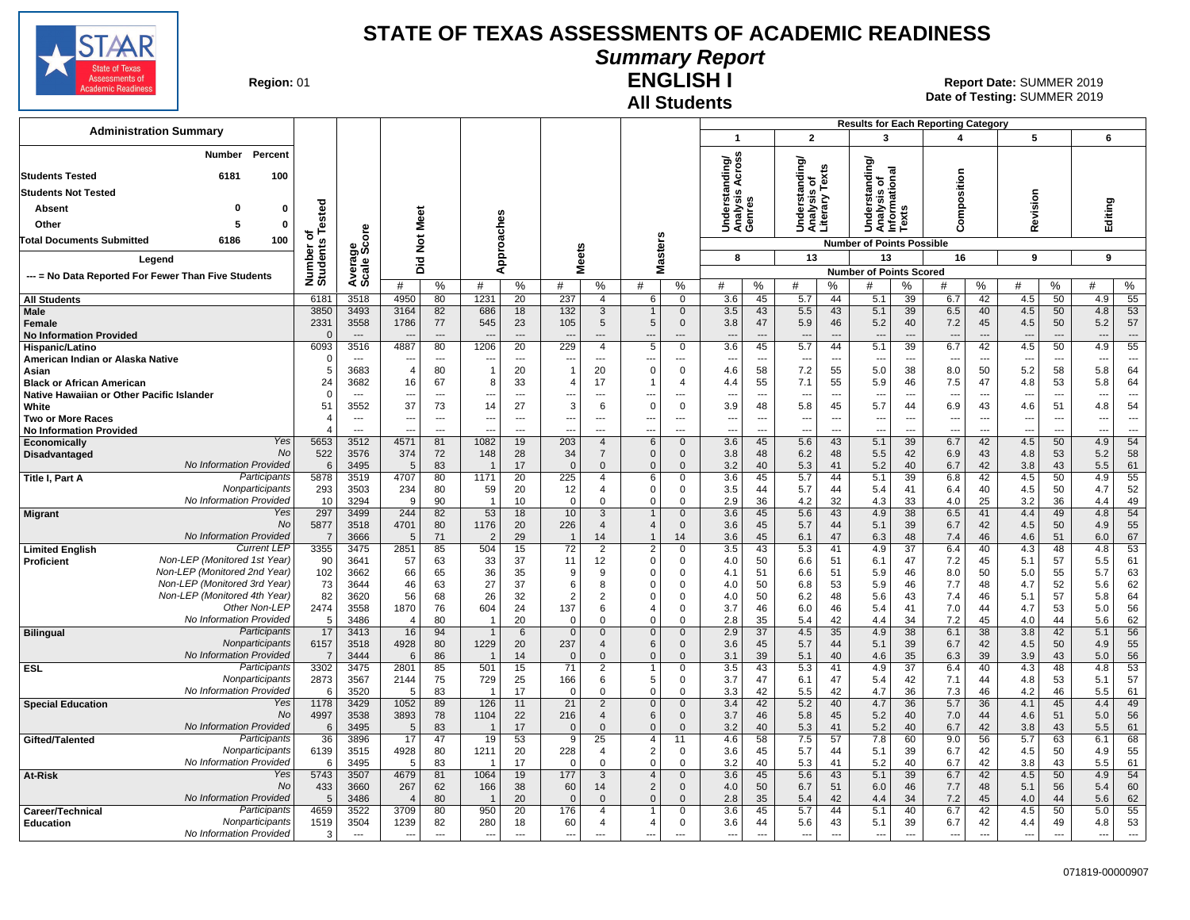

#### **Summary Report**

**Region: 01** 

## **All Students**

**ENGLISH I** 01 **Report Date:** SUMMER 2019 **Date of Testing:**  SUMMER 2019

| <b>Administration Summary</b>                                              |                       |                          |                |                      |                                 |                          |                     |                                  |                               |                               |                                     |                          |                                  |                          |                                      |                                       | <b>Results for Each Reporting Category</b> |                          |                                 |                                |                          |                                |
|----------------------------------------------------------------------------|-----------------------|--------------------------|----------------|----------------------|---------------------------------|--------------------------|---------------------|----------------------------------|-------------------------------|-------------------------------|-------------------------------------|--------------------------|----------------------------------|--------------------------|--------------------------------------|---------------------------------------|--------------------------------------------|--------------------------|---------------------------------|--------------------------------|--------------------------|--------------------------------|
|                                                                            |                       |                          |                |                      |                                 |                          |                     |                                  |                               |                               | $\overline{1}$                      |                          | $\overline{2}$                   |                          | 3                                    |                                       | $\overline{4}$                             |                          | 5                               |                                | 6                        |                                |
| Percent<br>Number                                                          |                       |                          |                |                      |                                 |                          |                     |                                  |                               |                               |                                     |                          |                                  |                          |                                      |                                       |                                            |                          |                                 |                                |                          |                                |
| 6181<br>100<br><b>Students Tested</b>                                      |                       |                          |                |                      |                                 |                          |                     |                                  |                               |                               | Across<br>ding/                     |                          | tanding/<br>s of<br>Texts        |                          | tanding/                             | Analysis of<br>Informational<br>Texts |                                            |                          |                                 |                                |                          |                                |
| <b>Students Not Tested</b>                                                 |                       |                          |                |                      |                                 |                          |                     |                                  |                               |                               | Understanc<br>Analysis Ao<br>Genres |                          |                                  |                          |                                      |                                       | Composition                                |                          |                                 |                                |                          |                                |
| $\Omega$<br>0<br>Absent                                                    |                       |                          |                |                      |                                 |                          |                     |                                  |                               |                               |                                     |                          | Understa<br>Analysis<br>Literary |                          | erst                                 |                                       |                                            |                          | Revision                        |                                | Editing                  |                                |
| Other<br>0<br>5                                                            | Tested                |                          |                | Meet                 |                                 |                          |                     |                                  |                               |                               |                                     |                          |                                  |                          | Š                                    |                                       |                                            |                          |                                 |                                |                          |                                |
| 6186<br>100<br>Total Documents Submitted                                   | ৳                     | ö                        |                |                      |                                 | oaches                   |                     |                                  |                               |                               |                                     |                          |                                  |                          |                                      |                                       |                                            |                          |                                 |                                |                          |                                |
|                                                                            |                       | క్తిం                    |                | $\breve{\mathbf{z}}$ |                                 | ۵.                       |                     |                                  |                               | asters                        |                                     |                          |                                  |                          | <b>Number of Points Possible</b>     |                                       |                                            |                          | 9                               |                                |                          |                                |
| Legend                                                                     |                       |                          |                | 으<br>ā               |                                 | ᅙ<br>₹                   | <b>Meets</b>        |                                  | Σ                             |                               | 8                                   |                          | 13                               |                          | 13<br><b>Number of Points Scored</b> |                                       | 16                                         |                          |                                 |                                | 9                        |                                |
| --- = No Data Reported For Fewer Than Five Students                        | Number of<br>Students | Averag<br>Scale          | #              | %                    | #                               | %                        | #                   | %                                | #                             | $\%$                          | #                                   | %                        | #                                | %                        | #                                    | %                                     | #                                          | ℅                        | #                               | $\%$                           | #                        | ℅                              |
| <b>All Students</b>                                                        | 6181                  | 3518                     | 4950           | 80                   | 1231                            | 20                       | 237                 | $\overline{4}$                   | 6                             | $\Omega$                      | 3.6                                 | 45                       | 5.7                              | 44                       | 5.1                                  | 39                                    | 6.7                                        | 42                       | 4.5                             | 50                             | 4.9                      | 55                             |
| <b>Male</b>                                                                | 3850                  | 3493                     | 3164           | 82                   | 686                             | 18                       | 132                 | 3                                | $\mathbf{1}$                  | $\mathbf{0}$                  | 3.5                                 | 43                       | 5.5                              | 43                       | 5.1                                  | 39                                    | 6.5                                        | 40                       | 4.5                             | 50                             | 4.8                      | 53                             |
| <b>Female</b>                                                              | 2331                  | 3558                     | 1786           | 77                   | 545                             | 23                       | 105                 | 5                                | 5                             | $\mathbf 0$                   | 3.8                                 | 47                       | 5.9                              | 46                       | 5.2                                  | 40                                    | 7.2                                        | 45                       | 4.5                             | 50                             | 5.2                      | 57                             |
| <b>No Information Provided</b><br>Hispanic/Latino                          | $\Omega$<br>6093      | $\overline{a}$<br>3516   | 4887           | $---$<br>80          | $\overline{a}$<br>1206          | $\overline{a}$<br>20     | 229                 | $\overline{a}$<br>$\overline{4}$ | $\overline{\phantom{a}}$<br>5 | $\overline{a}$<br>$\mathbf 0$ | $\overline{a}$<br>3.6               | $\sim$<br>45             | $\sim$<br>5.7                    | $\overline{a}$<br>44     | $\overline{a}$<br>5.1                | $\sim$<br>39                          | $\overline{a}$<br>6.7                      | $\sim$<br>42             | $\overline{\phantom{a}}$<br>4.5 | $\overline{\phantom{a}}$<br>50 | $\sim$<br>4.9            | $\overline{\phantom{a}}$<br>55 |
| American Indian or Alaska Native                                           | $\Omega$              | $-$                      | $\overline{a}$ | $---$                | ---                             | $---$                    | $-$                 | $---$                            | $-$                           | $---$                         | $\overline{a}$                      | $\sim$                   | $\sim$                           | $---$                    | $\overline{a}$                       | $\overline{\phantom{a}}$              | $\overline{a}$                             | $\sim$                   | $\sim$                          | $\sim$                         | $\sim$                   | $---$                          |
| Asian                                                                      | 5                     | 3683                     | $\overline{4}$ | 80                   | $\overline{1}$                  | 20                       | $\mathbf{1}$        | 20                               | $\Omega$                      | $\mathbf 0$                   | 4.6                                 | 58                       | 7.2                              | 55                       | 5.0                                  | 38                                    | 8.0                                        | 50                       | 5.2                             | 58                             | 5.8                      | 64                             |
| <b>Black or African American</b>                                           | 24                    | 3682                     | 16             | 67                   | 8                               | 33                       | $\overline{4}$      | 17                               |                               | 4                             | 4.4                                 | 55                       | 7.1                              | 55                       | 5.9                                  | 46                                    | 7.5                                        | 47                       | 4.8                             | 53                             | 5.8                      | 64                             |
| Native Hawaiian or Other Pacific Islander<br>White                         | $\Omega$<br>51        | $- - -$<br>3552          | 37             | $\overline{a}$<br>73 | ---<br>14                       | $\overline{a}$<br>27     | ---<br>3            | ---<br>6                         | $\Omega$                      | $- -$<br>$\mathbf 0$          | $\overline{a}$<br>3.9               | $\overline{a}$<br>48     | $\overline{\phantom{a}}$<br>5.8  | $\overline{a}$<br>45     | ---<br>5.7                           | $---$<br>44                           | 6.9                                        | $\overline{a}$<br>43     | 4.6                             | $\sim$<br>51                   | 4.8                      | $\overline{a}$<br>54           |
| <b>Two or More Races</b>                                                   | 4                     | $\overline{\phantom{a}}$ |                | $\overline{a}$       | ---                             | $\overline{\phantom{a}}$ | ---                 | $\overline{a}$                   | $\overline{a}$                | ---                           | ---                                 | $\overline{\phantom{a}}$ | $\overline{\phantom{a}}$         | $\overline{\phantom{a}}$ | ---                                  | ---                                   | ---                                        | $\overline{\phantom{a}}$ |                                 | $\overline{\phantom{a}}$       | $\overline{\phantom{a}}$ | $\overline{\phantom{a}}$       |
| <b>No Information Provided</b>                                             | $\overline{4}$        | $\overline{a}$           | $\overline{a}$ | $\sim$               |                                 | $\sim$                   | --                  | $\overline{a}$                   | $\overline{a}$                | $\overline{a}$                | ---                                 | ---                      | $\overline{\phantom{a}}$         | $\overline{a}$           | ---                                  | $\overline{a}$                        | -−                                         | $\sim$                   |                                 | $\sim$                         | $\overline{\phantom{a}}$ | ---                            |
| Yes<br>Economically<br>No                                                  | 5653                  | 3512                     | 4571           | 81                   | 1082                            | 19                       | 203                 | 4                                | 6                             | $\mathbf 0$                   | 3.6                                 | 45                       | 5.6                              | 43                       | 5.1                                  | 39                                    | 6.7                                        | 42                       | 4.5                             | 50                             | 4.9                      | 54                             |
| Disadvantaged<br>No Information Provided                                   | 522<br>6              | 3576<br>3495             | 374<br>.5      | 72<br>83             | 148                             | 28<br>17                 | 34<br>$\Omega$      | $\overline{7}$<br>$\mathbf{0}$   | $\Omega$<br>$\Omega$          | $\Omega$<br>$\Omega$          | 3.8<br>3.2                          | 48<br>40                 | 6.2<br>5.3                       | 48<br>41                 | 5.5<br>5.2                           | 42<br>40                              | 6.9<br>6.7                                 | 43<br>42                 | 4.8<br>3.8                      | 53<br>43                       | 5.2<br>5.5               | 58<br>61                       |
| Participants<br>Title I, Part A                                            | 5878                  | 3519                     | 4707           | 80                   | 1171                            | 20                       | 225                 | 4                                | 6                             | $\Omega$                      | 3.6                                 | 45                       | 5.7                              | 44                       | 5.1                                  | 39                                    | 6.8                                        | 42                       | 4.5                             | 50                             | 4.9                      | 55                             |
| Nonparticipants                                                            | 293                   | 3503                     | 234            | 80                   | 59                              | 20                       | 12                  | 4                                | $\Omega$                      | $\Omega$                      | 3.5                                 | 44                       | 5.7                              | 44                       | 5.4                                  | 41                                    | 6.4                                        | 40                       | 4.5                             | 50                             | 4.7                      | 52                             |
| No Information Provided                                                    | 10                    | 3294                     | -9             | 90                   | $\overline{1}$                  | 10                       | $\mathbf 0$         | 0                                | $\mathbf 0$                   | $\Omega$                      | 2.9                                 | 36                       | 4.2                              | 32                       | 4.3                                  | 33                                    | 4.0                                        | 25                       | 3.2                             | 36                             | 4.4                      | 49                             |
| Yes<br><b>Migrant</b><br>No                                                | 297<br>5877           | 3499<br>3518             | 244<br>4701    | 82<br>80             | 53<br>1176                      | 18<br>20                 | 10<br>226           | 3<br>$\overline{4}$              | $\overline{4}$                | $\Omega$<br>$\Omega$          | 3.6<br>3.6                          | 45<br>45                 | 5.6<br>5.7                       | 43<br>44                 | 4.9<br>5.1                           | 38<br>39                              | 6.5<br>6.7                                 | 41<br>42                 | 4.4<br>4.5                      | 49<br>50                       | 4.8<br>4.9               | 54<br>55                       |
| No Information Provided                                                    | $\overline{7}$        | 3666                     | 5              | 71                   | $\overline{2}$                  | 29                       | $\mathbf{1}$        | 14                               | $\mathbf{1}$                  | 14                            | 3.6                                 | 45                       | 6.1                              | 47                       | 6.3                                  | 48                                    | 7.4                                        | 46                       | 4.6                             | 51                             | 6.0                      | 67                             |
| <b>Current LEP</b><br><b>Limited English</b>                               | 3355                  | 3475                     | 2851           | 85                   | 504                             | 15                       | $\overline{72}$     | $\overline{2}$                   | $\overline{2}$                | $\Omega$                      | 3.5                                 | 43                       | 5.3                              | 41                       | 4.9                                  | 37                                    | 6.4                                        | 40                       | 4.3                             | 48                             | 4.8                      | 53                             |
| Non-LEP (Monitored 1st Year)<br>Proficient<br>Non-LEP (Monitored 2nd Year) | 90                    | 3641                     | 57             | 63                   | 33                              | 37                       | 11                  | 12                               | $\Omega$                      | $\Omega$                      | 4.0                                 | 50                       | 6.6                              | 51                       | 6.1                                  | 47                                    | 7.2                                        | 45                       | 5.1                             | 57                             | 5.5                      | 61                             |
| Non-LEP (Monitored 3rd Year)                                               | 102<br>73             | 3662<br>3644             | 66<br>46       | 65<br>63             | 36<br>27                        | 35<br>37                 | 9<br>6              | 9<br>8                           | $\mathbf 0$<br>$\Omega$       | $\Omega$<br>$\Omega$          | 4.1<br>4.0                          | 51<br>50                 | 6.6<br>6.8                       | 51<br>53                 | 5.9<br>5.9                           | 46<br>46                              | 8.0<br>7.7                                 | 50<br>48                 | 5.0<br>4.7                      | 55<br>52                       | 5.7<br>5.6               | 63<br>62                       |
| Non-LEP (Monitored 4th Year)                                               | 82                    | 3620                     | 56             | 68                   | 26                              | 32                       | 2                   | $\overline{2}$                   | $\Omega$                      | $\Omega$                      | 4.0                                 | 50                       | 6.2                              | 48                       | 5.6                                  | 43                                    | 7.4                                        | 46                       | 5.1                             | 57                             | 5.8                      | 64                             |
| Other Non-LEP                                                              | 2474                  | 3558                     | 1870           | 76                   | 604                             | 24                       | 137                 | 6                                | $\overline{\mathbf{4}}$       | $\Omega$                      | 3.7                                 | 46                       | 6.0                              | 46                       | 5.4                                  | 41                                    | 7.0                                        | 44                       | 4.7                             | 53                             | 5.0                      | 56                             |
| No Information Provided                                                    | 5                     | 3486                     | $\overline{4}$ | 80                   | - 1                             | 20                       | $\Omega$            | $\Omega$                         | $\Omega$                      | $\Omega$                      | 2.8                                 | 35                       | 5.4                              | 42                       | 4.4                                  | 34                                    | 7.2                                        | 45                       | 4.0                             | 44                             | 5.6                      | 62                             |
| Participants<br><b>Bilingual</b><br>Nonparticipants                        | 17<br>6157            | 3413<br>3518             | 16<br>4928     | 94<br>80             | $\overline{\mathbf{1}}$<br>1229 | 6<br>20                  | $\mathbf{0}$<br>237 | $\overline{0}$<br>4              | $\mathbf 0$<br>6              | $\mathbf 0$<br>$\Omega$       | 2.9<br>3.6                          | 37<br>45                 | 4.5<br>5.7                       | 35<br>44                 | 4.9<br>5.1                           | 38<br>39                              | 6.1<br>6.7                                 | 38<br>42                 | 3.8<br>4.5                      | 42<br>50                       | 5.1<br>4.9               | 56<br>55                       |
| No Information Provided                                                    | $\overline{7}$        | 3444                     | 6              | 86                   | -1                              | 14                       | $\Omega$            | $\Omega$                         | $\mathbf{0}$                  | $\Omega$                      | 3.1                                 | 39                       | 5.1                              | 40                       | 4.6                                  | 35                                    | 6.3                                        | 39                       | 3.9                             | 43                             | 5.0                      | 56                             |
| Participants<br><b>ESL</b>                                                 | 3302                  | 3475                     | 2801           | 85                   | 501                             | 15                       | 71                  | $\overline{2}$                   | $\mathbf{1}$                  | $\Omega$                      | 3.5                                 | 43                       | 5.3                              | 41                       | 4.9                                  | 37                                    | 6.4                                        | 40                       | 4.3                             | 48                             | 4.8                      | 53                             |
| Nonparticipants<br>No Information Provided                                 | 2873                  | 3567                     | 2144           | 75                   | 729                             | 25                       | 166                 | 6                                | 5                             | $\Omega$                      | 3.7                                 | 47                       | 6.1                              | 47                       | 5.4                                  | 42                                    | 7.1                                        | 44                       | 4.8                             | 53                             | 5.1                      | 57                             |
| Yes<br><b>Special Education</b>                                            | 6<br>1178             | 3520<br>3429             | 5<br>1052      | 83<br>89             | - 1<br>126                      | 17<br>11                 | $\Omega$<br>21      | 0<br>$\overline{2}$              | $\mathbf 0$<br>$\mathbf 0$    | $\Omega$<br>$\mathbf 0$       | 3.3<br>3.4                          | 42<br>42                 | 5.5<br>5.2                       | 42<br>40                 | 4.7<br>4.7                           | 36<br>36                              | 7.3<br>5.7                                 | 46<br>36                 | 4.2<br>4.1                      | 46<br>45                       | 5.5<br>4.4               | 61<br>49                       |
| No                                                                         | 4997                  | 3538                     | 3893           | 78                   | 1104                            | 22                       | 216                 | 4                                | $6\overline{6}$               | $\Omega$                      | 3.7                                 | 46                       | 5.8                              | 45                       | 5.2                                  | 40                                    | 7.0                                        | 44                       | 4.6                             | 51                             | 5.0                      | 56                             |
| No Information Provided                                                    | 6                     | 3495                     | 5              | 83                   | $\overline{1}$                  | 17                       | $\mathbf{0}$        | $\mathbf 0$                      | $\mathbf{0}$                  | $\Omega$                      | 3.2                                 | 40                       | 5.3                              | 41                       | 5.2                                  | 40                                    | 6.7                                        | 42                       | 3.8                             | 43                             | 5.5                      | 61                             |
| Participants<br>Gifted/Talented                                            | 36                    | 3896                     | 17             | 47                   | 19                              | 53                       | 9                   | 25                               | 4                             | 11                            | 4.6                                 | 58                       | 7.5                              | 57                       | 7.8                                  | 60                                    | 9.0                                        | 56                       | 5.7                             | 63                             | 6.1                      | 68                             |
| Nonparticipants<br>No Information Provided                                 | 6139<br>6             | 3515<br>3495             | 4928<br>5      | 80<br>83             | 1211<br>- 1                     | 20<br>17                 | 228<br>$\Omega$     | 4<br>0                           | $\overline{2}$<br>$\mathbf 0$ | $\mathbf 0$<br>$\Omega$       | 3.6<br>3.2                          | 45<br>40                 | 5.7<br>5.3                       | 44<br>41                 | 5.1<br>5.2                           | 39<br>40                              | 6.7<br>6.7                                 | 42<br>42                 | 4.5<br>3.8                      | 50<br>43                       | 4.9<br>5.5               | 55<br>61                       |
| Yes<br>At-Risk                                                             | 5743                  | 3507                     | 4679           | 81                   | 1064                            | 19                       | 177                 | $\overline{3}$                   | $\overline{4}$                | $\mathbf{0}$                  | 3.6                                 | 45                       | 5.6                              | 43                       | 5.1                                  | 39                                    | 6.7                                        | 42                       | 4.5                             | 50                             | 4.9                      | 54                             |
| No                                                                         | 433                   | 3660                     | 267            | 62                   | 166                             | 38                       | 60                  | 14                               | $\overline{2}$                | $\Omega$                      | 4.0                                 | 50                       | 6.7                              | 51                       | 6.0                                  | 46                                    | 7.7                                        | 48                       | 5.1                             | 56                             | 5.4                      | 60                             |
| No Information Provided                                                    | 5                     | 3486                     | $\overline{4}$ | 80                   | -1                              | 20                       | $\Omega$            | $\mathbf{0}$                     | $\Omega$                      | $\Omega$                      | 2.8                                 | 35                       | 5.4                              | 42                       | 4.4                                  | 34                                    | 7.2                                        | 45                       | 4.0                             | 44                             | 5.6                      | 62                             |
| Participants<br>Career/Technical<br>Nonparticipants<br><b>Education</b>    | 4659<br>1519          | 3522<br>3504             | 3709<br>1239   | 80<br>82             | 950<br>280                      | 20<br>18                 | 176<br>60           | $\overline{4}$<br>$\overline{4}$ | $\overline{4}$                | $\Omega$<br>$\Omega$          | 3.6<br>3.6                          | 45<br>44                 | 5.7<br>5.6                       | 44<br>43                 | 5.1<br>5.1                           | 40<br>39                              | 6.7<br>6.7                                 | 42<br>42                 | 4.5<br>4.4                      | 50<br>49                       | 5.0<br>4.8               | 55<br>53                       |
| No Information Provided                                                    | 3                     | $\overline{a}$           | $\overline{a}$ | $---$                | $\overline{\phantom{a}}$        | $\overline{a}$           | ---                 | $\overline{a}$                   | $\overline{\phantom{a}}$      | $\overline{a}$                | ---                                 | ---                      | $\overline{\phantom{a}}$         | $\overline{a}$           | $\overline{\phantom{a}}$             | $\overline{a}$                        | $\overline{a}$                             | $\overline{\phantom{a}}$ | $\overline{\phantom{a}}$        | $\overline{\phantom{a}}$       | ---                      | $\overline{\phantom{a}}$       |
|                                                                            |                       |                          |                |                      |                                 |                          |                     |                                  |                               |                               |                                     |                          |                                  |                          |                                      |                                       |                                            |                          |                                 |                                |                          |                                |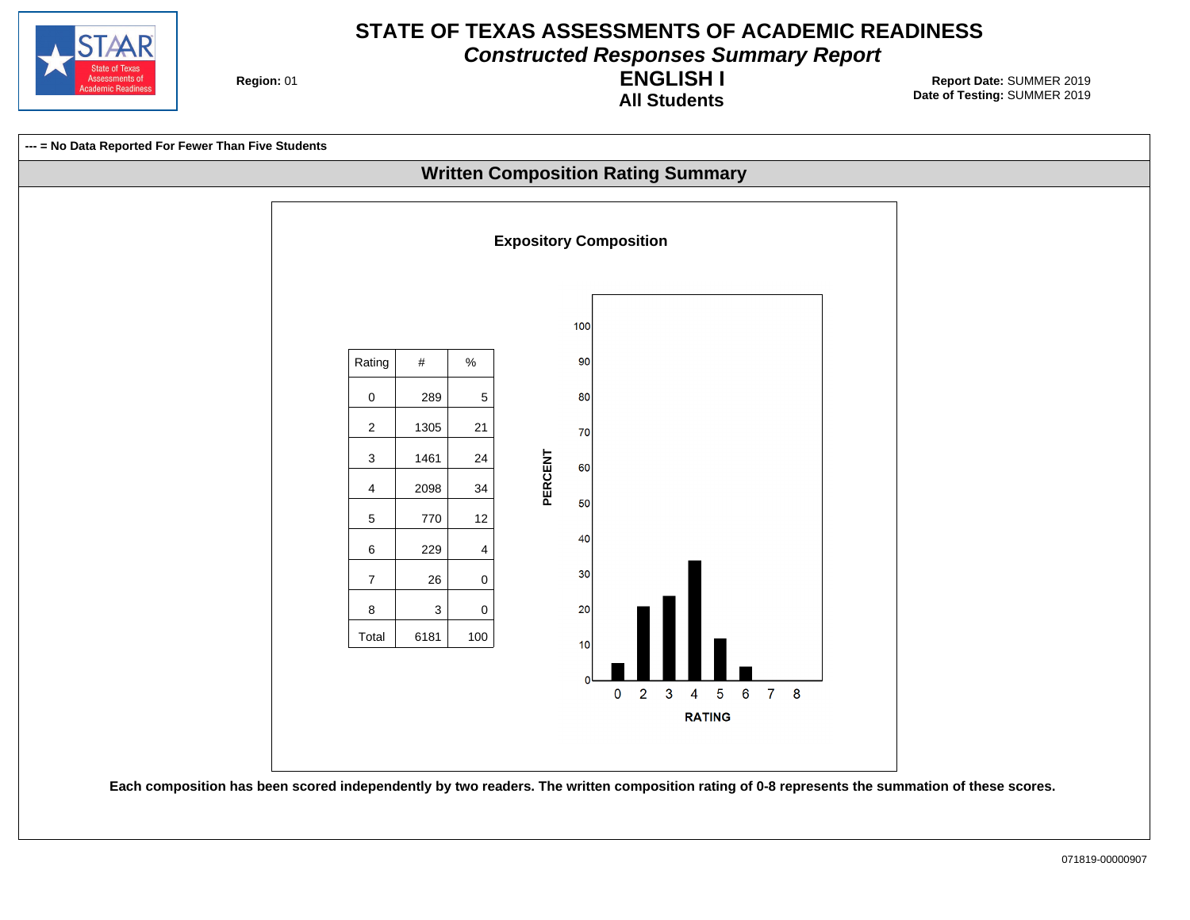

**Constructed Responses Summary Report**

**Region: 01** 

#### **All Students ENGLISH I**

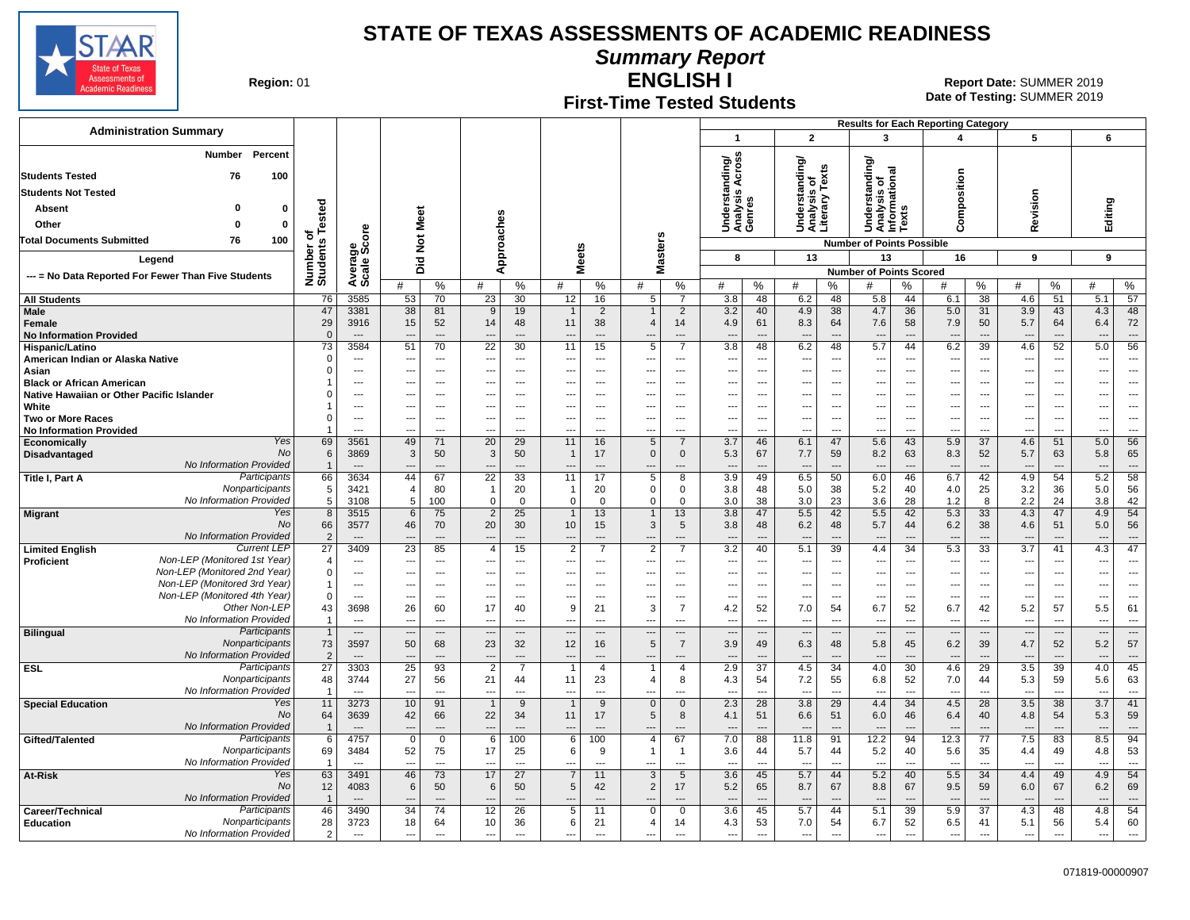

**Summary Report**

**Region: 01** 

### **First-Time Tested Students**

**ENGLISH I** 01 **Report Date:** SUMMER 2019 **Date of Testing:**  SUMMER 2019

|                                                                              |                                   |                                  |                               |                            |                                   |                                |                                |                                |                                 |                                 |                                     |                                |                                                 |                                                      | <b>Results for Each Reporting Category</b>             |                                 |                                                      |                                 |                                 |                                                      |                                      |                                            |
|------------------------------------------------------------------------------|-----------------------------------|----------------------------------|-------------------------------|----------------------------|-----------------------------------|--------------------------------|--------------------------------|--------------------------------|---------------------------------|---------------------------------|-------------------------------------|--------------------------------|-------------------------------------------------|------------------------------------------------------|--------------------------------------------------------|---------------------------------|------------------------------------------------------|---------------------------------|---------------------------------|------------------------------------------------------|--------------------------------------|--------------------------------------------|
| <b>Administration Summary</b>                                                |                                   |                                  |                               |                            |                                   |                                |                                |                                |                                 |                                 | $\overline{\mathbf{1}}$             |                                | $\overline{2}$                                  |                                                      | 3                                                      |                                 | 4                                                    |                                 | 5                               |                                                      | 6                                    |                                            |
| Percent<br>Number                                                            |                                   |                                  |                               |                            |                                   |                                |                                |                                |                                 |                                 |                                     |                                |                                                 |                                                      | ৯                                                      |                                 |                                                      |                                 |                                 |                                                      |                                      |                                            |
| 76<br>100<br><b>Students Tested</b>                                          |                                   |                                  |                               |                            |                                   |                                |                                |                                |                                 |                                 | Across<br>ding/                     |                                | Understanding/<br>Analysis of<br>Literary Texts |                                                      | Understanding<br>Analysis of<br>Informational<br>Texts |                                 |                                                      |                                 |                                 |                                                      |                                      |                                            |
| <b>Students Not Tested</b>                                                   |                                   |                                  |                               |                            |                                   |                                |                                |                                |                                 |                                 | Understand<br>Analysis Av<br>Genres |                                |                                                 |                                                      |                                                        |                                 | omposition                                           |                                 |                                 |                                                      |                                      |                                            |
| $\Omega$<br>Absent<br>0                                                      |                                   |                                  |                               |                            |                                   |                                |                                |                                |                                 |                                 |                                     |                                |                                                 |                                                      |                                                        |                                 |                                                      |                                 | Revision                        |                                                      | Editing                              |                                            |
|                                                                              | Tested                            |                                  |                               | Meet                       |                                   |                                |                                |                                |                                 |                                 |                                     |                                |                                                 |                                                      |                                                        |                                 |                                                      |                                 |                                 |                                                      |                                      |                                            |
| Other<br>$\mathbf{0}$<br>ŋ                                                   | ৳                                 |                                  |                               |                            |                                   |                                |                                |                                |                                 |                                 |                                     |                                |                                                 |                                                      |                                                        |                                 | ن                                                    |                                 |                                 |                                                      |                                      |                                            |
| 100<br>Total Documents Submitted<br>76                                       |                                   | ge<br>Score                      |                               | $\frac{5}{2}$              |                                   |                                |                                |                                |                                 |                                 |                                     |                                |                                                 |                                                      | <b>Number of Points Possible</b>                       |                                 |                                                      |                                 |                                 |                                                      |                                      |                                            |
| Legend                                                                       | Number of<br>Students             |                                  |                               | Did                        |                                   | Approaches                     | <b>Meets</b>                   |                                | Masters                         |                                 | 8                                   |                                | 13                                              |                                                      | 13                                                     |                                 | 16                                                   |                                 | 9                               |                                                      | 9                                    |                                            |
| --- = No Data Reported For Fewer Than Five Students                          |                                   | Avera<br>Scale                   |                               |                            |                                   |                                |                                |                                |                                 |                                 |                                     |                                |                                                 |                                                      | <b>Number of Points Scored</b>                         |                                 |                                                      |                                 |                                 |                                                      |                                      |                                            |
|                                                                              |                                   |                                  | #                             | $\%$                       | #                                 | %                              | #                              | $\%$                           | #                               | %                               | #                                   | %                              | #                                               | %                                                    | #                                                      | %                               | #                                                    | %                               | #                               | %                                                    | #                                    | %                                          |
| <b>All Students</b>                                                          | 76                                | 3585                             | 53                            | 70                         | 23                                | 30                             | 12                             | 16                             | 5                               | $\overline{7}$                  | 3.8                                 | 48                             | 6.2                                             | 48                                                   | 5.8                                                    | 44                              | 6.1                                                  | 38                              | 4.6                             | 51                                                   | 5.1                                  | 57                                         |
| Male                                                                         | 47<br>29                          | 3381<br>3916                     | 38<br>15                      | 81<br>52                   | 9<br>14                           | 19<br>48                       | $\mathbf 1$<br>11              | $\overline{2}$<br>38           | $\mathbf{1}$<br>$\overline{4}$  | $\overline{2}$<br>14            | 3.2<br>4.9                          | 40<br>61                       | 4.9<br>8.3                                      | 38<br>64                                             | 4.7<br>7.6                                             | 36<br>58                        | 5.0<br>7.9                                           | 31<br>50                        | 3.9<br>5.7                      | 43<br>64                                             | 4.3<br>6.4                           | 48                                         |
| Female<br><b>No Information Provided</b>                                     | $\overline{0}$                    | $\overline{\phantom{a}}$         | ---                           | ---                        | ---                               | $\overline{a}$                 |                                | $\overline{a}$                 |                                 | $\overline{a}$                  | $\overline{a}$                      | ---                            | ---                                             | $\overline{a}$                                       | ---                                                    | $\overline{\phantom{a}}$        | $\overline{\phantom{a}}$                             | $\overline{\phantom{a}}$        | $\overline{\phantom{a}}$        | $\overline{a}$                                       | $\overline{\phantom{a}}$             | 72<br>$\overline{a}$                       |
| Hispanic/Latino                                                              | 73                                | 3584                             | 51                            | 70                         | $\overline{22}$                   | 30                             | 11                             | 15                             | $\overline{5}$                  | $\overline{7}$                  | $\overline{3.8}$                    | 48                             | 6.2                                             | 48                                                   | 5.7                                                    | 44                              | 6.2                                                  | 39                              | 4.6                             | 52                                                   | 5.0                                  | 56                                         |
| American Indian or Alaska Native                                             | $\mathbf 0$                       | $\overline{\phantom{a}}$         | ---                           | ---                        | ---                               | $---$                          | ---                            | $\overline{a}$                 | ---                             | ---                             | ---                                 | $\overline{\phantom{a}}$       | ---                                             | $\overline{\phantom{a}}$                             | ---                                                    | $\overline{\phantom{a}}$        | $\overline{\phantom{a}}$                             | $\overline{\phantom{a}}$        | ---                             | $\overline{\phantom{a}}$                             | ---                                  | $\overline{a}$                             |
| Asian                                                                        | $\mathbf 0$                       | $\overline{\phantom{a}}$         | ---                           | $\overline{a}$             | ---                               | $\overline{a}$                 |                                | $---$                          | --                              | ---                             | ---                                 | $\overline{\phantom{a}}$       | --                                              | $\overline{\phantom{a}}$                             | ---                                                    | $\overline{\phantom{a}}$        | $\overline{\phantom{a}}$                             | ---                             | ---                             | $\overline{\phantom{a}}$                             | ---                                  | ---                                        |
| <b>Black or African American</b>                                             |                                   | $\overline{a}$                   | ---                           | $\overline{a}$             | ---                               | $---$                          | ---                            | $---$                          | $\overline{\phantom{a}}$        | $\overline{\phantom{a}}$        | ---                                 | ---                            | $\overline{\phantom{a}}$                        | ---                                                  | ---                                                    | ---                             | $\overline{a}$                                       | ---                             | $\overline{a}$                  | ---                                                  | ---                                  | ---                                        |
| Native Hawaiian or Other Pacific Islander<br>White                           | $\mathbf 0$<br>-1                 | ---<br>---                       | ---<br>---                    | $\overline{a}$<br>$\cdots$ | ---<br>$\overline{\phantom{a}}$   | ---<br>$---$                   | ---<br>---                     | $\sim$<br>$---$                | ---                             | ---<br>$\overline{\phantom{a}}$ | --<br>---                           | ---<br>---                     | ---<br>---                                      | ---                                                  | ---<br>---                                             | ---<br>$\overline{\phantom{a}}$ | $\overline{\phantom{a}}$<br>$\overline{\phantom{a}}$ | ---<br>$\overline{\phantom{a}}$ | ---<br>$\overline{\phantom{a}}$ | ---                                                  | $\overline{\phantom{a}}$<br>$\cdots$ | $\overline{a}$<br>$\overline{\phantom{a}}$ |
| <b>Two or More Races</b>                                                     | $\mathbf 0$                       | $\overline{a}$                   | ---                           | $\overline{\phantom{a}}$   | $\overline{\phantom{a}}$          | ---                            | ---                            | $\overline{a}$                 | $\overline{\phantom{a}}$<br>--- | $\overline{a}$                  | --                                  | ---                            | $\overline{\phantom{a}}$                        | $\overline{\phantom{a}}$<br>$\overline{\phantom{a}}$ | ---                                                    | $\overline{\phantom{a}}$        | $\overline{\phantom{a}}$                             | $\overline{\phantom{a}}$        | $\overline{\phantom{a}}$        | $\overline{\phantom{a}}$<br>$\overline{\phantom{a}}$ | $\overline{\phantom{a}}$             | $\overline{\phantom{a}}$                   |
| <b>No Information Provided</b>                                               |                                   | $\overline{a}$                   |                               | ---                        |                                   | $\overline{a}$                 |                                |                                |                                 | ---                             |                                     |                                | --                                              | ---                                                  |                                                        | $\overline{a}$                  |                                                      | $\overline{\phantom{a}}$        |                                 | $\overline{a}$                                       | ---                                  |                                            |
| Yes<br>Economically                                                          | 69                                | 3561                             | 49                            | 71                         | 20                                | 29                             | 11                             | 16                             | 5                               | $\overline{7}$                  | 3.7                                 | 46                             | 6.1                                             | 47                                                   | 5.6                                                    | 43                              | 5.9                                                  | 37                              | 4.6                             | 51                                                   | 5.0                                  | 56                                         |
| No<br>Disadvantaged                                                          | 6                                 | 3869                             | 3                             | 50                         | $\mathbf{3}$                      | 50                             |                                | 17                             | $\mathbf 0$                     | $\mathbf 0$                     | 5.3                                 | 67                             | 7.7                                             | 59                                                   | 8.2                                                    | 63                              | 8.3                                                  | 52                              | 5.7                             | 63                                                   | 5.8                                  | 65                                         |
| No Information Provided<br>Participants                                      | $\overline{1}$                    | $\overline{\phantom{a}}$         | $\overline{a}$                | $\overline{a}$             | $\overline{\phantom{a}}$          | $---$                          | $\overline{\phantom{a}}$       | $\overline{a}$                 | $\overline{\phantom{a}}$        | $\overline{a}$                  | $\overline{a}$                      | ---                            | $\overline{\phantom{a}}$                        | $---$                                                | $\overline{\phantom{a}}$                               | $\overline{\phantom{a}}$        | $\overline{\phantom{a}}$                             | $---$                           | $\overline{\phantom{a}}$        | $\overline{\phantom{a}}$                             | $\overline{\phantom{a}}$             | $---$                                      |
| Title I, Part A<br>Nonparticipants                                           | 66<br>5                           | 3634<br>3421                     | 44<br>$\overline{\mathbf{A}}$ | 67<br>80                   | $\overline{22}$<br>$\overline{1}$ | 33<br>20                       | 11                             | 17<br>20                       | 5<br>$\mathbf 0$                | 8<br>$\mathbf 0$                | 3.9<br>3.8                          | 49<br>48                       | 6.5<br>5.0                                      | 50<br>38                                             | 6.0<br>5.2                                             | 46<br>40                        | 6.7<br>4.0                                           | 42<br>25                        | 4.9<br>3.2                      | 54<br>36                                             | 5.2<br>5.0                           | 58<br>56                                   |
| No Information Provided                                                      | 5                                 | 3108                             | 5                             | 100                        | $\mathbf 0$                       | $\mathbf 0$                    | $\Omega$                       | $\mathbf 0$                    | 0                               | $\Omega$                        | 3.0                                 | 38                             | 3.0                                             | 23                                                   | 3.6                                                    | 28                              | 1.2                                                  | 8                               | 2.2                             | 24                                                   | $3.8\,$                              | 42                                         |
| Yes<br><b>Migrant</b>                                                        | 8                                 | 3515                             | 6                             | 75                         | $\overline{2}$                    | 25                             | $\overline{1}$                 | 13                             | $\overline{1}$                  | 13                              | 3.8                                 | 47                             | 5.5                                             | 42                                                   | 5.5                                                    | 42                              | 5.3                                                  | 33                              | 4.3                             | 47                                                   | 4.9                                  | 54                                         |
| No                                                                           | 66                                | 3577                             | 46                            | 70                         | 20                                | 30                             | 10                             | 15                             | 3                               | 5                               | 3.8                                 | 48                             | 6.2                                             | 48                                                   | 5.7                                                    | 44                              | 6.2                                                  | 38                              | 4.6                             | 51                                                   | 5.0                                  | 56                                         |
| No Information Provided                                                      | $\overline{2}$                    | $\overline{\phantom{a}}$         |                               | $\overline{a}$             | --                                | $\overline{a}$                 |                                |                                |                                 |                                 | $\overline{\phantom{a}}$            |                                | ---                                             | $\overline{a}$                                       | ---                                                    |                                 | $\overline{\phantom{a}}$                             | $\overline{a}$                  | $\overline{\phantom{a}}$        |                                                      | $\overline{\phantom{a}}$             |                                            |
| <b>Current LEP</b><br><b>Limited English</b><br>Non-LEP (Monitored 1st Year) | $\overline{27}$<br>$\overline{4}$ | 3409<br>$-$                      | 23<br>---                     | 85<br>$---$                | $\overline{4}$<br>$---$           | 15<br>$---$                    | $\overline{2}$<br>$---$        | 7<br>$---$                     | $\overline{2}$<br>$\sim$        | $\overline{7}$<br>$---$         | 3.2<br>$\overline{\phantom{a}}$     | 40<br>$\sim$                   | 5.1<br>$\overline{\phantom{a}}$                 | 39<br>$\sim$                                         | 4.4<br>$\overline{\phantom{a}}$                        | 34<br>$\sim$                    | 5.3<br>$\overline{\phantom{a}}$                      | 33<br>$\sim$                    | 3.7<br>$\sim$                   | 41<br>$\sim$                                         | 4.3<br>---                           | 47<br>$---$                                |
| Proficient<br>Non-LEP (Monitored 2nd Year)                                   | $\mathbf 0$                       | $\overline{\phantom{a}}$         | ---                           | ---                        | ---                               | $\overline{\phantom{a}}$       | ---                            | $---$                          | ---                             | $\overline{\phantom{a}}$        | ---                                 | $\overline{\phantom{a}}$       | ---                                             | $\overline{\phantom{a}}$                             | ---                                                    | $\overline{\phantom{a}}$        | $\overline{\phantom{a}}$                             | $\overline{\phantom{a}}$        | ---                             | $\overline{\phantom{a}}$                             | $\overline{\phantom{a}}$             | $\overline{a}$                             |
| Non-LEP (Monitored 3rd Year)                                                 | $\overline{1}$                    | ---                              | ---                           | $\overline{\phantom{a}}$   | ---                               | ---                            |                                | ---                            |                                 | ---                             | $\overline{\phantom{a}}$            | ---                            | --                                              | ---                                                  | ---                                                    | $\overline{\phantom{a}}$        | ---                                                  | $\overline{\phantom{a}}$        | ---                             | $\overline{\phantom{a}}$                             | $\overline{\phantom{a}}$             | $\overline{a}$                             |
| Non-LEP (Monitored 4th Year)                                                 | $\mathbf 0$                       | $\overline{\phantom{a}}$         | ---                           | $\overline{\phantom{a}}$   | ---                               | $---$                          | ---                            | $---$                          | ---                             | $---$                           | ---                                 | ---                            | ---                                             | $\overline{\phantom{a}}$                             | ---                                                    | $\overline{\phantom{a}}$        | ---                                                  | ---                             | $\overline{\phantom{a}}$        | $\overline{\phantom{a}}$                             | ---                                  | ---                                        |
| Other Non-LEP                                                                | 43                                | 3698                             | 26                            | 60                         | 17                                | 40                             | 9                              | 21                             | 3                               | $\overline{7}$                  | 4.2                                 | 52                             | 7.0                                             | 54                                                   | 6.7                                                    | 52                              | 6.7                                                  | 42                              | 5.2                             | 57                                                   | 5.5                                  | 61                                         |
| No Information Provided                                                      | -1                                | ---                              | Ξ.                            | ---                        | ---                               | $\overline{a}$                 | ---                            | ---                            | $\overline{\phantom{a}}$        | $\overline{a}$                  | $\overline{a}$                      | ---                            | ---                                             | $\overline{\phantom{a}}$                             | ---                                                    | $\overline{\phantom{a}}$        | $\overline{\phantom{a}}$                             | $\overline{\phantom{a}}$        | $\overline{\phantom{a}}$        | $\overline{\phantom{a}}$                             | ---                                  | $\overline{a}$                             |
| Participants<br><b>Bilingual</b><br>Nonparticipants                          | $\overline{1}$<br>73              | $\hspace{0.05cm} \ldots$<br>3597 | Ξ.<br>50                      | $---$<br>68                | $\overline{a}$<br>23              | $\overline{\phantom{a}}$<br>32 | $\overline{\phantom{a}}$<br>12 | $\overline{\phantom{a}}$<br>16 | $\overline{\phantom{a}}$<br>5   | $---$<br>$\overline{7}$         | $\overline{a}$<br>3.9               | $\overline{\phantom{a}}$<br>49 | $\overline{\phantom{a}}$<br>6.3                 | $\overline{\phantom{a}}$<br>48                       | $\overline{\phantom{a}}$<br>5.8                        | $\overline{\phantom{a}}$<br>45  | $\overline{\phantom{a}}$<br>6.2                      | $\overline{\phantom{a}}$<br>39  | $\overline{\phantom{a}}$<br>4.7 | $\overline{\phantom{a}}$<br>52                       | $\overline{\phantom{a}}$<br>5.2      | $\overline{\phantom{a}}$<br>57             |
| No Information Provided                                                      | $\overline{2}$                    | $---$                            | $\overline{a}$                | $---$                      | $\overline{\phantom{a}}$          | $---$                          | $---$                          | $---$                          | $\overline{\phantom{a}}$        | $---$                           | $\overline{a}$                      | ---                            | $\overline{\phantom{a}}$                        | $---$                                                | $\overline{\phantom{a}}$                               | $\overline{\phantom{a}}$        | $---$                                                | $\overline{\phantom{a}}$        | $\overline{\phantom{a}}$        | $---$                                                | $---$                                | $---$                                      |
| Participants<br><b>ESL</b>                                                   | $\overline{27}$                   | 3303                             | $\overline{25}$               | 93                         | $\overline{2}$                    | $\overline{7}$                 |                                | $\overline{4}$                 | $\overline{1}$                  | $\overline{4}$                  | 2.9                                 | 37                             | 4.5                                             | 34                                                   | 4.0                                                    | 30                              | 4.6                                                  | 29                              | 3.5                             | 39                                                   | 4.0                                  | 45                                         |
| Nonparticipants                                                              | 48                                | 3744                             | 27                            | 56                         | 21                                | 44                             | 11                             | 23                             | $\overline{\mathbf{4}}$         | 8                               | 4.3                                 | 54                             | 7.2                                             | 55                                                   | 6.8                                                    | 52                              | 7.0                                                  | 44                              | 5.3                             | 59                                                   | 5.6                                  | 63                                         |
| No Information Provided                                                      | $\overline{1}$                    | $\sim$                           | ---                           | $\overline{a}$             | $\overline{a}$                    | $\overline{a}$                 | ---                            | ÷-                             |                                 | $\overline{a}$                  | $\overline{a}$                      | ---                            | ---                                             | $\overline{a}$                                       | ---                                                    | $\sim$                          | $\overline{a}$                                       | $\sim$                          | $\overline{a}$                  | $\sim$                                               | $\overline{\phantom{a}}$             | $\overline{a}$                             |
| <b>Special Education</b><br>Yes<br>No                                        | 11<br>64                          | 3273<br>3639                     | 10<br>42                      | 91<br>66                   | $\overline{1}$<br>22              | 9<br>34                        | $\overline{1}$<br>11           | 9<br>17                        | $\mathbf 0$<br>5                | $\mathbf{0}$<br>8               | 2.3<br>4.1                          | 28<br>51                       | 3.8<br>6.6                                      | 29<br>51                                             | 4.4<br>6.0                                             | 34<br>46                        | 4.5<br>6.4                                           | 28<br>40                        | 3.5<br>4.8                      | 38<br>54                                             | 3.7<br>5.3                           | 41<br>59                                   |
| No Information Provided                                                      | $\overline{1}$                    |                                  | ---                           | ---                        | $\overline{\phantom{a}}$          | $\overline{a}$                 |                                |                                |                                 |                                 |                                     |                                |                                                 | $\overline{a}$                                       |                                                        | $\overline{a}$                  |                                                      | $\overline{\phantom{a}}$        |                                 |                                                      | $\overline{\phantom{a}}$             | $\overline{a}$                             |
| Participants<br>Gifted/Talented                                              | 6                                 | 4757                             | $\mathbf 0$                   | $\mathbf 0$                | 6                                 | 100                            | 6                              | 100                            | 4                               | 67                              | 7.0                                 | 88                             | 11.8                                            | 91                                                   | 12.2                                                   | 94                              | 12.3                                                 | 77                              | 7.5                             | 83                                                   | 8.5                                  | 94                                         |
| Nonparticipants                                                              | 69                                | 3484                             | 52                            | 75                         | 17                                | 25                             | 6                              | 9                              | $\overline{1}$                  | $\mathbf{1}$                    | 3.6                                 | 44                             | 5.7                                             | 44                                                   | 5.2                                                    | 40                              | 5.6                                                  | 35                              | 4.4                             | 49                                                   | 4.8                                  | 53                                         |
| No Information Provided                                                      | $\overline{1}$                    | $\sim$                           | ---                           | $\overline{a}$             | $\overline{\phantom{a}}$          | $\overline{a}$                 | ---                            | $\overline{a}$                 | ---                             | ---                             | $\overline{\phantom{a}}$            | ---                            | $\overline{\phantom{a}}$                        | ---                                                  | $\overline{\phantom{a}}$                               | $\overline{a}$                  | $\overline{\phantom{a}}$                             | $\overline{\phantom{a}}$        | $\overline{\phantom{a}}$        | ---                                                  | ---                                  | $\overline{a}$                             |
| Yes<br>At-Risk<br>No                                                         | 63                                | 3491                             | 46                            | 73                         | 17                                | 27                             |                                | 11                             | 3                               | $\sqrt{5}$                      | 3.6                                 | 45                             | 5.7                                             | 44                                                   | 5.2                                                    | 40                              | 5.5                                                  | 34                              | 4.4                             | 49                                                   | 4.9                                  | 54                                         |
| No Information Provided                                                      | 12<br>$\overline{1}$              | 4083                             | 6                             | 50                         | 6                                 | 50                             | 5                              | 42                             | $\overline{2}$                  | 17                              | 5.2                                 | 65                             | 8.7                                             | 67                                                   | 8.8                                                    | 67<br>$\overline{\phantom{a}}$  | 9.5                                                  | 59                              | 6.0                             | 67                                                   | 6.2                                  | 69                                         |
| Participants<br>Career/Technical                                             | 46                                | 3490                             | 34                            | $\overline{74}$            | 12                                | 26                             | 5                              | 11                             | $\mathbf 0$                     | $\mathbf 0$                     | 3.6                                 | 45                             | 5.7                                             | 44                                                   | 5.1                                                    | 39                              | 5.9                                                  | $\overline{37}$                 | 4.3                             | 48                                                   | 4.8                                  | 54                                         |
| Nonparticipants<br><b>Education</b>                                          | 28                                | 3723                             | 18                            | 64                         | 10                                | 36                             | 6                              | 21                             | 4                               | 14                              | 4.3                                 | 53                             | 7.0                                             | 54                                                   | 6.7                                                    | 52                              | 6.5                                                  | 41                              | 5.1                             | 56                                                   | 5.4                                  | 60                                         |
| No Information Provided                                                      | $\overline{2}$                    | $\overline{\phantom{a}}$         | ---                           | $\overline{a}$             | $\overline{\phantom{a}}$          | $\overline{a}$                 | $\overline{a}$                 | ---                            | $\overline{a}$                  | $\overline{a}$                  | ---                                 | ---                            | $\overline{\phantom{a}}$                        | $\overline{a}$                                       | $\overline{a}$                                         | $\sim$                          | $\overline{a}$                                       | $\overline{\phantom{a}}$        | $\overline{\phantom{a}}$        | $\overline{a}$                                       |                                      |                                            |
|                                                                              |                                   |                                  |                               |                            |                                   |                                |                                |                                |                                 |                                 |                                     |                                |                                                 |                                                      |                                                        |                                 |                                                      |                                 |                                 |                                                      |                                      |                                            |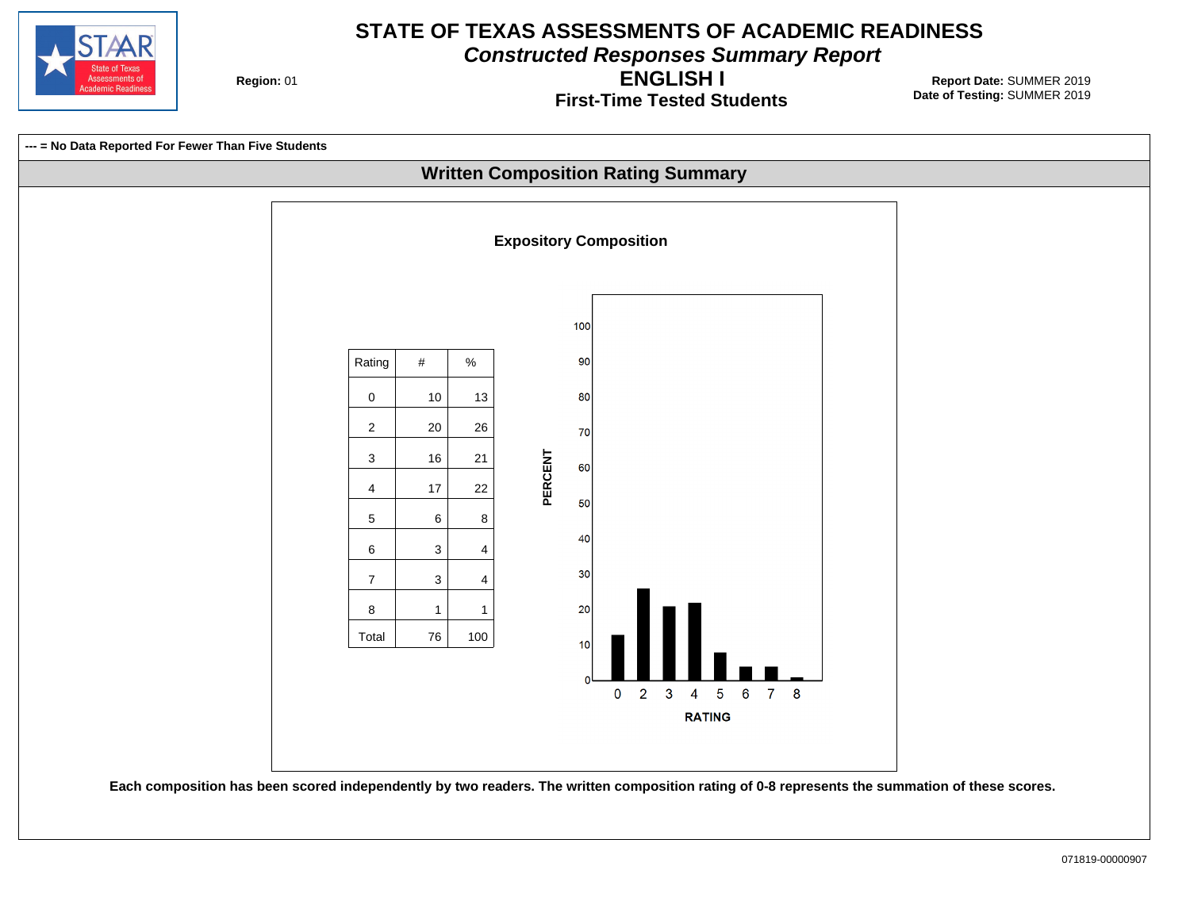

**Constructed Responses Summary Report**

**Region: 01** 

**First-Time Tested Students ENGLISH I**

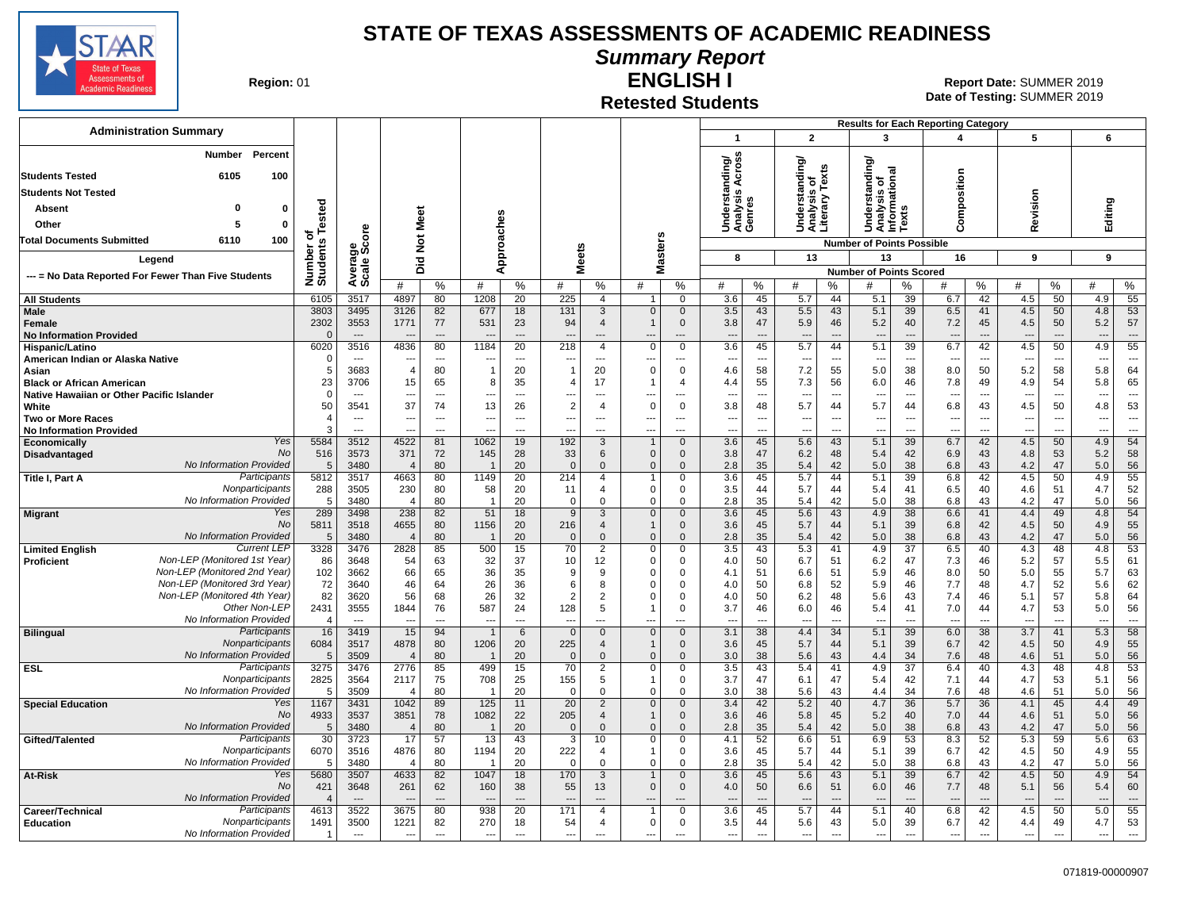

**Summary Report**

**Region: 01** 

### **Retested Students**

**ENGLISH I** 01 **Report Date:** SUMMER 2019 **Date of Testing:**  SUMMER 2019

|                                                              |                                 |                       |                                  |                                            |                          |                          |                                 |                       |                                |                                                      |                                         |                                     |                       |                                                      |                                            | <b>Results for Each Reporting Category</b>           |                                            |                          |                                |                                                      |                                                      |                                                      |                          |
|--------------------------------------------------------------|---------------------------------|-----------------------|----------------------------------|--------------------------------------------|--------------------------|--------------------------|---------------------------------|-----------------------|--------------------------------|------------------------------------------------------|-----------------------------------------|-------------------------------------|-----------------------|------------------------------------------------------|--------------------------------------------|------------------------------------------------------|--------------------------------------------|--------------------------|--------------------------------|------------------------------------------------------|------------------------------------------------------|------------------------------------------------------|--------------------------|
| <b>Administration Summary</b>                                |                                 |                       |                                  |                                            |                          |                          |                                 |                       |                                |                                                      |                                         | $\overline{1}$                      |                       | $\mathbf{2}$                                         |                                            | 3                                                    |                                            | Δ                        |                                | 5                                                    |                                                      | 6                                                    |                          |
| Number<br>6105<br><b>Students Tested</b>                     | Percent<br>100                  |                       |                                  |                                            |                          |                          |                                 |                       |                                |                                                      |                                         | nding/<br>Across                    |                       | Understanding/<br>Analysis of<br>Literary Texts      |                                            | tanding/<br>त्त्व                                    |                                            |                          |                                |                                                      |                                                      |                                                      |                          |
| <b>Students Not Tested</b>                                   |                                 |                       |                                  |                                            |                          |                          |                                 |                       |                                |                                                      |                                         |                                     |                       |                                                      |                                            | ō                                                    | ᇹ                                          |                          |                                |                                                      |                                                      |                                                      |                          |
| <b>Absent</b><br>$\Omega$                                    | 0                               |                       |                                  |                                            |                          |                          |                                 |                       |                                |                                                      |                                         | Understand<br>Analysis Ao<br>Genres |                       |                                                      |                                            | Understa<br>Analysis<br>Informatio                   | S                                          | omposition               |                                | evision                                              |                                                      | Editing                                              |                          |
| Other<br>5                                                   | $\Omega$                        | Tested                |                                  |                                            | Meet                     | ches                     |                                 |                       |                                |                                                      |                                         |                                     |                       |                                                      |                                            |                                                      | Text                                       |                          |                                |                                                      |                                                      |                                                      |                          |
| 6110<br><b>Total Documents Submitted</b>                     | 100                             | ৳                     | ၑ                                |                                            | $\breve{\mathbf{z}}$     |                          |                                 |                       |                                |                                                      |                                         |                                     |                       |                                                      |                                            | <b>Number of Points Possible</b>                     |                                            | ပ                        |                                | œ                                                    |                                                      |                                                      |                          |
|                                                              |                                 |                       | ಕ್ಷ್ಮಿ                           |                                            |                          |                          | eoudd                           | <b>Meets</b>          |                                | Masters                                              |                                         | 8                                   |                       | 13                                                   |                                            | 13                                                   |                                            | 16                       |                                | 9                                                    |                                                      | 9                                                    |                          |
| Legend                                                       |                                 | Number of<br>Students | Avera<br>Scale                   |                                            | Did                      | ⋖                        |                                 |                       |                                |                                                      |                                         |                                     |                       |                                                      |                                            | <b>Number of Points Scored</b>                       |                                            |                          |                                |                                                      |                                                      |                                                      |                          |
| --- = No Data Reported For Fewer Than Five Students          |                                 |                       |                                  | #                                          | %                        | #                        | %                               | #                     | %                              | #                                                    | %                                       | #                                   | %                     | #                                                    | %                                          | #                                                    | %                                          | #                        | %                              | #                                                    | %                                                    | #                                                    | %                        |
| <b>All Students</b>                                          |                                 | 6105                  | 3517                             | 4897                                       | 80                       | 1208                     | 20                              | 225                   | 4                              |                                                      | $\mathbf 0$                             | 3.6                                 | 45                    | 5.7                                                  | 44                                         | 5.1                                                  | 39                                         | 6.7                      | 42                             | 4.5                                                  | 50                                                   | 4.9                                                  | 55                       |
| <b>Male</b>                                                  |                                 | 3803<br>2302          | 3495<br>3553                     | 3126<br>1771                               | 82<br>77                 | 677<br>531               | 18<br>23                        | 131<br>94             | $\mathbf{3}$<br>$\overline{4}$ | $\Omega$<br>$\overline{1}$                           | $\mathbf 0$<br>$\mathbf 0$              | 3.5<br>3.8                          | 43<br>47              | 5.5<br>5.9                                           | 43<br>46                                   | 5.1<br>5.2                                           | 39<br>40                                   | 6.5<br>7.2               | 41<br>45                       | 4.5<br>4.5                                           | 50<br>50                                             | 4.8<br>5.2                                           | 53<br>57                 |
| Female<br><b>No Information Provided</b>                     |                                 | $\Omega$              | $-$ --                           |                                            | $-$                      | $\overline{a}$           | $\sim$                          |                       | $---$                          | $\overline{\phantom{a}}$                             | $\overline{a}$                          | $\overline{\phantom{a}}$            | $\sim$                | $\overline{\phantom{a}}$                             | $\overline{a}$                             | $\overline{\phantom{a}}$                             | $\overline{a}$                             | $\overline{\phantom{a}}$ | $\overline{a}$                 | $\overline{\phantom{a}}$                             | $\overline{a}$                                       | $\overline{\phantom{a}}$                             | $\overline{\phantom{a}}$ |
| Hispanic/Latino                                              |                                 | 6020                  | 3516                             | 4836                                       | 80                       | 1184                     | 20                              | 218                   | $\overline{4}$                 | $\Omega$                                             | $\mathbf 0$                             | $\overline{3.6}$                    | 45                    | 5.7                                                  | 44                                         | 5.1                                                  | 39                                         | 6.7                      | 42                             | 4.5                                                  | 50                                                   | 4.9                                                  | $\overline{55}$          |
| American Indian or Alaska Native<br>Asian                    |                                 | $\Omega$<br>5         | $\overline{a}$<br>3683           | $\overline{4}$                             | $\overline{a}$<br>80     | --<br>$\overline{1}$     | $\overline{a}$<br>20            | ---<br>$\overline{1}$ | $\overline{a}$<br>20           | $\mathbf 0$                                          | $\overline{\phantom{a}}$<br>$\mathbf 0$ | ---<br>4.6                          | ---<br>58             | $\overline{\phantom{a}}$<br>7.2                      | $\overline{a}$<br>55                       | $\overline{\phantom{a}}$<br>5.0                      | $\overline{\phantom{a}}$<br>38             | 8.0                      | $\overline{a}$<br>50           | 5.2                                                  | $\overline{\phantom{a}}$<br>58                       | 5.8                                                  | ---<br>64                |
| <b>Black or African American</b>                             |                                 | 23                    | 3706                             | 15                                         | 65                       | 8                        | 35                              | $\overline{4}$        | 17                             | $\mathbf{1}$                                         | 4                                       | 4.4                                 | 55                    | 7.3                                                  | 56                                         | 6.0                                                  | 46                                         | 7.8                      | 49                             | 4.9                                                  | 54                                                   | 5.8                                                  | 65                       |
| Native Hawaiian or Other Pacific Islander                    |                                 | $\Omega$              |                                  | $\overline{\phantom{a}}$                   | $\overline{\phantom{a}}$ | ---                      | $\overline{a}$                  | ---                   | ---                            | ---                                                  | $\overline{a}$                          |                                     | ---                   | $\overline{\phantom{a}}$                             | $\overline{\phantom{a}}$                   | $\overline{\phantom{a}}$                             | $\overline{\phantom{a}}$                   | ---                      | $\overline{\phantom{a}}$       | $\overline{\phantom{a}}$                             | $\overline{\phantom{a}}$                             | $\overline{\phantom{a}}$                             | $\overline{a}$           |
| White                                                        |                                 | 50                    | 3541                             | 37                                         | 74                       | 13                       | 26                              | $\overline{2}$        | $\overline{4}$                 | 0                                                    | $\mathbf 0$                             | 3.8                                 | 48                    | 5.7                                                  | 44                                         | 5.7                                                  | 44                                         | 6.8                      | 43<br>$\overline{\phantom{a}}$ | 4.5                                                  | 50                                                   | 4.8                                                  | 53<br>$\overline{a}$     |
| <b>Two or More Races</b><br><b>No Information Provided</b>   |                                 | 4<br>3                | $\sim$<br>$\overline{a}$         | $\overline{\phantom{a}}$<br>$\overline{a}$ | $-$<br>$-$               | ---<br>---               | $\overline{\phantom{a}}$<br>--- | ---<br>---            | $---$<br>$\overline{a}$        | $\overline{\phantom{a}}$<br>$\overline{\phantom{a}}$ | $---$<br>$\overline{a}$                 | $\overline{a}$<br>---               | $\overline{a}$<br>--- | $\overline{\phantom{a}}$<br>$\overline{\phantom{a}}$ | $\overline{\phantom{a}}$<br>$\overline{a}$ | $\overline{\phantom{a}}$<br>$\overline{\phantom{a}}$ | $\overline{a}$<br>$\overline{\phantom{a}}$ | ---<br>---               | $\overline{\phantom{a}}$       | $\overline{\phantom{a}}$<br>$\overline{\phantom{a}}$ | $\overline{\phantom{a}}$<br>$\overline{\phantom{a}}$ | $\overline{\phantom{a}}$<br>$\overline{\phantom{a}}$ | $\overline{a}$           |
| Economically                                                 | Yes                             | 5584                  | 3512                             | 4522                                       | 81                       | 1062                     | 19                              | 192                   | 3                              | $\mathbf{1}$                                         | $\mathbf 0$                             | 3.6                                 | 45                    | 5.6                                                  | 43                                         | 5.1                                                  | 39                                         | 6.7                      | 42                             | 4.5                                                  | 50                                                   | 4.9                                                  | 54                       |
| Disadvantaged                                                | No                              | 516                   | 3573                             | 371                                        | 72                       | 145                      | 28                              | 33                    | 6                              | $\mathbf{0}$                                         | $\mathbf{0}$                            | 3.8                                 | 47                    | 6.2                                                  | 48                                         | 5.4                                                  | 42                                         | 6.9                      | 43                             | 4.8                                                  | 53                                                   | 5.2                                                  | 58                       |
| No Information Provided<br>Title I, Part A                   | Participants                    | 5<br>5812             | 3480<br>3517                     | $\overline{4}$<br>4663                     | 80<br>80                 | - 1<br>1149              | 20<br>20                        | $\Omega$<br>214       | $\mathbf{0}$<br>$\overline{4}$ | $\mathbf{0}$                                         | $\mathbf{0}$<br>$\Omega$                | 2.8<br>$\overline{3.6}$             | 35<br>45              | 5.4<br>5.7                                           | 42<br>44                                   | 5.0<br>5.1                                           | 38<br>39                                   | 6.8<br>6.8               | 43<br>42                       | 4.2<br>4.5                                           | 47<br>50                                             | 5.0<br>4.9                                           | 56<br>55                 |
|                                                              | Nonparticipants                 | 288                   | 3505                             | 230                                        | 80                       | 58                       | 20                              | 11                    | 4                              | $\mathbf 0$                                          | 0                                       | 3.5                                 | 44                    | 5.7                                                  | 44                                         | 5.4                                                  | 41                                         | 6.5                      | 40                             | 4.6                                                  | 51                                                   | 4.7                                                  | 52                       |
| No Information Provided                                      |                                 | -5                    | 3480                             | $\overline{4}$                             | 80                       | $\overline{1}$           | 20                              | $\mathbf 0$           | 0                              | $\mathbf 0$                                          | 0                                       | 2.8                                 | 35                    | 5.4                                                  | 42                                         | 5.0                                                  | 38                                         | 6.8                      | 43                             | 4.2                                                  | 47                                                   | 5.0                                                  | 56                       |
| <b>Migrant</b>                                               | Yes<br>No                       | 289<br>5811           | 3498<br>3518                     | 238<br>4655                                | 82<br>80                 | 51<br>1156               | 18<br>20                        | 9<br>216              | 3<br>$\overline{4}$            | $\mathbf{0}$<br>$\overline{1}$                       | $\mathbf{0}$<br>$\mathbf 0$             | 3.6<br>3.6                          | 45<br>45              | 5.6<br>5.7                                           | 43                                         | 4.9<br>5.1                                           | 38<br>39                                   | 6.6<br>6.8               | 41<br>42                       | 4.4                                                  | 49<br>50                                             | 4.8<br>4.9                                           | 54<br>55                 |
| No Information Provided                                      |                                 | 5                     | 3480                             | $\overline{4}$                             | 80                       |                          | 20                              | $\mathbf{0}$          | $\Omega$                       | $\mathbf 0$                                          | $\Omega$                                | 2.8                                 | 35                    | 5.4                                                  | 44<br>42                                   | 5.0                                                  | 38                                         | 6.8                      | 43                             | 4.5<br>4.2                                           | 47                                                   | 5.0                                                  | 56                       |
| <b>Limited English</b>                                       | <b>Current LEP</b>              | 3328                  | 3476                             | 2828                                       | 85                       | 500                      | 15                              | 70                    | $\overline{2}$                 | $\mathbf 0$                                          | 0                                       | $\overline{3.5}$                    | 43                    | 5.3                                                  | 41                                         | 4.9                                                  | $\overline{37}$                            | 6.5                      | 40                             | 4.3                                                  | 48                                                   | 4.8                                                  | 53                       |
| Non-LEP (Monitored 1st Year)<br><b>Proficient</b>            |                                 | 86                    | 3648                             | 54                                         | 63                       | 32                       | 37                              | 10                    | 12                             | $\mathbf 0$                                          | 0                                       | 4.0                                 | 50                    | 6.7                                                  | 51                                         | 6.2                                                  | 47                                         | 7.3                      | 46                             | 5.2                                                  | 57                                                   | 5.5                                                  | 61                       |
| Non-LEP (Monitored 2nd Year)<br>Non-LEP (Monitored 3rd Year) |                                 | 102<br>72             | 3662<br>3640                     | 66<br>46                                   | 65<br>64                 | 36<br>26                 | 35<br>36                        | 9<br>6                | 9<br>8                         | $\Omega$<br>$\Omega$                                 | 0<br>0                                  | 4.1<br>4.0                          | 51<br>50              | 6.6<br>6.8                                           | 51<br>52                                   | 5.9<br>5.9                                           | 46<br>46                                   | 8.0<br>7.7               | 50<br>48                       | 5.0<br>4.7                                           | 55<br>52                                             | 5.7<br>5.6                                           | 63<br>62                 |
| Non-LEP (Monitored 4th Year)                                 |                                 | 82                    | 3620                             | 56                                         | 68                       | 26                       | 32                              | $\overline{2}$        | 2                              | $\Omega$                                             | $\Omega$                                | 4.0                                 | 50                    | 6.2                                                  | 48                                         | 5.6                                                  | 43                                         | 7.4                      | 46                             | 5.1                                                  | 57                                                   | 5.8                                                  | 64                       |
|                                                              | Other Non-LEP                   | 2431                  | 3555                             | 1844                                       | 76                       | 587                      | 24                              | 128                   | 5                              |                                                      | $\Omega$                                | 3.7                                 | 46                    | 6.0                                                  | 46                                         | 5.4                                                  | 41                                         | 7.0                      | 44                             | 4.7                                                  | 53                                                   | 5.0                                                  | 56                       |
| No Information Provided                                      |                                 | $\overline{4}$        | $\overline{a}$                   | $\overline{\phantom{a}}$                   | $\overline{a}$           | ---                      | ---                             | ---                   | $\overline{a}$                 | $\overline{\phantom{a}}$                             | $\overline{\phantom{a}}$                | --                                  | ---                   | $\overline{\phantom{a}}$                             | $\overline{a}$                             | $\overline{\phantom{a}}$                             | $\overline{\phantom{a}}$                   | $\overline{a}$           | ---                            | $\overline{\phantom{a}}$                             | $\overline{\phantom{a}}$                             | $\overline{\phantom{a}}$                             | $\overline{\phantom{a}}$ |
| <b>Bilingual</b>                                             | Participants<br>Nonparticipants | 16<br>6084            | 3419<br>3517                     | 15<br>4878                                 | 94<br>80                 | -1<br>1206               | 6<br>20                         | $\mathbf{0}$<br>225   | $\mathbf 0$<br>$\overline{4}$  | $\mathbf{0}$<br>$\mathbf{1}$                         | $\mathbf{0}$<br>$\mathbf{0}$            | 3.1<br>3.6                          | 38<br>45              | 4.4<br>5.7                                           | 34<br>44                                   | 5.1<br>5.1                                           | 39<br>39                                   | 6.0<br>6.7               | 38<br>42                       | 3.7<br>4.5                                           | 41<br>50                                             | 5.3<br>4.9                                           | 58<br>55                 |
| No Information Provided                                      |                                 | 5                     | 3509                             | $\overline{4}$                             | 80                       | - 1                      | 20                              | $\Omega$              | $\mathbf{0}$                   | $\mathbf{0}$                                         | $\mathbf{0}$                            | 3.0                                 | 38                    | 5.6                                                  | 43                                         | 4.4                                                  | 34                                         | 7.6                      | 48                             | 4.6                                                  | 51                                                   | 5.0                                                  | 56                       |
| <b>ESL</b>                                                   | Participants                    | 3275                  | 3476                             | 2776                                       | 85                       | 499                      | 15                              | 70                    | $\overline{2}$                 | $\mathbf 0$                                          | 0                                       | 3.5                                 | 43                    | 5.4                                                  | 41                                         | 4.9                                                  | 37                                         | 6.4                      | 40                             | 4.3                                                  | 48                                                   | 4.8                                                  | 53                       |
| No Information Provided                                      | Nonparticipants                 | 2825<br>5             | 3564<br>3509                     | 2117<br>$\overline{4}$                     | 75<br>80                 | 708                      | 25<br>20                        | 155<br>$\mathbf 0$    | 5<br>$\mathbf 0$               | $\overline{1}$<br>$\mathbf 0$                        | $\mathbf 0$<br>0                        | 3.7<br>3.0                          | 47<br>38              | 6.1<br>5.6                                           | 47<br>43                                   | 5.4<br>4.4                                           | 42<br>34                                   | 7.1<br>7.6               | 44<br>48                       | 4.7<br>4.6                                           | 53<br>51                                             | 5.1<br>5.0                                           | 56<br>56                 |
| <b>Special Education</b>                                     | Yes                             | 1167                  | 3431                             | 1042                                       | 89                       | 125                      | 11                              | 20                    | $\overline{2}$                 | $\overline{0}$                                       | $\mathbf 0$                             | 3.4                                 | 42                    | 5.2                                                  | 40                                         | 4.7                                                  | 36                                         | 5.7                      | 36                             | 4.1                                                  | 45                                                   | 4.4                                                  | 49                       |
|                                                              | No                              | 4933                  | 3537                             | 3851                                       | 78                       | 1082                     | 22                              | 205                   | $\overline{4}$                 | $\overline{1}$                                       | $\mathbf{0}$                            | 3.6                                 | 46                    | 5.8                                                  | 45                                         | 5.2                                                  | 40                                         | 7.0                      | 44                             | 4.6                                                  | 51                                                   | 5.0                                                  | 56                       |
| No Information Provided                                      | Participants                    | 5                     | 3480                             | $\overline{4}$                             | 80                       |                          | 20                              | $\mathbf{0}$          | $\Omega$                       | $\mathbf{0}$                                         | $\mathbf{0}$                            | 2.8                                 | 35                    | 5.4                                                  | 42                                         | 5.0                                                  | 38                                         | 6.8                      | 43                             | 4.2                                                  | 47                                                   | 5.0                                                  | 56                       |
| Gifted/Talented                                              | Nonparticipants                 | 30<br>6070            | 3723<br>3516                     | 17<br>4876                                 | 57<br>80                 | $\overline{13}$<br>1194  | 43<br>20                        | $\overline{3}$<br>222 | 10<br>4                        | 0<br>$\overline{1}$                                  | 0<br>0                                  | 4.1<br>3.6                          | 52<br>45              | 6.6<br>5.7                                           | 51<br>44                                   | 6.9<br>5.1                                           | 53<br>39                                   | 8.3<br>6.7               | 52<br>42                       | 5.3<br>4.5                                           | 59<br>50                                             | 5.6<br>4.9                                           | 63<br>55                 |
| No Information Provided                                      |                                 | 5                     | 3480                             | $\overline{4}$                             | 80                       | $\overline{1}$           | 20                              | $\mathbf 0$           | $\mathbf 0$                    | 0                                                    | 0                                       | 2.8                                 | 35                    | 5.4                                                  | 42                                         | 5.0                                                  | 38                                         | 6.8                      | 43                             | 4.2                                                  | 47                                                   | 5.0                                                  | 56                       |
| At-Risk                                                      | Yes                             | 5680                  | 3507                             | 4633                                       | 82                       | 1047                     | 18                              | 170                   | 3                              | $\mathbf{1}$                                         | $\mathbf{0}$                            | 3.6                                 | 45                    | 5.6                                                  | 43                                         | 5.1                                                  | 39                                         | 6.7                      | 42                             | 4.5                                                  | 50                                                   | 4.9                                                  | 54                       |
| No Information Provided                                      | No                              | 421                   | 3648<br>$\overline{\phantom{a}}$ | 261                                        | 62                       | 160                      | 38<br>$\overline{a}$            | 55                    | 13                             | $\mathbf 0$                                          | $\mathbf 0$                             | 4.0                                 | 50<br>$\sim$          | 6.6                                                  | 51<br>$\overline{a}$                       | 6.0                                                  | 46<br>$\sim$                               | 7.7                      | 48<br>---                      | 5.1                                                  | 56                                                   | 5.4<br>$\overline{a}$                                | 60<br>$\overline{a}$     |
| Career/Technical                                             | Participants                    | 4613                  | 3522                             | 3675                                       | 80                       | 938                      | 20                              | 171                   | $\overline{4}$                 | $\overline{1}$                                       | $\mathbf 0$                             | 3.6                                 | 45                    | 5.7                                                  | 44                                         | 5.1                                                  | 40                                         | 6.8                      | 42                             | 4.5                                                  | 50                                                   | 5.0                                                  | 55                       |
| <b>Education</b>                                             | Nonparticipants                 | 1491                  | 3500                             | 1221                                       | 82                       | 270                      | 18                              | 54                    | 4                              | $\mathbf 0$                                          | 0                                       | 3.5                                 | 44                    | 5.6                                                  | 43                                         | 5.0                                                  | 39                                         | 6.7                      | 42                             | 4.4                                                  | 49                                                   | 4.7                                                  | 53                       |
| No Information Provided                                      |                                 | $\mathbf{1}$          | $\cdots$                         | $\overline{\phantom{a}}$                   | $---$                    | $\overline{\phantom{a}}$ | $\overline{\phantom{a}}$        | ---                   | ---                            | $\sim$                                               | $\overline{a}$                          | ---                                 | ---                   | ---                                                  | $\overline{\phantom{a}}$                   | $\cdots$                                             | $\hspace{0.05cm} \ldots$                   | $\cdots$                 | ---                            | $\overline{\phantom{a}}$                             | $\overline{\phantom{a}}$                             | ---                                                  | $\cdots$                 |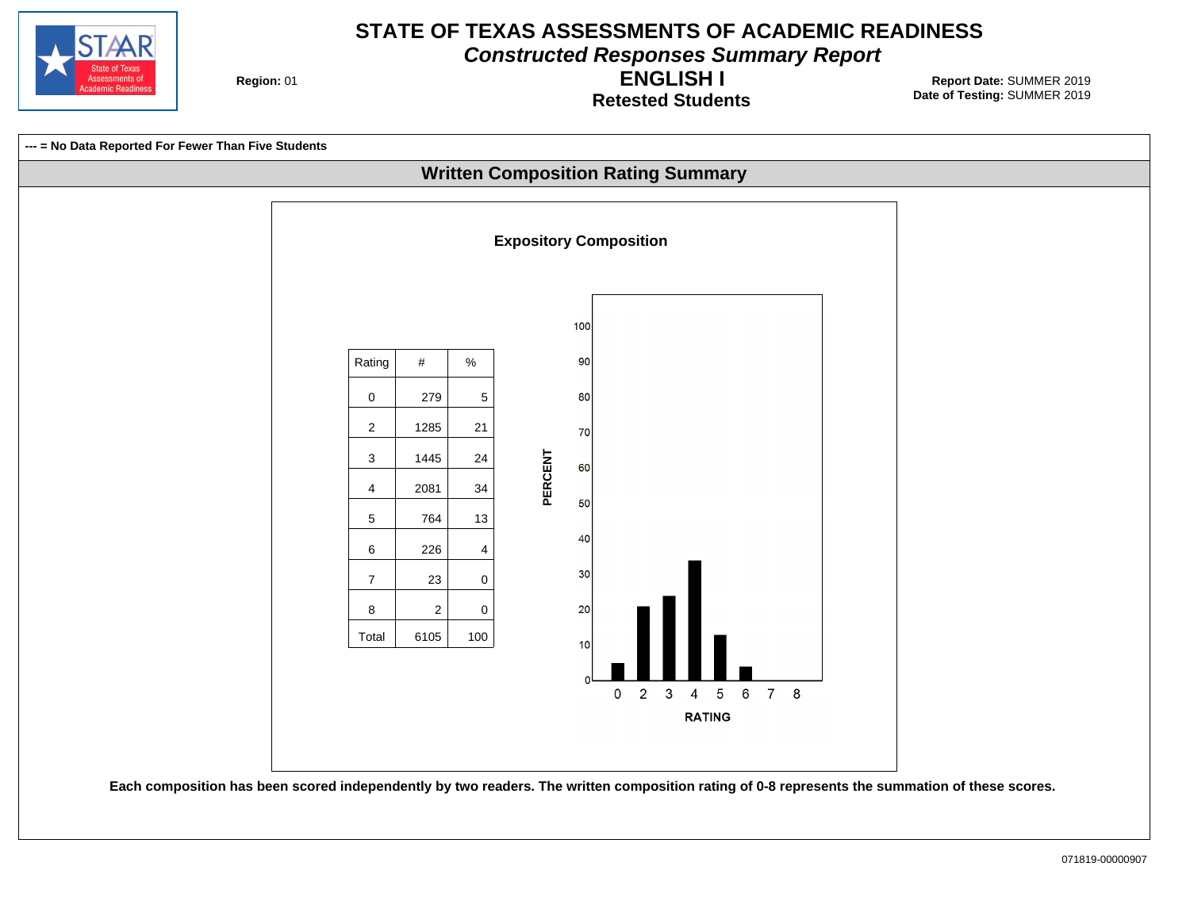

**Constructed Responses Summary Report**

**Region: 01** 

**Retested Students ENGLISH I**

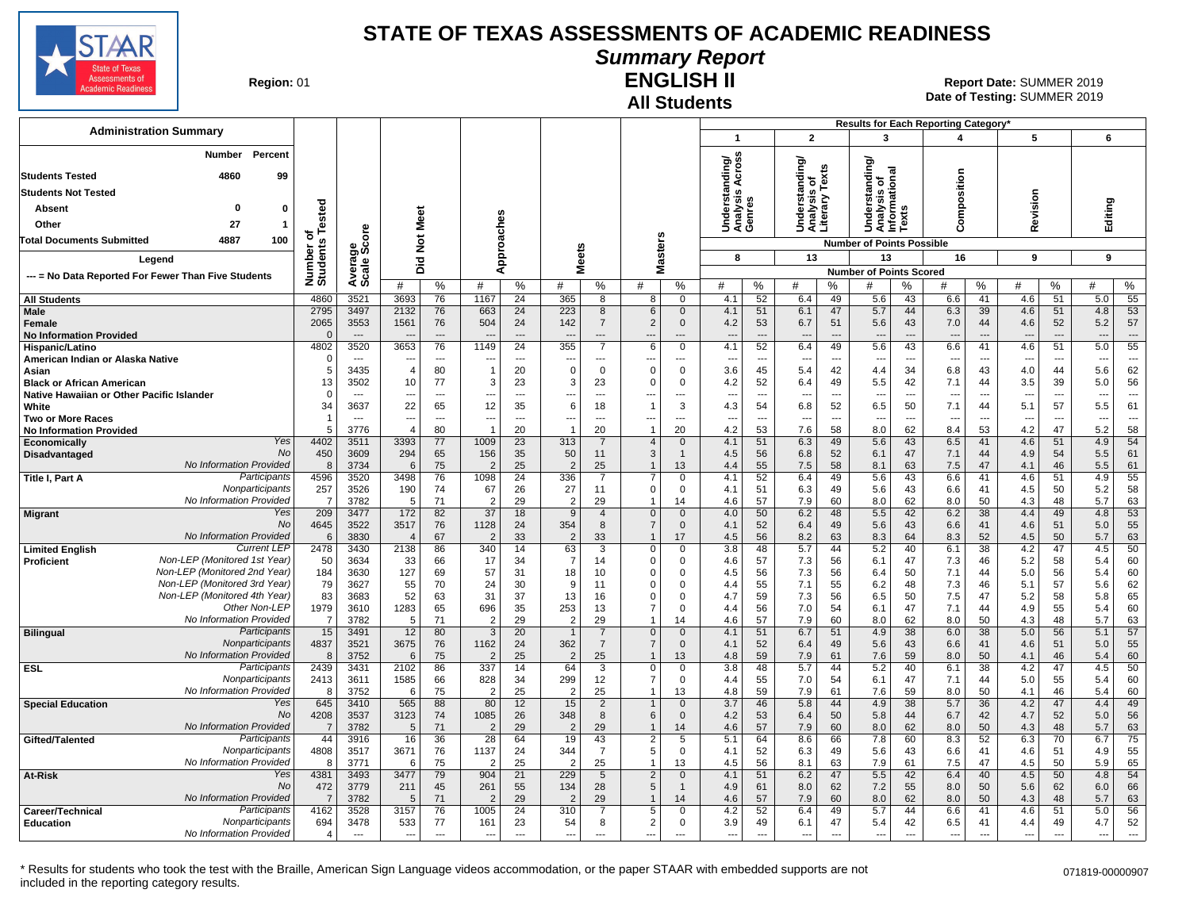

### **Summary Report**

**Region: 01** 

#### **All Students ENGLISH II**

**Date of Testing:**  SUMMER 2019 01 **Report Date:** SUMMER 2019

| <b>Administration Summary</b>                                              |                       |                          |                          |                          |                       |                          |                       |                                  |                                  |                              | $\overline{\mathbf{1}}$            |                          | $\overline{2}$             |                          | 3                                                                  |                | Results for Each Reporting Category'<br>4 |                          | 5                        |                          | 6                        |                          |
|----------------------------------------------------------------------------|-----------------------|--------------------------|--------------------------|--------------------------|-----------------------|--------------------------|-----------------------|----------------------------------|----------------------------------|------------------------------|------------------------------------|--------------------------|----------------------------|--------------------------|--------------------------------------------------------------------|----------------|-------------------------------------------|--------------------------|--------------------------|--------------------------|--------------------------|--------------------------|
| Number<br>Percent                                                          |                       |                          |                          |                          |                       |                          |                       |                                  |                                  |                              |                                    |                          |                            |                          |                                                                    |                |                                           |                          |                          |                          |                          |                          |
| 4860<br><b>Students Tested</b><br>99                                       |                       |                          |                          |                          |                       |                          |                       |                                  |                                  |                              | nding/<br>Across                   |                          | tanding/<br>is of<br>Texts |                          | tanding/<br>Understanding<br>Analysis of<br>Informational<br>Texts |                |                                           |                          |                          |                          |                          |                          |
| <b>Students Not Tested</b>                                                 |                       |                          |                          |                          |                       |                          |                       |                                  |                                  |                              | Understand<br>Analysis A<br>Genres |                          |                            |                          |                                                                    |                | Composition                               |                          |                          |                          |                          |                          |
| O                                                                          |                       |                          |                          |                          |                       |                          |                       |                                  |                                  |                              |                                    |                          | ទី<br>ស្គាំ<br>ក្រុ        |                          |                                                                    |                |                                           |                          | Revision                 |                          |                          |                          |
| 0<br>Absent                                                                |                       |                          |                          | Meet                     |                       |                          |                       |                                  |                                  |                              |                                    |                          | <b>BEE</b><br>SEE          |                          |                                                                    |                |                                           |                          |                          |                          | Editing                  |                          |
| Other<br>27<br>$\mathbf{1}$                                                | Tested<br>৳           | ၑ                        |                          |                          |                       |                          |                       |                                  |                                  |                              |                                    |                          |                            |                          |                                                                    |                |                                           |                          |                          |                          |                          |                          |
| 4887<br>100<br>Total Documents Submitted                                   |                       | န္တီတိ                   |                          | $\breve{\mathbf{z}}$     |                       | pproaches                |                       |                                  | Masters                          |                              |                                    |                          |                            |                          | <b>Number of Points Possible</b>                                   |                |                                           |                          |                          |                          |                          |                          |
| Legend                                                                     |                       |                          |                          | 흐                        |                       |                          | <b>Meets</b>          |                                  |                                  |                              | 8                                  |                          | 13                         |                          | 13                                                                 |                | 16                                        |                          | 9                        |                          | 9                        |                          |
| --- = No Data Reported For Fewer Than Five Students                        | Number on<br>Students | Avera<br>Scale           |                          | ō                        |                       | ∢                        |                       |                                  |                                  |                              |                                    |                          |                            |                          | <b>Number of Points Scored</b>                                     |                |                                           |                          |                          |                          |                          |                          |
|                                                                            |                       |                          | #                        | %                        | #                     | %                        | #                     | %                                | #                                | $\%$                         | #                                  | %                        | #                          | %                        | #                                                                  | %              | #                                         | %                        | #                        | %                        | #                        | %                        |
| <b>All Students</b>                                                        | 4860                  | 3521                     | 3693                     | 76                       | 1167                  | 24                       | 365                   | 8                                | 8                                | $\Omega$                     | 4.1                                | 52                       | 6.4                        | 49                       | 5.6                                                                | 43             | 6.6                                       | 41                       | 4.6                      | 51                       | 5.0                      | 55                       |
| <b>Male</b><br><b>Female</b>                                               | 2795<br>2065          | 3497<br>3553             | 2132<br>1561             | 76<br>76                 | 663<br>504            | 24<br>24                 | 223<br>142            | 8<br>$\overline{7}$              | 6<br>2                           | $\mathbf{0}$<br>$\mathbf{0}$ | 4.1<br>4.2                         | 51<br>53                 | 6.1<br>6.7                 | 47<br>51                 | 5.7<br>5.6                                                         | 44<br>43       | 6.3<br>7.0                                | 39<br>44                 | 4.6<br>4.6               | 51<br>52                 | 4.8<br>5.2               | 53<br>57                 |
| <b>No Information Provided</b>                                             |                       | $---$                    |                          | $\overline{\phantom{a}}$ | $\sim$                | $\sim$                   |                       | ---                              | $\overline{\phantom{a}}$         | $\overline{a}$               | $\overline{a}$                     | $\overline{a}$           | ---                        | $\overline{\phantom{a}}$ | $\overline{a}$                                                     | $\overline{a}$ | $\overline{\phantom{a}}$                  | $\overline{a}$           |                          | $\overline{a}$           | $\sim$                   | $\overline{\phantom{a}}$ |
| Hispanic/Latino                                                            | 4802                  | 3520                     | 3653                     | 76                       | 1149                  | $\overline{24}$          | 355                   | $\overline{7}$                   | 6                                | $\overline{0}$               | 4.1                                | 52                       | 6.4                        | 49                       | 5.6                                                                | 43             | 6.6                                       | 41                       | 4.6                      | 51                       | 5.0                      | 55                       |
| American Indian or Alaska Native                                           | $\Omega$              | $\sim$                   |                          | $---$                    | $\overline{a}$        | $\overline{a}$           |                       | $\overline{a}$                   | $\overline{a}$                   | $---$                        | $\overline{a}$                     | $\sim$                   | $\overline{\phantom{a}}$   | $\overline{a}$           | $\overline{a}$                                                     | ---            | $\overline{a}$                            | $\sim$                   | $\overline{\phantom{a}}$ | $\sim$                   | $\overline{\phantom{a}}$ | $---$                    |
| Asian<br><b>Black or African American</b>                                  | 5<br>13               | 3435<br>3502             | $\overline{4}$<br>10     | 80<br>77                 | $\overline{1}$<br>3   | 20<br>23                 | 0<br>3                | $\overline{0}$<br>23             | $\Omega$<br>$\Omega$             | 0<br>$\mathbf 0$             | 3.6<br>4.2                         | 45<br>52                 | 5.4<br>6.4                 | 42<br>49                 | 4.4<br>5.5                                                         | 34<br>42       | 6.8<br>7.1                                | 43<br>44                 | 4.0<br>3.5               | 44<br>39                 | 5.6<br>5.0               | 62<br>56                 |
| Native Hawaiian or Other Pacific Islander                                  | $\Omega$              | $\sim$                   | $\overline{\phantom{a}}$ | $\overline{\phantom{a}}$ | ---                   | $\overline{\phantom{a}}$ | ---                   | ---                              | --                               | ---                          | ---                                | $\overline{\phantom{a}}$ | $\overline{\phantom{a}}$   | $\overline{\phantom{a}}$ | $\overline{\phantom{a}}$                                           | ---            | ---                                       | $\overline{\phantom{a}}$ | $\overline{\phantom{a}}$ | $\overline{\phantom{a}}$ | $\overline{\phantom{a}}$ | $\sim$                   |
| White                                                                      | 34                    | 3637                     | 22                       | 65                       | 12                    | 35                       | 6                     | 18                               | $\overline{1}$                   | 3                            | 4.3                                | 54                       | 6.8                        | 52                       | 6.5                                                                | 50             | 7.1                                       | 44                       | 5.1                      | 57                       | 5.5                      | 61                       |
| <b>Two or More Races</b>                                                   | -1                    | $\overline{\phantom{a}}$ | $\overline{a}$           | $\overline{a}$           | ---                   | $\overline{a}$           | ---                   | ---                              | ---                              | $\overline{a}$               | ---                                | ---                      | $\overline{\phantom{a}}$   | $\overline{a}$           | $\overline{a}$                                                     | ---            | $\overline{a}$                            | $\overline{a}$           |                          | $\overline{\phantom{a}}$ | $\overline{\phantom{a}}$ | $\overline{a}$           |
| <b>No Information Provided</b><br>Yes                                      | .5                    | 3776                     | $\overline{4}$<br>3393   | 80<br>77                 | 1009                  | 20<br>$\overline{23}$    | $\overline{1}$<br>313 | 20                               | $\overline{1}$<br>$\overline{4}$ | 20<br>$\overline{0}$         | 4.2                                | 53                       | 7.6                        | 58<br>49                 | 8.0                                                                | 62             | 8.4                                       | 53<br>41                 | 4.2<br>4.6               | 47<br>51                 | 5.2                      | 58<br>54                 |
| Economically<br><b>No</b><br>Disadvantaged                                 | 4402<br>450           | 3511<br>3609             | 294                      | 65                       | 156                   | 35                       | 50                    | $\overline{7}$<br>11             | 3                                | $\overline{1}$               | 4.1<br>4.5                         | 51<br>56                 | 6.3<br>6.8                 | 52                       | 5.6<br>6.1                                                         | 43<br>47       | 6.5<br>7.1                                | 44                       | 4.9                      | 54                       | 4.9<br>5.5               | 61                       |
| No Information Provided                                                    | 8                     | 3734                     | 6                        | 75                       | $\overline{2}$        | 25                       | $\overline{2}$        | 25                               | $\mathbf 1$                      | 13                           | 4.4                                | 55                       | 7.5                        | 58                       | 8.1                                                                | 63             | 7.5                                       | 47                       | 4.1                      | 46                       | 5.5                      | 61                       |
| Participants<br>Title I, Part A                                            | 4596                  | 3520                     | 3498                     | 76                       | 1098                  | 24                       | 336                   | 7                                | $\overline{7}$                   | 0                            | 4.1                                | 52                       | 6.4                        | 49                       | 5.6                                                                | 43             | 6.6                                       | 41                       | 4.6                      | 51                       | 4.9                      | 55                       |
| Nonparticipants                                                            | 257                   | 3526                     | 190                      | 74                       | 67                    | 26                       | 27                    | 11                               | 0                                | $\mathbf 0$                  | 4.1                                | 51                       | 6.3                        | 49                       | 5.6                                                                | 43             | 6.6                                       | 41                       | 4.5                      | 50                       | 5.2                      | 58                       |
| No Information Provided<br>Yes                                             | $\overline{7}$<br>209 | 3782<br>3477             | .5<br>172                | 71<br>82                 | $\overline{2}$<br>37  | 29<br>18                 | $\overline{2}$<br>9   | 29<br>$\overline{4}$             | $\mathbf{1}$<br>$\mathbf{0}$     | 14<br>$\mathbf{0}$           | 4.6<br>4.0                         | 57<br>50                 | 7.9<br>6.2                 | 60<br>48                 | 8.0<br>5.5                                                         | 62<br>42       | 8.0<br>6.2                                | 50<br>38                 | 4.3<br>4.4               | 48<br>49                 | 5.7<br>4.8               | 63<br>53                 |
| <b>Migrant</b><br>No                                                       | 4645                  | 3522                     | 3517                     | 76                       | 1128                  | 24                       | 354                   | 8                                | $\overline{7}$                   | $\mathbf 0$                  | 4.1                                | 52                       | 6.4                        | 49                       | 5.6                                                                | 43             | 6.6                                       | 41                       | 4.6                      | 51                       | 5.0                      | 55                       |
| No Information Provided                                                    | 6                     | 3830                     | $\overline{4}$           | 67                       | $\overline{2}$        | 33                       | $\overline{2}$        | 33                               | $\mathbf{1}$                     | 17                           | 4.5                                | 56                       | 8.2                        | 63                       | 8.3                                                                | 64             | 8.3                                       | 52                       | 4.5                      | 50                       | 5.7                      | 63                       |
| Current LEF<br><b>Limited English</b>                                      | 2478                  | 3430                     | 2138                     | 86                       | 340                   | 14                       | 63                    | 3                                | 0                                | 0                            | 3.8                                | 48                       | 5.7                        | 44                       | 5.2                                                                | 40             | 6.1                                       | 38                       | 4.2                      | 47                       | 4.5                      | 50                       |
| Non-LEP (Monitored 1st Year)<br>Proficient<br>Non-LEP (Monitored 2nd Year) | 50                    | 3634                     | 33                       | 66                       | 17                    | 34                       | $\overline{7}$        | 14                               | $\Omega$<br>$\Omega$             | 0                            | 4.6                                | 57                       | 7.3                        | 56                       | 6.1                                                                | 47             | 7.3                                       | 46                       | 5.2                      | 58                       | 5.4                      | 60                       |
| Non-LEP (Monitored 3rd Year)                                               | 184<br>79             | 3630<br>3627             | 127<br>55                | 69<br>70                 | 57<br>24              | 31<br>30                 | 18<br>9               | 10<br>11                         | $\Omega$                         | $\mathbf 0$<br>$\Omega$      | 4.5<br>4.4                         | 56<br>55                 | 7.3<br>7.1                 | 56<br>55                 | 6.4<br>6.2                                                         | 50<br>48       | 7.1<br>7.3                                | 44<br>46                 | 5.0<br>5.1               | 56<br>57                 | 5.4<br>5.6               | 60<br>62                 |
| Non-LEP (Monitored 4th Year)                                               | 83                    | 3683                     | 52                       | 63                       | 31                    | 37                       | 13                    | 16                               | $\Omega$                         | $\Omega$                     | 4.7                                | 59                       | 7.3                        | 56                       | 6.5                                                                | 50             | 7.5                                       | 47                       | 5.2                      | 58                       | 5.8                      | 65                       |
| Other Non-LEF                                                              | 1979                  | 3610                     | 1283                     | 65                       | 696                   | 35                       | 253                   | 13                               | 7                                | $\Omega$                     | 4.4                                | 56                       | 7.0                        | 54                       | 6.1                                                                | 47             | 7.1                                       | 44                       | 4.9                      | 55                       | 5.4                      | 60                       |
| No Information Provided                                                    | -7                    | 3782                     | 5                        | 71                       | $\overline{2}$        | 29                       | $\overline{2}$        | 29                               | -1                               | 14                           | 4.6                                | 57                       | 7.9                        | 60                       | 8.0                                                                | 62             | 8.0                                       | 50                       | 4.3                      | 48                       | 5.7                      | 63                       |
| Participants<br><b>Bilingual</b><br>Nonparticipants                        | 15<br>4837            | 3491<br>3521             | 12<br>3675               | 80<br>76                 | 3<br>1162             | 20<br>24                 | $\mathbf 1$<br>362    | $\overline{7}$<br>$\overline{7}$ | $\overline{0}$<br>$\overline{7}$ | $\mathbf{0}$<br>$\mathbf 0$  | 4.1<br>4.1                         | 51<br>52                 | 6.7<br>6.4                 | 51<br>49                 | 4.9<br>5.6                                                         | 38<br>43       | 6.0<br>6.6                                | 38<br>41                 | 5.0<br>4.6               | 56<br>51                 | 5.1<br>5.0               | 57<br>55                 |
| No Information Provided                                                    | 8                     | 3752                     | 6                        | 75                       | $\overline{2}$        | 25                       | $\overline{2}$        | 25                               | -1                               | 13                           | 4.8                                | 59                       | 7.9                        | 61                       | 7.6                                                                | 59             | 8.0                                       | 50                       | 4.1                      | 46                       | 5.4                      | 60                       |
| Participants<br><b>ESL</b>                                                 | 2439                  | 3431                     | 2102                     | 86                       | 337                   | 14                       | 64                    | 3                                | $\mathbf 0$                      | $\mathbf 0$                  | 3.8                                | 48                       | 5.7                        | 44                       | 5.2                                                                | 40             | 6.1                                       | 38                       | 4.2                      | 47                       | 4.5                      | 50                       |
| Nonparticipants                                                            | 2413                  | 3611                     | 1585                     | 66                       | 828                   | 34                       | 299                   | 12                               | 7                                | 0                            | 4.4                                | 55                       | 7.0                        | 54                       | 6.1                                                                | 47             | 7.1                                       | 44                       | 5.0                      | 55                       | 5.4                      | 60                       |
| No Information Provided<br>Yes                                             | 8                     | 3752                     | 6                        | 75                       | $\overline{2}$        | 25                       | $\overline{2}$<br>15  | 25                               | $\mathbf{1}$<br>$\mathbf{1}$     | 13                           | 4.8<br>3.7                         | 59                       | 7.9                        | 61                       | 7.6<br>4.9                                                         | 59             | 8.0                                       | 50                       | 4.1<br>4.2               | 46<br>47                 | 5.4                      | 60<br>49                 |
| <b>Special Education</b><br><b>No</b>                                      | 645<br>4208           | 3410<br>3537             | 565<br>3123              | 88<br>74                 | 80<br>1085            | 12<br>26                 | 348                   | $\overline{2}$<br>8              | 6                                | $\mathbf{0}$<br>$\mathbf 0$  | 4.2                                | 46<br>53                 | 5.8<br>6.4                 | 44<br>50                 | 5.8                                                                | 38<br>44       | 5.7<br>6.7                                | 36<br>42                 | 4.7                      | 52                       | 4.4<br>5.0               | 56                       |
| No Information Provided                                                    |                       | 3782                     | 5                        | 71                       | $\overline{2}$        | 29                       | $\overline{2}$        | 29                               | $\mathbf{1}$                     | 14                           | 4.6                                | 57                       | 7.9                        | 60                       | 8.0                                                                | 62             | 8.0                                       | 50                       | 4.3                      | 48                       | 5.7                      | 63                       |
| Participants<br>Gifted/Talented                                            | 44                    | 3916                     | 16                       | 36                       | 28                    | 64                       | 19                    | 43                               | 2                                | 5                            | 5.1                                | 64                       | 8.6                        | 66                       | 7.8                                                                | 60             | 8.3                                       | 52                       | 6.3                      | 70                       | 6.7                      | 75                       |
| Nonparticipants                                                            | 4808                  | 3517                     | 3671                     | 76                       | 1137                  | 24                       | 344                   | $\overline{7}$                   | 5                                | $\mathbf 0$                  | 4.1                                | 52                       | 6.3                        | 49                       | 5.6                                                                | 43             | 6.6                                       | 41                       | 4.6                      | 51                       | 4.9                      | 55                       |
| No Information Provided<br>At-Risk<br>Yes                                  | -8<br>4381            | 3771<br>3493             | 6<br>3477                | 75<br>79                 | $\overline{2}$<br>904 | 25<br>21                 | $\overline{2}$<br>229 | 25<br>$5\phantom{.0}$            | -1<br>$\overline{2}$             | 13<br>$\mathbf 0$            | 4.5<br>4.1                         | 56<br>51                 | 8.1<br>6.2                 | 63<br>47                 | 7.9<br>5.5                                                         | 61<br>42       | 7.5<br>6.4                                | 47<br>40                 | 4.5<br>4.5               | 50<br>50                 | 5.9<br>4.8               | 65<br>54                 |
| No                                                                         | 472                   | 3779                     | 211                      | 45                       | 261                   | 55                       | 134                   | 28                               | 5                                | $\overline{1}$               | 4.9                                | 61                       | 8.0                        | 62                       | 7.2                                                                | 55             | 8.0                                       | 50                       | 5.6                      | 62                       | 6.0                      | 66                       |
| No Information Provided                                                    | - 7                   | 3782                     |                          | 71                       | $\overline{2}$        | 29                       | $\overline{2}$        | 29                               | $\mathbf{1}$                     | 14                           | 4.6                                | 57                       | 7.9                        | 60                       | 8.0                                                                | 62             | 8.0                                       | 50                       | 4.3                      | 48                       | 5.7                      | 63                       |
| Participants<br>Career/Technical                                           | 4162                  | 3528                     | 3157                     | 76                       | 1005                  | 24                       | 310                   | $\overline{7}$                   | 5                                | $\Omega$                     | 4.2                                | 52                       | 6.4                        | 49                       | 5.7                                                                | 44             | 6.6                                       | 41                       | 4.6                      | 51                       | 5.0                      | 56                       |
| Nonparticipants<br><b>Education</b><br>No Information Provided             | 694                   | 3478                     | 533                      | 77<br>$-$                | 161                   | 23                       | 54                    | 8                                | $\overline{2}$                   | 0                            | 3.9                                | 49                       | 6.1                        | 47                       | 5.4                                                                | 42             | 6.5                                       | 41                       | 4.4                      | 49                       | 4.7                      | 52                       |
|                                                                            | $\overline{4}$        | $\overline{a}$           | $\overline{\phantom{a}}$ |                          | $\overline{a}$        | $\overline{a}$           | $\overline{a}$        | $\overline{a}$                   | $\overline{a}$                   | $\sim$                       | $\overline{a}$                     | $\overline{a}$           | $\overline{\phantom{a}}$   | $\overline{a}$           | $\overline{a}$                                                     | $\overline{a}$ | $\overline{\phantom{a}}$                  | $\overline{a}$           | $\overline{\phantom{a}}$ | $\overline{a}$           | $\overline{\phantom{a}}$ | $\overline{a}$           |

\* Results for students who took the test with the Braille, American Sign Language videos accommodation, or the paper STAAR with embedded supports are not included in the reporting category results.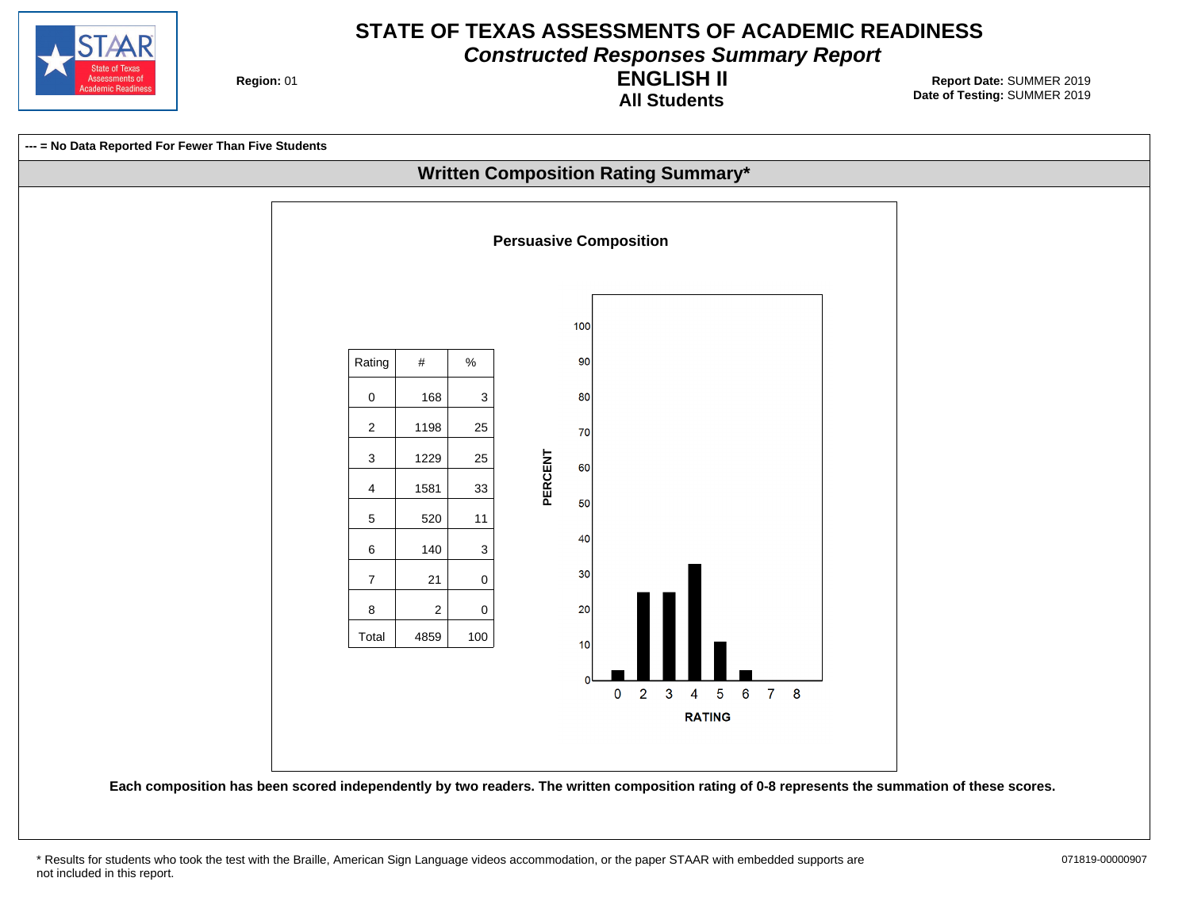

**Constructed Responses Summary Report**

**Region: 01** 

**All Students ENGLISH II**



<sup>\*</sup> Results for students who took the test with the Braille, American Sign Language videos accommodation, or the paper STAAR with embedded supports are 071819-00000907 not included in this report.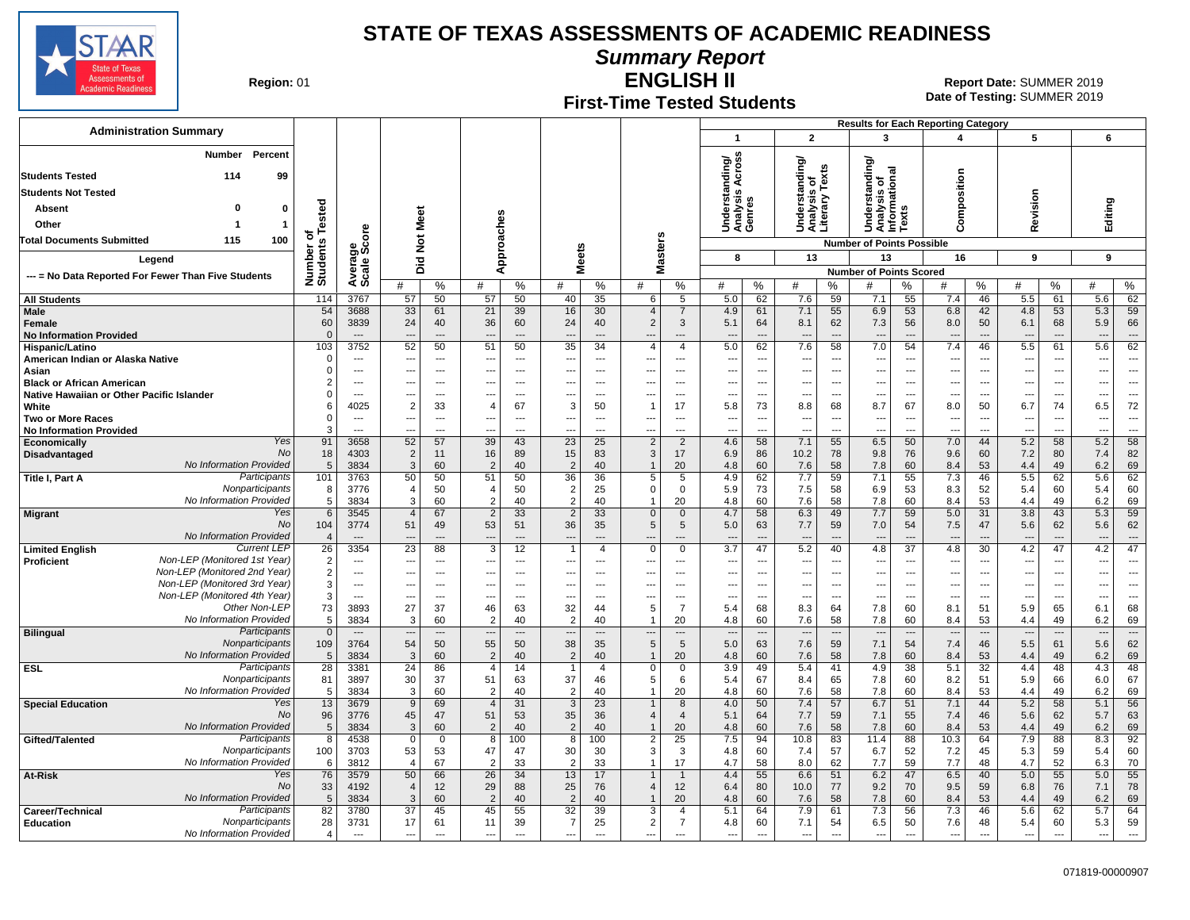

**Summary Report**

**Region: 01** 

### **First-Time Tested Students**

**ENGLISH II** 01 **Report Date:** SUMMER 2019 **Date of Testing:**  SUMMER 2019

|                                                              |                       |                                  |                             |                   |                                  |                          |                                |                          |                                            |                          |                                     |                          |                                                 |                                |                                                |                                | <b>Results for Each Reporting Category</b> |                                |                                 |                                |                                 |                          |
|--------------------------------------------------------------|-----------------------|----------------------------------|-----------------------------|-------------------|----------------------------------|--------------------------|--------------------------------|--------------------------|--------------------------------------------|--------------------------|-------------------------------------|--------------------------|-------------------------------------------------|--------------------------------|------------------------------------------------|--------------------------------|--------------------------------------------|--------------------------------|---------------------------------|--------------------------------|---------------------------------|--------------------------|
| <b>Administration Summary</b>                                |                       |                                  |                             |                   |                                  |                          |                                |                          |                                            |                          | $\overline{\mathbf{1}}$             |                          | $\mathbf{2}$                                    |                                | 3                                              |                                | 4                                          |                                | 5                               |                                | 6                               |                          |
| Percent<br>Number                                            |                       |                                  |                             |                   |                                  |                          |                                |                          |                                            |                          | Across<br>ding/                     |                          | Understanding/<br>Analysis of<br>Literary Texts |                                | ৯                                              |                                |                                            |                                |                                 |                                |                                 |                          |
| 114<br><b>Students Tested</b><br>99                          |                       |                                  |                             |                   |                                  |                          |                                |                          |                                            |                          |                                     |                          |                                                 |                                | ᄛ<br>৳                                         | ional                          |                                            |                                |                                 |                                |                                 |                          |
| <b>Students Not Tested</b>                                   |                       |                                  |                             |                   |                                  |                          |                                |                          |                                            |                          |                                     |                          |                                                 |                                | ā                                              |                                |                                            |                                |                                 |                                |                                 |                          |
| $\mathbf{0}$<br>Absent<br>0                                  | Tested                |                                  |                             |                   |                                  |                          |                                |                          |                                            |                          | Understand<br>Analysis Ao<br>Genres |                          |                                                 |                                | Understar<br>Analysis c<br>Informatic<br>Texts |                                | omposition                                 |                                | evision                         |                                | Editing                         |                          |
| Other<br>$\overline{1}$<br>-1                                |                       |                                  | Meet                        |                   |                                  |                          |                                |                          |                                            |                          |                                     |                          |                                                 |                                |                                                |                                | Ō                                          |                                | ě                               |                                |                                 |                          |
| 100<br><b>Total Documents Submitted</b><br>115               | Ö                     | ge<br>Score                      | $\frac{5}{2}$               |                   |                                  |                          |                                |                          |                                            |                          |                                     |                          |                                                 |                                | <b>Number of Points Possible</b>               |                                |                                            |                                |                                 |                                |                                 |                          |
|                                                              |                       |                                  |                             |                   |                                  | Approaches               | <b>Meets</b>                   |                          | Masters                                    |                          | 8                                   |                          | 13                                              |                                | 13                                             |                                | 16                                         |                                | 9                               |                                | 9                               |                          |
| Legend                                                       |                       |                                  | Did                         |                   |                                  |                          |                                |                          |                                            |                          |                                     |                          |                                                 |                                | <b>Number of Points Scored</b>                 |                                |                                            |                                |                                 |                                |                                 |                          |
| --- = No Data Reported For Fewer Than Five Students          | Number of<br>Students | Avera                            | #                           | $\%$              | #                                | $\%$                     | #                              | $\%$                     | #                                          | $\%$                     | #                                   | %                        | #                                               | %                              | #                                              | %                              | #                                          | %                              | #                               | %                              | #                               | %                        |
| <b>All Students</b>                                          | 114                   | 3767                             | 57                          | 50                | 57                               | 50                       | 40                             | 35                       | 6                                          | 5                        | 5.0                                 | 62                       | 7.6                                             | 59                             | 7.1                                            | 55                             | 7.4                                        | 46                             | 5.5                             | 61                             | 5.6                             | 62                       |
| Male                                                         | 54                    | 3688                             | 33                          | 61                | 21                               | 39                       | 16                             | 30                       | $\overline{4}$                             | $\overline{7}$           | 4.9                                 | 61                       | 7.1                                             | 55                             | 6.9                                            | 53                             | 6.8                                        | 42                             | 4.8                             | 53                             | 5.3                             | 59                       |
| <b>Female</b>                                                | 60                    | 3839                             | 24                          | 40                | 36                               | 60                       | 24                             | 40                       | $\overline{2}$                             | 3                        | 5.1                                 | 64                       | 8.1                                             | 62                             | 7.3                                            | 56                             | 8.0                                        | 50                             | 6.1                             | 68                             | 5.9                             | 66                       |
| <b>No Information Provided</b><br>Hispanic/Latino            | $\Omega$<br>103       | $\overline{\phantom{a}}$<br>3752 | $\overline{a}$<br>52        | ---<br>50         | $\overline{a}$<br>51             | $\overline{a}$<br>50     | $\sim$<br>35                   | $\sim$<br>34             | $\overline{\phantom{a}}$<br>$\overline{4}$ | $\overline{a}$<br>4      | $\overline{a}$<br>5.0               | <br>62                   | $\overline{\phantom{a}}$<br>7.6                 | $\overline{a}$<br>58           | $\overline{\phantom{a}}$<br>7.0                | $\overline{\phantom{a}}$<br>54 | $\overline{\phantom{a}}$<br>7.4            | $\overline{\phantom{a}}$<br>46 | $\overline{\phantom{a}}$<br>5.5 | $\overline{\phantom{a}}$<br>61 | $\overline{\phantom{a}}$<br>5.6 | $\overline{a}$<br>62     |
| American Indian or Alaska Native                             | $\Omega$              | $\overline{a}$                   | ---                         | $---$             | ---                              | $\overline{a}$           | $\overline{a}$                 | $---$                    | $\overline{a}$                             | $\overline{a}$           | ---                                 | ---                      | ---                                             | $\overline{\phantom{a}}$       | $\overline{a}$                                 | $\overline{a}$                 | ---                                        | $\sim$                         | $\overline{\phantom{a}}$        | $\overline{\phantom{a}}$       | ---                             | $\overline{a}$           |
| Asian                                                        | $\Omega$              | $\overline{\phantom{a}}$         | ---                         | ---               | ---                              | $\overline{\phantom{a}}$ | ---                            | $\overline{\phantom{a}}$ | ---                                        | $---$                    | ---                                 | ---                      | ---                                             | $\overline{\phantom{a}}$       | ---                                            | $\sim$                         | ---                                        | $\overline{\phantom{a}}$       | ---                             | $\overline{\phantom{a}}$       | ---                             | $\overline{\phantom{a}}$ |
| <b>Black or African American</b>                             | $\overline{2}$        | $\ddotsc$                        | ---                         | ---               | ---                              | $---$                    | ---                            | $---$                    | ---                                        | $\overline{\phantom{a}}$ | ---                                 | ---                      | ---                                             | ---                            | ---                                            | $\overline{\phantom{a}}$       | ---                                        | $\overline{\phantom{a}}$       | $---$                           | ---                            | ---                             | ---                      |
| Native Hawaiian or Other Pacific Islander                    | $\Omega$              | $\ddotsc$                        | ---                         | ---               | ---                              | $---$                    | ---                            | ---                      | ---                                        | $---$                    | ---                                 | ---                      | ---                                             | ---                            | ---                                            | $\ddotsc$                      | ---                                        | $\overline{\phantom{a}}$       | $\overline{a}$                  | ---                            | ---                             | ---<br>72                |
| White<br><b>Two or More Races</b>                            | -6<br>$\Omega$        | 4025<br>---                      | $\overline{2}$<br>Ξ.        | 33<br>---         | $\overline{4}$<br>---            | 67<br>$\overline{a}$     | 3                              | 50<br>$\overline{a}$     | -1                                         | 17<br>---                | 5.8<br>$\overline{a}$               | 73<br>$\overline{a}$     | 8.8<br>$\overline{\phantom{a}}$                 | 68<br>$\overline{a}$           | 8.7                                            | 67<br>$\overline{a}$           | 8.0<br>$\overline{\phantom{a}}$            | 50<br>$\overline{\phantom{a}}$ | 6.7<br>$\overline{\phantom{a}}$ | 74<br>$\overline{a}$           | 6.5<br>$\overline{\phantom{a}}$ |                          |
| <b>No Information Provided</b>                               | 3                     | ---                              | ---                         | ---               | $\overline{a}$                   | $\overline{a}$           |                                | $\overline{a}$           | --                                         | ---                      | $\overline{a}$                      | Ξ.                       | ---                                             | $\overline{a}$                 | Ξ.                                             | $\overline{a}$                 | $\overline{\phantom{a}}$                   | $\overline{\phantom{a}}$       | ---                             | $\overline{a}$                 | $\overline{\phantom{a}}$        | $\overline{a}$           |
| Yes<br>Economically                                          | 91                    | 3658                             | 52                          | 57                | 39                               | 43                       | $\overline{23}$                | 25                       | $\overline{2}$                             | $\overline{2}$           | 4.6                                 | 58                       | 7.1                                             | 55                             | 6.5                                            | 50                             | 7.0                                        | 44                             | 5.2                             | 58                             | 5.2                             | 58                       |
| <b>No</b><br>Disadvantaged                                   | 18                    | 4303                             | $\overline{2}$              | 11                | 16                               | 89                       | 15                             | 83                       | 3                                          | 17                       | 6.9                                 | 86                       | 10.2                                            | 78                             | 9.8                                            | 76                             | 9.6                                        | 60                             | 7.2                             | 80                             | 7.4                             | 82                       |
| No Information Provided<br>Participants<br>Title I, Part A   | 5<br>101              | 3834<br>3763                     | 3<br>50                     | 60<br>50          | $\overline{2}$<br>51             | 40<br>50                 | $\overline{2}$<br>36           | 40<br>36                 | $\mathbf 1$<br>5                           | 20<br>5                  | 4.8<br>4.9                          | 60<br>62                 | 7.6<br>7.7                                      | 58<br>59                       | 7.8<br>7.1                                     | 60<br>55                       | 8.4<br>7.3                                 | 53<br>46                       | 4.4<br>5.5                      | 49<br>62                       | 6.2<br>5.6                      | 69<br>62                 |
| Nonparticipants                                              | 8                     | 3776                             | $\overline{\mathcal{L}}$    | 50                | $\overline{4}$                   | 50                       | $\overline{2}$                 | 25                       | 0                                          | $\mathbf 0$              | 5.9                                 | 73                       | 7.5                                             | 58                             | 6.9                                            | 53                             | 8.3                                        | 52                             | 5.4                             | 60                             | 5.4                             | 60                       |
| No Information Provided                                      | 5                     | 3834                             | 3                           | 60                | $\overline{2}$                   | 40                       | $\overline{2}$                 | 40                       | $\mathbf{1}$                               | 20                       | 4.8                                 | 60                       | 7.6                                             | 58                             | 7.8                                            | 60                             | 8.4                                        | 53                             | 4.4                             | 49                             | 6.2                             | 69                       |
| Yes<br><b>Migrant</b>                                        | 6                     | 3545                             | $\overline{4}$              | 67                | $\overline{2}$                   | 33                       | 2                              | 33                       | $\mathbf{0}$                               | $\mathbf{0}$             | 4.7                                 | 58                       | 6.3                                             | 49                             | 7.7                                            | 59                             | 5.0                                        | 31                             | 3.8                             | 43                             | 5.3                             | 59                       |
| No<br>No Information Provided                                | 104<br>$\overline{4}$ | 3774<br>$\overline{\phantom{a}}$ | 51                          | 49<br>$\sim$      | 53<br>---                        | 51<br>$\sim$             | 36                             | 35                       | 5                                          | 5                        | 5.0                                 | 63<br>$\overline{a}$     | 7.7                                             | 59<br>$\sim$                   | 7.0<br>---                                     | 54                             | 7.5<br>$\overline{a}$                      | 47<br>$\overline{a}$           | 5.6                             | 62<br>$\sim$                   | 5.6<br>$\overline{\phantom{a}}$ | 62                       |
| <b>Current LEP</b><br><b>Limited English</b>                 | 26                    | 3354                             | 23                          | 88                | 3                                | 12                       | -1                             | $\overline{4}$           | $\mathbf 0$                                | $\mathbf 0$              | 3.7                                 | 47                       | 5.2                                             | 40                             | 4.8                                            | 37                             | 4.8                                        | 30                             | 4.2                             | 47                             | 4.2                             | 47                       |
| Non-LEP (Monitored 1st Year)<br><b>Proficient</b>            | $\overline{2}$        | $\sim$                           | ---                         | $---$             | ---                              | $---$                    | ---                            | $---$                    | ---                                        | $\overline{a}$           | $\sim$                              | ---                      | $\overline{\phantom{a}}$                        | $\overline{\phantom{a}}$       | $\overline{\phantom{a}}$                       | $\sim$                         | ---                                        | $\overline{\phantom{a}}$       | $\ddotsc$                       | $\overline{a}$                 | ---                             | $---$                    |
| Non-LEP (Monitored 2nd Year)                                 | $\overline{2}$        | $\overline{\phantom{a}}$         | ---                         | $\overline{a}$    | ---                              | $\overline{\phantom{a}}$ | ---                            | $\overline{\phantom{a}}$ | ---                                        | $\overline{\phantom{a}}$ | ---                                 | ---                      | ---                                             | $\overline{\phantom{a}}$       | ---                                            | $\overline{\phantom{a}}$       | $\overline{a}$                             | $\overline{\phantom{a}}$       | $\overline{a}$                  | $\overline{\phantom{a}}$       | $\overline{a}$                  | $\overline{a}$           |
| Non-LEP (Monitored 3rd Year)<br>Non-LEP (Monitored 4th Year) | $\mathbf{3}$          | $\overline{\phantom{a}}$         | ---                         | ---               | ---                              | $\overline{\phantom{a}}$ |                                | ---                      | ---                                        | ---                      | $\overline{a}$                      | ---                      | $\overline{\phantom{a}}$                        | ---                            | ---                                            | $\overline{\phantom{a}}$       | $\overline{\phantom{a}}$                   | $\overline{\phantom{a}}$       | ---                             | $\overline{\phantom{a}}$       | ---                             | ---                      |
| Other Non-LEP                                                | 3<br>73               | $\overline{\phantom{a}}$<br>3893 | ---<br>27                   | ---<br>37         | ---<br>46                        | $---$<br>63              | ---<br>32                      | $---$<br>44              | ---<br>5                                   | ---<br>$\overline{7}$    | --<br>5.4                           | $\overline{a}$<br>68     | ---<br>8.3                                      | $\overline{\phantom{a}}$<br>64 | $\overline{\phantom{a}}$<br>7.8                | $-$<br>60                      | ---<br>8.1                                 | $\overline{\phantom{a}}$<br>51 | ---<br>5.9                      | ---<br>65                      | ---<br>6.1                      | $---$<br>68              |
| No Information Provided                                      | 5                     | 3834                             | 3                           | 60                | $\overline{2}$                   | 40                       | $\overline{2}$                 | 40                       | $\mathbf 1$                                | 20                       | 4.8                                 | 60                       | 7.6                                             | 58                             | 7.8                                            | 60                             | 8.4                                        | 53                             | 4.4                             | 49                             | 6.2                             | 69                       |
| Participants<br><b>Bilingual</b>                             | $\overline{0}$        | $---$                            |                             | ---               | $\overline{a}$                   | $\overline{\phantom{a}}$ | $\overline{a}$                 | $\overline{a}$           | $\overline{a}$                             | $---$                    | $\overline{a}$                      | $\overline{\phantom{a}}$ | $\overline{\phantom{a}}$                        | $\overline{\phantom{a}}$       | $\overline{\phantom{a}}$                       | $\overline{\phantom{a}}$       | $\overline{\phantom{a}}$                   | $\overline{\phantom{a}}$       | $\overline{\phantom{a}}$        | $\overline{\phantom{a}}$       | $\overline{\phantom{a}}$        | $\overline{a}$           |
| Nonparticipants                                              | 109                   | 3764                             | 54                          | 50                | 55                               | 50                       | 38                             | 35                       | 5                                          | 5                        | 5.0                                 | 63                       | 7.6                                             | 59                             | 7.1                                            | 54                             | 7.4                                        | 46                             | 5.5                             | 61                             | 5.6                             | 62                       |
| No Information Provided<br>Participants<br>ESL               | $5\phantom{.0}$<br>28 | 3834<br>3381                     | 3<br>$\overline{24}$        | 60<br>86          | $\overline{2}$<br>$\overline{4}$ | 40<br>14                 | $\overline{2}$<br>$\mathbf{1}$ | 40<br>4                  | -1<br>0                                    | 20<br>$\mathbf 0$        | 4.8<br>3.9                          | 60<br>49                 | 7.6<br>5.4                                      | 58<br>41                       | 7.8<br>4.9                                     | 60<br>38                       | 8.4<br>5.1                                 | 53<br>32                       | 4.4<br>4.4                      | 49<br>48                       | 6.2<br>4.3                      | 69<br>48                 |
| Nonparticipants                                              | 81                    | 3897                             | 30                          | 37                | 51                               | 63                       | 37                             | 46                       | 5                                          | 6                        | 5.4                                 | 67                       | 8.4                                             | 65                             | 7.8                                            | 60                             | 8.2                                        | 51                             | 5.9                             | 66                             | 6.0                             | 67                       |
| No Information Provided                                      | 5                     | 3834                             | $\mathbf{3}$                | 60                | $\overline{2}$                   | 40                       | $\overline{2}$                 | 40                       | $\mathbf{1}$                               | 20                       | 4.8                                 | 60                       | 7.6                                             | 58                             | 7.8                                            | 60                             | 8.4                                        | 53                             | 4.4                             | 49                             | 6.2                             | 69                       |
| Yes<br><b>Special Education</b>                              | 13                    | 3679                             | 9                           | 69                | $\overline{4}$                   | 31                       | 3                              | 23                       |                                            | 8                        | 4.0                                 | 50                       | 7.4                                             | 57                             | 6.7                                            | 51                             | 7.1                                        | 44                             | 5.2                             | 58                             | 5.1                             | 56                       |
| <b>No</b>                                                    | 96                    | 3776                             | 45                          | 47                | 51                               | 53                       | 35                             | 36                       | $\overline{4}$                             | $\overline{\mathcal{A}}$ | 5.1                                 | 64                       | 7.7                                             | 59                             | 7.1                                            | 55                             | 7.4                                        | 46                             | 5.6                             | 62                             | 5.7                             | 63                       |
| No Information Provided<br>Participants<br>Gifted/Talented   | 5<br>8                | 3834<br>4538                     | $\mathbf{3}$<br>$\mathbf 0$ | 60<br>$\mathbf 0$ | $\overline{2}$<br>8              | 40<br>100                | $\overline{2}$<br>8            | 40<br>100                | $\mathbf{1}$<br>$\overline{2}$             | 20<br>25                 | 4.8<br>7.5                          | 60<br>94                 | 7.6<br>10.8                                     | 58<br>83                       | 7.8<br>11.4                                    | 60<br>88                       | 8.4<br>10.3                                | 53<br>64                       | 4.4<br>7.9                      | 49<br>88                       | 6.2<br>8.3                      | 69<br>92                 |
| Nonparticipants                                              | 100                   | 3703                             | 53                          | 53                | 47                               | 47                       | 30                             | 30                       | 3                                          | 3                        | 4.8                                 | 60                       | 7.4                                             | 57                             | 6.7                                            | 52                             | 7.2                                        | 45                             | 5.3                             | 59                             | 5.4                             | 60                       |
| No Information Provided                                      | 6                     | 3812                             | $\overline{4}$              | 67                | $\overline{2}$                   | 33                       | 2                              | 33                       | 1                                          | 17                       | 4.7                                 | 58                       | 8.0                                             | 62                             | 7.7                                            | 59                             | 7.7                                        | 48                             | 4.7                             | 52                             | 6.3                             | 70                       |
| Yes<br>At-Risk                                               | 76                    | 3579                             | 50                          | 66                | 26                               | 34                       | 13                             | 17                       |                                            | $\mathbf{1}$             | 4.4                                 | 55                       | 6.6                                             | 51                             | 6.2                                            | 47                             | 6.5                                        | 40                             | 5.0                             | 55                             | 5.0                             | 55                       |
| No                                                           | 33                    | 4192                             | $\overline{4}$              | 12                | 29                               | 88                       | 25                             | 76                       | $\overline{\mathcal{A}}$                   | 12                       | 6.4                                 | 80                       | 10.0                                            | 77                             | 9.2                                            | 70                             | 9.5                                        | 59                             | 6.8                             | 76                             | 7.1                             | 78                       |
| No Information Provided<br>Participants<br>Career/Technical  | 5<br>82               | 3834<br>3780                     | 3<br>37                     | 60<br>45          | $\overline{2}$<br>45             | 40<br>55                 | $\overline{2}$<br>32           | 40<br>39                 | $\mathbf 1$<br>3                           | 20<br>4                  | 4.8<br>5.1                          | 60<br>64                 | 7.6<br>7.9                                      | 58<br>61                       | 7.8<br>7.3                                     | 60<br>56                       | 8.4<br>7.3                                 | 53<br>46                       | 4.4<br>5.6                      | 49<br>62                       | 6.2<br>5.7                      | 69<br>64                 |
| Nonparticipants<br><b>Education</b>                          | 28                    | 3731                             | 17                          | 61                | 11                               | 39                       | $\overline{7}$                 | 25                       | $\overline{2}$                             | $\overline{7}$           | 4.8                                 | 60                       | 7.1                                             | 54                             | 6.5                                            | 50                             | 7.6                                        | 48                             | 5.4                             | 60                             | 5.3                             | 59                       |
| No Information Provided                                      | $\overline{4}$        | $---$                            | $\overline{a}$              | $\overline{a}$    | $\overline{a}$                   | $\overline{a}$           | $\overline{a}$                 | $\overline{a}$           | $\overline{a}$                             | $\overline{a}$           | $\overline{a}$                      | ---                      | $\overline{\phantom{a}}$                        | ---                            | $\overline{a}$                                 | $\overline{a}$                 | $\overline{a}$                             | $\overline{a}$                 | $\overline{a}$                  | $\overline{a}$                 | $\overline{a}$                  |                          |
|                                                              |                       |                                  |                             |                   |                                  |                          |                                |                          |                                            |                          |                                     |                          |                                                 |                                |                                                |                                |                                            |                                |                                 |                                |                                 |                          |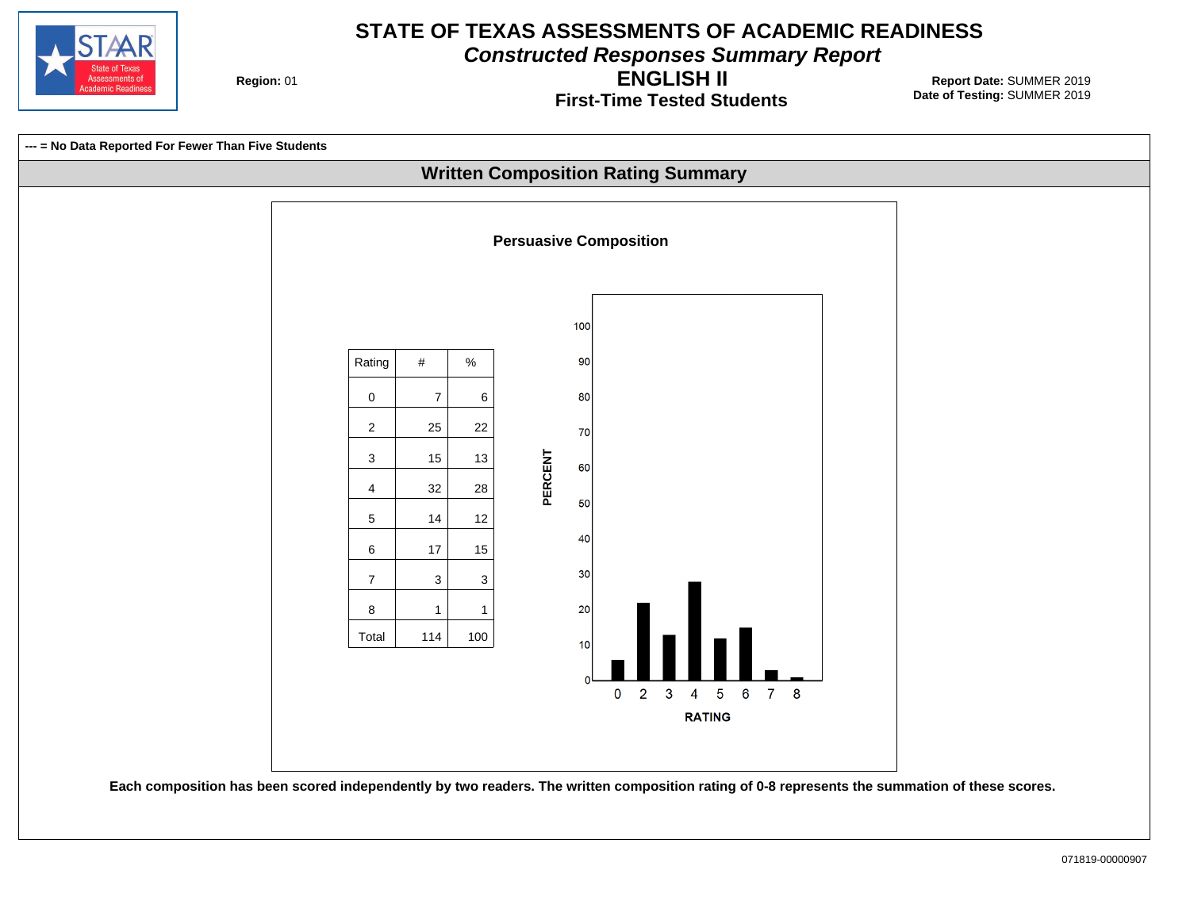

**Constructed Responses Summary Report**

**Region: 01** 

**First-Time Tested Students ENGLISH II**

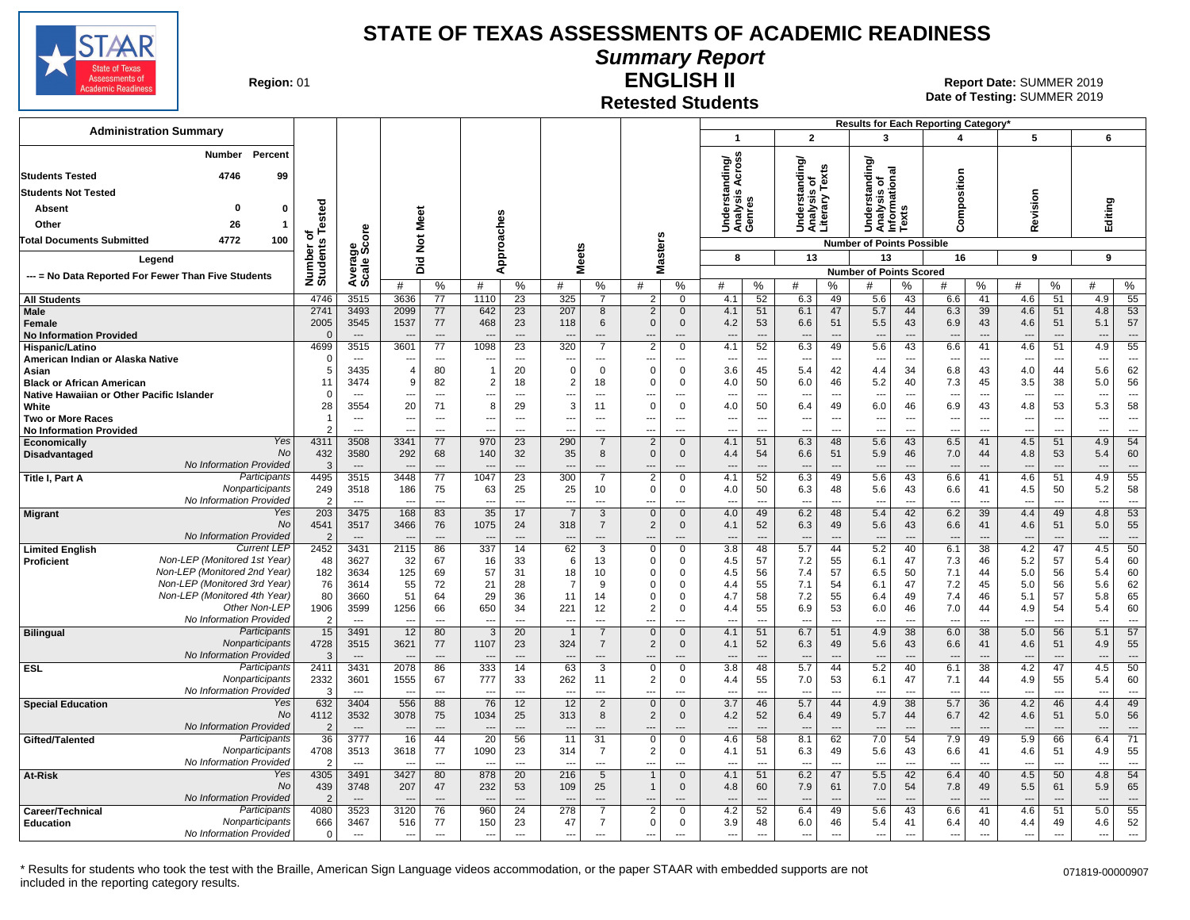

### **Summary Report**

**Region: 01** 

#### **Retested Students ENGLISH II**

**Date of Testing:**  SUMMER 2019 01 **Report Date:** SUMMER 2019

| <b>Administration Summary</b><br>$\overline{2}$<br>5<br>6<br>$\mathbf{1}$<br>3<br>$\overline{\mathbf{A}}$<br><b>Number</b><br>Percent<br>anding/<br>Across<br>Understanding/<br>Analysis of<br>Literary Texts<br>tanding/<br>rsis of<br>mational<br>Composition<br>4746<br>99<br>Understar<br>Analysis <i>I</i><br>Genres<br><b>Students Not Tested</b><br>Revision<br>ersi<br>Editing<br>Number of<br>Students Tested<br>Unders<br>Analys<br>Informa<br>Texts<br><b>Absent</b><br>0<br>$\mathbf{0}$<br>Meet<br>Approaches<br>26<br>Other<br>ၑ<br><b>Masters</b><br>$\breve{\mathbf{z}}$<br>4772<br>100<br><b>Total Documents Submitted</b><br><b>Number of Points Possible</b><br>క్రిట్<br><b>Meets</b><br>13<br>13<br>16<br>9<br>9<br>8<br>Legend<br>흐<br>Avera<br>Scale<br>ه<br><b>Number of Points Scored</b><br>--- = No Data Reported For Fewer Than Five Students<br>#<br>%<br>#<br>%<br>#<br>%<br>#<br>%<br>#<br>%<br>%<br>%<br>℅<br>%<br>#<br>#<br>#<br>%<br>#<br>#<br>4746<br>3515<br>3636<br>325<br>52<br>43<br>41<br>4.6<br>51<br>4.9<br>55<br><b>All Students</b><br>77<br>1110<br>23<br>$\overline{7}$<br>$\overline{2}$<br>$\mathbf 0$<br>4.1<br>6.3<br>49<br>5.6<br>6.6<br><b>Male</b><br>2741<br>3493<br>2099<br>77<br>642<br>23<br>207<br>4.1<br>47<br>5.7<br>44<br>39<br>4.6<br>51<br>4.8<br>53<br>8<br>2<br>$\mathbf 0$<br>51<br>6.1<br>6.3<br>57<br>2005<br>3545<br>1537<br>77<br>468<br>23<br>6<br>$\Omega$<br>4.2<br>6.6<br>5.5<br>43<br>6.9<br>43<br>51<br>118<br>$\mathbf{0}$<br>53<br>51<br>4.6<br>5.1<br>Female<br>$\overline{\phantom{a}}$<br><b>No Information Provided</b><br>$\overline{\phantom{a}}$<br>$\overline{a}$<br>---<br>---<br>$\overline{a}$<br>$\overline{\phantom{a}}$<br>$\overline{\phantom{a}}$<br>$\overline{\phantom{a}}$<br>---<br>$\overline{\phantom{a}}$<br>---<br>÷÷<br>---<br>3515<br>3601<br>1098<br>$\overline{23}$<br>$\overline{2}$<br>52<br>5.6<br>43<br>6.6<br>51<br>4.9<br>55<br>4699<br>77<br>320<br>$\overline{7}$<br>$\mathbf 0$<br>4.1<br>6.3<br>49<br>41<br>4.6<br>Hispanic/Latino<br>American Indian or Alaska Native<br>- 0<br>$\overline{\phantom{a}}$<br>$\overline{\phantom{a}}$<br>$\overline{\phantom{a}}$<br>---<br>---<br>---<br>---<br>---<br>---<br>---<br>---<br>---<br>$\overline{\phantom{a}}$<br>---<br>---<br>---<br>3435<br>80<br>20<br>$\mathbf{0}$<br>$\Omega$<br>$\mathbf 0$<br>3.6<br>45<br>42<br>4.4<br>34<br>6.8<br>43<br>5.6<br>62<br>5<br>$\overline{1}$<br>0<br>5.4<br>4.0<br>44<br>Asian<br>$\Delta$<br>38<br>56<br>11<br>3474<br>9<br>82<br>$\overline{2}$<br>18<br>$\overline{c}$<br>18<br>4.0<br>50<br>6.0<br>46<br>5.2<br>40<br>7.3<br>45<br>3.5<br>5.0<br>$\Omega$<br>$\Omega$<br><b>Black or African American</b><br>Native Hawaiian or Other Pacific Islander<br>$\Omega$<br>$\overline{\phantom{a}}$<br>$\sim$<br>$\overline{\phantom{a}}$<br>---<br>$---$<br>---<br>$\overline{a}$<br>---<br>---<br>$\overline{\phantom{a}}$<br>---<br>$\overline{\phantom{a}}$<br>---<br>$\overline{\phantom{a}}$<br>$\overline{a}$<br>$\overline{\phantom{a}}$<br>$\sim$<br>---<br>---<br>$\overline{\phantom{a}}$<br>$\overline{a}$<br>58<br>28<br>3554<br>20<br>71<br>8<br>3<br>6.0<br>46<br>6.9<br>43<br>53<br>5.3<br>White<br>29<br>$\mathbf 0$<br>$\mathbf 0$<br>4.0<br>50<br>6.4<br>49<br>4.8<br>11<br>$\overline{\phantom{a}}$<br><b>Two or More Races</b><br>$\overline{a}$<br>$\overline{\phantom{a}}$<br>$---$<br>---<br>$---$<br>---<br>$\hspace{0.05cm} \ldots$<br>---<br>$\overline{\phantom{a}}$<br>$\overline{\phantom{a}}$<br>---<br>$\overline{\phantom{a}}$<br>---<br>$\overline{\phantom{a}}$<br>---<br>---<br>$\ddotsc$<br>---<br>---<br>$\overline{\phantom{a}}$<br>$\overline{\phantom{a}}$<br><b>No Information Provided</b><br>$\overline{a}$<br>---<br>---<br>---<br>---<br>---<br>---<br>$\overline{\phantom{a}}$<br>---<br>---<br>Yes<br>4311<br>3508<br>3341<br>$\overline{2}$<br>6.3<br>5.6<br>43<br>6.5<br>4.5<br>4.9<br>54<br>77<br>970<br>23<br>290<br>$\mathbf 0$<br>4.1<br>51<br>48<br>41<br>51<br>Economically<br>7<br><b>No</b><br>432<br>3580<br>292<br>35<br>60<br>68<br>140<br>32<br>8<br>$\mathbf{0}$<br>$\mathbf{0}$<br>6.6<br>51<br>5.9<br>46<br>7.0<br>44<br>4.8<br>53<br>5.4<br>Disadvantaged<br>4.4<br>54<br>No Information Provided<br>-3<br>$\overline{\phantom{a}}$<br>$\overline{\phantom{a}}$<br>$\overline{a}$<br>$\overline{\phantom{a}}$<br>$\overline{a}$<br>$\sim$<br>---<br>$\overline{\phantom{a}}$<br>$\overline{a}$<br>$\overline{a}$<br>$\overline{a}$<br>$\overline{a}$<br>$\overline{a}$<br>$\overline{\phantom{a}}$<br>$\overline{\phantom{a}}$<br>$\overline{\phantom{a}}$<br>$\overline{\phantom{a}}$<br>Participants<br>4495<br>3515<br>3448<br>$\overline{77}$<br>1047<br>$\overline{23}$<br>300<br>52<br>6.3<br>5.6<br>43<br>6.6<br>51<br>55<br>Title I, Part A<br>$\overline{7}$<br>$\overline{2}$<br>$\mathbf 0$<br>4.1<br>49<br>41<br>4.6<br>4.9<br>Nonparticipants<br>50<br>58<br>249<br>3518<br>186<br>75<br>63<br>25<br>25<br>10<br>$\Omega$<br>$\mathbf 0$<br>50<br>6.3<br>48<br>5.6<br>43<br>6.6<br>41<br>5.2<br>4.0<br>4.5<br>No Information Provided<br>$\mathcal{P}$<br>$\overline{a}$<br>$\overline{\phantom{a}}$<br>$-$<br>$\overline{\phantom{a}}$<br>$\overline{a}$<br>---<br>---<br>$\overline{a}$<br>$\overline{a}$<br>$\overline{a}$<br>$\sim$<br>$\overline{a}$<br>---<br>---<br>$\overline{\phantom{a}}$<br>$\overline{\phantom{a}}$<br>$\overline{a}$<br>$\overline{a}$<br>53<br>Yes<br>3475<br>168<br>35<br>$\mathbf{0}$<br>6.2<br>5.4<br>42<br>6.2<br>39<br>4.8<br>203<br>83<br>17<br>$\overline{7}$<br>$\mathbf{3}$<br>$\mathbf{0}$<br>4.0<br>49<br>48<br>4.4<br>49<br><b>Migrant</b><br>No<br>55<br>4541<br>3517<br>3466<br>76<br>1075<br>24<br>318<br>$\overline{7}$<br>2<br>$\mathbf 0$<br>4.1<br>52<br>6.3<br>49<br>5.6<br>43<br>6.6<br>41<br>4.6<br>51<br>5.0<br>No Information Provided<br>$\overline{2}$<br>$\overline{\phantom{a}}$<br>$\overline{\phantom{a}}$<br>$\overline{a}$<br>$\overline{\phantom{a}}$<br>---<br>---<br>---<br>$\overline{\phantom{a}}$<br>$\overline{\phantom{a}}$<br>$\overline{\phantom{a}}$<br>$\overline{\phantom{a}}$<br>$\overline{\phantom{a}}$<br>---<br><b>Current LEP</b><br>2452<br>3431<br>2115<br>86<br>337<br>$\overline{0}$<br>3.8<br>5.7<br>5.2<br>6.1<br>47<br>4.5<br>50<br>62<br>3<br>0<br>48<br>44<br>40<br>38<br>4.2<br><b>Limited English</b><br>14<br>Non-LEP (Monitored 1st Year)<br>3627<br>7.2<br>60<br>48<br>32<br>67<br>33<br>13<br>$\mathbf 0$<br>0<br>4.5<br>57<br>55<br>6.1<br>47<br>7.3<br>46<br>5.2<br>57<br>5.4<br><b>Proficient</b><br>16<br>6<br>Non-LEP (Monitored 2nd Year)<br>182<br>57<br>50<br>3634<br>125<br>69<br>31<br>18<br>10<br>4.5<br>56<br>7.4<br>57<br>6.5<br>7.1<br>44<br>5.0<br>56<br>5.4<br>60<br>$\Omega$<br>$\Omega$<br>Non-LEP (Monitored 3rd Year)<br>76<br>55<br>72<br>21<br>28<br>55<br>7.1<br>47<br>56<br>62<br>3614<br>$\overline{7}$<br>9<br>$\Omega$<br>4.4<br>54<br>6.1<br>7.2<br>45<br>5.0<br>5.6<br>$\Omega$<br>Non-LEP (Monitored 4th Year)<br>80<br>51<br>29<br>7.2<br>57<br>65<br>3660<br>64<br>36<br>11<br>14<br>4.7<br>58<br>55<br>6.4<br>49<br>7.4<br>46<br>5.1<br>5.8<br>$\Omega$<br>$\Omega$<br>Other Non-LEP<br>60<br>1906<br>3599<br>1256<br>66<br>650<br>221<br>12<br>55<br>6.9<br>53<br>6.0<br>46<br>7.0<br>44<br>54<br>34<br>$\overline{2}$<br>$\Omega$<br>4.4<br>4.9<br>5.4<br>No Information Provided<br>-2<br>$\overline{a}$<br>$\overline{a}$<br>$\overline{a}$<br>$\overline{\phantom{a}}$<br>$\overline{\phantom{a}}$<br>$\overline{a}$<br>---<br>---<br>$\overline{a}$<br>$\overline{\phantom{a}}$<br>---<br>$---$<br>---<br>$\overline{\phantom{a}}$<br>$\overline{a}$<br>---<br>$\sim$<br>57<br>Participants<br>15<br>3491<br>12<br>20<br>6.7<br>4.9<br>80<br>-3<br>$\mathbf{0}$<br>4.1<br>51<br>51<br>38<br>6.0<br>38<br>5.0<br>56<br>5.1<br><b>Bilingual</b><br>$\overline{1}$<br>$\overline{7}$<br>$\Omega$<br>Nonparticipants<br>4728<br>3621<br>324<br>2<br>4.9<br>55<br>3515<br>77<br>1107<br>23<br>$\overline{7}$<br>52<br>6.3<br>49<br>5.6<br>43<br>51<br>$\mathbf 0$<br>4.1<br>6.6<br>41<br>4.6<br>No Information Provided<br>$\mathcal{B}$<br>---<br>$\overline{\phantom{a}}$<br>$\overline{\phantom{a}}$<br>$\overline{\phantom{a}}$<br>$---$<br>$---$<br>$---$<br>$\overline{\phantom{a}}$<br>$\overline{a}$<br>---<br>---<br>$---$<br>---<br>$---$<br>$---$<br>$\overline{\phantom{a}}$<br>$\overline{a}$<br>---<br>86<br>333<br>5.7<br>5.2<br>6.1<br>$\overline{38}$<br>4.2<br>4.5<br>50<br><b>ESL</b><br>Participants<br>2411<br>3431<br>2078<br>14<br>63<br>3<br>$\mathbf 0$<br>$\Omega$<br>3.8<br>48<br>44<br>40<br>47<br>Nonparticipants<br>2332<br>67<br>777<br>53<br>47<br>55<br>60<br>3601<br>1555<br>33<br>262<br>11<br>2<br>0<br>4.4<br>55<br>7.0<br>6.1<br>7.1<br>44<br>4.9<br>5.4<br>No Information Provided<br>3<br>$\sim$<br>$\sim$<br>$\overline{a}$<br>$\overline{a}$<br>$\overline{a}$<br>---<br>$\overline{a}$<br>$\overline{a}$<br>$\overline{a}$<br>$\overline{\phantom{a}}$<br>$\overline{a}$<br>--<br>$\overline{\phantom{a}}$<br>---<br>$- -$<br>$\sim$<br>$\sim$<br>$\overline{a}$<br>$\overline{\phantom{a}}$<br>---<br>Yes<br>632<br>49<br><b>Special Education</b><br>3404<br>556<br>88<br>76<br>12<br>12<br>$\overline{2}$<br>$\mathbf 0$<br>3.7<br>46<br>5.7<br>44<br>4.9<br>38<br>5.7<br>36<br>4.2<br>46<br>4.4<br>$\mathbf 0$<br><b>No</b><br>56<br>4112<br>3532<br>3078<br>75<br>1034<br>25<br>313<br>8<br>2<br>4.2<br>52<br>6.4<br>49<br>5.7<br>44<br>6.7<br>42<br>4.6<br>51<br>5.0<br>$\mathbf{0}$<br>No Information Provided<br>$\mathcal{P}$<br>$\overline{\phantom{a}}$<br>---<br>---<br>$\overline{\phantom{a}}$<br>---<br>Participants<br>71<br>36<br>3777<br>16<br>20<br>58<br>8.1<br>7.0<br>54<br>7.9<br>5.9<br>Gifted/Talented<br>44<br>56<br>11<br>31<br>0<br>0<br>4.6<br>62<br>49<br>66<br>6.4<br>Nonparticipants<br>77<br>2<br>55<br>4708<br>3513<br>3618<br>1090<br>$\overline{7}$<br>$\mathbf 0$<br>6.3<br>49<br>5.6<br>43<br>6.6<br>51<br>4.9<br>23<br>314<br>4.1<br>51<br>41<br>4.6<br>No Information Provided<br>$\overline{2}$<br>$---$<br>$-$<br>$---$<br>$\sim$<br>$---$<br>$\sim$<br>---<br>---<br>$\overline{a}$<br>$\overline{a}$<br>---<br>$---$<br>---<br>$\overline{a}$<br>$\overline{a}$<br>$\sim$<br>$---$<br>$\overline{a}$<br>---<br>--<br>$\overline{\phantom{a}}$<br>4305<br>3491<br>3427<br>80<br>878<br>$\overline{20}$<br>216<br>51<br>6.2<br>47<br>5.5<br>42<br>6.4<br>40<br>4.5<br>50<br>4.8<br>54<br>At-Risk<br>Yes<br>$5\overline{)}$<br>$\mathbf 0$<br>4.1<br>No<br>439<br>3748<br>207<br>47<br>232<br>53<br>109<br>25<br>$\mathbf{0}$<br>60<br>7.9<br>61<br>7.0<br>54<br>49<br>61<br>5.9<br>65<br>$\mathbf{1}$<br>4.8<br>7.8<br>5.5<br>No Information Provided<br>$\overline{2}$<br>$\overline{a}$<br>3523<br>76<br>278<br>4.2<br>43<br>55<br>Participants<br>4080<br>3120<br>960<br>24<br>$\overline{2}$<br>52<br>6.4<br>5.6<br>6.6<br>4.6<br>51<br>5.0<br>$\overline{7}$<br>$\Omega$<br>49<br>41<br>Career/Technical<br>52<br>Nonparticipants<br>77<br>150<br>47<br>49<br>666<br>3467<br>516<br>23<br>$\overline{7}$<br>$\mathbf{0}$<br>0<br>3.9<br>48<br>6.0<br>46<br>5.4<br>41<br>6.4<br>40<br>4.4<br>4.6<br><b>Education</b><br>No Information Provided<br>0<br>$\hspace{0.05cm} \ldots$<br>$\overline{a}$<br>$\overline{\phantom{a}}$<br>$\overline{\phantom{a}}$<br>$\overline{\phantom{a}}$<br>$\overline{a}$<br>---<br>$\ldots$<br>$\hspace{0.05cm} \ldots$<br>$\ldots$<br>$\overline{\phantom{a}}$<br>$\overline{\phantom{a}}$<br>$\ddotsc$<br>$\overline{\phantom{a}}$<br>---<br>---<br>$\overline{\phantom{a}}$<br>---<br>$\overline{\phantom{a}}$<br>---<br>--- |                        |  |  |  |  |  |  |  | Results for Each Reporting Category* |  |  |  |  |
|----------------------------------------------------------------------------------------------------------------------------------------------------------------------------------------------------------------------------------------------------------------------------------------------------------------------------------------------------------------------------------------------------------------------------------------------------------------------------------------------------------------------------------------------------------------------------------------------------------------------------------------------------------------------------------------------------------------------------------------------------------------------------------------------------------------------------------------------------------------------------------------------------------------------------------------------------------------------------------------------------------------------------------------------------------------------------------------------------------------------------------------------------------------------------------------------------------------------------------------------------------------------------------------------------------------------------------------------------------------------------------------------------------------------------------------------------------------------------------------------------------------------------------------------------------------------------------------------------------------------------------------------------------------------------------------------------------------------------------------------------------------------------------------------------------------------------------------------------------------------------------------------------------------------------------------------------------------------------------------------------------------------------------------------------------------------------------------------------------------------------------------------------------------------------------------------------------------------------------------------------------------------------------------------------------------------------------------------------------------------------------------------------------------------------------------------------------------------------------------------------------------------------------------------------------------------------------------------------------------------------------------------------------------------------------------------------------------------------------------------------------------------------------------------------------------------------------------------------------------------------------------------------------------------------------------------------------------------------------------------------------------------------------------------------------------------------------------------------------------------------------------------------------------------------------------------------------------------------------------------------------------------------------------------------------------------------------------------------------------------------------------------------------------------------------------------------------------------------------------------------------------------------------------------------------------------------------------------------------------------------------------------------------------------------------------------------------------------------------------------------------------------------------------------------------------------------------------------------------------------------------------------------------------------------------------------------------------------------------------------------------------------------------------------------------------------------------------------------------------------------------------------------------------------------------------------------------------------------------------------------------------------------------------------------------------------------------------------------------------------------------------------------------------------------------------------------------------------------------------------------------------------------------------------------------------------------------------------------------------------------------------------------------------------------------------------------------------------------------------------------------------------------------------------------------------------------------------------------------------------------------------------------------------------------------------------------------------------------------------------------------------------------------------------------------------------------------------------------------------------------------------------------------------------------------------------------------------------------------------------------------------------------------------------------------------------------------------------------------------------------------------------------------------------------------------------------------------------------------------------------------------------------------------------------------------------------------------------------------------------------------------------------------------------------------------------------------------------------------------------------------------------------------------------------------------------------------------------------------------------------------------------------------------------------------------------------------------------------------------------------------------------------------------------------------------------------------------------------------------------------------------------------------------------------------------------------------------------------------------------------------------------------------------------------------------------------------------------------------------------------------------------------------------------------------------------------------------------------------------------------------------------------------------------------------------------------------------------------------------------------------------------------------------------------------------------------------------------------------------------------------------------------------------------------------------------------------------------------------------------------------------------------------------------------------------------------------------------------------------------------------------------------------------------------------------------------------------------------------------------------------------------------------------------------------------------------------------------------------------------------------------------------------------------------------------------------------------------------------------------------------------------------------------------------------------------------------------------------------------------------------------------------------------------------------------------------------------------------------------------------------------------------------------------------------------------------------------------------------------------------------------------------------------------------------------------------------------------------------------------------------------------------------------------------------------------------------------------------------------------------------------------------------------------------------------------------------------------------------------------------------------------------------------------------------------------------------------------------------------------------------------------------------------------------------------------------------------------------------------------------------------------------------------------------------------------------------------------------------------------------------------------------------------------------------------------------------------------------------------------------------------------------------------------------------------------------------------------------------------------------------------------------------------------------------------------------------------------------------------------------------------------------------------------------------------------------------------------------------------------------------------------------------------------------------------------------------------------------------------------------------------------------------------------------------------------------------------------------------------------------------------------------------------------------------------------------------------------------------------------------------------------------------------------------------------------------------------------------------------------------------------------------------------------------------------------------------------------------------------------------------------------------------------------------------------------------------------------------------------------------------------------------------------------------------------------------------------------------------------------------------------------------------------------------------------------------------------------------------------------------------------------------------------------------------------------------------------------------------------------------------------------------------------------------------------------------------------------------------------------------------------------------------------------------------------------------------------------------------------------------------------------------------------------------------------------------------------------------------------------------------------------------------------------------------------------------------------------------------------------------------------------------------------------------------------------------------------------------------------------------------------------------------------------------------------------------------------------------------------------------------------------------------------------------------------------------------------------------------------------------------------------------------------------------------------------------------------------------------------------------------------------------------------------------------------------------------------------------------------------------------------------------------------------------------------------------------------------------------------------------------------------------------------------------------------------------------------------------------------------------------------------------------------------------------------------------------------------------------------------------------------------------------------------------------|------------------------|--|--|--|--|--|--|--|--------------------------------------|--|--|--|--|
|                                                                                                                                                                                                                                                                                                                                                                                                                                                                                                                                                                                                                                                                                                                                                                                                                                                                                                                                                                                                                                                                                                                                                                                                                                                                                                                                                                                                                                                                                                                                                                                                                                                                                                                                                                                                                                                                                                                                                                                                                                                                                                                                                                                                                                                                                                                                                                                                                                                                                                                                                                                                                                                                                                                                                                                                                                                                                                                                                                                                                                                                                                                                                                                                                                                                                                                                                                                                                                                                                                                                                                                                                                                                                                                                                                                                                                                                                                                                                                                                                                                                                                                                                                                                                                                                                                                                                                                                                                                                                                                                                                                                                                                                                                                                                                                                                                                                                                                                                                                                                                                                                                                                                                                                                                                                                                                                                                                                                                                                                                                                                                                                                                                                                                                                                                                                                                                                                                                                                                                                                                                                                                                                                                                                                                                                                                                                                                                                                                                                                                                                                                                                                                                                                                                                                                                                                                                                                                                                                                                                                                                                                                                                                                                                                                                                                                                                                                                                                                                                                                                                                                                                                                                                                                                                                                                                                                                                                                                                                                                                                                                                                                                                                                                                                                                                                                                                                                                                                                                                                                                                                                                                                                                                                                                                                                                                                                                                                                                                                                                                                                                                                                                                                                                                                                                                                                                                                                                                                                                                                                                                                                                                                                                                                                                                                                                                                                                                                                                                                                                                                                                                                                                                                                                                                                                                                                                                                                                                                                                                                                                                                                                                                                                                                                                                                                                                                                                                                                                                                                                                                                                                                                                                                                                                                                                                                                                                                                                                                                                                                                                                                                                                                                                                                  |                        |  |  |  |  |  |  |  |                                      |  |  |  |  |
|                                                                                                                                                                                                                                                                                                                                                                                                                                                                                                                                                                                                                                                                                                                                                                                                                                                                                                                                                                                                                                                                                                                                                                                                                                                                                                                                                                                                                                                                                                                                                                                                                                                                                                                                                                                                                                                                                                                                                                                                                                                                                                                                                                                                                                                                                                                                                                                                                                                                                                                                                                                                                                                                                                                                                                                                                                                                                                                                                                                                                                                                                                                                                                                                                                                                                                                                                                                                                                                                                                                                                                                                                                                                                                                                                                                                                                                                                                                                                                                                                                                                                                                                                                                                                                                                                                                                                                                                                                                                                                                                                                                                                                                                                                                                                                                                                                                                                                                                                                                                                                                                                                                                                                                                                                                                                                                                                                                                                                                                                                                                                                                                                                                                                                                                                                                                                                                                                                                                                                                                                                                                                                                                                                                                                                                                                                                                                                                                                                                                                                                                                                                                                                                                                                                                                                                                                                                                                                                                                                                                                                                                                                                                                                                                                                                                                                                                                                                                                                                                                                                                                                                                                                                                                                                                                                                                                                                                                                                                                                                                                                                                                                                                                                                                                                                                                                                                                                                                                                                                                                                                                                                                                                                                                                                                                                                                                                                                                                                                                                                                                                                                                                                                                                                                                                                                                                                                                                                                                                                                                                                                                                                                                                                                                                                                                                                                                                                                                                                                                                                                                                                                                                                                                                                                                                                                                                                                                                                                                                                                                                                                                                                                                                                                                                                                                                                                                                                                                                                                                                                                                                                                                                                                                                                                                                                                                                                                                                                                                                                                                                                                                                                                                                                                                  |                        |  |  |  |  |  |  |  |                                      |  |  |  |  |
|                                                                                                                                                                                                                                                                                                                                                                                                                                                                                                                                                                                                                                                                                                                                                                                                                                                                                                                                                                                                                                                                                                                                                                                                                                                                                                                                                                                                                                                                                                                                                                                                                                                                                                                                                                                                                                                                                                                                                                                                                                                                                                                                                                                                                                                                                                                                                                                                                                                                                                                                                                                                                                                                                                                                                                                                                                                                                                                                                                                                                                                                                                                                                                                                                                                                                                                                                                                                                                                                                                                                                                                                                                                                                                                                                                                                                                                                                                                                                                                                                                                                                                                                                                                                                                                                                                                                                                                                                                                                                                                                                                                                                                                                                                                                                                                                                                                                                                                                                                                                                                                                                                                                                                                                                                                                                                                                                                                                                                                                                                                                                                                                                                                                                                                                                                                                                                                                                                                                                                                                                                                                                                                                                                                                                                                                                                                                                                                                                                                                                                                                                                                                                                                                                                                                                                                                                                                                                                                                                                                                                                                                                                                                                                                                                                                                                                                                                                                                                                                                                                                                                                                                                                                                                                                                                                                                                                                                                                                                                                                                                                                                                                                                                                                                                                                                                                                                                                                                                                                                                                                                                                                                                                                                                                                                                                                                                                                                                                                                                                                                                                                                                                                                                                                                                                                                                                                                                                                                                                                                                                                                                                                                                                                                                                                                                                                                                                                                                                                                                                                                                                                                                                                                                                                                                                                                                                                                                                                                                                                                                                                                                                                                                                                                                                                                                                                                                                                                                                                                                                                                                                                                                                                                                                                                                                                                                                                                                                                                                                                                                                                                                                                                                                                                                  | <b>Students Tested</b> |  |  |  |  |  |  |  |                                      |  |  |  |  |
|                                                                                                                                                                                                                                                                                                                                                                                                                                                                                                                                                                                                                                                                                                                                                                                                                                                                                                                                                                                                                                                                                                                                                                                                                                                                                                                                                                                                                                                                                                                                                                                                                                                                                                                                                                                                                                                                                                                                                                                                                                                                                                                                                                                                                                                                                                                                                                                                                                                                                                                                                                                                                                                                                                                                                                                                                                                                                                                                                                                                                                                                                                                                                                                                                                                                                                                                                                                                                                                                                                                                                                                                                                                                                                                                                                                                                                                                                                                                                                                                                                                                                                                                                                                                                                                                                                                                                                                                                                                                                                                                                                                                                                                                                                                                                                                                                                                                                                                                                                                                                                                                                                                                                                                                                                                                                                                                                                                                                                                                                                                                                                                                                                                                                                                                                                                                                                                                                                                                                                                                                                                                                                                                                                                                                                                                                                                                                                                                                                                                                                                                                                                                                                                                                                                                                                                                                                                                                                                                                                                                                                                                                                                                                                                                                                                                                                                                                                                                                                                                                                                                                                                                                                                                                                                                                                                                                                                                                                                                                                                                                                                                                                                                                                                                                                                                                                                                                                                                                                                                                                                                                                                                                                                                                                                                                                                                                                                                                                                                                                                                                                                                                                                                                                                                                                                                                                                                                                                                                                                                                                                                                                                                                                                                                                                                                                                                                                                                                                                                                                                                                                                                                                                                                                                                                                                                                                                                                                                                                                                                                                                                                                                                                                                                                                                                                                                                                                                                                                                                                                                                                                                                                                                                                                                                                                                                                                                                                                                                                                                                                                                                                                                                                                                                                  |                        |  |  |  |  |  |  |  |                                      |  |  |  |  |
|                                                                                                                                                                                                                                                                                                                                                                                                                                                                                                                                                                                                                                                                                                                                                                                                                                                                                                                                                                                                                                                                                                                                                                                                                                                                                                                                                                                                                                                                                                                                                                                                                                                                                                                                                                                                                                                                                                                                                                                                                                                                                                                                                                                                                                                                                                                                                                                                                                                                                                                                                                                                                                                                                                                                                                                                                                                                                                                                                                                                                                                                                                                                                                                                                                                                                                                                                                                                                                                                                                                                                                                                                                                                                                                                                                                                                                                                                                                                                                                                                                                                                                                                                                                                                                                                                                                                                                                                                                                                                                                                                                                                                                                                                                                                                                                                                                                                                                                                                                                                                                                                                                                                                                                                                                                                                                                                                                                                                                                                                                                                                                                                                                                                                                                                                                                                                                                                                                                                                                                                                                                                                                                                                                                                                                                                                                                                                                                                                                                                                                                                                                                                                                                                                                                                                                                                                                                                                                                                                                                                                                                                                                                                                                                                                                                                                                                                                                                                                                                                                                                                                                                                                                                                                                                                                                                                                                                                                                                                                                                                                                                                                                                                                                                                                                                                                                                                                                                                                                                                                                                                                                                                                                                                                                                                                                                                                                                                                                                                                                                                                                                                                                                                                                                                                                                                                                                                                                                                                                                                                                                                                                                                                                                                                                                                                                                                                                                                                                                                                                                                                                                                                                                                                                                                                                                                                                                                                                                                                                                                                                                                                                                                                                                                                                                                                                                                                                                                                                                                                                                                                                                                                                                                                                                                                                                                                                                                                                                                                                                                                                                                                                                                                                                                                  |                        |  |  |  |  |  |  |  |                                      |  |  |  |  |
|                                                                                                                                                                                                                                                                                                                                                                                                                                                                                                                                                                                                                                                                                                                                                                                                                                                                                                                                                                                                                                                                                                                                                                                                                                                                                                                                                                                                                                                                                                                                                                                                                                                                                                                                                                                                                                                                                                                                                                                                                                                                                                                                                                                                                                                                                                                                                                                                                                                                                                                                                                                                                                                                                                                                                                                                                                                                                                                                                                                                                                                                                                                                                                                                                                                                                                                                                                                                                                                                                                                                                                                                                                                                                                                                                                                                                                                                                                                                                                                                                                                                                                                                                                                                                                                                                                                                                                                                                                                                                                                                                                                                                                                                                                                                                                                                                                                                                                                                                                                                                                                                                                                                                                                                                                                                                                                                                                                                                                                                                                                                                                                                                                                                                                                                                                                                                                                                                                                                                                                                                                                                                                                                                                                                                                                                                                                                                                                                                                                                                                                                                                                                                                                                                                                                                                                                                                                                                                                                                                                                                                                                                                                                                                                                                                                                                                                                                                                                                                                                                                                                                                                                                                                                                                                                                                                                                                                                                                                                                                                                                                                                                                                                                                                                                                                                                                                                                                                                                                                                                                                                                                                                                                                                                                                                                                                                                                                                                                                                                                                                                                                                                                                                                                                                                                                                                                                                                                                                                                                                                                                                                                                                                                                                                                                                                                                                                                                                                                                                                                                                                                                                                                                                                                                                                                                                                                                                                                                                                                                                                                                                                                                                                                                                                                                                                                                                                                                                                                                                                                                                                                                                                                                                                                                                                                                                                                                                                                                                                                                                                                                                                                                                                                                                                  |                        |  |  |  |  |  |  |  |                                      |  |  |  |  |
|                                                                                                                                                                                                                                                                                                                                                                                                                                                                                                                                                                                                                                                                                                                                                                                                                                                                                                                                                                                                                                                                                                                                                                                                                                                                                                                                                                                                                                                                                                                                                                                                                                                                                                                                                                                                                                                                                                                                                                                                                                                                                                                                                                                                                                                                                                                                                                                                                                                                                                                                                                                                                                                                                                                                                                                                                                                                                                                                                                                                                                                                                                                                                                                                                                                                                                                                                                                                                                                                                                                                                                                                                                                                                                                                                                                                                                                                                                                                                                                                                                                                                                                                                                                                                                                                                                                                                                                                                                                                                                                                                                                                                                                                                                                                                                                                                                                                                                                                                                                                                                                                                                                                                                                                                                                                                                                                                                                                                                                                                                                                                                                                                                                                                                                                                                                                                                                                                                                                                                                                                                                                                                                                                                                                                                                                                                                                                                                                                                                                                                                                                                                                                                                                                                                                                                                                                                                                                                                                                                                                                                                                                                                                                                                                                                                                                                                                                                                                                                                                                                                                                                                                                                                                                                                                                                                                                                                                                                                                                                                                                                                                                                                                                                                                                                                                                                                                                                                                                                                                                                                                                                                                                                                                                                                                                                                                                                                                                                                                                                                                                                                                                                                                                                                                                                                                                                                                                                                                                                                                                                                                                                                                                                                                                                                                                                                                                                                                                                                                                                                                                                                                                                                                                                                                                                                                                                                                                                                                                                                                                                                                                                                                                                                                                                                                                                                                                                                                                                                                                                                                                                                                                                                                                                                                                                                                                                                                                                                                                                                                                                                                                                                                                                                                                  |                        |  |  |  |  |  |  |  |                                      |  |  |  |  |
|                                                                                                                                                                                                                                                                                                                                                                                                                                                                                                                                                                                                                                                                                                                                                                                                                                                                                                                                                                                                                                                                                                                                                                                                                                                                                                                                                                                                                                                                                                                                                                                                                                                                                                                                                                                                                                                                                                                                                                                                                                                                                                                                                                                                                                                                                                                                                                                                                                                                                                                                                                                                                                                                                                                                                                                                                                                                                                                                                                                                                                                                                                                                                                                                                                                                                                                                                                                                                                                                                                                                                                                                                                                                                                                                                                                                                                                                                                                                                                                                                                                                                                                                                                                                                                                                                                                                                                                                                                                                                                                                                                                                                                                                                                                                                                                                                                                                                                                                                                                                                                                                                                                                                                                                                                                                                                                                                                                                                                                                                                                                                                                                                                                                                                                                                                                                                                                                                                                                                                                                                                                                                                                                                                                                                                                                                                                                                                                                                                                                                                                                                                                                                                                                                                                                                                                                                                                                                                                                                                                                                                                                                                                                                                                                                                                                                                                                                                                                                                                                                                                                                                                                                                                                                                                                                                                                                                                                                                                                                                                                                                                                                                                                                                                                                                                                                                                                                                                                                                                                                                                                                                                                                                                                                                                                                                                                                                                                                                                                                                                                                                                                                                                                                                                                                                                                                                                                                                                                                                                                                                                                                                                                                                                                                                                                                                                                                                                                                                                                                                                                                                                                                                                                                                                                                                                                                                                                                                                                                                                                                                                                                                                                                                                                                                                                                                                                                                                                                                                                                                                                                                                                                                                                                                                                                                                                                                                                                                                                                                                                                                                                                                                                                                                                                  |                        |  |  |  |  |  |  |  |                                      |  |  |  |  |
|                                                                                                                                                                                                                                                                                                                                                                                                                                                                                                                                                                                                                                                                                                                                                                                                                                                                                                                                                                                                                                                                                                                                                                                                                                                                                                                                                                                                                                                                                                                                                                                                                                                                                                                                                                                                                                                                                                                                                                                                                                                                                                                                                                                                                                                                                                                                                                                                                                                                                                                                                                                                                                                                                                                                                                                                                                                                                                                                                                                                                                                                                                                                                                                                                                                                                                                                                                                                                                                                                                                                                                                                                                                                                                                                                                                                                                                                                                                                                                                                                                                                                                                                                                                                                                                                                                                                                                                                                                                                                                                                                                                                                                                                                                                                                                                                                                                                                                                                                                                                                                                                                                                                                                                                                                                                                                                                                                                                                                                                                                                                                                                                                                                                                                                                                                                                                                                                                                                                                                                                                                                                                                                                                                                                                                                                                                                                                                                                                                                                                                                                                                                                                                                                                                                                                                                                                                                                                                                                                                                                                                                                                                                                                                                                                                                                                                                                                                                                                                                                                                                                                                                                                                                                                                                                                                                                                                                                                                                                                                                                                                                                                                                                                                                                                                                                                                                                                                                                                                                                                                                                                                                                                                                                                                                                                                                                                                                                                                                                                                                                                                                                                                                                                                                                                                                                                                                                                                                                                                                                                                                                                                                                                                                                                                                                                                                                                                                                                                                                                                                                                                                                                                                                                                                                                                                                                                                                                                                                                                                                                                                                                                                                                                                                                                                                                                                                                                                                                                                                                                                                                                                                                                                                                                                                                                                                                                                                                                                                                                                                                                                                                                                                                                                                                  |                        |  |  |  |  |  |  |  |                                      |  |  |  |  |
|                                                                                                                                                                                                                                                                                                                                                                                                                                                                                                                                                                                                                                                                                                                                                                                                                                                                                                                                                                                                                                                                                                                                                                                                                                                                                                                                                                                                                                                                                                                                                                                                                                                                                                                                                                                                                                                                                                                                                                                                                                                                                                                                                                                                                                                                                                                                                                                                                                                                                                                                                                                                                                                                                                                                                                                                                                                                                                                                                                                                                                                                                                                                                                                                                                                                                                                                                                                                                                                                                                                                                                                                                                                                                                                                                                                                                                                                                                                                                                                                                                                                                                                                                                                                                                                                                                                                                                                                                                                                                                                                                                                                                                                                                                                                                                                                                                                                                                                                                                                                                                                                                                                                                                                                                                                                                                                                                                                                                                                                                                                                                                                                                                                                                                                                                                                                                                                                                                                                                                                                                                                                                                                                                                                                                                                                                                                                                                                                                                                                                                                                                                                                                                                                                                                                                                                                                                                                                                                                                                                                                                                                                                                                                                                                                                                                                                                                                                                                                                                                                                                                                                                                                                                                                                                                                                                                                                                                                                                                                                                                                                                                                                                                                                                                                                                                                                                                                                                                                                                                                                                                                                                                                                                                                                                                                                                                                                                                                                                                                                                                                                                                                                                                                                                                                                                                                                                                                                                                                                                                                                                                                                                                                                                                                                                                                                                                                                                                                                                                                                                                                                                                                                                                                                                                                                                                                                                                                                                                                                                                                                                                                                                                                                                                                                                                                                                                                                                                                                                                                                                                                                                                                                                                                                                                                                                                                                                                                                                                                                                                                                                                                                                                                                                                                  |                        |  |  |  |  |  |  |  |                                      |  |  |  |  |
|                                                                                                                                                                                                                                                                                                                                                                                                                                                                                                                                                                                                                                                                                                                                                                                                                                                                                                                                                                                                                                                                                                                                                                                                                                                                                                                                                                                                                                                                                                                                                                                                                                                                                                                                                                                                                                                                                                                                                                                                                                                                                                                                                                                                                                                                                                                                                                                                                                                                                                                                                                                                                                                                                                                                                                                                                                                                                                                                                                                                                                                                                                                                                                                                                                                                                                                                                                                                                                                                                                                                                                                                                                                                                                                                                                                                                                                                                                                                                                                                                                                                                                                                                                                                                                                                                                                                                                                                                                                                                                                                                                                                                                                                                                                                                                                                                                                                                                                                                                                                                                                                                                                                                                                                                                                                                                                                                                                                                                                                                                                                                                                                                                                                                                                                                                                                                                                                                                                                                                                                                                                                                                                                                                                                                                                                                                                                                                                                                                                                                                                                                                                                                                                                                                                                                                                                                                                                                                                                                                                                                                                                                                                                                                                                                                                                                                                                                                                                                                                                                                                                                                                                                                                                                                                                                                                                                                                                                                                                                                                                                                                                                                                                                                                                                                                                                                                                                                                                                                                                                                                                                                                                                                                                                                                                                                                                                                                                                                                                                                                                                                                                                                                                                                                                                                                                                                                                                                                                                                                                                                                                                                                                                                                                                                                                                                                                                                                                                                                                                                                                                                                                                                                                                                                                                                                                                                                                                                                                                                                                                                                                                                                                                                                                                                                                                                                                                                                                                                                                                                                                                                                                                                                                                                                                                                                                                                                                                                                                                                                                                                                                                                                                                                                                                  |                        |  |  |  |  |  |  |  |                                      |  |  |  |  |
|                                                                                                                                                                                                                                                                                                                                                                                                                                                                                                                                                                                                                                                                                                                                                                                                                                                                                                                                                                                                                                                                                                                                                                                                                                                                                                                                                                                                                                                                                                                                                                                                                                                                                                                                                                                                                                                                                                                                                                                                                                                                                                                                                                                                                                                                                                                                                                                                                                                                                                                                                                                                                                                                                                                                                                                                                                                                                                                                                                                                                                                                                                                                                                                                                                                                                                                                                                                                                                                                                                                                                                                                                                                                                                                                                                                                                                                                                                                                                                                                                                                                                                                                                                                                                                                                                                                                                                                                                                                                                                                                                                                                                                                                                                                                                                                                                                                                                                                                                                                                                                                                                                                                                                                                                                                                                                                                                                                                                                                                                                                                                                                                                                                                                                                                                                                                                                                                                                                                                                                                                                                                                                                                                                                                                                                                                                                                                                                                                                                                                                                                                                                                                                                                                                                                                                                                                                                                                                                                                                                                                                                                                                                                                                                                                                                                                                                                                                                                                                                                                                                                                                                                                                                                                                                                                                                                                                                                                                                                                                                                                                                                                                                                                                                                                                                                                                                                                                                                                                                                                                                                                                                                                                                                                                                                                                                                                                                                                                                                                                                                                                                                                                                                                                                                                                                                                                                                                                                                                                                                                                                                                                                                                                                                                                                                                                                                                                                                                                                                                                                                                                                                                                                                                                                                                                                                                                                                                                                                                                                                                                                                                                                                                                                                                                                                                                                                                                                                                                                                                                                                                                                                                                                                                                                                                                                                                                                                                                                                                                                                                                                                                                                                                                                                                  |                        |  |  |  |  |  |  |  |                                      |  |  |  |  |
|                                                                                                                                                                                                                                                                                                                                                                                                                                                                                                                                                                                                                                                                                                                                                                                                                                                                                                                                                                                                                                                                                                                                                                                                                                                                                                                                                                                                                                                                                                                                                                                                                                                                                                                                                                                                                                                                                                                                                                                                                                                                                                                                                                                                                                                                                                                                                                                                                                                                                                                                                                                                                                                                                                                                                                                                                                                                                                                                                                                                                                                                                                                                                                                                                                                                                                                                                                                                                                                                                                                                                                                                                                                                                                                                                                                                                                                                                                                                                                                                                                                                                                                                                                                                                                                                                                                                                                                                                                                                                                                                                                                                                                                                                                                                                                                                                                                                                                                                                                                                                                                                                                                                                                                                                                                                                                                                                                                                                                                                                                                                                                                                                                                                                                                                                                                                                                                                                                                                                                                                                                                                                                                                                                                                                                                                                                                                                                                                                                                                                                                                                                                                                                                                                                                                                                                                                                                                                                                                                                                                                                                                                                                                                                                                                                                                                                                                                                                                                                                                                                                                                                                                                                                                                                                                                                                                                                                                                                                                                                                                                                                                                                                                                                                                                                                                                                                                                                                                                                                                                                                                                                                                                                                                                                                                                                                                                                                                                                                                                                                                                                                                                                                                                                                                                                                                                                                                                                                                                                                                                                                                                                                                                                                                                                                                                                                                                                                                                                                                                                                                                                                                                                                                                                                                                                                                                                                                                                                                                                                                                                                                                                                                                                                                                                                                                                                                                                                                                                                                                                                                                                                                                                                                                                                                                                                                                                                                                                                                                                                                                                                                                                                                                                                                                  |                        |  |  |  |  |  |  |  |                                      |  |  |  |  |
|                                                                                                                                                                                                                                                                                                                                                                                                                                                                                                                                                                                                                                                                                                                                                                                                                                                                                                                                                                                                                                                                                                                                                                                                                                                                                                                                                                                                                                                                                                                                                                                                                                                                                                                                                                                                                                                                                                                                                                                                                                                                                                                                                                                                                                                                                                                                                                                                                                                                                                                                                                                                                                                                                                                                                                                                                                                                                                                                                                                                                                                                                                                                                                                                                                                                                                                                                                                                                                                                                                                                                                                                                                                                                                                                                                                                                                                                                                                                                                                                                                                                                                                                                                                                                                                                                                                                                                                                                                                                                                                                                                                                                                                                                                                                                                                                                                                                                                                                                                                                                                                                                                                                                                                                                                                                                                                                                                                                                                                                                                                                                                                                                                                                                                                                                                                                                                                                                                                                                                                                                                                                                                                                                                                                                                                                                                                                                                                                                                                                                                                                                                                                                                                                                                                                                                                                                                                                                                                                                                                                                                                                                                                                                                                                                                                                                                                                                                                                                                                                                                                                                                                                                                                                                                                                                                                                                                                                                                                                                                                                                                                                                                                                                                                                                                                                                                                                                                                                                                                                                                                                                                                                                                                                                                                                                                                                                                                                                                                                                                                                                                                                                                                                                                                                                                                                                                                                                                                                                                                                                                                                                                                                                                                                                                                                                                                                                                                                                                                                                                                                                                                                                                                                                                                                                                                                                                                                                                                                                                                                                                                                                                                                                                                                                                                                                                                                                                                                                                                                                                                                                                                                                                                                                                                                                                                                                                                                                                                                                                                                                                                                                                                                                                                                                  |                        |  |  |  |  |  |  |  |                                      |  |  |  |  |
|                                                                                                                                                                                                                                                                                                                                                                                                                                                                                                                                                                                                                                                                                                                                                                                                                                                                                                                                                                                                                                                                                                                                                                                                                                                                                                                                                                                                                                                                                                                                                                                                                                                                                                                                                                                                                                                                                                                                                                                                                                                                                                                                                                                                                                                                                                                                                                                                                                                                                                                                                                                                                                                                                                                                                                                                                                                                                                                                                                                                                                                                                                                                                                                                                                                                                                                                                                                                                                                                                                                                                                                                                                                                                                                                                                                                                                                                                                                                                                                                                                                                                                                                                                                                                                                                                                                                                                                                                                                                                                                                                                                                                                                                                                                                                                                                                                                                                                                                                                                                                                                                                                                                                                                                                                                                                                                                                                                                                                                                                                                                                                                                                                                                                                                                                                                                                                                                                                                                                                                                                                                                                                                                                                                                                                                                                                                                                                                                                                                                                                                                                                                                                                                                                                                                                                                                                                                                                                                                                                                                                                                                                                                                                                                                                                                                                                                                                                                                                                                                                                                                                                                                                                                                                                                                                                                                                                                                                                                                                                                                                                                                                                                                                                                                                                                                                                                                                                                                                                                                                                                                                                                                                                                                                                                                                                                                                                                                                                                                                                                                                                                                                                                                                                                                                                                                                                                                                                                                                                                                                                                                                                                                                                                                                                                                                                                                                                                                                                                                                                                                                                                                                                                                                                                                                                                                                                                                                                                                                                                                                                                                                                                                                                                                                                                                                                                                                                                                                                                                                                                                                                                                                                                                                                                                                                                                                                                                                                                                                                                                                                                                                                                                                                                                                  |                        |  |  |  |  |  |  |  |                                      |  |  |  |  |
|                                                                                                                                                                                                                                                                                                                                                                                                                                                                                                                                                                                                                                                                                                                                                                                                                                                                                                                                                                                                                                                                                                                                                                                                                                                                                                                                                                                                                                                                                                                                                                                                                                                                                                                                                                                                                                                                                                                                                                                                                                                                                                                                                                                                                                                                                                                                                                                                                                                                                                                                                                                                                                                                                                                                                                                                                                                                                                                                                                                                                                                                                                                                                                                                                                                                                                                                                                                                                                                                                                                                                                                                                                                                                                                                                                                                                                                                                                                                                                                                                                                                                                                                                                                                                                                                                                                                                                                                                                                                                                                                                                                                                                                                                                                                                                                                                                                                                                                                                                                                                                                                                                                                                                                                                                                                                                                                                                                                                                                                                                                                                                                                                                                                                                                                                                                                                                                                                                                                                                                                                                                                                                                                                                                                                                                                                                                                                                                                                                                                                                                                                                                                                                                                                                                                                                                                                                                                                                                                                                                                                                                                                                                                                                                                                                                                                                                                                                                                                                                                                                                                                                                                                                                                                                                                                                                                                                                                                                                                                                                                                                                                                                                                                                                                                                                                                                                                                                                                                                                                                                                                                                                                                                                                                                                                                                                                                                                                                                                                                                                                                                                                                                                                                                                                                                                                                                                                                                                                                                                                                                                                                                                                                                                                                                                                                                                                                                                                                                                                                                                                                                                                                                                                                                                                                                                                                                                                                                                                                                                                                                                                                                                                                                                                                                                                                                                                                                                                                                                                                                                                                                                                                                                                                                                                                                                                                                                                                                                                                                                                                                                                                                                                                                                                                  |                        |  |  |  |  |  |  |  |                                      |  |  |  |  |
|                                                                                                                                                                                                                                                                                                                                                                                                                                                                                                                                                                                                                                                                                                                                                                                                                                                                                                                                                                                                                                                                                                                                                                                                                                                                                                                                                                                                                                                                                                                                                                                                                                                                                                                                                                                                                                                                                                                                                                                                                                                                                                                                                                                                                                                                                                                                                                                                                                                                                                                                                                                                                                                                                                                                                                                                                                                                                                                                                                                                                                                                                                                                                                                                                                                                                                                                                                                                                                                                                                                                                                                                                                                                                                                                                                                                                                                                                                                                                                                                                                                                                                                                                                                                                                                                                                                                                                                                                                                                                                                                                                                                                                                                                                                                                                                                                                                                                                                                                                                                                                                                                                                                                                                                                                                                                                                                                                                                                                                                                                                                                                                                                                                                                                                                                                                                                                                                                                                                                                                                                                                                                                                                                                                                                                                                                                                                                                                                                                                                                                                                                                                                                                                                                                                                                                                                                                                                                                                                                                                                                                                                                                                                                                                                                                                                                                                                                                                                                                                                                                                                                                                                                                                                                                                                                                                                                                                                                                                                                                                                                                                                                                                                                                                                                                                                                                                                                                                                                                                                                                                                                                                                                                                                                                                                                                                                                                                                                                                                                                                                                                                                                                                                                                                                                                                                                                                                                                                                                                                                                                                                                                                                                                                                                                                                                                                                                                                                                                                                                                                                                                                                                                                                                                                                                                                                                                                                                                                                                                                                                                                                                                                                                                                                                                                                                                                                                                                                                                                                                                                                                                                                                                                                                                                                                                                                                                                                                                                                                                                                                                                                                                                                                                                                                  |                        |  |  |  |  |  |  |  |                                      |  |  |  |  |
|                                                                                                                                                                                                                                                                                                                                                                                                                                                                                                                                                                                                                                                                                                                                                                                                                                                                                                                                                                                                                                                                                                                                                                                                                                                                                                                                                                                                                                                                                                                                                                                                                                                                                                                                                                                                                                                                                                                                                                                                                                                                                                                                                                                                                                                                                                                                                                                                                                                                                                                                                                                                                                                                                                                                                                                                                                                                                                                                                                                                                                                                                                                                                                                                                                                                                                                                                                                                                                                                                                                                                                                                                                                                                                                                                                                                                                                                                                                                                                                                                                                                                                                                                                                                                                                                                                                                                                                                                                                                                                                                                                                                                                                                                                                                                                                                                                                                                                                                                                                                                                                                                                                                                                                                                                                                                                                                                                                                                                                                                                                                                                                                                                                                                                                                                                                                                                                                                                                                                                                                                                                                                                                                                                                                                                                                                                                                                                                                                                                                                                                                                                                                                                                                                                                                                                                                                                                                                                                                                                                                                                                                                                                                                                                                                                                                                                                                                                                                                                                                                                                                                                                                                                                                                                                                                                                                                                                                                                                                                                                                                                                                                                                                                                                                                                                                                                                                                                                                                                                                                                                                                                                                                                                                                                                                                                                                                                                                                                                                                                                                                                                                                                                                                                                                                                                                                                                                                                                                                                                                                                                                                                                                                                                                                                                                                                                                                                                                                                                                                                                                                                                                                                                                                                                                                                                                                                                                                                                                                                                                                                                                                                                                                                                                                                                                                                                                                                                                                                                                                                                                                                                                                                                                                                                                                                                                                                                                                                                                                                                                                                                                                                                                                                                                                  |                        |  |  |  |  |  |  |  |                                      |  |  |  |  |
|                                                                                                                                                                                                                                                                                                                                                                                                                                                                                                                                                                                                                                                                                                                                                                                                                                                                                                                                                                                                                                                                                                                                                                                                                                                                                                                                                                                                                                                                                                                                                                                                                                                                                                                                                                                                                                                                                                                                                                                                                                                                                                                                                                                                                                                                                                                                                                                                                                                                                                                                                                                                                                                                                                                                                                                                                                                                                                                                                                                                                                                                                                                                                                                                                                                                                                                                                                                                                                                                                                                                                                                                                                                                                                                                                                                                                                                                                                                                                                                                                                                                                                                                                                                                                                                                                                                                                                                                                                                                                                                                                                                                                                                                                                                                                                                                                                                                                                                                                                                                                                                                                                                                                                                                                                                                                                                                                                                                                                                                                                                                                                                                                                                                                                                                                                                                                                                                                                                                                                                                                                                                                                                                                                                                                                                                                                                                                                                                                                                                                                                                                                                                                                                                                                                                                                                                                                                                                                                                                                                                                                                                                                                                                                                                                                                                                                                                                                                                                                                                                                                                                                                                                                                                                                                                                                                                                                                                                                                                                                                                                                                                                                                                                                                                                                                                                                                                                                                                                                                                                                                                                                                                                                                                                                                                                                                                                                                                                                                                                                                                                                                                                                                                                                                                                                                                                                                                                                                                                                                                                                                                                                                                                                                                                                                                                                                                                                                                                                                                                                                                                                                                                                                                                                                                                                                                                                                                                                                                                                                                                                                                                                                                                                                                                                                                                                                                                                                                                                                                                                                                                                                                                                                                                                                                                                                                                                                                                                                                                                                                                                                                                                                                                                                                                  |                        |  |  |  |  |  |  |  |                                      |  |  |  |  |
|                                                                                                                                                                                                                                                                                                                                                                                                                                                                                                                                                                                                                                                                                                                                                                                                                                                                                                                                                                                                                                                                                                                                                                                                                                                                                                                                                                                                                                                                                                                                                                                                                                                                                                                                                                                                                                                                                                                                                                                                                                                                                                                                                                                                                                                                                                                                                                                                                                                                                                                                                                                                                                                                                                                                                                                                                                                                                                                                                                                                                                                                                                                                                                                                                                                                                                                                                                                                                                                                                                                                                                                                                                                                                                                                                                                                                                                                                                                                                                                                                                                                                                                                                                                                                                                                                                                                                                                                                                                                                                                                                                                                                                                                                                                                                                                                                                                                                                                                                                                                                                                                                                                                                                                                                                                                                                                                                                                                                                                                                                                                                                                                                                                                                                                                                                                                                                                                                                                                                                                                                                                                                                                                                                                                                                                                                                                                                                                                                                                                                                                                                                                                                                                                                                                                                                                                                                                                                                                                                                                                                                                                                                                                                                                                                                                                                                                                                                                                                                                                                                                                                                                                                                                                                                                                                                                                                                                                                                                                                                                                                                                                                                                                                                                                                                                                                                                                                                                                                                                                                                                                                                                                                                                                                                                                                                                                                                                                                                                                                                                                                                                                                                                                                                                                                                                                                                                                                                                                                                                                                                                                                                                                                                                                                                                                                                                                                                                                                                                                                                                                                                                                                                                                                                                                                                                                                                                                                                                                                                                                                                                                                                                                                                                                                                                                                                                                                                                                                                                                                                                                                                                                                                                                                                                                                                                                                                                                                                                                                                                                                                                                                                                                                                                                                  |                        |  |  |  |  |  |  |  |                                      |  |  |  |  |
|                                                                                                                                                                                                                                                                                                                                                                                                                                                                                                                                                                                                                                                                                                                                                                                                                                                                                                                                                                                                                                                                                                                                                                                                                                                                                                                                                                                                                                                                                                                                                                                                                                                                                                                                                                                                                                                                                                                                                                                                                                                                                                                                                                                                                                                                                                                                                                                                                                                                                                                                                                                                                                                                                                                                                                                                                                                                                                                                                                                                                                                                                                                                                                                                                                                                                                                                                                                                                                                                                                                                                                                                                                                                                                                                                                                                                                                                                                                                                                                                                                                                                                                                                                                                                                                                                                                                                                                                                                                                                                                                                                                                                                                                                                                                                                                                                                                                                                                                                                                                                                                                                                                                                                                                                                                                                                                                                                                                                                                                                                                                                                                                                                                                                                                                                                                                                                                                                                                                                                                                                                                                                                                                                                                                                                                                                                                                                                                                                                                                                                                                                                                                                                                                                                                                                                                                                                                                                                                                                                                                                                                                                                                                                                                                                                                                                                                                                                                                                                                                                                                                                                                                                                                                                                                                                                                                                                                                                                                                                                                                                                                                                                                                                                                                                                                                                                                                                                                                                                                                                                                                                                                                                                                                                                                                                                                                                                                                                                                                                                                                                                                                                                                                                                                                                                                                                                                                                                                                                                                                                                                                                                                                                                                                                                                                                                                                                                                                                                                                                                                                                                                                                                                                                                                                                                                                                                                                                                                                                                                                                                                                                                                                                                                                                                                                                                                                                                                                                                                                                                                                                                                                                                                                                                                                                                                                                                                                                                                                                                                                                                                                                                                                                                                                                  |                        |  |  |  |  |  |  |  |                                      |  |  |  |  |
|                                                                                                                                                                                                                                                                                                                                                                                                                                                                                                                                                                                                                                                                                                                                                                                                                                                                                                                                                                                                                                                                                                                                                                                                                                                                                                                                                                                                                                                                                                                                                                                                                                                                                                                                                                                                                                                                                                                                                                                                                                                                                                                                                                                                                                                                                                                                                                                                                                                                                                                                                                                                                                                                                                                                                                                                                                                                                                                                                                                                                                                                                                                                                                                                                                                                                                                                                                                                                                                                                                                                                                                                                                                                                                                                                                                                                                                                                                                                                                                                                                                                                                                                                                                                                                                                                                                                                                                                                                                                                                                                                                                                                                                                                                                                                                                                                                                                                                                                                                                                                                                                                                                                                                                                                                                                                                                                                                                                                                                                                                                                                                                                                                                                                                                                                                                                                                                                                                                                                                                                                                                                                                                                                                                                                                                                                                                                                                                                                                                                                                                                                                                                                                                                                                                                                                                                                                                                                                                                                                                                                                                                                                                                                                                                                                                                                                                                                                                                                                                                                                                                                                                                                                                                                                                                                                                                                                                                                                                                                                                                                                                                                                                                                                                                                                                                                                                                                                                                                                                                                                                                                                                                                                                                                                                                                                                                                                                                                                                                                                                                                                                                                                                                                                                                                                                                                                                                                                                                                                                                                                                                                                                                                                                                                                                                                                                                                                                                                                                                                                                                                                                                                                                                                                                                                                                                                                                                                                                                                                                                                                                                                                                                                                                                                                                                                                                                                                                                                                                                                                                                                                                                                                                                                                                                                                                                                                                                                                                                                                                                                                                                                                                                                                                                                  |                        |  |  |  |  |  |  |  |                                      |  |  |  |  |
|                                                                                                                                                                                                                                                                                                                                                                                                                                                                                                                                                                                                                                                                                                                                                                                                                                                                                                                                                                                                                                                                                                                                                                                                                                                                                                                                                                                                                                                                                                                                                                                                                                                                                                                                                                                                                                                                                                                                                                                                                                                                                                                                                                                                                                                                                                                                                                                                                                                                                                                                                                                                                                                                                                                                                                                                                                                                                                                                                                                                                                                                                                                                                                                                                                                                                                                                                                                                                                                                                                                                                                                                                                                                                                                                                                                                                                                                                                                                                                                                                                                                                                                                                                                                                                                                                                                                                                                                                                                                                                                                                                                                                                                                                                                                                                                                                                                                                                                                                                                                                                                                                                                                                                                                                                                                                                                                                                                                                                                                                                                                                                                                                                                                                                                                                                                                                                                                                                                                                                                                                                                                                                                                                                                                                                                                                                                                                                                                                                                                                                                                                                                                                                                                                                                                                                                                                                                                                                                                                                                                                                                                                                                                                                                                                                                                                                                                                                                                                                                                                                                                                                                                                                                                                                                                                                                                                                                                                                                                                                                                                                                                                                                                                                                                                                                                                                                                                                                                                                                                                                                                                                                                                                                                                                                                                                                                                                                                                                                                                                                                                                                                                                                                                                                                                                                                                                                                                                                                                                                                                                                                                                                                                                                                                                                                                                                                                                                                                                                                                                                                                                                                                                                                                                                                                                                                                                                                                                                                                                                                                                                                                                                                                                                                                                                                                                                                                                                                                                                                                                                                                                                                                                                                                                                                                                                                                                                                                                                                                                                                                                                                                                                                                                                                                  |                        |  |  |  |  |  |  |  |                                      |  |  |  |  |
|                                                                                                                                                                                                                                                                                                                                                                                                                                                                                                                                                                                                                                                                                                                                                                                                                                                                                                                                                                                                                                                                                                                                                                                                                                                                                                                                                                                                                                                                                                                                                                                                                                                                                                                                                                                                                                                                                                                                                                                                                                                                                                                                                                                                                                                                                                                                                                                                                                                                                                                                                                                                                                                                                                                                                                                                                                                                                                                                                                                                                                                                                                                                                                                                                                                                                                                                                                                                                                                                                                                                                                                                                                                                                                                                                                                                                                                                                                                                                                                                                                                                                                                                                                                                                                                                                                                                                                                                                                                                                                                                                                                                                                                                                                                                                                                                                                                                                                                                                                                                                                                                                                                                                                                                                                                                                                                                                                                                                                                                                                                                                                                                                                                                                                                                                                                                                                                                                                                                                                                                                                                                                                                                                                                                                                                                                                                                                                                                                                                                                                                                                                                                                                                                                                                                                                                                                                                                                                                                                                                                                                                                                                                                                                                                                                                                                                                                                                                                                                                                                                                                                                                                                                                                                                                                                                                                                                                                                                                                                                                                                                                                                                                                                                                                                                                                                                                                                                                                                                                                                                                                                                                                                                                                                                                                                                                                                                                                                                                                                                                                                                                                                                                                                                                                                                                                                                                                                                                                                                                                                                                                                                                                                                                                                                                                                                                                                                                                                                                                                                                                                                                                                                                                                                                                                                                                                                                                                                                                                                                                                                                                                                                                                                                                                                                                                                                                                                                                                                                                                                                                                                                                                                                                                                                                                                                                                                                                                                                                                                                                                                                                                                                                                                                                                  |                        |  |  |  |  |  |  |  |                                      |  |  |  |  |
|                                                                                                                                                                                                                                                                                                                                                                                                                                                                                                                                                                                                                                                                                                                                                                                                                                                                                                                                                                                                                                                                                                                                                                                                                                                                                                                                                                                                                                                                                                                                                                                                                                                                                                                                                                                                                                                                                                                                                                                                                                                                                                                                                                                                                                                                                                                                                                                                                                                                                                                                                                                                                                                                                                                                                                                                                                                                                                                                                                                                                                                                                                                                                                                                                                                                                                                                                                                                                                                                                                                                                                                                                                                                                                                                                                                                                                                                                                                                                                                                                                                                                                                                                                                                                                                                                                                                                                                                                                                                                                                                                                                                                                                                                                                                                                                                                                                                                                                                                                                                                                                                                                                                                                                                                                                                                                                                                                                                                                                                                                                                                                                                                                                                                                                                                                                                                                                                                                                                                                                                                                                                                                                                                                                                                                                                                                                                                                                                                                                                                                                                                                                                                                                                                                                                                                                                                                                                                                                                                                                                                                                                                                                                                                                                                                                                                                                                                                                                                                                                                                                                                                                                                                                                                                                                                                                                                                                                                                                                                                                                                                                                                                                                                                                                                                                                                                                                                                                                                                                                                                                                                                                                                                                                                                                                                                                                                                                                                                                                                                                                                                                                                                                                                                                                                                                                                                                                                                                                                                                                                                                                                                                                                                                                                                                                                                                                                                                                                                                                                                                                                                                                                                                                                                                                                                                                                                                                                                                                                                                                                                                                                                                                                                                                                                                                                                                                                                                                                                                                                                                                                                                                                                                                                                                                                                                                                                                                                                                                                                                                                                                                                                                                                                                                                  |                        |  |  |  |  |  |  |  |                                      |  |  |  |  |
|                                                                                                                                                                                                                                                                                                                                                                                                                                                                                                                                                                                                                                                                                                                                                                                                                                                                                                                                                                                                                                                                                                                                                                                                                                                                                                                                                                                                                                                                                                                                                                                                                                                                                                                                                                                                                                                                                                                                                                                                                                                                                                                                                                                                                                                                                                                                                                                                                                                                                                                                                                                                                                                                                                                                                                                                                                                                                                                                                                                                                                                                                                                                                                                                                                                                                                                                                                                                                                                                                                                                                                                                                                                                                                                                                                                                                                                                                                                                                                                                                                                                                                                                                                                                                                                                                                                                                                                                                                                                                                                                                                                                                                                                                                                                                                                                                                                                                                                                                                                                                                                                                                                                                                                                                                                                                                                                                                                                                                                                                                                                                                                                                                                                                                                                                                                                                                                                                                                                                                                                                                                                                                                                                                                                                                                                                                                                                                                                                                                                                                                                                                                                                                                                                                                                                                                                                                                                                                                                                                                                                                                                                                                                                                                                                                                                                                                                                                                                                                                                                                                                                                                                                                                                                                                                                                                                                                                                                                                                                                                                                                                                                                                                                                                                                                                                                                                                                                                                                                                                                                                                                                                                                                                                                                                                                                                                                                                                                                                                                                                                                                                                                                                                                                                                                                                                                                                                                                                                                                                                                                                                                                                                                                                                                                                                                                                                                                                                                                                                                                                                                                                                                                                                                                                                                                                                                                                                                                                                                                                                                                                                                                                                                                                                                                                                                                                                                                                                                                                                                                                                                                                                                                                                                                                                                                                                                                                                                                                                                                                                                                                                                                                                                                                                                  |                        |  |  |  |  |  |  |  |                                      |  |  |  |  |
|                                                                                                                                                                                                                                                                                                                                                                                                                                                                                                                                                                                                                                                                                                                                                                                                                                                                                                                                                                                                                                                                                                                                                                                                                                                                                                                                                                                                                                                                                                                                                                                                                                                                                                                                                                                                                                                                                                                                                                                                                                                                                                                                                                                                                                                                                                                                                                                                                                                                                                                                                                                                                                                                                                                                                                                                                                                                                                                                                                                                                                                                                                                                                                                                                                                                                                                                                                                                                                                                                                                                                                                                                                                                                                                                                                                                                                                                                                                                                                                                                                                                                                                                                                                                                                                                                                                                                                                                                                                                                                                                                                                                                                                                                                                                                                                                                                                                                                                                                                                                                                                                                                                                                                                                                                                                                                                                                                                                                                                                                                                                                                                                                                                                                                                                                                                                                                                                                                                                                                                                                                                                                                                                                                                                                                                                                                                                                                                                                                                                                                                                                                                                                                                                                                                                                                                                                                                                                                                                                                                                                                                                                                                                                                                                                                                                                                                                                                                                                                                                                                                                                                                                                                                                                                                                                                                                                                                                                                                                                                                                                                                                                                                                                                                                                                                                                                                                                                                                                                                                                                                                                                                                                                                                                                                                                                                                                                                                                                                                                                                                                                                                                                                                                                                                                                                                                                                                                                                                                                                                                                                                                                                                                                                                                                                                                                                                                                                                                                                                                                                                                                                                                                                                                                                                                                                                                                                                                                                                                                                                                                                                                                                                                                                                                                                                                                                                                                                                                                                                                                                                                                                                                                                                                                                                                                                                                                                                                                                                                                                                                                                                                                                                                                                                                  |                        |  |  |  |  |  |  |  |                                      |  |  |  |  |
|                                                                                                                                                                                                                                                                                                                                                                                                                                                                                                                                                                                                                                                                                                                                                                                                                                                                                                                                                                                                                                                                                                                                                                                                                                                                                                                                                                                                                                                                                                                                                                                                                                                                                                                                                                                                                                                                                                                                                                                                                                                                                                                                                                                                                                                                                                                                                                                                                                                                                                                                                                                                                                                                                                                                                                                                                                                                                                                                                                                                                                                                                                                                                                                                                                                                                                                                                                                                                                                                                                                                                                                                                                                                                                                                                                                                                                                                                                                                                                                                                                                                                                                                                                                                                                                                                                                                                                                                                                                                                                                                                                                                                                                                                                                                                                                                                                                                                                                                                                                                                                                                                                                                                                                                                                                                                                                                                                                                                                                                                                                                                                                                                                                                                                                                                                                                                                                                                                                                                                                                                                                                                                                                                                                                                                                                                                                                                                                                                                                                                                                                                                                                                                                                                                                                                                                                                                                                                                                                                                                                                                                                                                                                                                                                                                                                                                                                                                                                                                                                                                                                                                                                                                                                                                                                                                                                                                                                                                                                                                                                                                                                                                                                                                                                                                                                                                                                                                                                                                                                                                                                                                                                                                                                                                                                                                                                                                                                                                                                                                                                                                                                                                                                                                                                                                                                                                                                                                                                                                                                                                                                                                                                                                                                                                                                                                                                                                                                                                                                                                                                                                                                                                                                                                                                                                                                                                                                                                                                                                                                                                                                                                                                                                                                                                                                                                                                                                                                                                                                                                                                                                                                                                                                                                                                                                                                                                                                                                                                                                                                                                                                                                                                                                                                                  |                        |  |  |  |  |  |  |  |                                      |  |  |  |  |
|                                                                                                                                                                                                                                                                                                                                                                                                                                                                                                                                                                                                                                                                                                                                                                                                                                                                                                                                                                                                                                                                                                                                                                                                                                                                                                                                                                                                                                                                                                                                                                                                                                                                                                                                                                                                                                                                                                                                                                                                                                                                                                                                                                                                                                                                                                                                                                                                                                                                                                                                                                                                                                                                                                                                                                                                                                                                                                                                                                                                                                                                                                                                                                                                                                                                                                                                                                                                                                                                                                                                                                                                                                                                                                                                                                                                                                                                                                                                                                                                                                                                                                                                                                                                                                                                                                                                                                                                                                                                                                                                                                                                                                                                                                                                                                                                                                                                                                                                                                                                                                                                                                                                                                                                                                                                                                                                                                                                                                                                                                                                                                                                                                                                                                                                                                                                                                                                                                                                                                                                                                                                                                                                                                                                                                                                                                                                                                                                                                                                                                                                                                                                                                                                                                                                                                                                                                                                                                                                                                                                                                                                                                                                                                                                                                                                                                                                                                                                                                                                                                                                                                                                                                                                                                                                                                                                                                                                                                                                                                                                                                                                                                                                                                                                                                                                                                                                                                                                                                                                                                                                                                                                                                                                                                                                                                                                                                                                                                                                                                                                                                                                                                                                                                                                                                                                                                                                                                                                                                                                                                                                                                                                                                                                                                                                                                                                                                                                                                                                                                                                                                                                                                                                                                                                                                                                                                                                                                                                                                                                                                                                                                                                                                                                                                                                                                                                                                                                                                                                                                                                                                                                                                                                                                                                                                                                                                                                                                                                                                                                                                                                                                                                                                                                                  |                        |  |  |  |  |  |  |  |                                      |  |  |  |  |
|                                                                                                                                                                                                                                                                                                                                                                                                                                                                                                                                                                                                                                                                                                                                                                                                                                                                                                                                                                                                                                                                                                                                                                                                                                                                                                                                                                                                                                                                                                                                                                                                                                                                                                                                                                                                                                                                                                                                                                                                                                                                                                                                                                                                                                                                                                                                                                                                                                                                                                                                                                                                                                                                                                                                                                                                                                                                                                                                                                                                                                                                                                                                                                                                                                                                                                                                                                                                                                                                                                                                                                                                                                                                                                                                                                                                                                                                                                                                                                                                                                                                                                                                                                                                                                                                                                                                                                                                                                                                                                                                                                                                                                                                                                                                                                                                                                                                                                                                                                                                                                                                                                                                                                                                                                                                                                                                                                                                                                                                                                                                                                                                                                                                                                                                                                                                                                                                                                                                                                                                                                                                                                                                                                                                                                                                                                                                                                                                                                                                                                                                                                                                                                                                                                                                                                                                                                                                                                                                                                                                                                                                                                                                                                                                                                                                                                                                                                                                                                                                                                                                                                                                                                                                                                                                                                                                                                                                                                                                                                                                                                                                                                                                                                                                                                                                                                                                                                                                                                                                                                                                                                                                                                                                                                                                                                                                                                                                                                                                                                                                                                                                                                                                                                                                                                                                                                                                                                                                                                                                                                                                                                                                                                                                                                                                                                                                                                                                                                                                                                                                                                                                                                                                                                                                                                                                                                                                                                                                                                                                                                                                                                                                                                                                                                                                                                                                                                                                                                                                                                                                                                                                                                                                                                                                                                                                                                                                                                                                                                                                                                                                                                                                                                                                                  |                        |  |  |  |  |  |  |  |                                      |  |  |  |  |
|                                                                                                                                                                                                                                                                                                                                                                                                                                                                                                                                                                                                                                                                                                                                                                                                                                                                                                                                                                                                                                                                                                                                                                                                                                                                                                                                                                                                                                                                                                                                                                                                                                                                                                                                                                                                                                                                                                                                                                                                                                                                                                                                                                                                                                                                                                                                                                                                                                                                                                                                                                                                                                                                                                                                                                                                                                                                                                                                                                                                                                                                                                                                                                                                                                                                                                                                                                                                                                                                                                                                                                                                                                                                                                                                                                                                                                                                                                                                                                                                                                                                                                                                                                                                                                                                                                                                                                                                                                                                                                                                                                                                                                                                                                                                                                                                                                                                                                                                                                                                                                                                                                                                                                                                                                                                                                                                                                                                                                                                                                                                                                                                                                                                                                                                                                                                                                                                                                                                                                                                                                                                                                                                                                                                                                                                                                                                                                                                                                                                                                                                                                                                                                                                                                                                                                                                                                                                                                                                                                                                                                                                                                                                                                                                                                                                                                                                                                                                                                                                                                                                                                                                                                                                                                                                                                                                                                                                                                                                                                                                                                                                                                                                                                                                                                                                                                                                                                                                                                                                                                                                                                                                                                                                                                                                                                                                                                                                                                                                                                                                                                                                                                                                                                                                                                                                                                                                                                                                                                                                                                                                                                                                                                                                                                                                                                                                                                                                                                                                                                                                                                                                                                                                                                                                                                                                                                                                                                                                                                                                                                                                                                                                                                                                                                                                                                                                                                                                                                                                                                                                                                                                                                                                                                                                                                                                                                                                                                                                                                                                                                                                                                                                                                                                                  |                        |  |  |  |  |  |  |  |                                      |  |  |  |  |
|                                                                                                                                                                                                                                                                                                                                                                                                                                                                                                                                                                                                                                                                                                                                                                                                                                                                                                                                                                                                                                                                                                                                                                                                                                                                                                                                                                                                                                                                                                                                                                                                                                                                                                                                                                                                                                                                                                                                                                                                                                                                                                                                                                                                                                                                                                                                                                                                                                                                                                                                                                                                                                                                                                                                                                                                                                                                                                                                                                                                                                                                                                                                                                                                                                                                                                                                                                                                                                                                                                                                                                                                                                                                                                                                                                                                                                                                                                                                                                                                                                                                                                                                                                                                                                                                                                                                                                                                                                                                                                                                                                                                                                                                                                                                                                                                                                                                                                                                                                                                                                                                                                                                                                                                                                                                                                                                                                                                                                                                                                                                                                                                                                                                                                                                                                                                                                                                                                                                                                                                                                                                                                                                                                                                                                                                                                                                                                                                                                                                                                                                                                                                                                                                                                                                                                                                                                                                                                                                                                                                                                                                                                                                                                                                                                                                                                                                                                                                                                                                                                                                                                                                                                                                                                                                                                                                                                                                                                                                                                                                                                                                                                                                                                                                                                                                                                                                                                                                                                                                                                                                                                                                                                                                                                                                                                                                                                                                                                                                                                                                                                                                                                                                                                                                                                                                                                                                                                                                                                                                                                                                                                                                                                                                                                                                                                                                                                                                                                                                                                                                                                                                                                                                                                                                                                                                                                                                                                                                                                                                                                                                                                                                                                                                                                                                                                                                                                                                                                                                                                                                                                                                                                                                                                                                                                                                                                                                                                                                                                                                                                                                                                                                                                                                                  |                        |  |  |  |  |  |  |  |                                      |  |  |  |  |
|                                                                                                                                                                                                                                                                                                                                                                                                                                                                                                                                                                                                                                                                                                                                                                                                                                                                                                                                                                                                                                                                                                                                                                                                                                                                                                                                                                                                                                                                                                                                                                                                                                                                                                                                                                                                                                                                                                                                                                                                                                                                                                                                                                                                                                                                                                                                                                                                                                                                                                                                                                                                                                                                                                                                                                                                                                                                                                                                                                                                                                                                                                                                                                                                                                                                                                                                                                                                                                                                                                                                                                                                                                                                                                                                                                                                                                                                                                                                                                                                                                                                                                                                                                                                                                                                                                                                                                                                                                                                                                                                                                                                                                                                                                                                                                                                                                                                                                                                                                                                                                                                                                                                                                                                                                                                                                                                                                                                                                                                                                                                                                                                                                                                                                                                                                                                                                                                                                                                                                                                                                                                                                                                                                                                                                                                                                                                                                                                                                                                                                                                                                                                                                                                                                                                                                                                                                                                                                                                                                                                                                                                                                                                                                                                                                                                                                                                                                                                                                                                                                                                                                                                                                                                                                                                                                                                                                                                                                                                                                                                                                                                                                                                                                                                                                                                                                                                                                                                                                                                                                                                                                                                                                                                                                                                                                                                                                                                                                                                                                                                                                                                                                                                                                                                                                                                                                                                                                                                                                                                                                                                                                                                                                                                                                                                                                                                                                                                                                                                                                                                                                                                                                                                                                                                                                                                                                                                                                                                                                                                                                                                                                                                                                                                                                                                                                                                                                                                                                                                                                                                                                                                                                                                                                                                                                                                                                                                                                                                                                                                                                                                                                                                                                                                                  |                        |  |  |  |  |  |  |  |                                      |  |  |  |  |
|                                                                                                                                                                                                                                                                                                                                                                                                                                                                                                                                                                                                                                                                                                                                                                                                                                                                                                                                                                                                                                                                                                                                                                                                                                                                                                                                                                                                                                                                                                                                                                                                                                                                                                                                                                                                                                                                                                                                                                                                                                                                                                                                                                                                                                                                                                                                                                                                                                                                                                                                                                                                                                                                                                                                                                                                                                                                                                                                                                                                                                                                                                                                                                                                                                                                                                                                                                                                                                                                                                                                                                                                                                                                                                                                                                                                                                                                                                                                                                                                                                                                                                                                                                                                                                                                                                                                                                                                                                                                                                                                                                                                                                                                                                                                                                                                                                                                                                                                                                                                                                                                                                                                                                                                                                                                                                                                                                                                                                                                                                                                                                                                                                                                                                                                                                                                                                                                                                                                                                                                                                                                                                                                                                                                                                                                                                                                                                                                                                                                                                                                                                                                                                                                                                                                                                                                                                                                                                                                                                                                                                                                                                                                                                                                                                                                                                                                                                                                                                                                                                                                                                                                                                                                                                                                                                                                                                                                                                                                                                                                                                                                                                                                                                                                                                                                                                                                                                                                                                                                                                                                                                                                                                                                                                                                                                                                                                                                                                                                                                                                                                                                                                                                                                                                                                                                                                                                                                                                                                                                                                                                                                                                                                                                                                                                                                                                                                                                                                                                                                                                                                                                                                                                                                                                                                                                                                                                                                                                                                                                                                                                                                                                                                                                                                                                                                                                                                                                                                                                                                                                                                                                                                                                                                                                                                                                                                                                                                                                                                                                                                                                                                                                                                                                                  |                        |  |  |  |  |  |  |  |                                      |  |  |  |  |
|                                                                                                                                                                                                                                                                                                                                                                                                                                                                                                                                                                                                                                                                                                                                                                                                                                                                                                                                                                                                                                                                                                                                                                                                                                                                                                                                                                                                                                                                                                                                                                                                                                                                                                                                                                                                                                                                                                                                                                                                                                                                                                                                                                                                                                                                                                                                                                                                                                                                                                                                                                                                                                                                                                                                                                                                                                                                                                                                                                                                                                                                                                                                                                                                                                                                                                                                                                                                                                                                                                                                                                                                                                                                                                                                                                                                                                                                                                                                                                                                                                                                                                                                                                                                                                                                                                                                                                                                                                                                                                                                                                                                                                                                                                                                                                                                                                                                                                                                                                                                                                                                                                                                                                                                                                                                                                                                                                                                                                                                                                                                                                                                                                                                                                                                                                                                                                                                                                                                                                                                                                                                                                                                                                                                                                                                                                                                                                                                                                                                                                                                                                                                                                                                                                                                                                                                                                                                                                                                                                                                                                                                                                                                                                                                                                                                                                                                                                                                                                                                                                                                                                                                                                                                                                                                                                                                                                                                                                                                                                                                                                                                                                                                                                                                                                                                                                                                                                                                                                                                                                                                                                                                                                                                                                                                                                                                                                                                                                                                                                                                                                                                                                                                                                                                                                                                                                                                                                                                                                                                                                                                                                                                                                                                                                                                                                                                                                                                                                                                                                                                                                                                                                                                                                                                                                                                                                                                                                                                                                                                                                                                                                                                                                                                                                                                                                                                                                                                                                                                                                                                                                                                                                                                                                                                                                                                                                                                                                                                                                                                                                                                                                                                                                                                                  |                        |  |  |  |  |  |  |  |                                      |  |  |  |  |
|                                                                                                                                                                                                                                                                                                                                                                                                                                                                                                                                                                                                                                                                                                                                                                                                                                                                                                                                                                                                                                                                                                                                                                                                                                                                                                                                                                                                                                                                                                                                                                                                                                                                                                                                                                                                                                                                                                                                                                                                                                                                                                                                                                                                                                                                                                                                                                                                                                                                                                                                                                                                                                                                                                                                                                                                                                                                                                                                                                                                                                                                                                                                                                                                                                                                                                                                                                                                                                                                                                                                                                                                                                                                                                                                                                                                                                                                                                                                                                                                                                                                                                                                                                                                                                                                                                                                                                                                                                                                                                                                                                                                                                                                                                                                                                                                                                                                                                                                                                                                                                                                                                                                                                                                                                                                                                                                                                                                                                                                                                                                                                                                                                                                                                                                                                                                                                                                                                                                                                                                                                                                                                                                                                                                                                                                                                                                                                                                                                                                                                                                                                                                                                                                                                                                                                                                                                                                                                                                                                                                                                                                                                                                                                                                                                                                                                                                                                                                                                                                                                                                                                                                                                                                                                                                                                                                                                                                                                                                                                                                                                                                                                                                                                                                                                                                                                                                                                                                                                                                                                                                                                                                                                                                                                                                                                                                                                                                                                                                                                                                                                                                                                                                                                                                                                                                                                                                                                                                                                                                                                                                                                                                                                                                                                                                                                                                                                                                                                                                                                                                                                                                                                                                                                                                                                                                                                                                                                                                                                                                                                                                                                                                                                                                                                                                                                                                                                                                                                                                                                                                                                                                                                                                                                                                                                                                                                                                                                                                                                                                                                                                                                                                                                                                                  |                        |  |  |  |  |  |  |  |                                      |  |  |  |  |
|                                                                                                                                                                                                                                                                                                                                                                                                                                                                                                                                                                                                                                                                                                                                                                                                                                                                                                                                                                                                                                                                                                                                                                                                                                                                                                                                                                                                                                                                                                                                                                                                                                                                                                                                                                                                                                                                                                                                                                                                                                                                                                                                                                                                                                                                                                                                                                                                                                                                                                                                                                                                                                                                                                                                                                                                                                                                                                                                                                                                                                                                                                                                                                                                                                                                                                                                                                                                                                                                                                                                                                                                                                                                                                                                                                                                                                                                                                                                                                                                                                                                                                                                                                                                                                                                                                                                                                                                                                                                                                                                                                                                                                                                                                                                                                                                                                                                                                                                                                                                                                                                                                                                                                                                                                                                                                                                                                                                                                                                                                                                                                                                                                                                                                                                                                                                                                                                                                                                                                                                                                                                                                                                                                                                                                                                                                                                                                                                                                                                                                                                                                                                                                                                                                                                                                                                                                                                                                                                                                                                                                                                                                                                                                                                                                                                                                                                                                                                                                                                                                                                                                                                                                                                                                                                                                                                                                                                                                                                                                                                                                                                                                                                                                                                                                                                                                                                                                                                                                                                                                                                                                                                                                                                                                                                                                                                                                                                                                                                                                                                                                                                                                                                                                                                                                                                                                                                                                                                                                                                                                                                                                                                                                                                                                                                                                                                                                                                                                                                                                                                                                                                                                                                                                                                                                                                                                                                                                                                                                                                                                                                                                                                                                                                                                                                                                                                                                                                                                                                                                                                                                                                                                                                                                                                                                                                                                                                                                                                                                                                                                                                                                                                                                                                                  |                        |  |  |  |  |  |  |  |                                      |  |  |  |  |
|                                                                                                                                                                                                                                                                                                                                                                                                                                                                                                                                                                                                                                                                                                                                                                                                                                                                                                                                                                                                                                                                                                                                                                                                                                                                                                                                                                                                                                                                                                                                                                                                                                                                                                                                                                                                                                                                                                                                                                                                                                                                                                                                                                                                                                                                                                                                                                                                                                                                                                                                                                                                                                                                                                                                                                                                                                                                                                                                                                                                                                                                                                                                                                                                                                                                                                                                                                                                                                                                                                                                                                                                                                                                                                                                                                                                                                                                                                                                                                                                                                                                                                                                                                                                                                                                                                                                                                                                                                                                                                                                                                                                                                                                                                                                                                                                                                                                                                                                                                                                                                                                                                                                                                                                                                                                                                                                                                                                                                                                                                                                                                                                                                                                                                                                                                                                                                                                                                                                                                                                                                                                                                                                                                                                                                                                                                                                                                                                                                                                                                                                                                                                                                                                                                                                                                                                                                                                                                                                                                                                                                                                                                                                                                                                                                                                                                                                                                                                                                                                                                                                                                                                                                                                                                                                                                                                                                                                                                                                                                                                                                                                                                                                                                                                                                                                                                                                                                                                                                                                                                                                                                                                                                                                                                                                                                                                                                                                                                                                                                                                                                                                                                                                                                                                                                                                                                                                                                                                                                                                                                                                                                                                                                                                                                                                                                                                                                                                                                                                                                                                                                                                                                                                                                                                                                                                                                                                                                                                                                                                                                                                                                                                                                                                                                                                                                                                                                                                                                                                                                                                                                                                                                                                                                                                                                                                                                                                                                                                                                                                                                                                                                                                                                                                                  |                        |  |  |  |  |  |  |  |                                      |  |  |  |  |
|                                                                                                                                                                                                                                                                                                                                                                                                                                                                                                                                                                                                                                                                                                                                                                                                                                                                                                                                                                                                                                                                                                                                                                                                                                                                                                                                                                                                                                                                                                                                                                                                                                                                                                                                                                                                                                                                                                                                                                                                                                                                                                                                                                                                                                                                                                                                                                                                                                                                                                                                                                                                                                                                                                                                                                                                                                                                                                                                                                                                                                                                                                                                                                                                                                                                                                                                                                                                                                                                                                                                                                                                                                                                                                                                                                                                                                                                                                                                                                                                                                                                                                                                                                                                                                                                                                                                                                                                                                                                                                                                                                                                                                                                                                                                                                                                                                                                                                                                                                                                                                                                                                                                                                                                                                                                                                                                                                                                                                                                                                                                                                                                                                                                                                                                                                                                                                                                                                                                                                                                                                                                                                                                                                                                                                                                                                                                                                                                                                                                                                                                                                                                                                                                                                                                                                                                                                                                                                                                                                                                                                                                                                                                                                                                                                                                                                                                                                                                                                                                                                                                                                                                                                                                                                                                                                                                                                                                                                                                                                                                                                                                                                                                                                                                                                                                                                                                                                                                                                                                                                                                                                                                                                                                                                                                                                                                                                                                                                                                                                                                                                                                                                                                                                                                                                                                                                                                                                                                                                                                                                                                                                                                                                                                                                                                                                                                                                                                                                                                                                                                                                                                                                                                                                                                                                                                                                                                                                                                                                                                                                                                                                                                                                                                                                                                                                                                                                                                                                                                                                                                                                                                                                                                                                                                                                                                                                                                                                                                                                                                                                                                                                                                                                                                                  |                        |  |  |  |  |  |  |  |                                      |  |  |  |  |
|                                                                                                                                                                                                                                                                                                                                                                                                                                                                                                                                                                                                                                                                                                                                                                                                                                                                                                                                                                                                                                                                                                                                                                                                                                                                                                                                                                                                                                                                                                                                                                                                                                                                                                                                                                                                                                                                                                                                                                                                                                                                                                                                                                                                                                                                                                                                                                                                                                                                                                                                                                                                                                                                                                                                                                                                                                                                                                                                                                                                                                                                                                                                                                                                                                                                                                                                                                                                                                                                                                                                                                                                                                                                                                                                                                                                                                                                                                                                                                                                                                                                                                                                                                                                                                                                                                                                                                                                                                                                                                                                                                                                                                                                                                                                                                                                                                                                                                                                                                                                                                                                                                                                                                                                                                                                                                                                                                                                                                                                                                                                                                                                                                                                                                                                                                                                                                                                                                                                                                                                                                                                                                                                                                                                                                                                                                                                                                                                                                                                                                                                                                                                                                                                                                                                                                                                                                                                                                                                                                                                                                                                                                                                                                                                                                                                                                                                                                                                                                                                                                                                                                                                                                                                                                                                                                                                                                                                                                                                                                                                                                                                                                                                                                                                                                                                                                                                                                                                                                                                                                                                                                                                                                                                                                                                                                                                                                                                                                                                                                                                                                                                                                                                                                                                                                                                                                                                                                                                                                                                                                                                                                                                                                                                                                                                                                                                                                                                                                                                                                                                                                                                                                                                                                                                                                                                                                                                                                                                                                                                                                                                                                                                                                                                                                                                                                                                                                                                                                                                                                                                                                                                                                                                                                                                                                                                                                                                                                                                                                                                                                                                                                                                                                                                                  |                        |  |  |  |  |  |  |  |                                      |  |  |  |  |
|                                                                                                                                                                                                                                                                                                                                                                                                                                                                                                                                                                                                                                                                                                                                                                                                                                                                                                                                                                                                                                                                                                                                                                                                                                                                                                                                                                                                                                                                                                                                                                                                                                                                                                                                                                                                                                                                                                                                                                                                                                                                                                                                                                                                                                                                                                                                                                                                                                                                                                                                                                                                                                                                                                                                                                                                                                                                                                                                                                                                                                                                                                                                                                                                                                                                                                                                                                                                                                                                                                                                                                                                                                                                                                                                                                                                                                                                                                                                                                                                                                                                                                                                                                                                                                                                                                                                                                                                                                                                                                                                                                                                                                                                                                                                                                                                                                                                                                                                                                                                                                                                                                                                                                                                                                                                                                                                                                                                                                                                                                                                                                                                                                                                                                                                                                                                                                                                                                                                                                                                                                                                                                                                                                                                                                                                                                                                                                                                                                                                                                                                                                                                                                                                                                                                                                                                                                                                                                                                                                                                                                                                                                                                                                                                                                                                                                                                                                                                                                                                                                                                                                                                                                                                                                                                                                                                                                                                                                                                                                                                                                                                                                                                                                                                                                                                                                                                                                                                                                                                                                                                                                                                                                                                                                                                                                                                                                                                                                                                                                                                                                                                                                                                                                                                                                                                                                                                                                                                                                                                                                                                                                                                                                                                                                                                                                                                                                                                                                                                                                                                                                                                                                                                                                                                                                                                                                                                                                                                                                                                                                                                                                                                                                                                                                                                                                                                                                                                                                                                                                                                                                                                                                                                                                                                                                                                                                                                                                                                                                                                                                                                                                                                                                                                                  |                        |  |  |  |  |  |  |  |                                      |  |  |  |  |
|                                                                                                                                                                                                                                                                                                                                                                                                                                                                                                                                                                                                                                                                                                                                                                                                                                                                                                                                                                                                                                                                                                                                                                                                                                                                                                                                                                                                                                                                                                                                                                                                                                                                                                                                                                                                                                                                                                                                                                                                                                                                                                                                                                                                                                                                                                                                                                                                                                                                                                                                                                                                                                                                                                                                                                                                                                                                                                                                                                                                                                                                                                                                                                                                                                                                                                                                                                                                                                                                                                                                                                                                                                                                                                                                                                                                                                                                                                                                                                                                                                                                                                                                                                                                                                                                                                                                                                                                                                                                                                                                                                                                                                                                                                                                                                                                                                                                                                                                                                                                                                                                                                                                                                                                                                                                                                                                                                                                                                                                                                                                                                                                                                                                                                                                                                                                                                                                                                                                                                                                                                                                                                                                                                                                                                                                                                                                                                                                                                                                                                                                                                                                                                                                                                                                                                                                                                                                                                                                                                                                                                                                                                                                                                                                                                                                                                                                                                                                                                                                                                                                                                                                                                                                                                                                                                                                                                                                                                                                                                                                                                                                                                                                                                                                                                                                                                                                                                                                                                                                                                                                                                                                                                                                                                                                                                                                                                                                                                                                                                                                                                                                                                                                                                                                                                                                                                                                                                                                                                                                                                                                                                                                                                                                                                                                                                                                                                                                                                                                                                                                                                                                                                                                                                                                                                                                                                                                                                                                                                                                                                                                                                                                                                                                                                                                                                                                                                                                                                                                                                                                                                                                                                                                                                                                                                                                                                                                                                                                                                                                                                                                                                                                                                                                                  |                        |  |  |  |  |  |  |  |                                      |  |  |  |  |
|                                                                                                                                                                                                                                                                                                                                                                                                                                                                                                                                                                                                                                                                                                                                                                                                                                                                                                                                                                                                                                                                                                                                                                                                                                                                                                                                                                                                                                                                                                                                                                                                                                                                                                                                                                                                                                                                                                                                                                                                                                                                                                                                                                                                                                                                                                                                                                                                                                                                                                                                                                                                                                                                                                                                                                                                                                                                                                                                                                                                                                                                                                                                                                                                                                                                                                                                                                                                                                                                                                                                                                                                                                                                                                                                                                                                                                                                                                                                                                                                                                                                                                                                                                                                                                                                                                                                                                                                                                                                                                                                                                                                                                                                                                                                                                                                                                                                                                                                                                                                                                                                                                                                                                                                                                                                                                                                                                                                                                                                                                                                                                                                                                                                                                                                                                                                                                                                                                                                                                                                                                                                                                                                                                                                                                                                                                                                                                                                                                                                                                                                                                                                                                                                                                                                                                                                                                                                                                                                                                                                                                                                                                                                                                                                                                                                                                                                                                                                                                                                                                                                                                                                                                                                                                                                                                                                                                                                                                                                                                                                                                                                                                                                                                                                                                                                                                                                                                                                                                                                                                                                                                                                                                                                                                                                                                                                                                                                                                                                                                                                                                                                                                                                                                                                                                                                                                                                                                                                                                                                                                                                                                                                                                                                                                                                                                                                                                                                                                                                                                                                                                                                                                                                                                                                                                                                                                                                                                                                                                                                                                                                                                                                                                                                                                                                                                                                                                                                                                                                                                                                                                                                                                                                                                                                                                                                                                                                                                                                                                                                                                                                                                                                                                                                                  |                        |  |  |  |  |  |  |  |                                      |  |  |  |  |
|                                                                                                                                                                                                                                                                                                                                                                                                                                                                                                                                                                                                                                                                                                                                                                                                                                                                                                                                                                                                                                                                                                                                                                                                                                                                                                                                                                                                                                                                                                                                                                                                                                                                                                                                                                                                                                                                                                                                                                                                                                                                                                                                                                                                                                                                                                                                                                                                                                                                                                                                                                                                                                                                                                                                                                                                                                                                                                                                                                                                                                                                                                                                                                                                                                                                                                                                                                                                                                                                                                                                                                                                                                                                                                                                                                                                                                                                                                                                                                                                                                                                                                                                                                                                                                                                                                                                                                                                                                                                                                                                                                                                                                                                                                                                                                                                                                                                                                                                                                                                                                                                                                                                                                                                                                                                                                                                                                                                                                                                                                                                                                                                                                                                                                                                                                                                                                                                                                                                                                                                                                                                                                                                                                                                                                                                                                                                                                                                                                                                                                                                                                                                                                                                                                                                                                                                                                                                                                                                                                                                                                                                                                                                                                                                                                                                                                                                                                                                                                                                                                                                                                                                                                                                                                                                                                                                                                                                                                                                                                                                                                                                                                                                                                                                                                                                                                                                                                                                                                                                                                                                                                                                                                                                                                                                                                                                                                                                                                                                                                                                                                                                                                                                                                                                                                                                                                                                                                                                                                                                                                                                                                                                                                                                                                                                                                                                                                                                                                                                                                                                                                                                                                                                                                                                                                                                                                                                                                                                                                                                                                                                                                                                                                                                                                                                                                                                                                                                                                                                                                                                                                                                                                                                                                                                                                                                                                                                                                                                                                                                                                                                                                                                                                                                                  |                        |  |  |  |  |  |  |  |                                      |  |  |  |  |
|                                                                                                                                                                                                                                                                                                                                                                                                                                                                                                                                                                                                                                                                                                                                                                                                                                                                                                                                                                                                                                                                                                                                                                                                                                                                                                                                                                                                                                                                                                                                                                                                                                                                                                                                                                                                                                                                                                                                                                                                                                                                                                                                                                                                                                                                                                                                                                                                                                                                                                                                                                                                                                                                                                                                                                                                                                                                                                                                                                                                                                                                                                                                                                                                                                                                                                                                                                                                                                                                                                                                                                                                                                                                                                                                                                                                                                                                                                                                                                                                                                                                                                                                                                                                                                                                                                                                                                                                                                                                                                                                                                                                                                                                                                                                                                                                                                                                                                                                                                                                                                                                                                                                                                                                                                                                                                                                                                                                                                                                                                                                                                                                                                                                                                                                                                                                                                                                                                                                                                                                                                                                                                                                                                                                                                                                                                                                                                                                                                                                                                                                                                                                                                                                                                                                                                                                                                                                                                                                                                                                                                                                                                                                                                                                                                                                                                                                                                                                                                                                                                                                                                                                                                                                                                                                                                                                                                                                                                                                                                                                                                                                                                                                                                                                                                                                                                                                                                                                                                                                                                                                                                                                                                                                                                                                                                                                                                                                                                                                                                                                                                                                                                                                                                                                                                                                                                                                                                                                                                                                                                                                                                                                                                                                                                                                                                                                                                                                                                                                                                                                                                                                                                                                                                                                                                                                                                                                                                                                                                                                                                                                                                                                                                                                                                                                                                                                                                                                                                                                                                                                                                                                                                                                                                                                                                                                                                                                                                                                                                                                                                                                                                                                                                                                                  |                        |  |  |  |  |  |  |  |                                      |  |  |  |  |
|                                                                                                                                                                                                                                                                                                                                                                                                                                                                                                                                                                                                                                                                                                                                                                                                                                                                                                                                                                                                                                                                                                                                                                                                                                                                                                                                                                                                                                                                                                                                                                                                                                                                                                                                                                                                                                                                                                                                                                                                                                                                                                                                                                                                                                                                                                                                                                                                                                                                                                                                                                                                                                                                                                                                                                                                                                                                                                                                                                                                                                                                                                                                                                                                                                                                                                                                                                                                                                                                                                                                                                                                                                                                                                                                                                                                                                                                                                                                                                                                                                                                                                                                                                                                                                                                                                                                                                                                                                                                                                                                                                                                                                                                                                                                                                                                                                                                                                                                                                                                                                                                                                                                                                                                                                                                                                                                                                                                                                                                                                                                                                                                                                                                                                                                                                                                                                                                                                                                                                                                                                                                                                                                                                                                                                                                                                                                                                                                                                                                                                                                                                                                                                                                                                                                                                                                                                                                                                                                                                                                                                                                                                                                                                                                                                                                                                                                                                                                                                                                                                                                                                                                                                                                                                                                                                                                                                                                                                                                                                                                                                                                                                                                                                                                                                                                                                                                                                                                                                                                                                                                                                                                                                                                                                                                                                                                                                                                                                                                                                                                                                                                                                                                                                                                                                                                                                                                                                                                                                                                                                                                                                                                                                                                                                                                                                                                                                                                                                                                                                                                                                                                                                                                                                                                                                                                                                                                                                                                                                                                                                                                                                                                                                                                                                                                                                                                                                                                                                                                                                                                                                                                                                                                                                                                                                                                                                                                                                                                                                                                                                                                                                                                                                                                                  |                        |  |  |  |  |  |  |  |                                      |  |  |  |  |
|                                                                                                                                                                                                                                                                                                                                                                                                                                                                                                                                                                                                                                                                                                                                                                                                                                                                                                                                                                                                                                                                                                                                                                                                                                                                                                                                                                                                                                                                                                                                                                                                                                                                                                                                                                                                                                                                                                                                                                                                                                                                                                                                                                                                                                                                                                                                                                                                                                                                                                                                                                                                                                                                                                                                                                                                                                                                                                                                                                                                                                                                                                                                                                                                                                                                                                                                                                                                                                                                                                                                                                                                                                                                                                                                                                                                                                                                                                                                                                                                                                                                                                                                                                                                                                                                                                                                                                                                                                                                                                                                                                                                                                                                                                                                                                                                                                                                                                                                                                                                                                                                                                                                                                                                                                                                                                                                                                                                                                                                                                                                                                                                                                                                                                                                                                                                                                                                                                                                                                                                                                                                                                                                                                                                                                                                                                                                                                                                                                                                                                                                                                                                                                                                                                                                                                                                                                                                                                                                                                                                                                                                                                                                                                                                                                                                                                                                                                                                                                                                                                                                                                                                                                                                                                                                                                                                                                                                                                                                                                                                                                                                                                                                                                                                                                                                                                                                                                                                                                                                                                                                                                                                                                                                                                                                                                                                                                                                                                                                                                                                                                                                                                                                                                                                                                                                                                                                                                                                                                                                                                                                                                                                                                                                                                                                                                                                                                                                                                                                                                                                                                                                                                                                                                                                                                                                                                                                                                                                                                                                                                                                                                                                                                                                                                                                                                                                                                                                                                                                                                                                                                                                                                                                                                                                                                                                                                                                                                                                                                                                                                                                                                                                                                                                                  |                        |  |  |  |  |  |  |  |                                      |  |  |  |  |

\* Results for students who took the test with the Braille, American Sign Language videos accommodation, or the paper STAAR with embedded supports are not included in the reporting category results.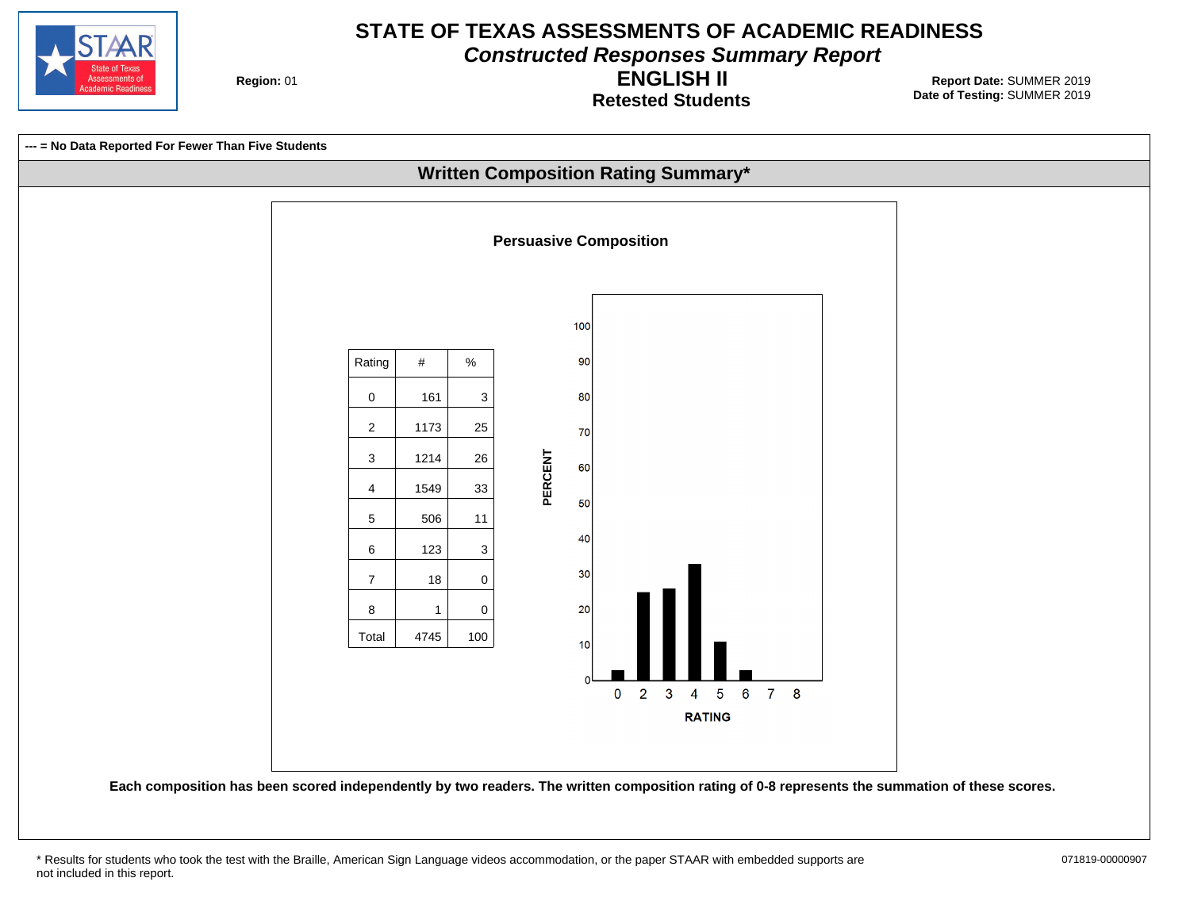

**Constructed Responses Summary Report**

**Region: 01** 

**Retested Students ENGLISH II**



<sup>\*</sup> Results for students who took the test with the Braille, American Sign Language videos accommodation, or the paper STAAR with embedded supports are 071819-00000907 not included in this report.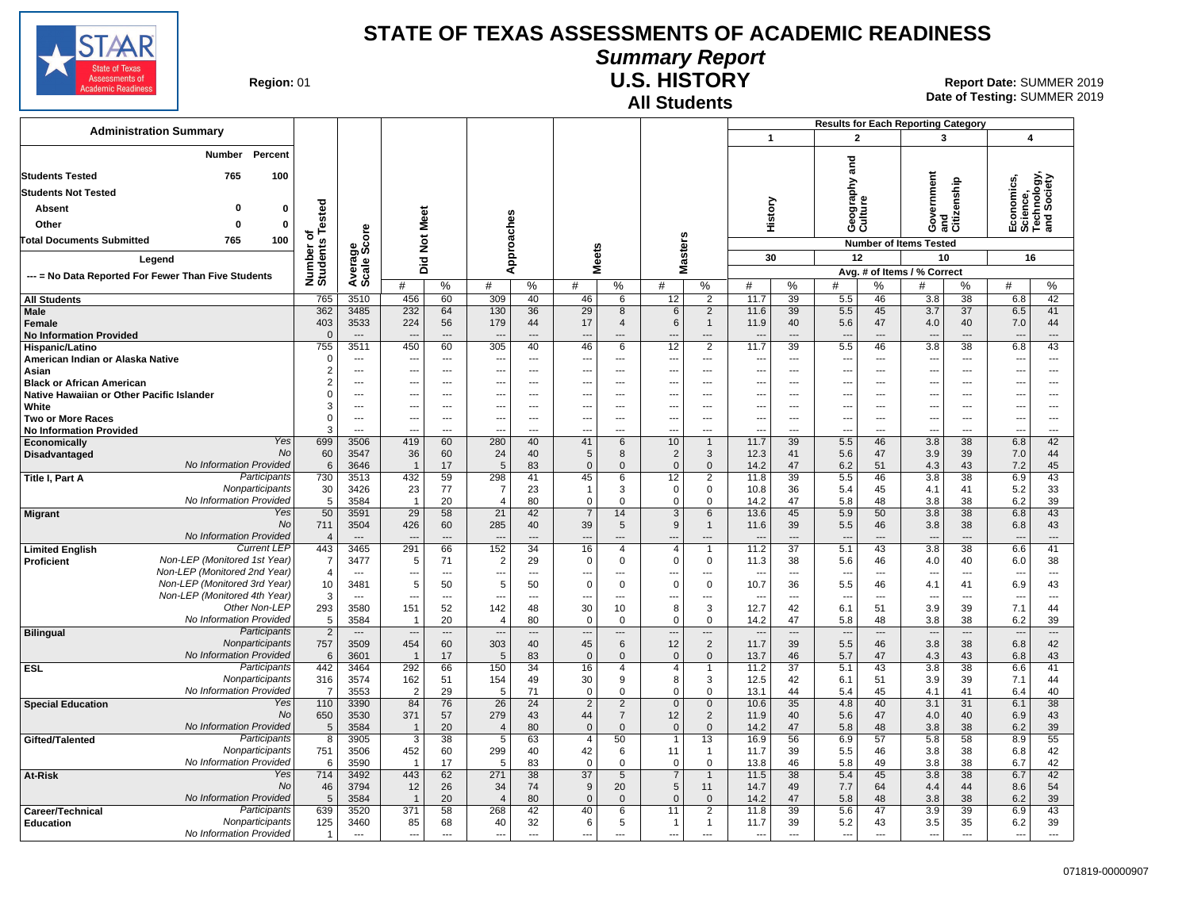

### **Summary Report**

**Region: 01** 

# **All Students**

**U.S. HISTORY** Report Date: SUMMER 2019 **Date of Testing:**  SUMMER 2019

|                                                               |                           |                                  |                                 |                      |                                  |                                |                                                      |                               |                                            |                            |                                  |                                             | <b>Results for Each Reporting Category</b> |                                |                                 |                    |                                                      |                                |
|---------------------------------------------------------------|---------------------------|----------------------------------|---------------------------------|----------------------|----------------------------------|--------------------------------|------------------------------------------------------|-------------------------------|--------------------------------------------|----------------------------|----------------------------------|---------------------------------------------|--------------------------------------------|--------------------------------|---------------------------------|--------------------|------------------------------------------------------|--------------------------------|
| <b>Administration Summary</b>                                 |                           |                                  |                                 |                      |                                  |                                |                                                      |                               |                                            |                            | $\mathbf{1}$                     |                                             | $\mathbf{2}$                               |                                | 3                               |                    | 4                                                    |                                |
| Percent<br>Number                                             |                           |                                  |                                 |                      |                                  |                                |                                                      |                               |                                            |                            |                                  |                                             | and                                        |                                |                                 |                    |                                                      |                                |
| <b>Students Tested</b><br>765<br>100                          |                           |                                  |                                 |                      |                                  |                                |                                                      |                               |                                            |                            |                                  |                                             |                                            |                                |                                 |                    |                                                      |                                |
| <b>Students Not Tested</b>                                    |                           |                                  |                                 |                      |                                  |                                |                                                      |                               |                                            |                            |                                  |                                             | ξ                                          |                                |                                 |                    | Economics,<br>Science,<br>Technology,<br>and Society |                                |
| - 0<br>0<br>Absent                                            |                           |                                  |                                 |                      |                                  |                                |                                                      |                               |                                            |                            |                                  |                                             |                                            |                                |                                 |                    |                                                      |                                |
| Other<br>$\mathbf 0$<br>$\Omega$                              | <b>Tested</b>             |                                  |                                 |                      |                                  |                                |                                                      |                               |                                            |                            | History                          |                                             | Geograp<br>Culture                         |                                | Government<br>and               | and<br>Citizenship |                                                      |                                |
| 100<br>765<br><b>Total Documents Submitted</b>                | ৳<br>Number o<br>Students | Average<br>Scale Score           | Not Meet                        |                      | Approaches                       |                                |                                                      |                               |                                            |                            |                                  |                                             |                                            |                                | <b>Number of Items Tested</b>   |                    |                                                      |                                |
| Legend<br>--- = No Data Reported For Fewer Than Five Students |                           |                                  |                                 |                      |                                  |                                | <b>Meets</b>                                         |                               | Masters                                    |                            | 30                               |                                             | 12                                         |                                | 10                              |                    | 16                                                   |                                |
|                                                               |                           |                                  | Did                             |                      |                                  |                                |                                                      |                               |                                            |                            |                                  |                                             |                                            |                                | Avg. # of Items / % Correct     |                    |                                                      |                                |
|                                                               |                           |                                  | #                               | %                    | #                                | %                              | #                                                    | $\%$                          | #                                          | $\%$                       | #                                | %                                           | #                                          | %                              | #                               | %                  | #                                                    | $\%$                           |
| <b>All Students</b>                                           | 765                       | 3510                             | 456                             | 60                   | 309                              | 40                             | 46                                                   | 6                             | 12                                         | 2                          | 11.7                             | 39                                          | 5.5                                        | 46                             | 3.8                             | 38                 | 6.8                                                  | 42<br>41                       |
| <b>Male</b><br>Female                                         | 362<br>403                | 3485<br>3533                     | 232<br>224                      | 64<br>56             | 130<br>179                       | 36<br>44                       | 29<br>17                                             | 8<br>$\overline{4}$           | 6<br>6                                     | 2<br>$\mathbf{1}$          | 11.6<br>11.9                     | 39<br>40                                    | 5.5<br>5.6                                 | 45<br>47                       | 3.7<br>4.0                      | 37<br>40           | 6.5<br>7.0                                           | 44                             |
| <b>No Information Provided</b>                                | $\Omega$                  | $\overline{a}$                   |                                 | $\sim$               |                                  | $\overline{\phantom{a}}$       |                                                      | $---$                         |                                            | ---                        | $\overline{\phantom{a}}$         | $\sim$                                      | $\overline{a}$                             | $\overline{a}$                 | $\sim$                          |                    | $\overline{\phantom{a}}$                             | $\sim$                         |
| Hispanic/Latino                                               | 755<br>$\Omega$           | 3511<br>---                      | 450<br>$\overline{\phantom{a}}$ | 60<br>---            | 305<br>--                        | 40<br>$\overline{\phantom{a}}$ | 46                                                   | 6<br>---                      | 12<br>---                                  | 2<br>---                   | 11.7<br>---                      | 39<br>$\overline{\phantom{a}}$              | 5.5<br>$\overline{\phantom{a}}$            | 46<br>$\overline{\phantom{a}}$ | 3.8<br>---                      | 38<br>---          | 6.8                                                  | 43<br>$\overline{\phantom{a}}$ |
| American Indian or Alaska Native<br>Asian                     | $\overline{2}$            | ---                              | ---                             | ---                  | …                                | ---                            | $\overline{\phantom{a}}$<br>$\overline{a}$           | ---                           | $\overline{\phantom{a}}$                   | …                          | ---                              | ---                                         | ---                                        | $\overline{a}$                 | ---                             | ---                | ---<br>$\overline{a}$                                | ---                            |
| <b>Black or African American</b>                              | $\overline{2}$            | ---                              | ---                             | ---                  | --                               | ---                            |                                                      | ---                           | $\sim$                                     | ---                        | $\overline{a}$                   |                                             | ---                                        |                                | ---                             | ---                | ---                                                  | ---                            |
| Native Hawaiian or Other Pacific Islander<br>White            | $\Omega$<br>3             | ---<br>---                       | ---<br>---                      | ---<br>---           | --<br>--                         | ---<br>$---$                   | $\overline{\phantom{a}}$<br>$\overline{\phantom{a}}$ | ---                           | ---<br>$\overline{\phantom{a}}$            | ---                        | $\overline{\phantom{a}}$<br>---  | $\sim$                                      | ---                                        |                                | ---                             | ---                | ---                                                  | ---<br>---                     |
| <b>Two or More Races</b>                                      | $\mathbf 0$               | $\overline{a}$                   | ---                             | $---$                | ---                              | $---$                          | ---                                                  | $---$                         | $\overline{\phantom{a}}$                   | ---                        | $\overline{a}$                   | ---                                         | ---<br>$\overline{\phantom{a}}$            | $\sim$                         | ---<br>---                      | ---                | $\overline{\phantom{a}}$<br>---                      | ---                            |
| <b>No Information Provided</b>                                | 3                         | ---                              | $\overline{\phantom{a}}$        | $\overline{a}$       | ---                              | $\overline{a}$                 | ---                                                  | ---                           | $\overline{\phantom{a}}$                   | ---                        | $\overline{a}$                   | $\overline{a}$                              | $\overline{\phantom{a}}$                   | $\overline{a}$                 | ---                             | $---$              | ---                                                  | ---                            |
| <b>Yes</b><br>Economically<br>No<br><b>Disadvantaged</b>      | 699<br>60                 | 3506<br>3547                     | 419<br>36                       | 60<br>60             | 280<br>24                        | 40<br>40                       | 41<br>5                                              | 6<br>8                        | 10<br>$\overline{2}$                       | $\overline{1}$<br>3        | 11.7<br>12.3                     | 39<br>41                                    | 5.5<br>5.6                                 | 46<br>47                       | 3.8<br>3.9                      | 38<br>39           | 6.8<br>7.0                                           | 42<br>44                       |
| No Information Provided                                       | 6                         | 3646                             | $\overline{1}$                  | 17                   | 5                                | 83                             | $\Omega$                                             | $\mathbf 0$                   | $\mathbf{0}$                               | $\mathbf{0}$               | 14.2                             | 47                                          | 6.2                                        | 51                             | 4.3                             | 43                 | 7.2                                                  | 45                             |
| Participants<br>Title I, Part A                               | 730                       | 3513                             | 432                             | 59                   | 298                              | 41                             | 45                                                   | 6                             | 12                                         | $\overline{2}$             | 11.8                             | 39                                          | 5.5                                        | 46                             | 3.8                             | 38                 | 6.9                                                  | 43                             |
| Nonparticipants<br>No Information Provided                    | 30<br>5                   | 3426<br>3584                     | 23<br>$\overline{1}$            | 77<br>20             | $\overline{7}$<br>$\overline{4}$ | 23<br>80                       | $\mathbf{1}$<br>$\Omega$                             | 3<br>$\mathbf 0$              | $\mathbf 0$<br>$\mathbf 0$                 | $\mathbf 0$<br>$\mathbf 0$ | 10.8<br>14.2                     | 36<br>47                                    | 5.4<br>5.8                                 | 45<br>48                       | 4.1<br>3.8                      | 41<br>38           | 5.2<br>6.2                                           | 33<br>39                       |
| Yes<br><b>Migrant</b>                                         | 50                        | 3591                             | 29                              | 58                   | 21                               | 42                             | $\overline{7}$                                       | 14                            | $\mathbf{3}$                               | 6                          | 13.6                             | 45                                          | 5.9                                        | 50                             | 3.8                             | 38                 | 6.8                                                  | 43                             |
| No<br><b>No Information Provided</b>                          | 711                       | 3504                             | 426                             | 60                   | 285                              | 40                             | 39                                                   | $\sqrt{5}$                    | 9                                          | $\mathbf{1}$               | 11.6                             | 39                                          | 5.5                                        | 46                             | 3.8                             | 38                 | 6.8                                                  | 43                             |
| <b>Current LEP</b><br><b>Limited English</b>                  | $\overline{4}$<br>443     | $\overline{\phantom{a}}$<br>3465 | $\overline{\phantom{a}}$<br>291 | ---<br>66            | ---<br>152                       | $\overline{\phantom{a}}$<br>34 | $\overline{\phantom{a}}$<br>16                       | ---<br>$\overline{4}$         | $\overline{\phantom{a}}$<br>$\overline{4}$ | ---<br>$\mathbf{1}$        | $\overline{\phantom{a}}$<br>11.2 | $\overline{\phantom{a}}$<br>$\overline{37}$ | $\overline{\phantom{a}}$<br>5.1            | ---<br>43                      | ---<br>$\overline{3.8}$         | ---<br>38          | $\overline{\phantom{a}}$<br>6.6                      | ---<br>41                      |
| Non-LEP (Monitored 1st Year)<br><b>Proficient</b>             | -7                        | 3477                             | 5                               | 71                   | $\overline{2}$                   | 29                             | $\Omega$                                             | $\mathbf 0$                   | $\mathbf 0$                                | $\mathbf 0$                | 11.3                             | 38                                          | 5.6                                        | 46                             | 4.0                             | 40                 | 6.0                                                  | 38                             |
| Non-LEP (Monitored 2nd Year)<br>Non-LEP (Monitored 3rd Year)  | $\overline{4}$<br>10      | $\sim$<br>3481                   | ---<br>5                        | ---<br>50            | ---<br>5                         | ---<br>50                      | $\overline{\phantom{a}}$<br>$\Omega$                 | ---<br>$\mathbf 0$            | ---<br>$\mathbf 0$                         | ---<br>$\mathbf 0$         | ---<br>10.7                      | $\overline{a}$<br>36                        | ---<br>5.5                                 | $\overline{a}$<br>46           | ---<br>4.1                      | $---$<br>41        | ---<br>6.9                                           | ---<br>43                      |
| Non-LEP (Monitored 4th Year)                                  | 3                         | $-$                              | $\sim$                          | $---$                | ---                              | $---$                          | $\overline{a}$                                       | $\overline{a}$                | ---                                        | ---                        | $\overline{a}$                   | $\overline{\phantom{a}}$                    | $\overline{a}$                             | $\sim$                         | $\sim$                          | ---                | $\overline{\phantom{a}}$                             | $---$                          |
| Other Non-LEP                                                 | 293                       | 3580                             | 151                             | 52                   | 142                              | 48                             | 30                                                   | 10                            | 8                                          | 3                          | 12.7                             | 42                                          | 6.1                                        | 51                             | 3.9                             | 39                 | 7.1                                                  | 44                             |
| No Information Provided<br>Participants<br><b>Bilingual</b>   | 5<br>$\overline{2}$       | 3584<br>$\overline{\phantom{a}}$ | $\overline{\phantom{a}}$        | 20<br>$\overline{a}$ | $\overline{4}$<br>               | 80<br>$\overline{\phantom{a}}$ | $\Omega$<br>$\overline{a}$                           | $\mathbf 0$<br>---            | $\Omega$                                   | $\Omega$<br>---            | 14.2<br>$\overline{\phantom{a}}$ | 47<br>$\overline{\phantom{a}}$              | 5.8<br>$\overline{\phantom{a}}$            | 48<br>$\overline{\phantom{a}}$ | 3.8<br>$\overline{\phantom{a}}$ | 38<br>---          | 6.2<br>$\overline{\phantom{a}}$                      | 39<br>---                      |
| Nonparticipants                                               | 757                       | 3509                             | 454                             | 60                   | 303                              | 40                             | 45                                                   | 6                             | 12                                         | $\overline{2}$             | 11.7                             | 39                                          | 5.5                                        | 46                             | 3.8                             | 38                 | 6.8                                                  | 42                             |
| No Information Provided                                       | 6                         | 3601                             | $\overline{1}$                  | 17                   | 5                                | 83                             | $\Omega$                                             | $\mathbf{0}$                  | $\mathbf{0}$                               | $\Omega$                   | 13.7                             | 46                                          | 5.7                                        | 47                             | 4.3                             | 43                 | 6.8                                                  | 43                             |
| Participants<br><b>ESL</b><br>Nonparticipants                 | 442<br>316                | 3464<br>3574                     | 292<br>162                      | 66<br>51             | 150<br>154                       | 34<br>49                       | 16<br>30                                             | $\overline{4}$<br>9           | 4<br>8                                     | $\mathbf{1}$<br>3          | 11.2<br>12.5                     | $\overline{37}$<br>42                       | 5.1<br>6.1                                 | 43<br>51                       | 3.8<br>3.9                      | 38<br>39           | 6.6<br>7.1                                           | 41<br>44                       |
| No Information Provided                                       | $\overline{7}$            | 3553                             | $\overline{2}$                  | 29                   | 5                                | 71                             | $\Omega$                                             | $\mathsf 0$                   | 0                                          | $\Omega$                   | 13.1                             | 44                                          | 5.4                                        | 45                             | 4.1                             | 41                 | 6.4                                                  | 40                             |
| Yes<br><b>Special Education</b>                               | 110                       | 3390                             | 84                              | 76                   | 26                               | 24                             | $\overline{2}$                                       | $\overline{2}$                | $\mathbf 0$                                | $\mathbf{0}$               | 10.6                             | 35                                          | 4.8                                        | 40                             | 3.1                             | 31                 | 6.1                                                  | 38                             |
| No<br>No Information Provided                                 | 650<br>5                  | 3530<br>3584                     | 371<br>$\overline{1}$           | 57<br>20             | 279<br>$\overline{4}$            | 43<br>80                       | 44<br>$\mathbf 0$                                    | $\overline{7}$<br>$\mathbf 0$ | 12<br>$\mathbf 0$                          | 2<br>$\Omega$              | 11.9<br>14.2                     | 40<br>47                                    | 5.6<br>5.8                                 | 47<br>48                       | 4.0<br>3.8                      | 40<br>38           | 6.9<br>6.2                                           | 43<br>39                       |
| Participants<br>Gifted/Talented                               | 8                         | 3905                             | $\overline{3}$                  | 38                   | $\overline{5}$                   | 63                             | $\overline{4}$                                       | 50                            | $\overline{1}$                             | 13                         | 16.9                             | 56                                          | 6.9                                        | 57                             | 5.8                             | 58                 | 8.9                                                  | 55                             |
| Nonparticipants<br>No Information Provided                    | 751<br>6                  | 3506                             | 452<br>$\overline{1}$           | 60<br>17             | 299<br>5                         | 40                             | 42<br>$\Omega$                                       | 6<br>$\mathbf 0$              | 11<br>$\mathbf 0$                          | $\mathbf 1$<br>$\Omega$    | 11.7                             | 39<br>46                                    | 5.5<br>5.8                                 | 46<br>49                       | 3.8<br>3.8                      | 38<br>38           | 6.8                                                  | 42<br>42                       |
| Yes<br>At-Risk                                                | 714                       | 3590<br>3492                     | 443                             | 62                   | 271                              | 83<br>38                       | $\overline{37}$                                      | 5                             | $\overline{7}$                             | $\mathbf{1}$               | 13.8<br>11.5                     | 38                                          | 5.4                                        | 45                             | 3.8                             | 38                 | 6.7<br>6.7                                           | 42                             |
| No                                                            | 46                        | 3794                             | 12                              | 26                   | 34                               | 74                             | 9                                                    | 20                            | 5                                          | 11                         | 14.7                             | 49                                          | 7.7                                        | 64                             | 4.4                             | 44                 | 8.6                                                  | 54                             |
| No Information Provided<br>Participants                       | 5                         | 3584                             | $\overline{1}$                  | 20                   | $\overline{\mathcal{L}}$         | 80                             | $\Omega$                                             | $\mathbf 0$                   | $\Omega$                                   | $\Omega$<br>2              | 14.2                             | 47                                          | 5.8                                        | 48<br>47                       | 3.8                             | 38<br>39           | 6.2                                                  | 39                             |
| Career/Technical<br>Nonparticipants<br><b>Education</b>       | 639<br>125                | 3520<br>3460                     | 371<br>85                       | 58<br>68             | 268<br>40                        | 42<br>32                       | 40<br>6                                              | 6<br>5                        | 11<br>$\mathbf{1}$                         | $\mathbf{1}$               | 11.8<br>11.7                     | 39<br>39                                    | 5.6<br>5.2                                 | 43                             | 3.9<br>3.5                      | 35                 | 6.9<br>6.2                                           | 43<br>39                       |
| No Information Provided                                       | $\overline{1}$            | $\overline{a}$                   | $\sim$                          | $\overline{a}$       | ---                              | $\overline{a}$                 | $\overline{a}$                                       | ---                           |                                            | ---                        | $\overline{a}$                   | $\overline{a}$                              | $\overline{a}$                             | $\overline{a}$                 | $\overline{a}$                  | $---$              | ---                                                  | ---                            |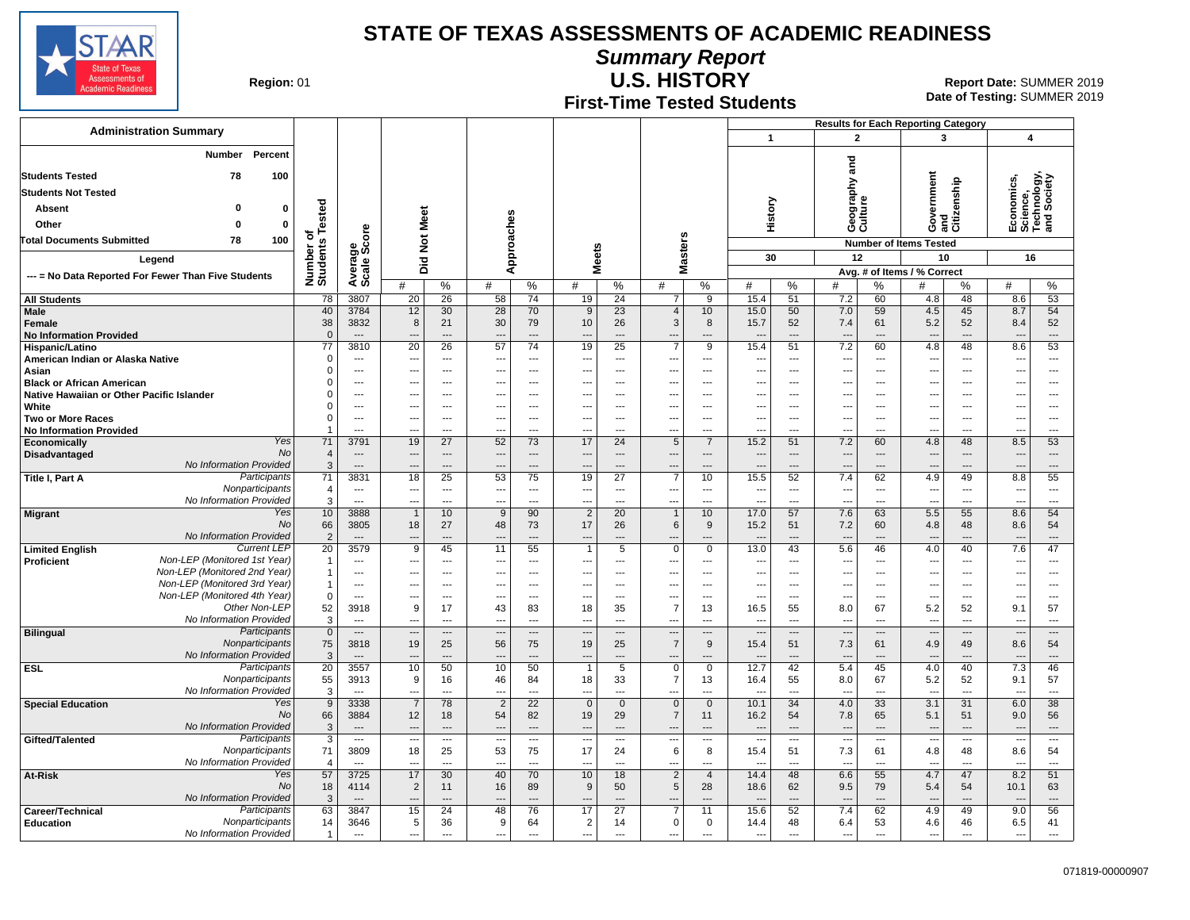**Summary Report**

**State of Texas** Assessments of<br>Academic Readines

**Region: 01** 

#### **First-Time Tested Students U.S. HISTORY** Report Date: SUMMER 2019

**Date of Testing:**  SUMMER 2019

|                                                     |                              |                    |                                   |                                            |                                  |                      |                       |                                   |                                  |                                  |                              |                                  |                                  | <b>Results for Each Reporting Category</b> |                                                      |                                  |                                                      |                                                      |                                    |                                             |
|-----------------------------------------------------|------------------------------|--------------------|-----------------------------------|--------------------------------------------|----------------------------------|----------------------|-----------------------|-----------------------------------|----------------------------------|----------------------------------|------------------------------|----------------------------------|----------------------------------|--------------------------------------------|------------------------------------------------------|----------------------------------|------------------------------------------------------|------------------------------------------------------|------------------------------------|---------------------------------------------|
| <b>Administration Summary</b>                       |                              |                    |                                   |                                            |                                  |                      |                       |                                   |                                  |                                  |                              |                                  | $\mathbf{1}$                     |                                            | $\mathbf{2}$                                         |                                  | $\overline{\mathbf{3}}$                              |                                                      | $\overline{\mathbf{4}}$            |                                             |
| Percent<br>Number                                   |                              |                    |                                   |                                            |                                  |                      |                       |                                   |                                  |                                  |                              |                                  |                                  | $\overline{\mathbf{c}}$                    |                                                      |                                  |                                                      |                                                      |                                    |                                             |
| <b>Students Tested</b>                              | 78                           | 100                |                                   |                                            |                                  |                      |                       |                                   |                                  |                                  |                              |                                  |                                  |                                            | ā                                                    |                                  |                                                      |                                                      |                                    |                                             |
| <b>Students Not Tested</b>                          |                              |                    |                                   |                                            |                                  |                      |                       |                                   |                                  |                                  |                              |                                  |                                  | phy                                        |                                                      | Government<br>and<br>Citizenship |                                                      | Economics,<br>Science,<br>Technology,<br>and Society |                                    |                                             |
| Absent                                              | O                            | $\bf{0}$           |                                   |                                            |                                  |                      |                       |                                   |                                  |                                  |                              |                                  |                                  |                                            | Geograp<br>Culture                                   |                                  |                                                      |                                                      |                                    |                                             |
| Other                                               | $\Omega$                     | $\mathbf 0$        | Tested                            |                                            |                                  |                      |                       |                                   |                                  |                                  |                              |                                  | History                          |                                            |                                                      |                                  |                                                      |                                                      |                                    |                                             |
| <b>Total Documents Submitted</b>                    | 78                           | 100                | ठ                                 |                                            |                                  |                      |                       |                                   |                                  |                                  |                              |                                  |                                  |                                            |                                                      |                                  |                                                      |                                                      |                                    |                                             |
|                                                     |                              |                    |                                   |                                            | Did Not Meet                     |                      | Approaches            |                                   | <b>Meets</b>                     |                                  | Masters                      |                                  | 30                               |                                            | 12                                                   |                                  | <b>Number of Items Tested</b><br>10                  |                                                      | 16                                 |                                             |
|                                                     | Legend                       |                    |                                   |                                            |                                  |                      |                       |                                   |                                  |                                  |                              |                                  |                                  |                                            |                                                      |                                  | Avg. # of Items / % Correct                          |                                                      |                                    |                                             |
| --- = No Data Reported For Fewer Than Five Students |                              |                    | Number o<br>Students              | Average<br>Scale Score                     | #                                | $\%$                 | #                     | $\%$                              | #                                | %                                | #                            | %                                | #                                | %                                          | #                                                    | %                                | #                                                    | %                                                    | #                                  | %                                           |
| <b>All Students</b>                                 |                              |                    | 78                                | 3807                                       | 20                               | 26                   | 58                    | 74                                | 19                               | 24                               | $\overline{7}$               | $\overline{9}$                   | 15.4                             | 51                                         | 7.2                                                  | 60                               | 4.8                                                  | 48                                                   | 8.6                                | 53                                          |
| Male                                                |                              |                    | 40                                | 3784                                       | 12                               | 30                   | 28                    | 70                                | 9                                | 23                               | $\overline{4}$               | 10                               | 15.0                             | 50                                         | 7.0                                                  | 59                               | 4.5                                                  | 45                                                   | 8.7                                | 54                                          |
| <b>Female</b>                                       |                              |                    | 38                                | 3832                                       | 8                                | 21                   | 30                    | 79                                | 10                               | 26                               | 3                            | 8                                | 15.7                             | 52                                         | 7.4                                                  | 61<br>$\overline{a}$             | 5.2                                                  | 52                                                   | 8.4                                | 52                                          |
| <b>No Information Provided</b><br>Hispanic/Latino   |                              |                    | $\overline{0}$<br>$\overline{77}$ | 3810                                       | $\overline{20}$                  | $\overline{a}$<br>26 | 57                    | $---$<br>74                       | $\overline{a}$<br>19             | $\overline{a}$<br>25             | ---<br>$\overline{7}$        | $\overline{a}$<br>$\overline{9}$ | 15.4                             | $\overline{a}$<br>51                       | $\overline{\phantom{a}}$<br>7.2                      | 60                               | $\overline{\phantom{a}}$<br>4.8                      | $---$<br>48                                          | $\overline{a}$<br>8.6              | $\qquad \qquad \cdots$<br>53                |
| American Indian or Alaska Native                    |                              |                    | $\mathbf 0$                       | ---                                        | $\sim$                           | ---                  | ---                   | ---                               | ---                              | ---                              | ---                          | $\overline{a}$                   |                                  | ---                                        | $\overline{\phantom{a}}$                             | $\sim$                           | ---                                                  | $\overline{a}$                                       | $\sim$                             | ---                                         |
| Asian                                               |                              |                    | $\Omega$                          | ---                                        | $---$                            | ---                  | ---                   | $\overline{\phantom{a}}$          | ---                              | ---                              | ---                          | $\overline{\phantom{a}}$         | $\overline{\phantom{a}}$         | ---                                        | $\overline{\phantom{a}}$                             | $\overline{a}$                   | ---                                                  | ---                                                  | $\overline{\phantom{a}}$           | $\overline{\phantom{a}}$                    |
| <b>Black or African American</b>                    |                              |                    | $\Omega$<br>$\Omega$              | $\overline{a}$<br>---                      |                                  | ---                  | ---                   | ---                               | ---<br>---                       | ---                              | ---                          | ---<br>---                       | ---                              | ---<br>---                                 | ---                                                  |                                  | ---                                                  | ---<br>---                                           | $\overline{a}$                     | ---                                         |
| Native Hawaiian or Other Pacific Islander<br>White  |                              |                    | $\Omega$                          | ---                                        | $\overline{\phantom{a}}$         | ---<br>---           | ---<br>---            | $\hspace{0.05cm} \ldots$<br>---   | ---                              | ---<br>---                       | ---<br>---                   | ---                              | $\overline{\phantom{a}}$<br>---  | ---                                        | $\overline{\phantom{a}}$<br>$\overline{\phantom{a}}$ | ---                              | ---<br>…                                             | ---                                                  | ---<br>$\sim$                      | $\hspace{0.05cm} \ldots$<br>---             |
| <b>Two or More Races</b>                            |                              |                    | $\mathbf 0$                       | $\overline{\phantom{a}}$                   |                                  | ---                  | ---                   | $\overline{\phantom{a}}$          | $\overline{\phantom{a}}$         | $\overline{a}$                   | ---                          | ---                              | $\overline{\phantom{a}}$         | ---                                        | $\overline{\phantom{a}}$                             | ---                              | ---                                                  | ---                                                  | $\overline{\phantom{a}}$           | $\overline{\phantom{a}}$                    |
| <b>No Information Provided</b>                      |                              |                    |                                   | $\overline{a}$                             | $\overline{a}$                   | $\overline{a}$       | ---                   | $\overline{a}$                    | $---$                            | $\overline{a}$                   | ---                          | ---                              | $\overline{\phantom{a}}$         | $\sim$                                     | $\overline{a}$                                       | $\overline{a}$                   | $\overline{a}$                                       | $\overline{a}$                                       | $\sim$                             | $---$                                       |
| Economically<br>Disadvantaged                       |                              | Yes<br>No          | 71<br>$\overline{4}$              | 3791<br>$\cdots$                           | 19<br>$\overline{\phantom{a}}$   | 27<br>$---$          | 52<br>---             | 73<br>$\overline{\phantom{a}}$    | 17<br>---                        | $\overline{24}$<br>$\cdots$      | $5\overline{)}$<br>---       | $\overline{7}$<br>---            | 15.2<br>$\overline{\phantom{a}}$ | 51<br>---                                  | 7.2<br>$\overline{a}$                                | 60<br>$---$                      | 4.8<br>---                                           | 48<br>---                                            | 8.5<br>$\overline{\phantom{a}}$    | 53<br>$\overline{\phantom{a}}$              |
|                                                     | No Information Provided      |                    | 3                                 | $\overline{a}$                             |                                  | ---                  |                       | $\overline{\phantom{a}}$          |                                  | ---                              |                              | ---                              |                                  | ---                                        | $\overline{a}$                                       |                                  | ---                                                  |                                                      | $\overline{\phantom{a}}$           | ---                                         |
| Title I, Part A                                     |                              | Participants       | 71                                | 3831                                       | 18                               | 25                   | 53                    | 75                                | 19                               | $\overline{27}$                  | $\overline{7}$               | 10                               | 15.5                             | 52                                         | 7.4                                                  | 62                               | 4.9                                                  | 49                                                   | 8.8                                | 55                                          |
|                                                     | No Information Provided      | Nonparticipants    | $\overline{4}$                    | $\hspace{0.05cm} \ldots$                   | $\overline{\phantom{a}}$         | ---                  | ---                   | $\overline{\phantom{a}}$          | ---                              | $\overline{a}$                   | ---                          | $\overline{\phantom{a}}$         | $\overline{a}$                   | ---                                        | $\overline{\phantom{a}}$                             | $\overline{a}$                   | ---                                                  | $\overline{a}$                                       | $\overline{\phantom{a}}$           | $\overline{\phantom{a}}$                    |
| <b>Migrant</b>                                      |                              | Yes                | 3<br>10                           | $\overline{a}$<br>3888                     | $\overline{a}$<br>$\overline{1}$ | ---<br>10            | ---<br>9              | $\overline{a}$<br>90              | ---<br>$\overline{2}$            | ---<br>20                        | ---<br>$\mathbf{1}$          | ---<br>10                        | ---<br>17.0                      | ---<br>57                                  | ---<br>7.6                                           | 63                               | <br>5.5                                              | ---<br>55                                            | $\overline{a}$<br>8.6              | ---<br>54                                   |
|                                                     |                              | <b>No</b>          | 66                                | 3805                                       | 18                               | 27                   | 48                    | 73                                | 17                               | 26                               | 6                            | 9                                | 15.2                             | 51                                         | 7.2                                                  | 60                               | 4.8                                                  | 48                                                   | 8.6                                | 54                                          |
|                                                     | No Information Provided      |                    | $\overline{2}$                    | $---$                                      | $\overline{a}$                   | ---                  | ---                   | $---$                             | $\overline{a}$                   | $---$                            | ---                          | $\overline{\phantom{a}}$         | $\overline{\phantom{a}}$         | ---                                        | $\overline{a}$                                       | $\overline{\phantom{a}}$         | $\overline{\phantom{a}}$                             | $---$                                                | $\overline{a}$                     | $\overline{\phantom{a}}$                    |
| <b>Limited English</b><br><b>Proficient</b>         | Non-LEP (Monitored 1st Year  | <b>Current LEF</b> | $\overline{20}$<br>$\overline{1}$ | 3579<br>---                                | $\overline{9}$<br>$---$          | 45<br>$\overline{a}$ | 11<br>---             | 55<br>$\overline{\phantom{a}}$    | $\overline{1}$<br>---            | $\overline{5}$<br>$\overline{a}$ | $\overline{0}$<br>---        | $\overline{0}$<br>---            | 13.0<br>$\overline{\phantom{a}}$ | 43<br>---                                  | 5.6<br>$\overline{a}$                                | 46<br>---                        | 4.0<br>---                                           | 40<br>---                                            | 7.6<br>---                         | $\overline{47}$<br>$\overline{\phantom{a}}$ |
|                                                     | Non-LEP (Monitored 2nd Year) |                    | $\overline{1}$                    | ---                                        | $\overline{\phantom{a}}$         | ---                  | ---                   | $\overline{\phantom{a}}$          | $\overline{\phantom{a}}$         | ---                              | ---                          | ---                              | ---                              | ---                                        | $\overline{\phantom{a}}$                             | ---                              | ---                                                  | ---                                                  | ---                                | $\overline{\phantom{a}}$                    |
|                                                     | Non-LEP (Monitored 3rd Year) |                    | $\overline{1}$                    | ---                                        | $\overline{a}$                   | ---                  | ---                   | ---                               | ---                              | ---                              | ---                          | ---                              | $\overline{a}$                   | ---                                        | ---                                                  |                                  | ---                                                  | ---                                                  | $\overline{a}$                     | ---                                         |
|                                                     | Non-LEP (Monitored 4th Year) |                    | $\Omega$                          | ---                                        |                                  | ---                  | ---                   | $\overline{\phantom{a}}$          | ---                              | $\overline{a}$                   | ---                          | ---                              |                                  | ---                                        | ---                                                  |                                  | ---                                                  | ---                                                  |                                    | $\overline{a}$                              |
|                                                     | No Information Provided      | Other Non-LEP      | 52<br>3                           | 3918<br>$\overline{a}$                     | 9<br>$\overline{a}$              | 17<br>$\overline{a}$ | 43<br>$\overline{a}$  | 83<br>$\overline{\phantom{a}}$    | 18<br>$\sim$                     | 35<br>$\overline{a}$             | $\overline{7}$<br>---        | 13<br>---                        | 16.5<br>$\overline{\phantom{a}}$ | 55<br>$\overline{a}$                       | 8.0<br>$\overline{\phantom{a}}$                      | 67<br>$\overline{a}$             | 5.2<br>$\overline{\phantom{a}}$                      | 52<br>$---$                                          | 9.1<br>$\overline{a}$              | 57<br>$\overline{a}$                        |
| <b>Bilingual</b>                                    |                              | Participants       | $\mathbf 0$                       | $\cdots$                                   |                                  | ---                  | ---                   | $\overline{\phantom{a}}$          | $\overline{a}$                   | $\overline{\phantom{a}}$         | ---                          | $\overline{a}$                   | $\overline{\phantom{a}}$         | $\overline{\phantom{a}}$                   | $\overline{\phantom{a}}$                             | ---                              | $\overline{\phantom{a}}$                             | ---                                                  | Ξ.                                 | $---$                                       |
|                                                     |                              | Nonparticipants    | 75                                | 3818                                       | 19                               | 25                   | 56                    | 75                                | 19                               | 25                               | $\overline{7}$               | 9                                | 15.4                             | 51                                         | 7.3                                                  | 61                               | 4.9                                                  | 49                                                   | 8.6                                | 54                                          |
|                                                     | No Information Provided      | Participants       | 3                                 |                                            |                                  | $\overline{a}$       |                       | $---$                             | $\overline{a}$<br>$\overline{1}$ | $\overline{a}$                   | ---                          | ---                              | $\sim$                           | ---                                        | $\overline{a}$                                       | $\sim$                           | ---                                                  | $---$                                                | $\overline{a}$                     | ---                                         |
| <b>ESL</b>                                          |                              | Nonparticipants    | $\overline{20}$<br>55             | 3557<br>3913                               | 10<br>9                          | 50<br>16             | 10<br>46              | 50<br>84                          | 18                               | $\overline{5}$<br>33             | $\overline{0}$<br>7          | $\overline{0}$<br>13             | 12.7<br>16.4                     | 42<br>55                                   | 5.4<br>8.0                                           | 45<br>67                         | 4.0<br>5.2                                           | 40<br>52                                             | 7.3<br>9.1                         | 46<br>57                                    |
|                                                     | No Information Provided      |                    | 3                                 | $\overline{a}$                             |                                  | ---                  | ---                   | ---                               | ---                              | ---                              | ---                          | ---                              | $\overline{\phantom{a}}$         | ---                                        | $\overline{\phantom{a}}$                             |                                  | ---                                                  | ---                                                  | $\sim$                             | ---                                         |
| <b>Special Education</b>                            |                              | Yes                | 9                                 | 3338                                       | $\overline{7}$                   | 78                   | $\overline{2}$        | 22                                | $\mathbf{0}$                     | $\mathbf{0}$                     | $\overline{0}$               | $\overline{0}$                   | 10.1                             | 34                                         | 4.0                                                  | 33                               | 3.1                                                  | 31                                                   | 6.0                                | 38                                          |
|                                                     | No Information Provided      | No                 | 66                                | 3884                                       | 12                               | 18                   | 54                    | 82                                | 19<br>$\overline{a}$             | 29                               | $\overline{7}$               | 11                               | 16.2                             | 54                                         | 7.8                                                  | 65<br>$\overline{\phantom{a}}$   | 5.1                                                  | 51                                                   | 9.0                                | 56<br>$\overline{\phantom{a}}$              |
| Gifted/Talented                                     |                              | Participants       | $\mathbf{3}$<br>3                 | $\overline{a}$<br>$\overline{\phantom{a}}$ | $---$<br>$\overline{a}$          | $---$<br>---         | $\overline{a}$<br>--- | $---$<br>$\overline{\phantom{a}}$ | ---                              | $---$<br>$\overline{a}$          | ---<br>---                   | $\overline{a}$<br>$\overline{a}$ | $\overline{\phantom{a}}$<br>---  | $\overline{\phantom{a}}$<br>---            | $\overline{\phantom{a}}$<br>$\overline{\phantom{a}}$ | ---                              | $\overline{\phantom{a}}$<br>$\overline{\phantom{a}}$ | $---$<br>$\overline{a}$                              | $\overline{\phantom{a}}$<br>$\sim$ | ---                                         |
|                                                     |                              | Nonparticipants    | 71                                | 3809                                       | 18                               | 25                   | 53                    | 75                                | 17                               | 24                               | 6                            | 8                                | 15.4                             | 51                                         | 7.3                                                  | 61                               | 4.8                                                  | 48                                                   | 8.6                                | 54                                          |
|                                                     | No Information Provided      |                    | $\overline{4}$                    | $\overline{a}$                             | $\overline{a}$                   | $\sim$               | ---                   | $\overline{\phantom{a}}$          | $\overline{a}$                   | $\overline{a}$                   | ---                          | ---                              | $\overline{\phantom{a}}$         | ---                                        | $\overline{a}$                                       | $\overline{a}$                   | $\overline{\phantom{a}}$                             | $\overline{a}$                                       | $\overline{a}$                     | ---                                         |
| At-Risk                                             |                              | Yes<br><b>No</b>   | 57<br>18                          | 3725<br>4114                               | 17<br>$\overline{2}$             | 30<br>11             | 40<br>16              | 70<br>89                          | 10<br>9                          | 18<br>50                         | $\overline{2}$<br>$\sqrt{5}$ | $\overline{4}$<br>28             | 14.4<br>18.6                     | 48<br>62                                   | 6.6<br>9.5                                           | 55<br>79                         | 4.7                                                  | 47<br>54                                             | 8.2<br>10.1                        | 51<br>63                                    |
|                                                     | No Information Provided      |                    | 3                                 | $\overline{\phantom{a}}$                   |                                  | ---                  | ---                   | ---                               | $\overline{a}$                   | ---                              | ---                          | ---                              |                                  | $\overline{a}$                             | $\overline{\phantom{a}}$                             |                                  | 5.4<br>$\overline{\phantom{a}}$                      |                                                      | $\overline{\phantom{a}}$           | ---                                         |
| Career/Technical                                    |                              | Participants       | 63                                | 3847                                       | 15                               | 24                   | 48                    | 76                                | 17                               | 27                               | $\overline{7}$               | 11                               | 15.6                             | 52                                         | 7.4                                                  | 62                               | 4.9                                                  | 49                                                   | 9.0                                | 56                                          |
| <b>Education</b>                                    |                              | Nonparticipants    | 14                                | 3646                                       | 5                                | 36                   | 9                     | 64                                | $\overline{2}$                   | 14                               | $\mathbf 0$                  | $\mathbf 0$                      | 14.4                             | 48                                         | 6.4                                                  | 53                               | 4.6                                                  | 46                                                   | 6.5                                | 41                                          |
|                                                     | No Information Provided      |                    | $\overline{1}$                    | $\sim$                                     | $---$                            | $\overline{a}$       | ---                   | $---$                             | ---                              | $---$                            | ---                          | ---                              | $\sim$                           | $\overline{a}$                             | $\overline{a}$                                       | $\sim$                           | $\overline{\phantom{a}}$                             | $---$                                                | $\overline{\phantom{a}}$           | $\overline{\phantom{a}}$                    |